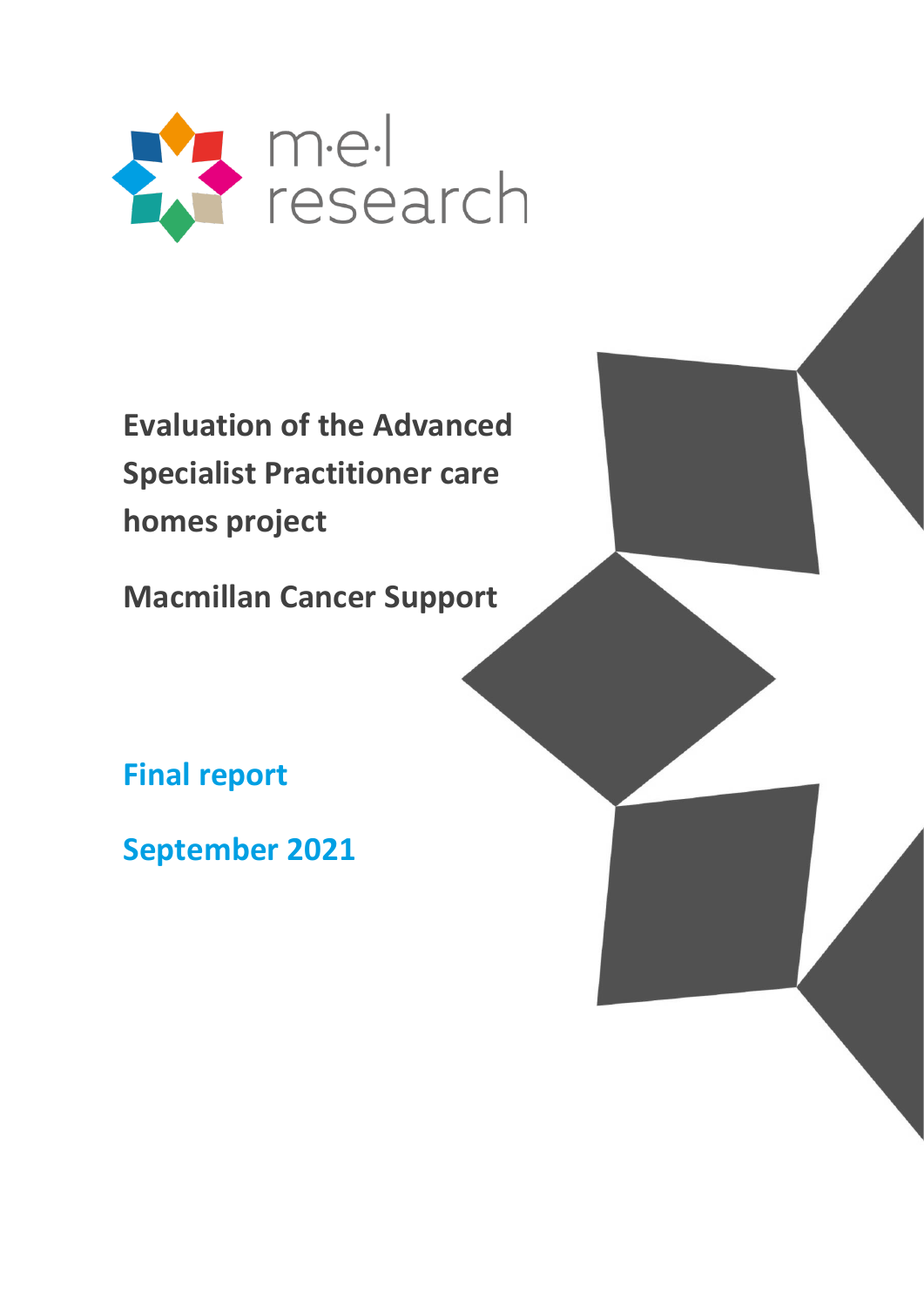

**Evaluation of the Advanced Specialist Practitioner care homes project**

**Macmillan Cancer Support**

**Final report**

**September 2021**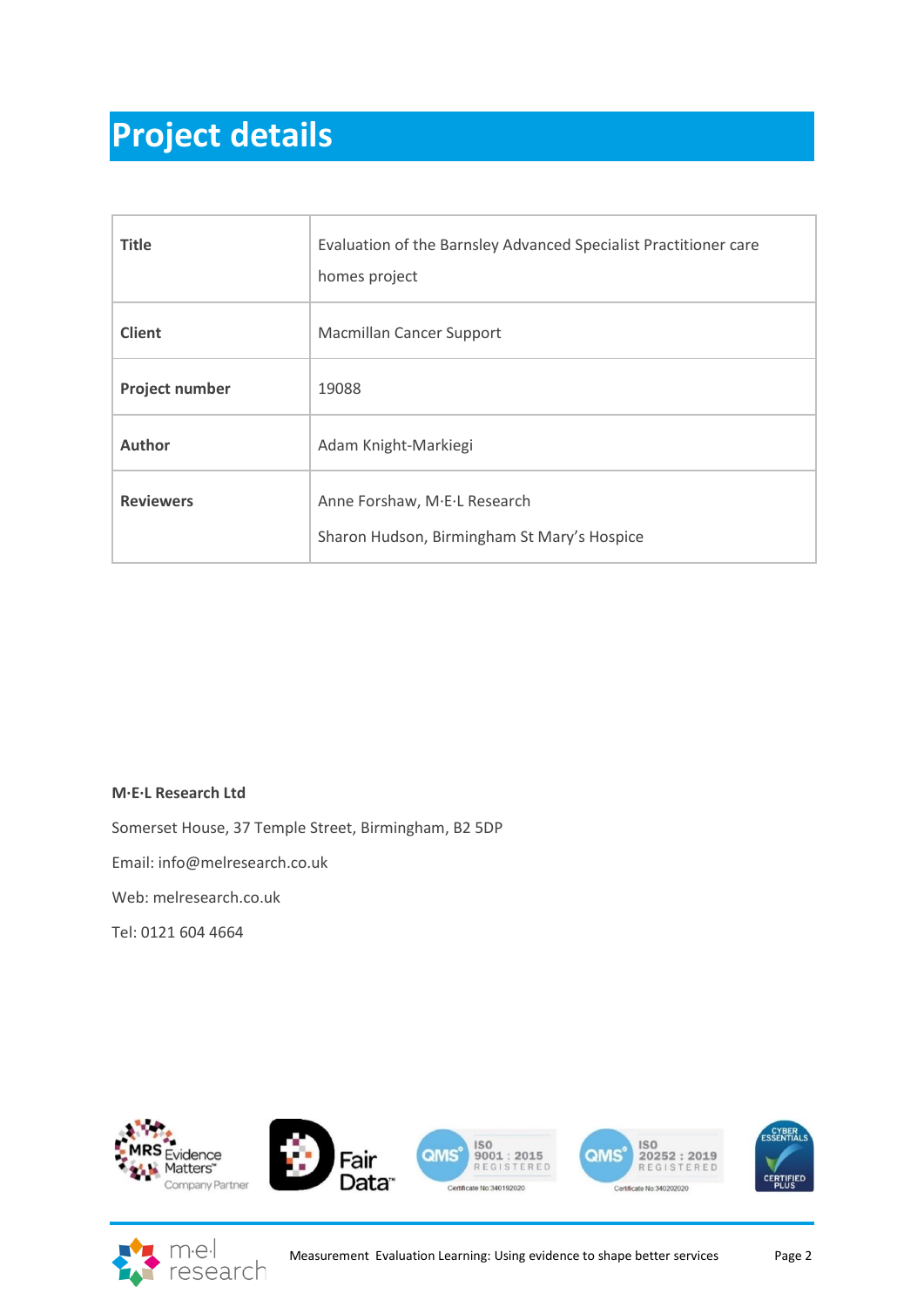# **Project details**

| <b>Title</b>          | Evaluation of the Barnsley Advanced Specialist Practitioner care<br>homes project |
|-----------------------|-----------------------------------------------------------------------------------|
| <b>Client</b>         | <b>Macmillan Cancer Support</b>                                                   |
| <b>Project number</b> | 19088                                                                             |
| <b>Author</b>         | Adam Knight-Markiegi                                                              |
| <b>Reviewers</b>      | Anne Forshaw, M·E·L Research<br>Sharon Hudson, Birmingham St Mary's Hospice       |

### **M·E·L Research Ltd**

Somerset House, 37 Temple Street, Birmingham, B2 5DP

Email: info@melresearch.co.uk

Web: melresearch.co.uk

Tel: 0121 604 4664



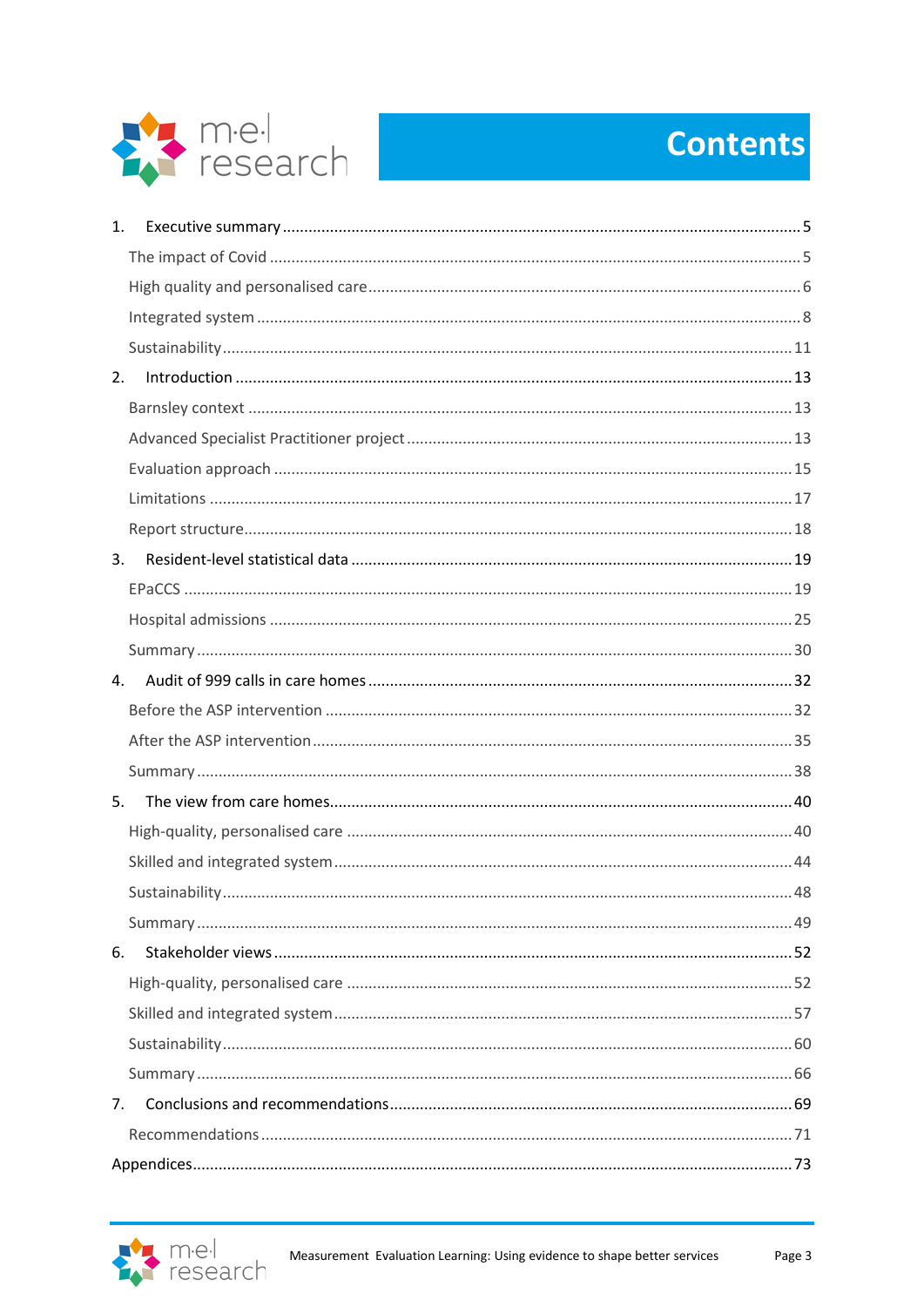

# **Contents**

| 1. |  |
|----|--|
|    |  |
|    |  |
|    |  |
|    |  |
| 2. |  |
|    |  |
|    |  |
|    |  |
|    |  |
|    |  |
| 3. |  |
|    |  |
|    |  |
|    |  |
| 4. |  |
|    |  |
|    |  |
|    |  |
| 5. |  |
|    |  |
|    |  |
|    |  |
|    |  |
| 6. |  |
|    |  |
|    |  |
|    |  |
|    |  |
| 7. |  |
|    |  |
|    |  |

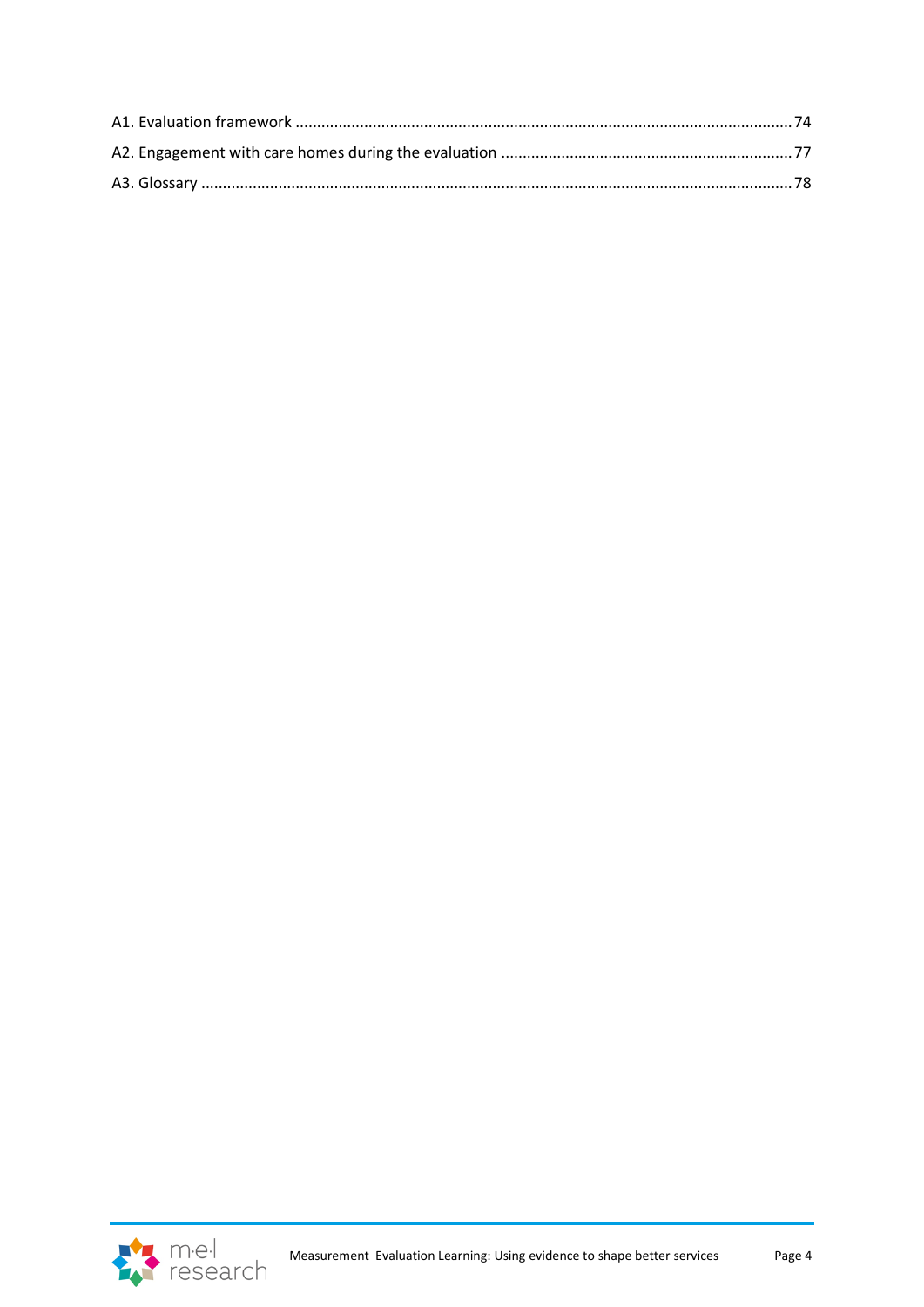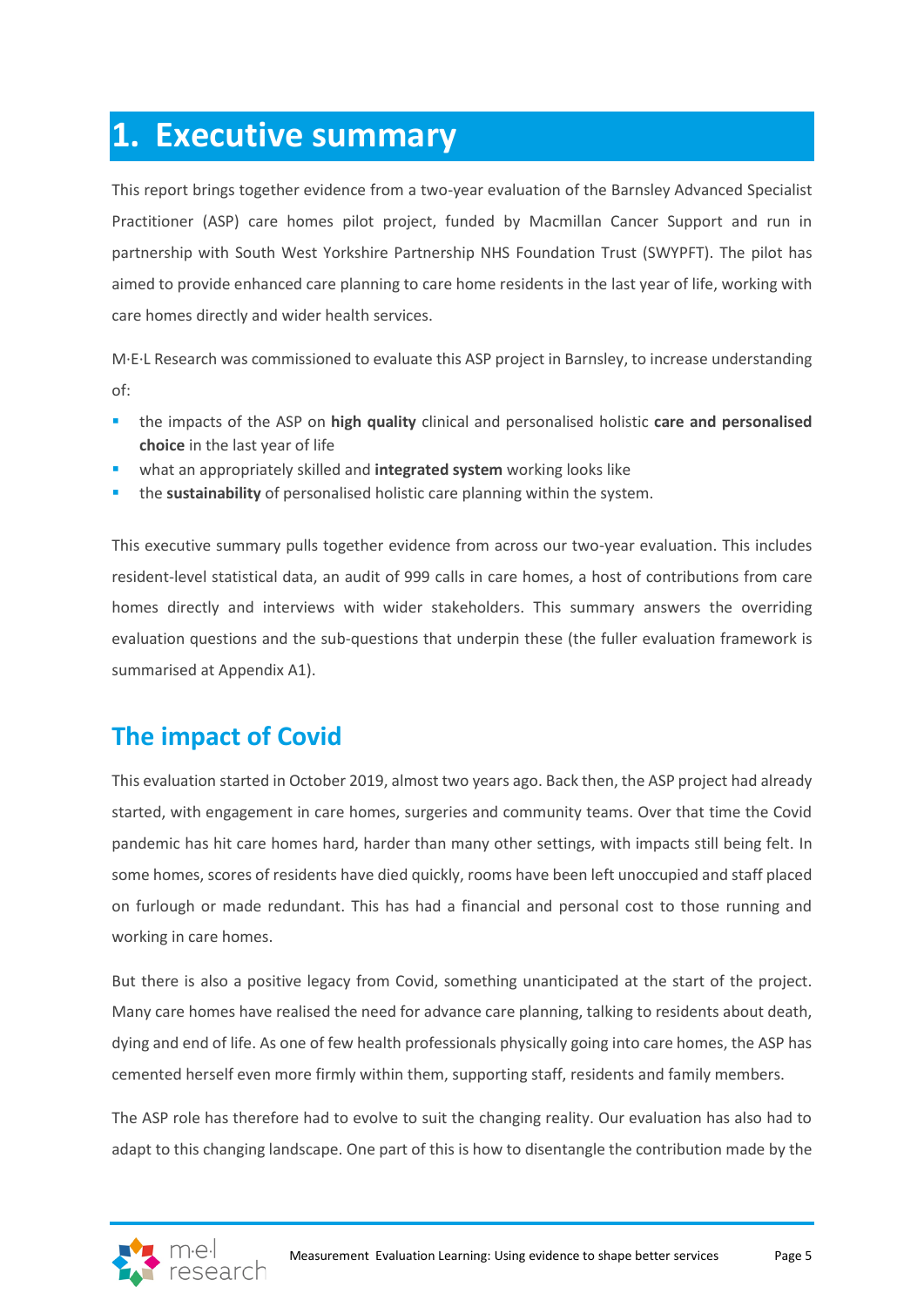# <span id="page-4-0"></span>**1. Executive summary**

This report brings together evidence from a two-year evaluation of the Barnsley Advanced Specialist Practitioner (ASP) care homes pilot project, funded by Macmillan Cancer Support and run in partnership with South West Yorkshire Partnership NHS Foundation Trust (SWYPFT). The pilot has aimed to provide enhanced care planning to care home residents in the last year of life, working with care homes directly and wider health services.

M·E·L Research was commissioned to evaluate this ASP project in Barnsley, to increase understanding of:

- the impacts of the ASP on **high quality** clinical and personalised holistic **care and personalised choice** in the last year of life
- what an appropriately skilled and **integrated system** working looks like
- the **sustainability** of personalised holistic care planning within the system.

This executive summary pulls together evidence from across our two-year evaluation. This includes resident-level statistical data, an audit of 999 calls in care homes, a host of contributions from care homes directly and interviews with wider stakeholders. This summary answers the overriding evaluation questions and the sub-questions that underpin these (the fuller evaluation framework is summarised at Appendix A1).

# <span id="page-4-1"></span>**The impact of Covid**

This evaluation started in October 2019, almost two years ago. Back then, the ASP project had already started, with engagement in care homes, surgeries and community teams. Over that time the Covid pandemic has hit care homes hard, harder than many other settings, with impacts still being felt. In some homes, scores of residents have died quickly, rooms have been left unoccupied and staff placed on furlough or made redundant. This has had a financial and personal cost to those running and working in care homes.

But there is also a positive legacy from Covid, something unanticipated at the start of the project. Many care homes have realised the need for advance care planning, talking to residents about death, dying and end of life. As one of few health professionals physically going into care homes, the ASP has cemented herself even more firmly within them, supporting staff, residents and family members.

The ASP role has therefore had to evolve to suit the changing reality. Our evaluation has also had to adapt to this changing landscape. One part of this is how to disentangle the contribution made by the

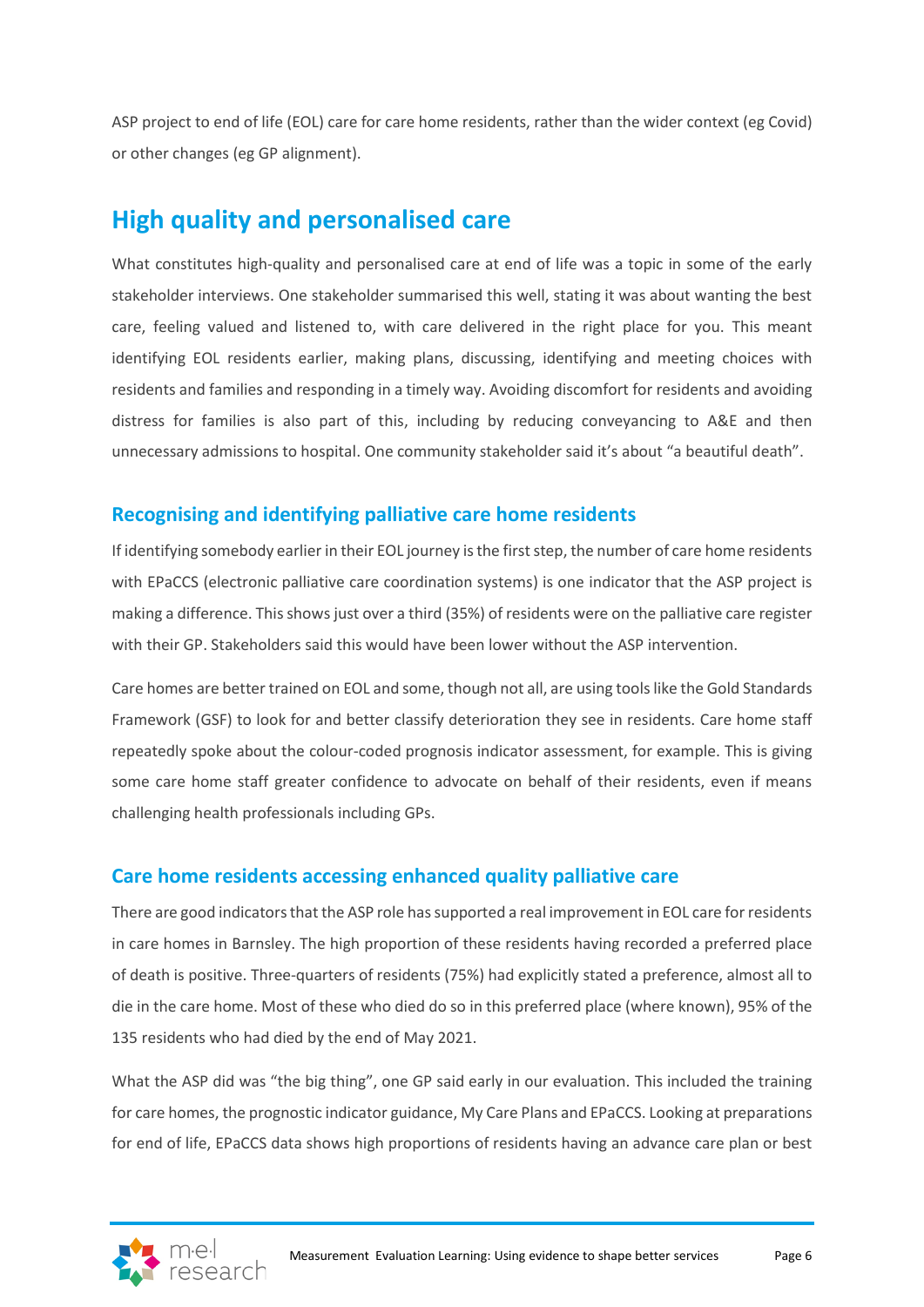ASP project to end of life (EOL) care for care home residents, rather than the wider context (eg Covid) or other changes (eg GP alignment).

# <span id="page-5-0"></span>**High quality and personalised care**

What constitutes high-quality and personalised care at end of life was a topic in some of the early stakeholder interviews. One stakeholder summarised this well, stating it was about wanting the best care, feeling valued and listened to, with care delivered in the right place for you. This meant identifying EOL residents earlier, making plans, discussing, identifying and meeting choices with residents and families and responding in a timely way. Avoiding discomfort for residents and avoiding distress for families is also part of this, including by reducing conveyancing to A&E and then unnecessary admissions to hospital. One community stakeholder said it's about "a beautiful death".

## **Recognising and identifying palliative care home residents**

If identifying somebody earlier in their EOL journey is the first step, the number of care home residents with EPaCCS (electronic palliative care coordination systems) is one indicator that the ASP project is making a difference. This shows just over a third (35%) of residents were on the palliative care register with their GP. Stakeholders said this would have been lower without the ASP intervention.

Care homes are better trained on EOL and some, though not all, are using tools like the Gold Standards Framework (GSF) to look for and better classify deterioration they see in residents. Care home staff repeatedly spoke about the colour-coded prognosis indicator assessment, for example. This is giving some care home staff greater confidence to advocate on behalf of their residents, even if means challenging health professionals including GPs.

## **Care home residents accessing enhanced quality palliative care**

There are good indicators that the ASP role has supported a real improvement in EOL care for residents in care homes in Barnsley. The high proportion of these residents having recorded a preferred place of death is positive. Three-quarters of residents (75%) had explicitly stated a preference, almost all to die in the care home. Most of these who died do so in this preferred place (where known), 95% of the 135 residents who had died by the end of May 2021.

What the ASP did was "the big thing", one GP said early in our evaluation. This included the training for care homes, the prognostic indicator guidance, My Care Plans and EPaCCS. Looking at preparations for end of life, EPaCCS data shows high proportions of residents having an advance care plan or best

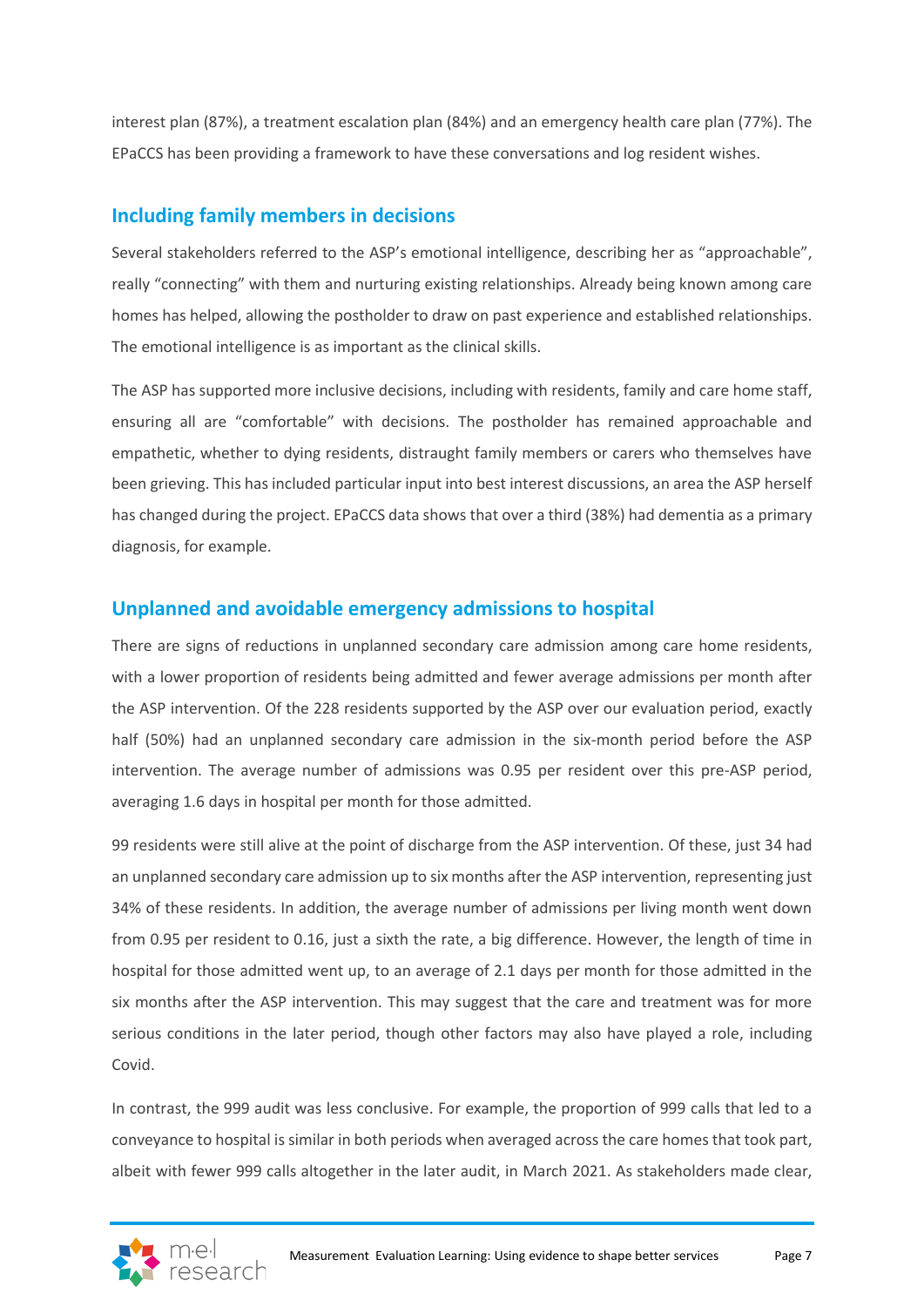interest plan (87%), a treatment escalation plan (84%) and an emergency health care plan (77%). The EPaCCS has been providing a framework to have these conversations and log resident wishes.

## **Including family members in decisions**

Several stakeholders referred to the ASP's emotional intelligence, describing her as "approachable", really "connecting" with them and nurturing existing relationships. Already being known among care homes has helped, allowing the postholder to draw on past experience and established relationships. The emotional intelligence is as important as the clinical skills.

The ASP has supported more inclusive decisions, including with residents, family and care home staff, ensuring all are "comfortable" with decisions. The postholder has remained approachable and empathetic, whether to dying residents, distraught family members or carers who themselves have been grieving. This has included particular input into best interest discussions, an area the ASP herself has changed during the project. EPaCCS data shows that over a third (38%) had dementia as a primary diagnosis, for example.

### **Unplanned and avoidable emergency admissions to hospital**

There are signs of reductions in unplanned secondary care admission among care home residents, with a lower proportion of residents being admitted and fewer average admissions per month after the ASP intervention. Of the 228 residents supported by the ASP over our evaluation period, exactly half (50%) had an unplanned secondary care admission in the six-month period before the ASP intervention. The average number of admissions was 0.95 per resident over this pre-ASP period, averaging 1.6 days in hospital per month for those admitted.

99 residents were still alive at the point of discharge from the ASP intervention. Of these, just 34 had an unplanned secondary care admission up to six months after the ASP intervention, representing just 34% of these residents. In addition, the average number of admissions per living month went down from 0.95 per resident to 0.16, just a sixth the rate, a big difference. However, the length of time in hospital for those admitted went up, to an average of 2.1 days per month for those admitted in the six months after the ASP intervention. This may suggest that the care and treatment was for more serious conditions in the later period, though other factors may also have played a role, including Covid.

In contrast, the 999 audit was less conclusive. For example, the proportion of 999 calls that led to a conveyance to hospital is similar in both periods when averaged across the care homes that took part, albeit with fewer 999 calls altogether in the later audit, in March 2021. As stakeholders made clear,

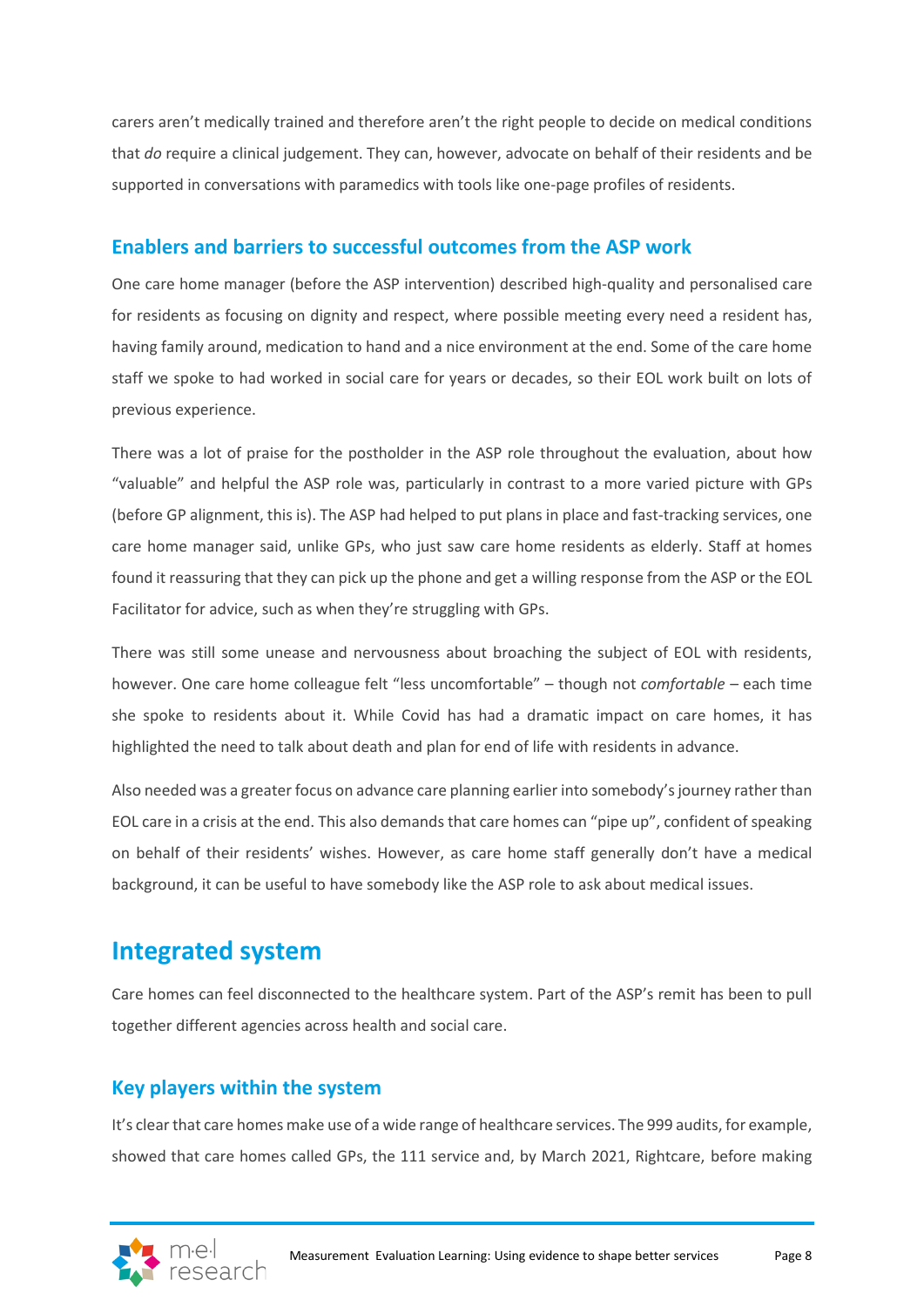carers aren't medically trained and therefore aren't the right people to decide on medical conditions that *do* require a clinical judgement. They can, however, advocate on behalf of their residents and be supported in conversations with paramedics with tools like one-page profiles of residents.

## **Enablers and barriers to successful outcomes from the ASP work**

One care home manager (before the ASP intervention) described high-quality and personalised care for residents as focusing on dignity and respect, where possible meeting every need a resident has, having family around, medication to hand and a nice environment at the end. Some of the care home staff we spoke to had worked in social care for years or decades, so their EOL work built on lots of previous experience.

There was a lot of praise for the postholder in the ASP role throughout the evaluation, about how "valuable" and helpful the ASP role was, particularly in contrast to a more varied picture with GPs (before GP alignment, this is). The ASP had helped to put plans in place and fast-tracking services, one care home manager said, unlike GPs, who just saw care home residents as elderly. Staff at homes found it reassuring that they can pick up the phone and get a willing response from the ASP or the EOL Facilitator for advice, such as when they're struggling with GPs.

There was still some unease and nervousness about broaching the subject of EOL with residents, however. One care home colleague felt "less uncomfortable" – though not *comfortable* – each time she spoke to residents about it. While Covid has had a dramatic impact on care homes, it has highlighted the need to talk about death and plan for end of life with residents in advance.

Also needed was a greater focus on advance care planning earlier into somebody's journey rather than EOL care in a crisis at the end. This also demands that care homes can "pipe up", confident of speaking on behalf of their residents' wishes. However, as care home staff generally don't have a medical background, it can be useful to have somebody like the ASP role to ask about medical issues.

## <span id="page-7-0"></span>**Integrated system**

Care homes can feel disconnected to the healthcare system. Part of the ASP's remit has been to pull together different agencies across health and social care.

## **Key players within the system**

It's clear that care homes make use of a wide range of healthcare services. The 999 audits, for example, showed that care homes called GPs, the 111 service and, by March 2021, Rightcare, before making

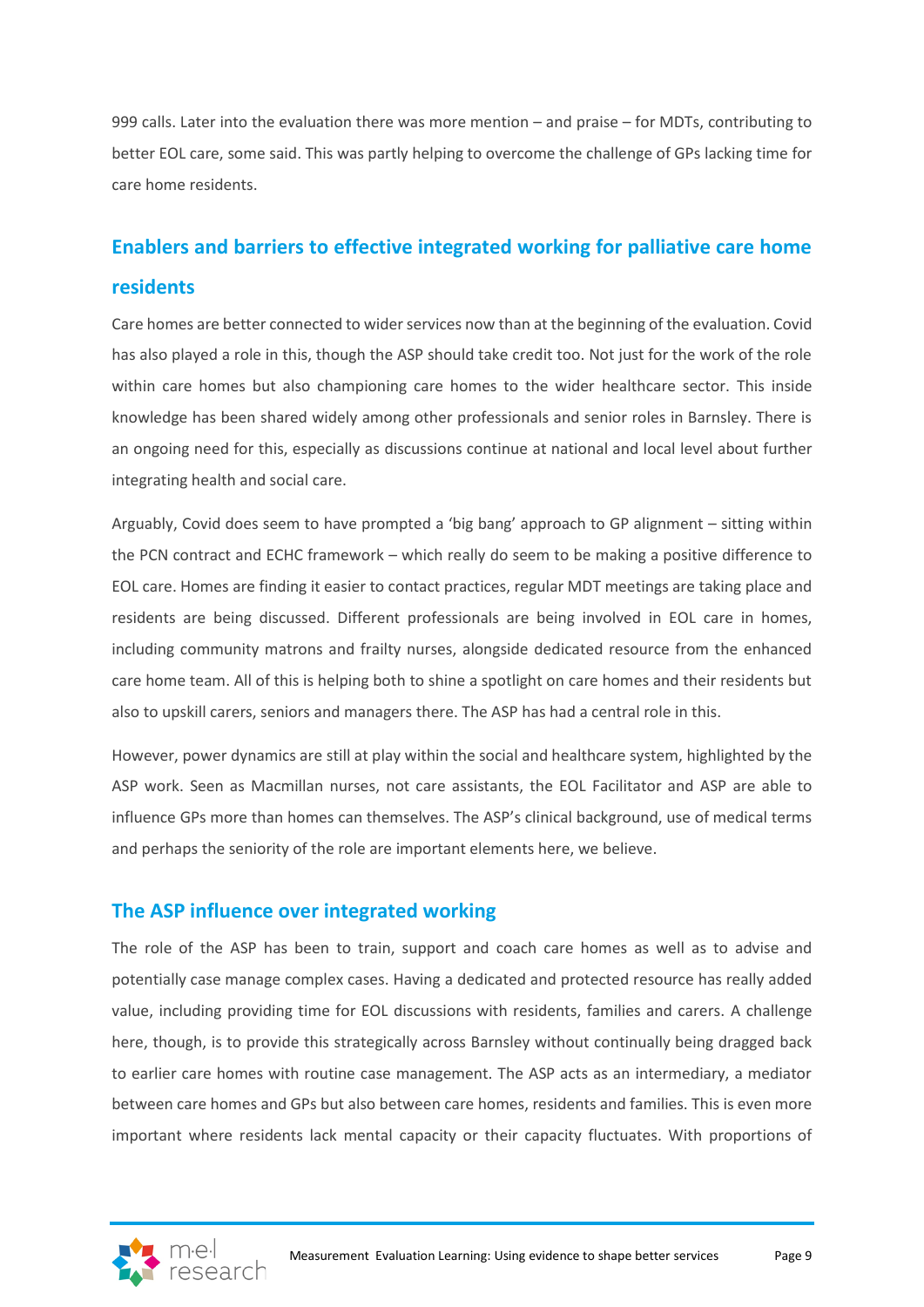999 calls. Later into the evaluation there was more mention – and praise – for MDTs, contributing to better EOL care, some said. This was partly helping to overcome the challenge of GPs lacking time for care home residents.

# **Enablers and barriers to effective integrated working for palliative care home residents**

Care homes are better connected to wider services now than at the beginning of the evaluation. Covid has also played a role in this, though the ASP should take credit too. Not just for the work of the role within care homes but also championing care homes to the wider healthcare sector. This inside knowledge has been shared widely among other professionals and senior roles in Barnsley. There is an ongoing need for this, especially as discussions continue at national and local level about further integrating health and social care.

Arguably, Covid does seem to have prompted a 'big bang' approach to GP alignment – sitting within the PCN contract and ECHC framework – which really do seem to be making a positive difference to EOL care. Homes are finding it easier to contact practices, regular MDT meetings are taking place and residents are being discussed. Different professionals are being involved in EOL care in homes, including community matrons and frailty nurses, alongside dedicated resource from the enhanced care home team. All of this is helping both to shine a spotlight on care homes and their residents but also to upskill carers, seniors and managers there. The ASP has had a central role in this.

However, power dynamics are still at play within the social and healthcare system, highlighted by the ASP work. Seen as Macmillan nurses, not care assistants, the EOL Facilitator and ASP are able to influence GPs more than homes can themselves. The ASP's clinical background, use of medical terms and perhaps the seniority of the role are important elements here, we believe.

## **The ASP influence over integrated working**

The role of the ASP has been to train, support and coach care homes as well as to advise and potentially case manage complex cases. Having a dedicated and protected resource has really added value, including providing time for EOL discussions with residents, families and carers. A challenge here, though, is to provide this strategically across Barnsley without continually being dragged back to earlier care homes with routine case management. The ASP acts as an intermediary, a mediator between care homes and GPs but also between care homes, residents and families. This is even more important where residents lack mental capacity or their capacity fluctuates. With proportions of

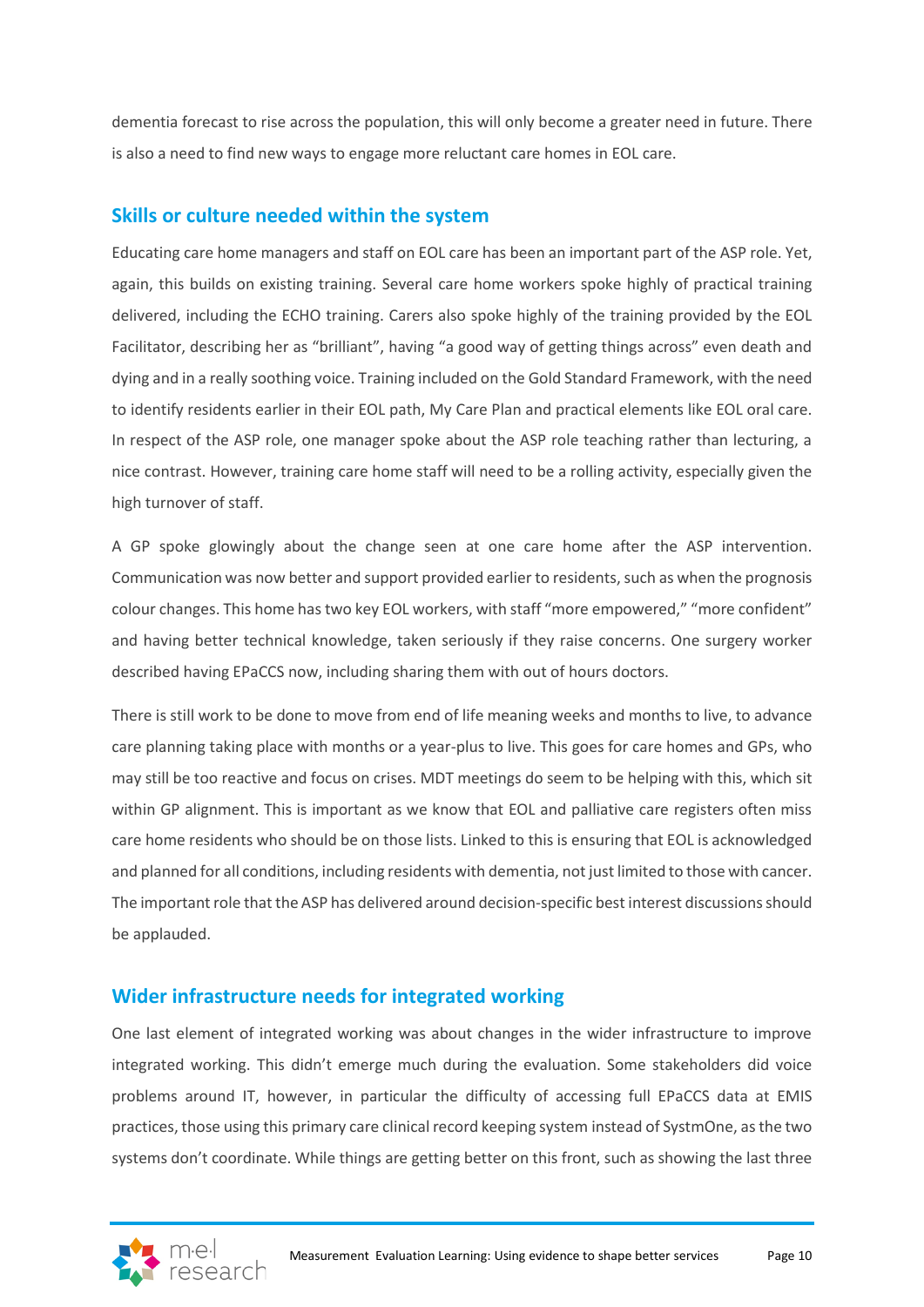dementia forecast to rise across the population, this will only become a greater need in future. There is also a need to find new ways to engage more reluctant care homes in EOL care.

### **Skills or culture needed within the system**

Educating care home managers and staff on EOL care has been an important part of the ASP role. Yet, again, this builds on existing training. Several care home workers spoke highly of practical training delivered, including the ECHO training. Carers also spoke highly of the training provided by the EOL Facilitator, describing her as "brilliant", having "a good way of getting things across" even death and dying and in a really soothing voice. Training included on the Gold Standard Framework, with the need to identify residents earlier in their EOL path, My Care Plan and practical elements like EOL oral care. In respect of the ASP role, one manager spoke about the ASP role teaching rather than lecturing, a nice contrast. However, training care home staff will need to be a rolling activity, especially given the high turnover of staff.

A GP spoke glowingly about the change seen at one care home after the ASP intervention. Communication was now better and support provided earlier to residents, such as when the prognosis colour changes. This home has two key EOL workers, with staff "more empowered," "more confident" and having better technical knowledge, taken seriously if they raise concerns. One surgery worker described having EPaCCS now, including sharing them with out of hours doctors.

There is still work to be done to move from end of life meaning weeks and months to live, to advance care planning taking place with months or a year-plus to live. This goes for care homes and GPs, who may still be too reactive and focus on crises. MDT meetings do seem to be helping with this, which sit within GP alignment. This is important as we know that EOL and palliative care registers often miss care home residents who should be on those lists. Linked to this is ensuring that EOL is acknowledged and planned for all conditions, including residents with dementia, not just limited to those with cancer. The important role that the ASP has delivered around decision-specific best interest discussions should be applauded.

## **Wider infrastructure needs for integrated working**

One last element of integrated working was about changes in the wider infrastructure to improve integrated working. This didn't emerge much during the evaluation. Some stakeholders did voice problems around IT, however, in particular the difficulty of accessing full EPaCCS data at EMIS practices, those using this primary care clinical record keeping system instead of SystmOne, as the two systems don't coordinate. While things are getting better on this front, such as showing the last three

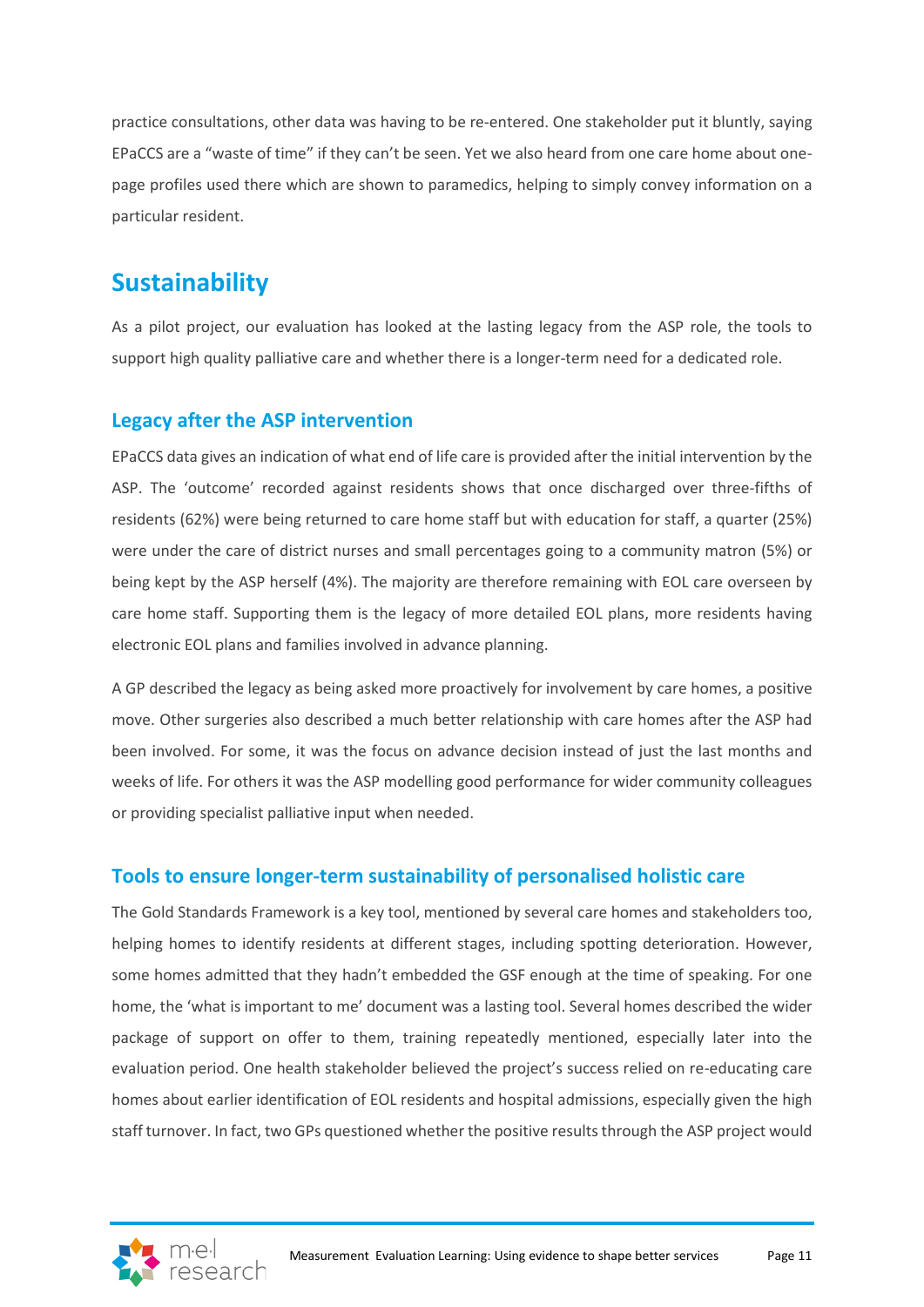practice consultations, other data was having to be re-entered. One stakeholder put it bluntly, saying EPaCCS are a "waste of time" if they can't be seen. Yet we also heard from one care home about onepage profiles used there which are shown to paramedics, helping to simply convey information on a particular resident.

# <span id="page-10-0"></span>**Sustainability**

As a pilot project, our evaluation has looked at the lasting legacy from the ASP role, the tools to support high quality palliative care and whether there is a longer-term need for a dedicated role.

## **Legacy after the ASP intervention**

EPaCCS data gives an indication of what end of life care is provided after the initial intervention by the ASP. The 'outcome' recorded against residents shows that once discharged over three-fifths of residents (62%) were being returned to care home staff but with education for staff, a quarter (25%) were under the care of district nurses and small percentages going to a community matron (5%) or being kept by the ASP herself (4%). The majority are therefore remaining with EOL care overseen by care home staff. Supporting them is the legacy of more detailed EOL plans, more residents having electronic EOL plans and families involved in advance planning.

A GP described the legacy as being asked more proactively for involvement by care homes, a positive move. Other surgeries also described a much better relationship with care homes after the ASP had been involved. For some, it was the focus on advance decision instead of just the last months and weeks of life. For others it was the ASP modelling good performance for wider community colleagues or providing specialist palliative input when needed.

## **Tools to ensure longer-term sustainability of personalised holistic care**

The Gold Standards Framework is a key tool, mentioned by several care homes and stakeholders too, helping homes to identify residents at different stages, including spotting deterioration. However, some homes admitted that they hadn't embedded the GSF enough at the time of speaking. For one home, the 'what is important to me' document was a lasting tool. Several homes described the wider package of support on offer to them, training repeatedly mentioned, especially later into the evaluation period. One health stakeholder believed the project's success relied on re-educating care homes about earlier identification of EOL residents and hospital admissions, especially given the high staff turnover. In fact, two GPs questioned whether the positive results through the ASP project would

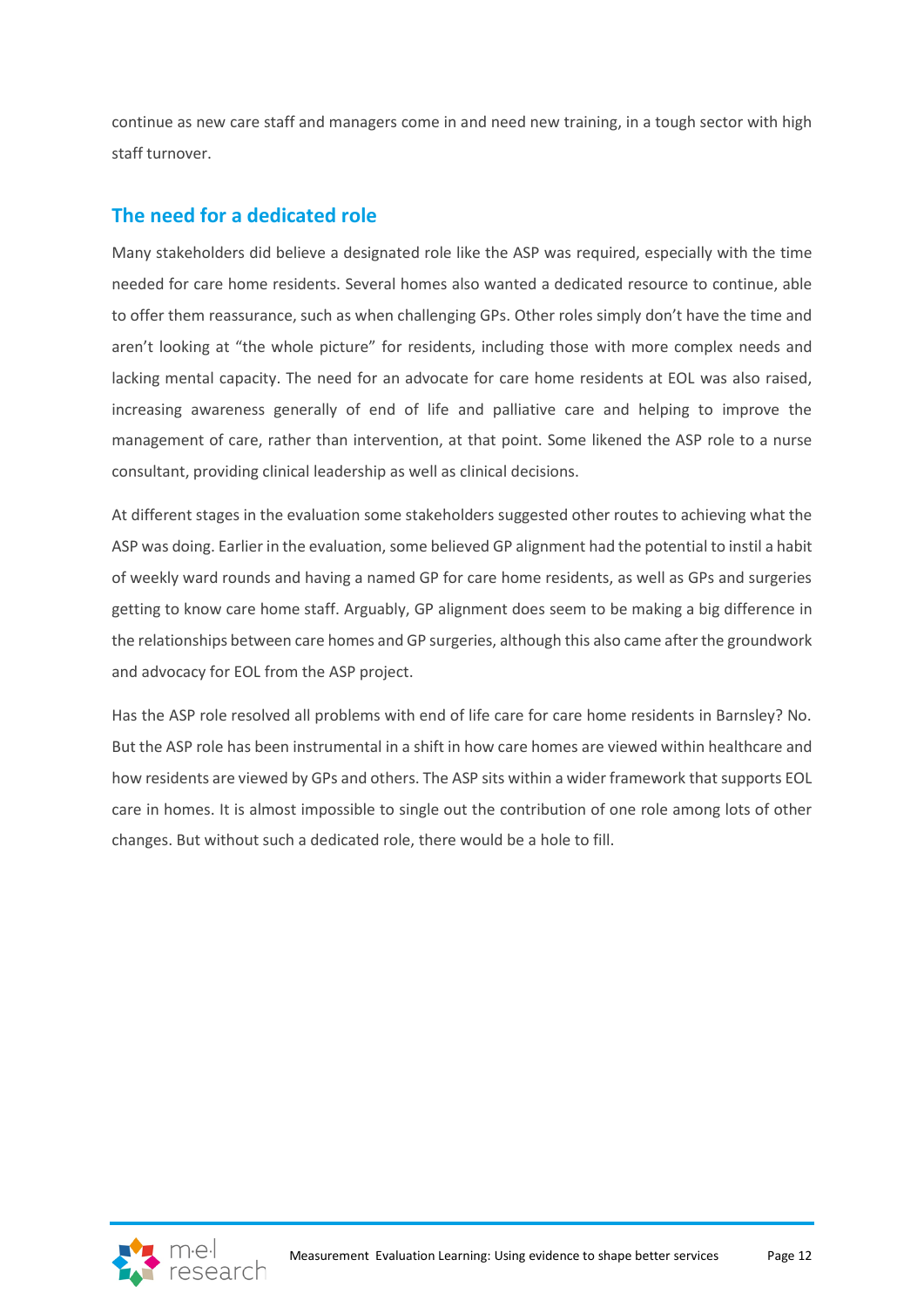continue as new care staff and managers come in and need new training, in a tough sector with high staff turnover.

## **The need for a dedicated role**

Many stakeholders did believe a designated role like the ASP was required, especially with the time needed for care home residents. Several homes also wanted a dedicated resource to continue, able to offer them reassurance, such as when challenging GPs. Other roles simply don't have the time and aren't looking at "the whole picture" for residents, including those with more complex needs and lacking mental capacity. The need for an advocate for care home residents at EOL was also raised, increasing awareness generally of end of life and palliative care and helping to improve the management of care, rather than intervention, at that point. Some likened the ASP role to a nurse consultant, providing clinical leadership as well as clinical decisions.

At different stages in the evaluation some stakeholders suggested other routes to achieving what the ASP was doing. Earlier in the evaluation, some believed GP alignment had the potential to instil a habit of weekly ward rounds and having a named GP for care home residents, as well as GPs and surgeries getting to know care home staff. Arguably, GP alignment does seem to be making a big difference in the relationships between care homes and GP surgeries, although this also came after the groundwork and advocacy for EOL from the ASP project.

Has the ASP role resolved all problems with end of life care for care home residents in Barnsley? No. But the ASP role has been instrumental in a shift in how care homes are viewed within healthcare and how residents are viewed by GPs and others. The ASP sits within a wider framework that supports EOL care in homes. It is almost impossible to single out the contribution of one role among lots of other changes. But without such a dedicated role, there would be a hole to fill.

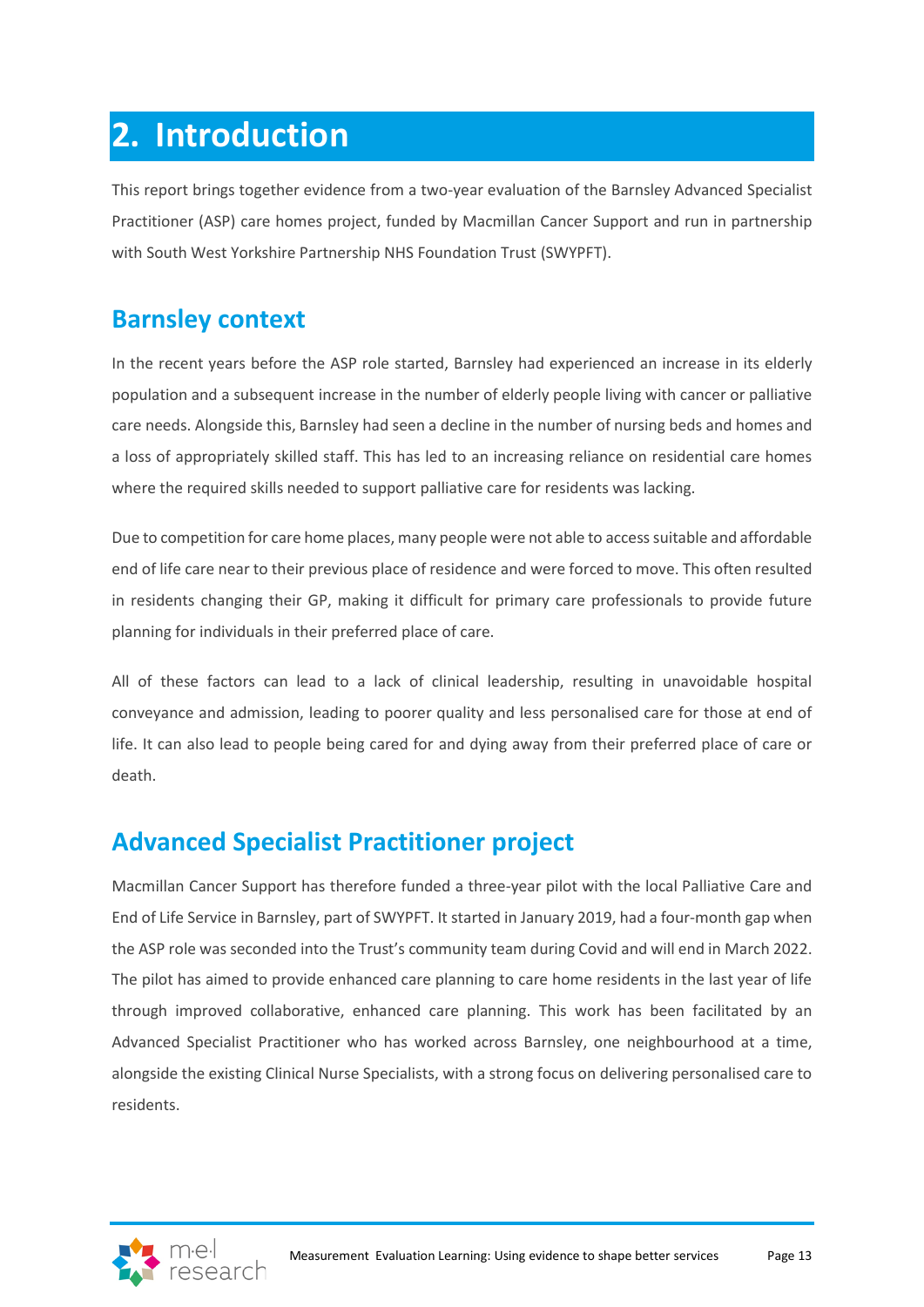# <span id="page-12-0"></span>**2. Introduction**

This report brings together evidence from a two-year evaluation of the Barnsley Advanced Specialist Practitioner (ASP) care homes project, funded by Macmillan Cancer Support and run in partnership with South West Yorkshire Partnership NHS Foundation Trust (SWYPFT).

# <span id="page-12-1"></span>**Barnsley context**

In the recent years before the ASP role started, Barnsley had experienced an increase in its elderly population and a subsequent increase in the number of elderly people living with cancer or palliative care needs. Alongside this, Barnsley had seen a decline in the number of nursing beds and homes and a loss of appropriately skilled staff. This has led to an increasing reliance on residential care homes where the required skills needed to support palliative care for residents was lacking.

Due to competition for care home places, many people were not able to access suitable and affordable end of life care near to their previous place of residence and were forced to move. This often resulted in residents changing their GP, making it difficult for primary care professionals to provide future planning for individuals in their preferred place of care.

All of these factors can lead to a lack of clinical leadership, resulting in unavoidable hospital conveyance and admission, leading to poorer quality and less personalised care for those at end of life. It can also lead to people being cared for and dying away from their preferred place of care or death.

# <span id="page-12-2"></span>**Advanced Specialist Practitioner project**

Macmillan Cancer Support has therefore funded a three-year pilot with the local Palliative Care and End of Life Service in Barnsley, part of SWYPFT. It started in January 2019, had a four-month gap when the ASP role was seconded into the Trust's community team during Covid and will end in March 2022. The pilot has aimed to provide enhanced care planning to care home residents in the last year of life through improved collaborative, enhanced care planning. This work has been facilitated by an Advanced Specialist Practitioner who has worked across Barnsley, one neighbourhood at a time, alongside the existing Clinical Nurse Specialists, with a strong focus on delivering personalised care to residents.

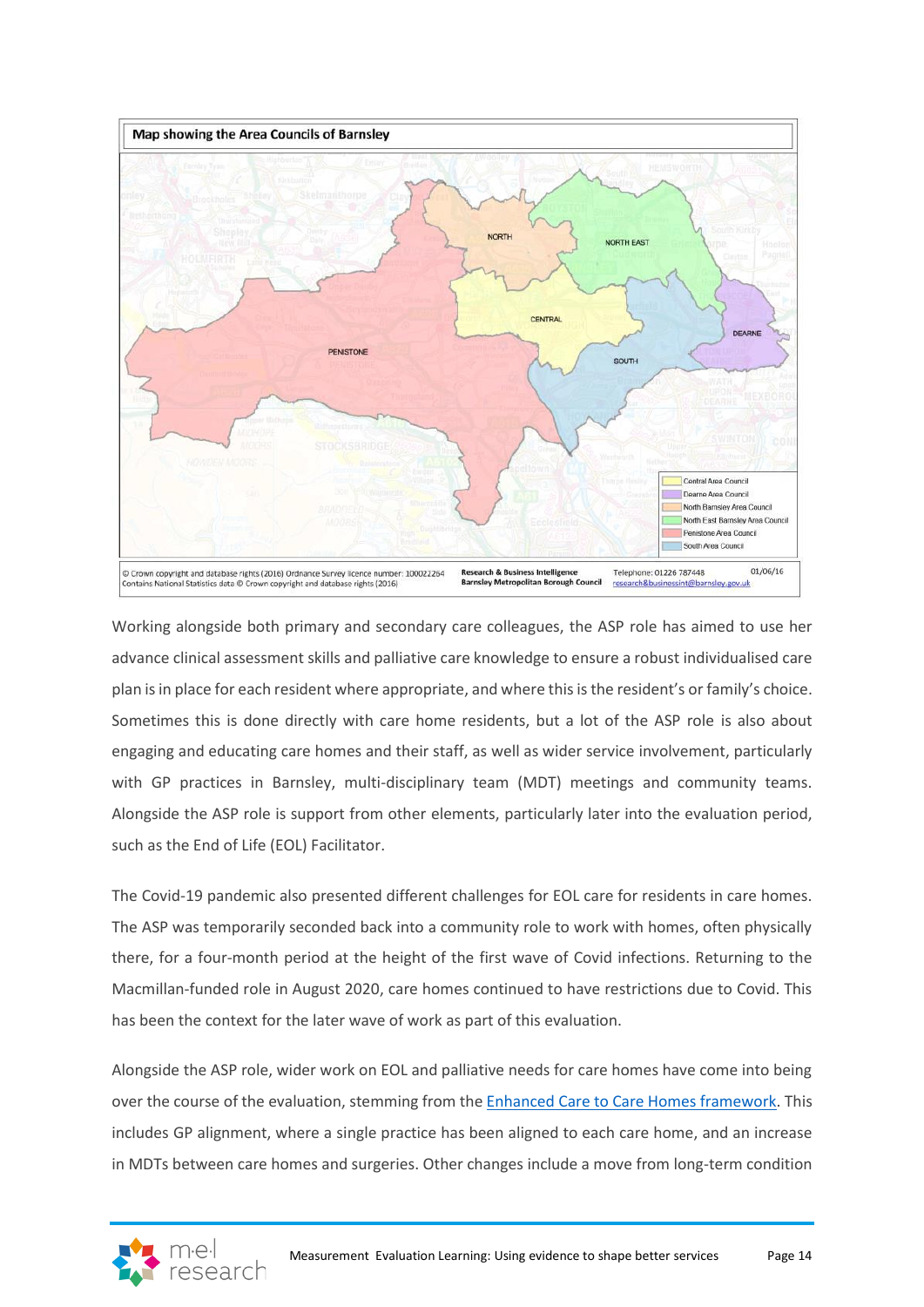

Working alongside both primary and secondary care colleagues, the ASP role has aimed to use her advance clinical assessment skills and palliative care knowledge to ensure a robust individualised care plan is in place for each resident where appropriate, and where this is the resident's or family's choice. Sometimes this is done directly with care home residents, but a lot of the ASP role is also about engaging and educating care homes and their staff, as well as wider service involvement, particularly with GP practices in Barnsley, multi-disciplinary team (MDT) meetings and community teams. Alongside the ASP role is support from other elements, particularly later into the evaluation period, such as the End of Life (EOL) Facilitator.

The Covid-19 pandemic also presented different challenges for EOL care for residents in care homes. The ASP was temporarily seconded back into a community role to work with homes, often physically there, for a four-month period at the height of the first wave of Covid infections. Returning to the Macmillan-funded role in August 2020, care homes continued to have restrictions due to Covid. This has been the context for the later wave of work as part of this evaluation.

Alongside the ASP role, wider work on EOL and palliative needs for care homes have come into being over the course of the evaluation, stemming from th[e Enhanced Care to Care Homes framework.](https://www.england.nhs.uk/wp-content/uploads/2020/03/the-framework-for-enhanced-health-in-care-homes-v2-0.pdf) This includes GP alignment, where a single practice has been aligned to each care home, and an increase in MDTs between care homes and surgeries. Other changes include a move from long-term condition

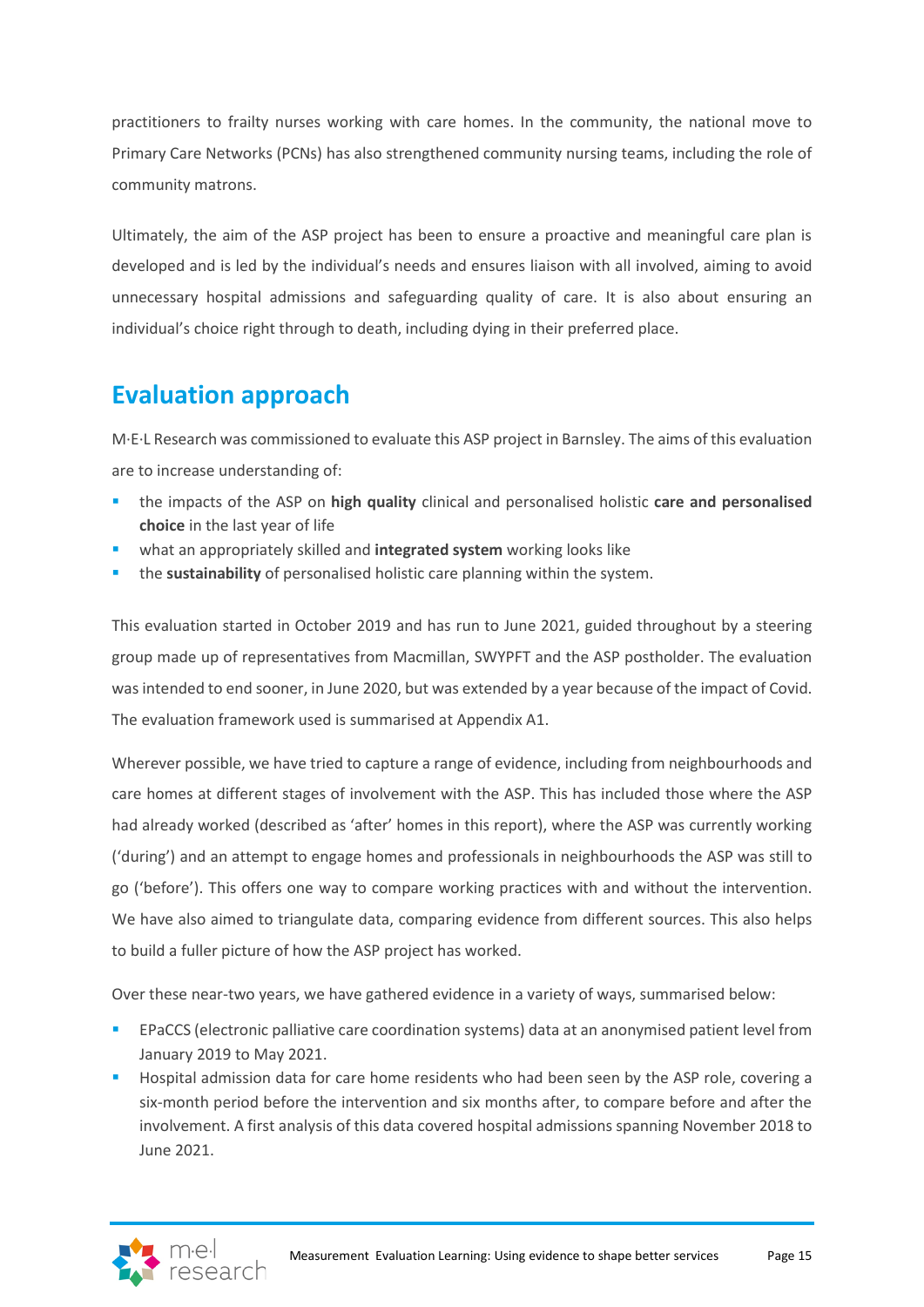practitioners to frailty nurses working with care homes. In the community, the national move to Primary Care Networks (PCNs) has also strengthened community nursing teams, including the role of community matrons.

Ultimately, the aim of the ASP project has been to ensure a proactive and meaningful care plan is developed and is led by the individual's needs and ensures liaison with all involved, aiming to avoid unnecessary hospital admissions and safeguarding quality of care. It is also about ensuring an individual's choice right through to death, including dying in their preferred place.

# <span id="page-14-0"></span>**Evaluation approach**

M·E·L Research was commissioned to evaluate this ASP project in Barnsley. The aims of this evaluation are to increase understanding of:

- the impacts of the ASP on **high quality** clinical and personalised holistic **care and personalised choice** in the last year of life
- **EXECT** what an appropriately skilled and **integrated system** working looks like
- the **sustainability** of personalised holistic care planning within the system.

This evaluation started in October 2019 and has run to June 2021, guided throughout by a steering group made up of representatives from Macmillan, SWYPFT and the ASP postholder. The evaluation was intended to end sooner, in June 2020, but was extended by a year because of the impact of Covid. The evaluation framework used is summarised at Appendix A1.

Wherever possible, we have tried to capture a range of evidence, including from neighbourhoods and care homes at different stages of involvement with the ASP. This has included those where the ASP had already worked (described as 'after' homes in this report), where the ASP was currently working ('during') and an attempt to engage homes and professionals in neighbourhoods the ASP was still to go ('before'). This offers one way to compare working practices with and without the intervention. We have also aimed to triangulate data, comparing evidence from different sources. This also helps to build a fuller picture of how the ASP project has worked.

Over these near-two years, we have gathered evidence in a variety of ways, summarised below:

- **EPACCS** (electronic palliative care coordination systems) data at an anonymised patient level from January 2019 to May 2021.
- **EXECT** Hospital admission data for care home residents who had been seen by the ASP role, covering a six-month period before the intervention and six months after, to compare before and after the involvement. A first analysis of this data covered hospital admissions spanning November 2018 to June 2021.

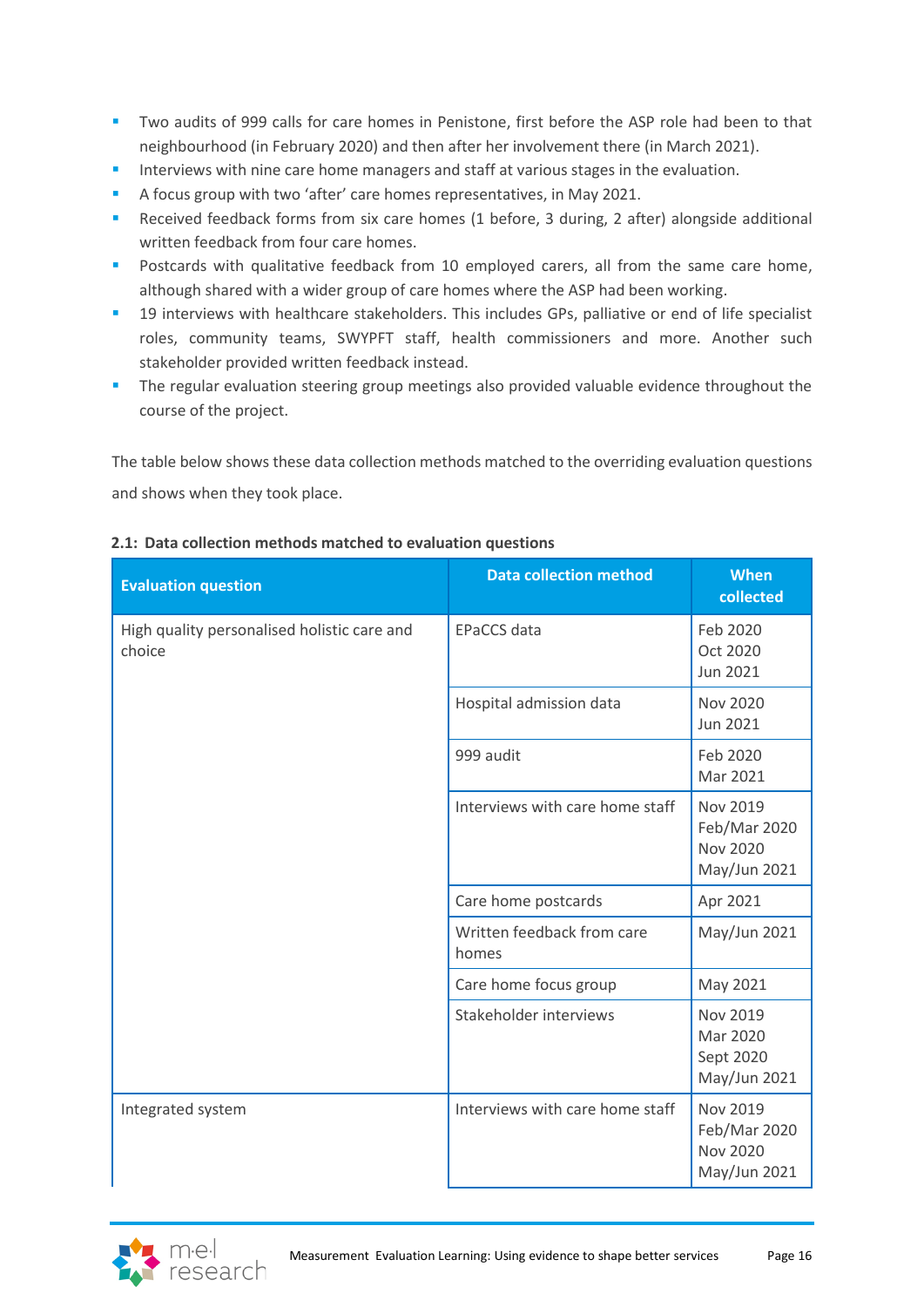- **■** Two audits of 999 calls for care homes in Penistone, first before the ASP role had been to that neighbourhood (in February 2020) and then after her involvement there (in March 2021).
- **■** Interviews with nine care home managers and staff at various stages in the evaluation.
- A focus group with two 'after' care homes representatives, in May 2021.
- Received feedback forms from six care homes (1 before, 3 during, 2 after) alongside additional written feedback from four care homes.
- **•** Postcards with qualitative feedback from 10 employed carers, all from the same care home, although shared with a wider group of care homes where the ASP had been working.
- 19 interviews with healthcare stakeholders. This includes GPs, palliative or end of life specialist roles, community teams, SWYPFT staff, health commissioners and more. Another such stakeholder provided written feedback instead.
- The regular evaluation steering group meetings also provided valuable evidence throughout the course of the project.

The table below shows these data collection methods matched to the overriding evaluation questions and shows when they took place.

| <b>Evaluation question</b>                            | <b>Data collection method</b>       | <b>When</b><br>collected                                    |
|-------------------------------------------------------|-------------------------------------|-------------------------------------------------------------|
| High quality personalised holistic care and<br>choice | <b>EPaCCS</b> data                  | Feb 2020<br>Oct 2020<br><b>Jun 2021</b>                     |
|                                                       | Hospital admission data             | <b>Nov 2020</b><br>Jun 2021                                 |
|                                                       | 999 audit                           | Feb 2020<br>Mar 2021                                        |
|                                                       | Interviews with care home staff     | Nov 2019<br>Feb/Mar 2020<br><b>Nov 2020</b><br>May/Jun 2021 |
|                                                       | Care home postcards                 | Apr 2021                                                    |
|                                                       | Written feedback from care<br>homes | May/Jun 2021                                                |
|                                                       | Care home focus group               | May 2021                                                    |
|                                                       | Stakeholder interviews              | Nov 2019<br>Mar 2020<br>Sept 2020<br>May/Jun 2021           |
| Integrated system                                     | Interviews with care home staff     | Nov 2019<br>Feb/Mar 2020<br><b>Nov 2020</b><br>May/Jun 2021 |

### **2.1: Data collection methods matched to evaluation questions**

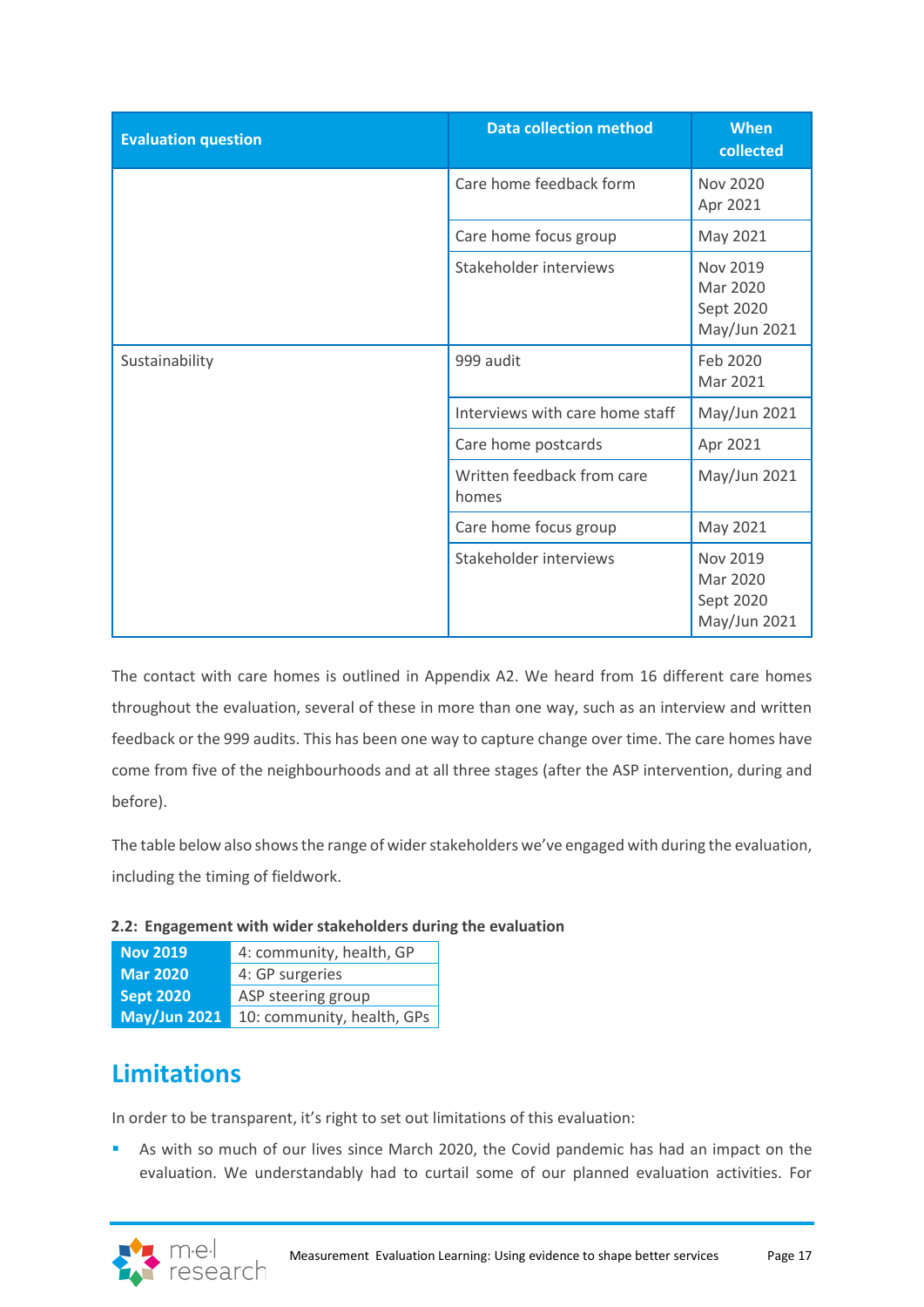| <b>Evaluation question</b> | <b>Data collection method</b>       | <b>When</b><br>collected                          |
|----------------------------|-------------------------------------|---------------------------------------------------|
|                            | Care home feedback form             | <b>Nov 2020</b><br>Apr 2021                       |
|                            | Care home focus group               | May 2021                                          |
|                            | Stakeholder interviews              | Nov 2019<br>Mar 2020<br>Sept 2020<br>May/Jun 2021 |
| Sustainability             | 999 audit                           | Feb 2020<br>Mar 2021                              |
|                            | Interviews with care home staff     | May/Jun 2021                                      |
|                            | Care home postcards                 | Apr 2021                                          |
|                            | Written feedback from care<br>homes | May/Jun 2021                                      |
|                            | Care home focus group               | May 2021                                          |
|                            | Stakeholder interviews              | Nov 2019<br>Mar 2020<br>Sept 2020<br>May/Jun 2021 |

The contact with care homes is outlined in Appendix A2. We heard from 16 different care homes throughout the evaluation, several of these in more than one way, such as an interview and written feedback or the 999 audits. This has been one way to capture change over time. The care homes have come from five of the neighbourhoods and at all three stages (after the ASP intervention, during and before).

The table below also shows the range of wider stakeholders we've engaged with during the evaluation, including the timing of fieldwork.

|  | 2.2: Engagement with wider stakeholders during the evaluation |  |  |  |  |  |
|--|---------------------------------------------------------------|--|--|--|--|--|
|--|---------------------------------------------------------------|--|--|--|--|--|

| <b>Nov 2019</b>     | 4: community, health, GP   |
|---------------------|----------------------------|
| <b>Mar 2020</b>     | 4: GP surgeries            |
| <b>Sept 2020</b>    | ASP steering group         |
| <b>May/Jun 2021</b> | 10: community, health, GPs |

# <span id="page-16-0"></span>**Limitations**

In order to be transparent, it's right to set out limitations of this evaluation:

As with so much of our lives since March 2020, the Covid pandemic has had an impact on the evaluation. We understandably had to curtail some of our planned evaluation activities. For

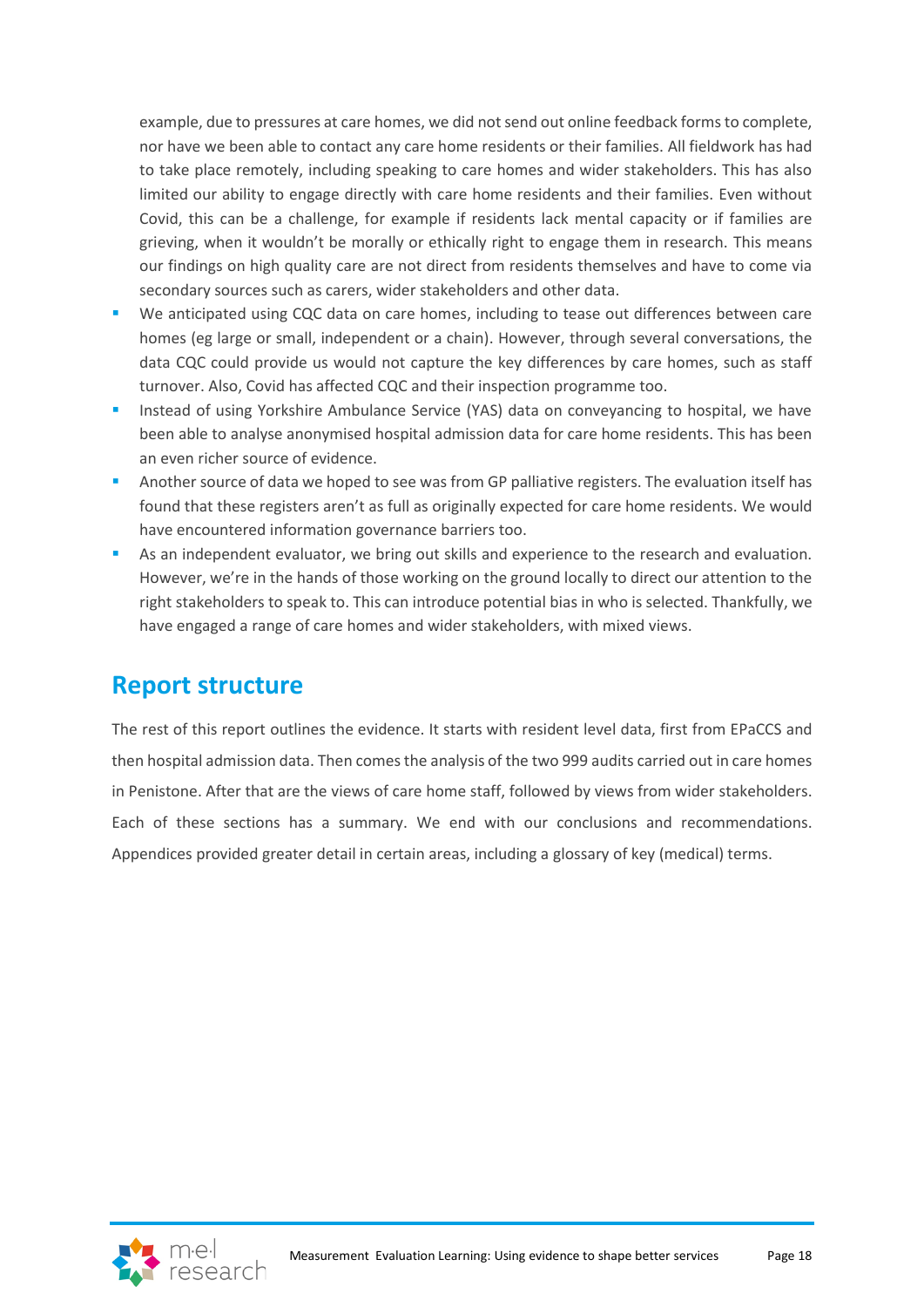example, due to pressures at care homes, we did not send out online feedback forms to complete, nor have we been able to contact any care home residents or their families. All fieldwork has had to take place remotely, including speaking to care homes and wider stakeholders. This has also limited our ability to engage directly with care home residents and their families. Even without Covid, this can be a challenge, for example if residents lack mental capacity or if families are grieving, when it wouldn't be morally or ethically right to engage them in research. This means our findings on high quality care are not direct from residents themselves and have to come via secondary sources such as carers, wider stakeholders and other data.

- We anticipated using CQC data on care homes, including to tease out differences between care homes (eg large or small, independent or a chain). However, through several conversations, the data CQC could provide us would not capture the key differences by care homes, such as staff turnover. Also, Covid has affected CQC and their inspection programme too.
- Instead of using Yorkshire Ambulance Service (YAS) data on conveyancing to hospital, we have been able to analyse anonymised hospital admission data for care home residents. This has been an even richer source of evidence.
- Another source of data we hoped to see was from GP palliative registers. The evaluation itself has found that these registers aren't as full as originally expected for care home residents. We would have encountered information governance barriers too.
- As an independent evaluator, we bring out skills and experience to the research and evaluation. However, we're in the hands of those working on the ground locally to direct our attention to the right stakeholders to speak to. This can introduce potential bias in who is selected. Thankfully, we have engaged a range of care homes and wider stakeholders, with mixed views.

## <span id="page-17-0"></span>**Report structure**

The rest of this report outlines the evidence. It starts with resident level data, first from EPaCCS and then hospital admission data. Then comes the analysis of the two 999 audits carried out in care homes in Penistone. After that are the views of care home staff, followed by views from wider stakeholders. Each of these sections has a summary. We end with our conclusions and recommendations. Appendices provided greater detail in certain areas, including a glossary of key (medical) terms.

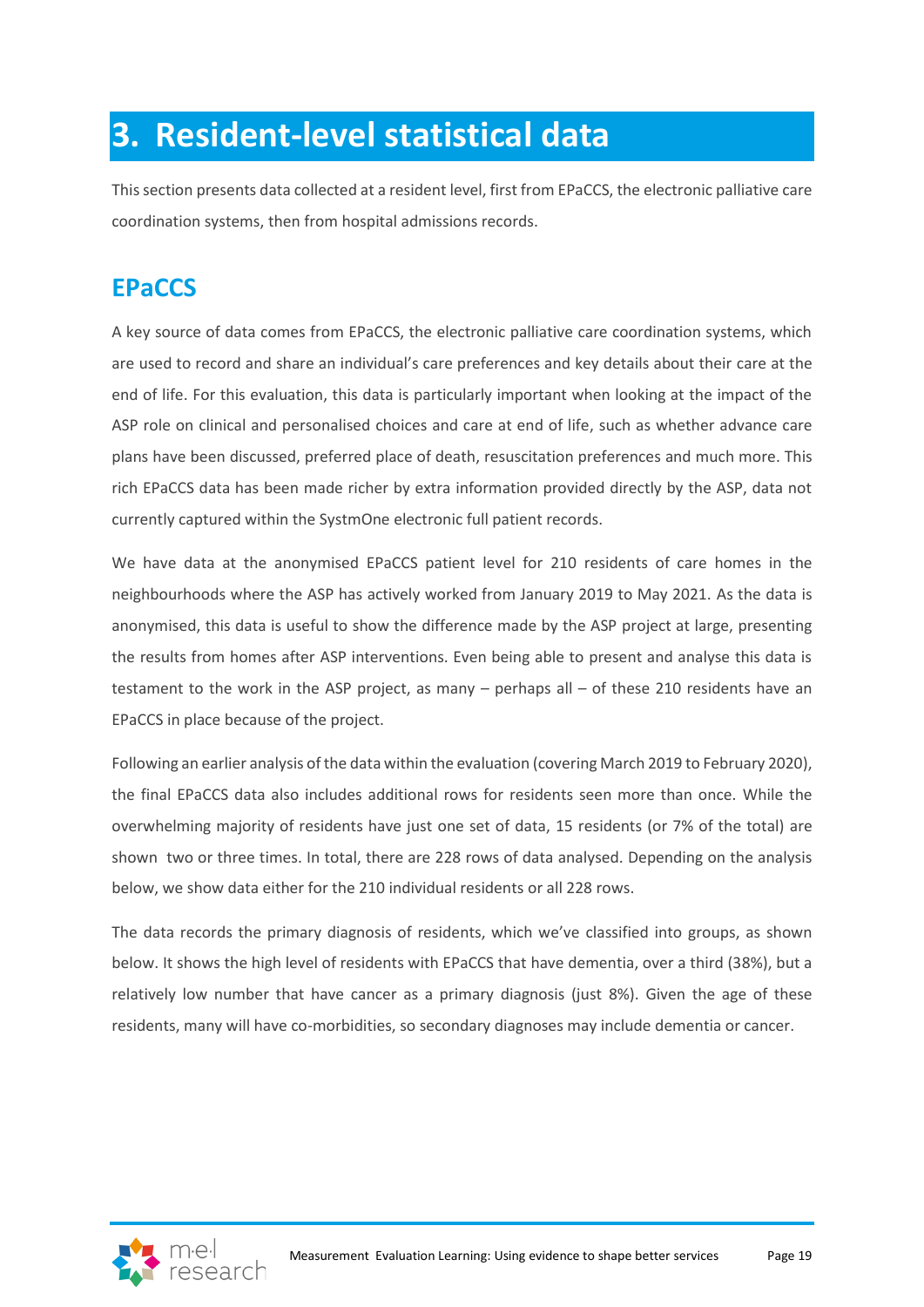# <span id="page-18-0"></span>**3. Resident-level statistical data**

This section presents data collected at a resident level, first from EPaCCS, the electronic palliative care coordination systems, then from hospital admissions records.

# <span id="page-18-1"></span>**EPaCCS**

A key source of data comes from EPaCCS, the electronic palliative care coordination systems, which are used to record and share an individual's care preferences and key details about their care at the end of life. For this evaluation, this data is particularly important when looking at the impact of the ASP role on clinical and personalised choices and care at end of life, such as whether advance care plans have been discussed, preferred place of death, resuscitation preferences and much more. This rich EPaCCS data has been made richer by extra information provided directly by the ASP, data not currently captured within the SystmOne electronic full patient records.

We have data at the anonymised EPaCCS patient level for 210 residents of care homes in the neighbourhoods where the ASP has actively worked from January 2019 to May 2021. As the data is anonymised, this data is useful to show the difference made by the ASP project at large, presenting the results from homes after ASP interventions. Even being able to present and analyse this data is testament to the work in the ASP project, as many – perhaps all – of these 210 residents have an EPaCCS in place because of the project.

Following an earlier analysis of the data within the evaluation (covering March 2019 to February 2020), the final EPaCCS data also includes additional rows for residents seen more than once. While the overwhelming majority of residents have just one set of data, 15 residents (or 7% of the total) are shown two or three times. In total, there are 228 rows of data analysed. Depending on the analysis below, we show data either for the 210 individual residents or all 228 rows.

The data records the primary diagnosis of residents, which we've classified into groups, as shown below. It shows the high level of residents with EPaCCS that have dementia, over a third (38%), but a relatively low number that have cancer as a primary diagnosis (just 8%). Given the age of these residents, many will have co-morbidities, so secondary diagnoses may include dementia or cancer.

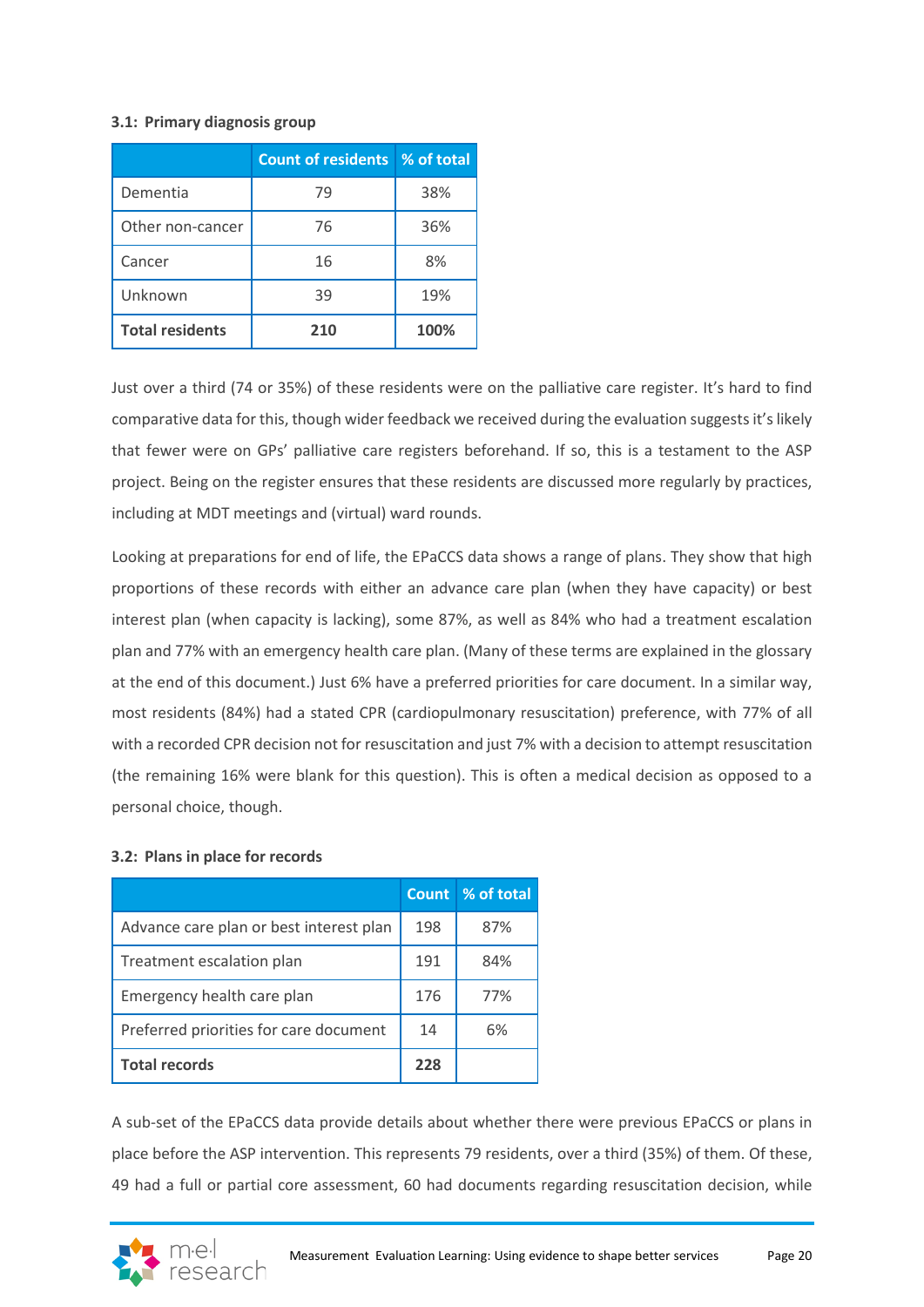### **3.1: Primary diagnosis group**

|                        | <b>Count of residents</b> % of total |      |
|------------------------|--------------------------------------|------|
| Dementia               | 79                                   | 38%  |
| Other non-cancer       | 76                                   | 36%  |
| Cancer                 | 16                                   | 8%   |
| Unknown                | 39                                   | 19%  |
| <b>Total residents</b> | 210                                  | 100% |

Just over a third (74 or 35%) of these residents were on the palliative care register. It's hard to find comparative data for this, though wider feedback we received during the evaluation suggests it's likely that fewer were on GPs' palliative care registers beforehand. If so, this is a testament to the ASP project. Being on the register ensures that these residents are discussed more regularly by practices, including at MDT meetings and (virtual) ward rounds.

Looking at preparations for end of life, the EPaCCS data shows a range of plans. They show that high proportions of these records with either an advance care plan (when they have capacity) or best interest plan (when capacity is lacking), some 87%, as well as 84% who had a treatment escalation plan and 77% with an emergency health care plan. (Many of these terms are explained in the glossary at the end of this document.) Just 6% have a preferred priorities for care document. In a similar way, most residents (84%) had a stated CPR (cardiopulmonary resuscitation) preference, with 77% of all with a recorded CPR decision not for resuscitation and just 7% with a decision to attempt resuscitation (the remaining 16% were blank for this question). This is often a medical decision as opposed to a personal choice, though.

### **3.2: Plans in place for records**

|                                         | <b>Count</b> | % of total |
|-----------------------------------------|--------------|------------|
| Advance care plan or best interest plan | 198          | 87%        |
| Treatment escalation plan               | 191          | 84%        |
| Emergency health care plan              | 176          | 77%        |
| Preferred priorities for care document  | 14           | 6%         |
| <b>Total records</b>                    | 228          |            |

A sub-set of the EPaCCS data provide details about whether there were previous EPaCCS or plans in place before the ASP intervention. This represents 79 residents, over a third (35%) of them. Of these, 49 had a full or partial core assessment, 60 had documents regarding resuscitation decision, while

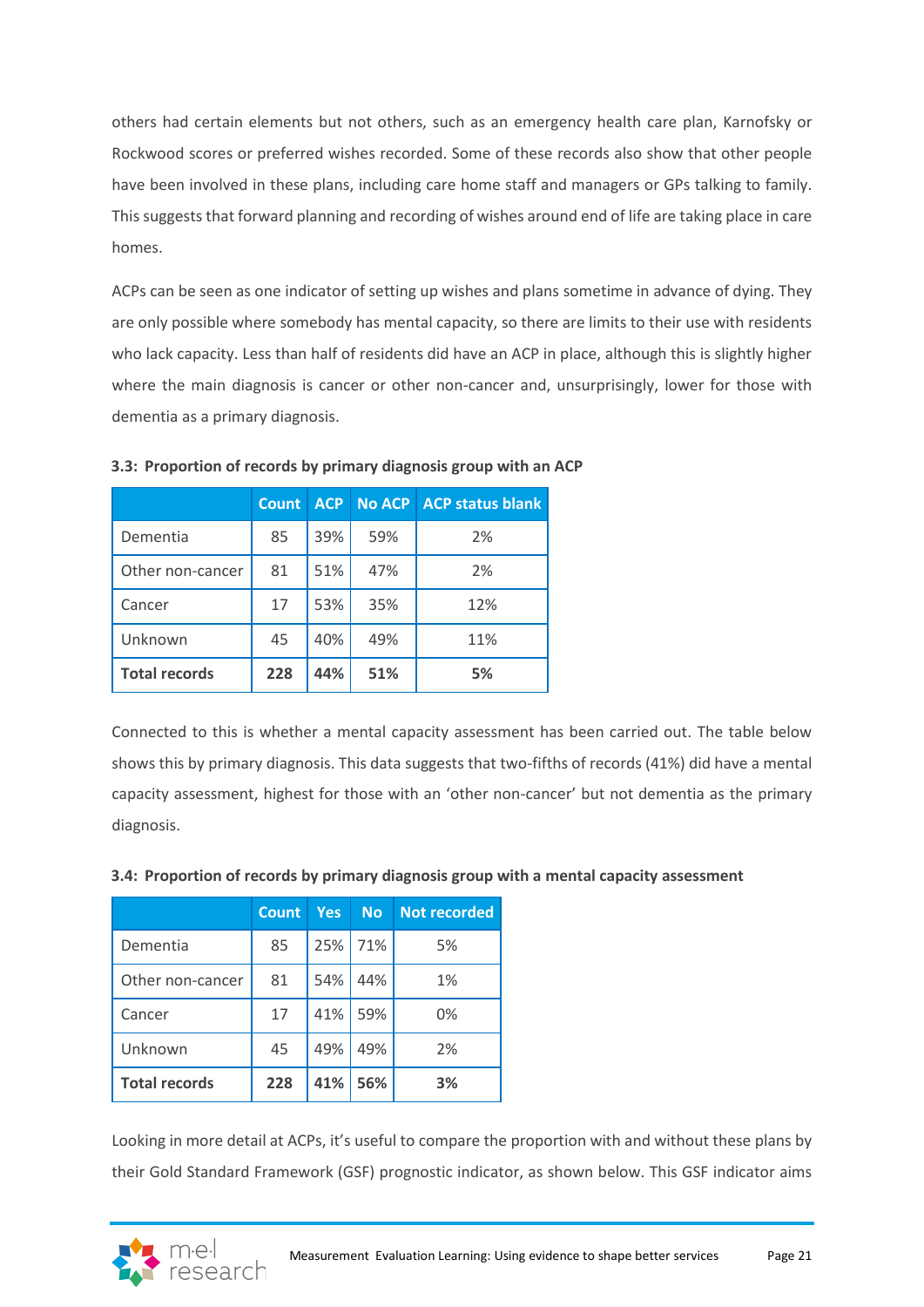others had certain elements but not others, such as an emergency health care plan, Karnofsky or Rockwood scores or preferred wishes recorded. Some of these records also show that other people have been involved in these plans, including care home staff and managers or GPs talking to family. This suggests that forward planning and recording of wishes around end of life are taking place in care homes.

ACPs can be seen as one indicator of setting up wishes and plans sometime in advance of dying. They are only possible where somebody has mental capacity, so there are limits to their use with residents who lack capacity. Less than half of residents did have an ACP in place, although this is slightly higher where the main diagnosis is cancer or other non-cancer and, unsurprisingly, lower for those with dementia as a primary diagnosis.

|                      | <b>Count</b> | <b>ACP</b> | <b>No ACP</b> | <b>ACP status blank</b> |
|----------------------|--------------|------------|---------------|-------------------------|
| Dementia             | 85           | 39%        | 59%           | 2%                      |
| Other non-cancer     | 81           | 51%        | 47%           | 2%                      |
| Cancer               | 17           | 53%        | 35%           | 12%                     |
| Unknown              | 45           | 40%        | 49%           | 11%                     |
| <b>Total records</b> | 228          | 44%        | 51%           | 5%                      |

**3.3: Proportion of records by primary diagnosis group with an ACP** 

Connected to this is whether a mental capacity assessment has been carried out. The table below shows this by primary diagnosis. This data suggests that two-fifths of records (41%) did have a mental capacity assessment, highest for those with an 'other non-cancer' but not dementia as the primary diagnosis.

|                      | <b>Count</b> | <b>Yes</b> | <b>No</b> | <b>Not recorded</b> |
|----------------------|--------------|------------|-----------|---------------------|
| Dementia             | 85           | 25%        | 71%       | 5%                  |
| Other non-cancer     | 81           | 54%        | 44%       | 1%                  |
| Cancer               | 17           | 41%        | 59%       | 0%                  |
| Unknown              | 45           | 49%        | 49%       | 2%                  |
| <b>Total records</b> | 228          | 41%        | 56%       | 3%                  |

#### **3.4: Proportion of records by primary diagnosis group with a mental capacity assessment**

Looking in more detail at ACPs, it's useful to compare the proportion with and without these plans by their Gold Standard Framework (GSF) prognostic indicator, as shown below. This GSF indicator aims

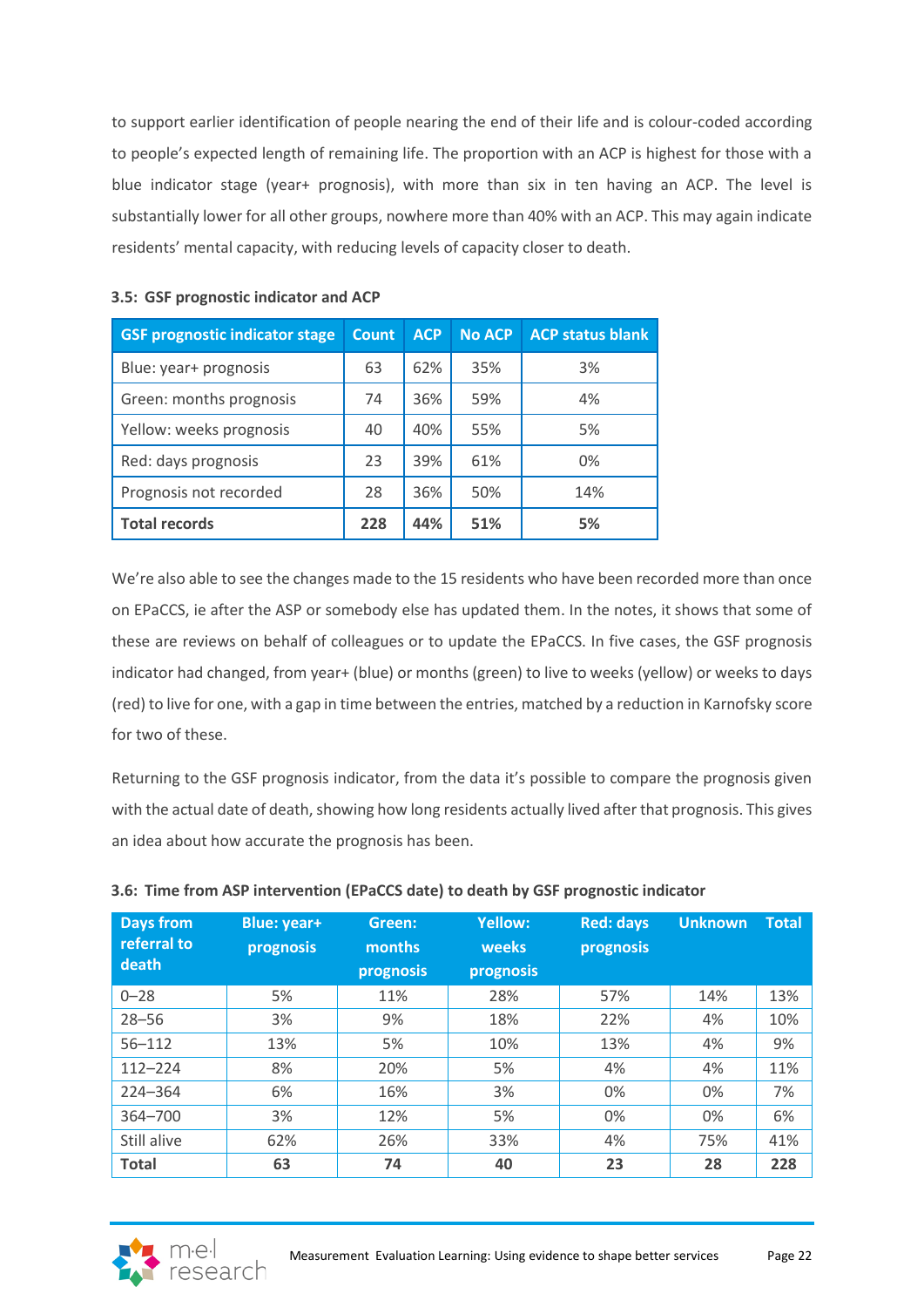to support earlier identification of people nearing the end of their life and is colour-coded according to people's expected length of remaining life. The proportion with an ACP is highest for those with a blue indicator stage (year+ prognosis), with more than six in ten having an ACP. The level is substantially lower for all other groups, nowhere more than 40% with an ACP. This may again indicate residents' mental capacity, with reducing levels of capacity closer to death.

| <b>GSF prognostic indicator stage</b> | <b>Count</b> | <b>ACP</b> | <b>No ACP</b> | <b>ACP status blank</b> |
|---------------------------------------|--------------|------------|---------------|-------------------------|
| Blue: year+ prognosis                 | 63           | 62%        | 35%           | 3%                      |
| Green: months prognosis               | 74           | 36%        | 59%           | 4%                      |
| Yellow: weeks prognosis               | 40           | 40%        | 55%           | 5%                      |
| Red: days prognosis                   | 23           | 39%        | 61%           | 0%                      |
| Prognosis not recorded                | 28           | 36%        | 50%           | 14%                     |
| <b>Total records</b>                  | 228          | 44%        | 51%           | 5%                      |

|  |  |  | 3.5: GSF prognostic indicator and ACP |  |  |  |
|--|--|--|---------------------------------------|--|--|--|
|--|--|--|---------------------------------------|--|--|--|

We're also able to see the changes made to the 15 residents who have been recorded more than once on EPaCCS, ie after the ASP or somebody else has updated them. In the notes, it shows that some of these are reviews on behalf of colleagues or to update the EPaCCS. In five cases, the GSF prognosis indicator had changed, from year+ (blue) or months (green) to live to weeks (yellow) or weeks to days (red) to live for one, with a gap in time between the entries, matched by a reduction in Karnofsky score for two of these.

Returning to the GSF prognosis indicator, from the data it's possible to compare the prognosis given with the actual date of death, showing how long residents actually lived after that prognosis. This gives an idea about how accurate the prognosis has been.

| <b>Days from</b><br>referral to<br>death | <b>Blue: year+</b><br>prognosis | Green:<br>months<br>prognosis | <b>Yellow:</b><br>weeks<br>prognosis | <b>Red: days</b><br>prognosis | <b>Unknown</b> | <b>Total</b> |
|------------------------------------------|---------------------------------|-------------------------------|--------------------------------------|-------------------------------|----------------|--------------|
| $0 - 28$                                 | 5%                              | 11%                           | 28%                                  | 57%                           | 14%            | 13%          |
| $28 - 56$                                | 3%                              | 9%                            | 18%                                  | 22%                           | 4%             | 10%          |
| $56 - 112$                               | 13%                             | 5%                            | 10%                                  | 13%                           | 4%             | 9%           |
| $112 - 224$                              | 8%                              | 20%                           | 5%                                   | 4%                            | 4%             | 11%          |
| $224 - 364$                              | 6%                              | 16%                           | 3%                                   | 0%                            | 0%             | 7%           |
| 364-700                                  | 3%                              | 12%                           | 5%                                   | 0%                            | 0%             | 6%           |
| Still alive                              | 62%                             | 26%                           | 33%                                  | 4%                            | 75%            | 41%          |
| <b>Total</b>                             | 63                              | 74                            | 40                                   | 23                            | 28             | 228          |

#### **3.6: Time from ASP intervention (EPaCCS date) to death by GSF prognostic indicator**

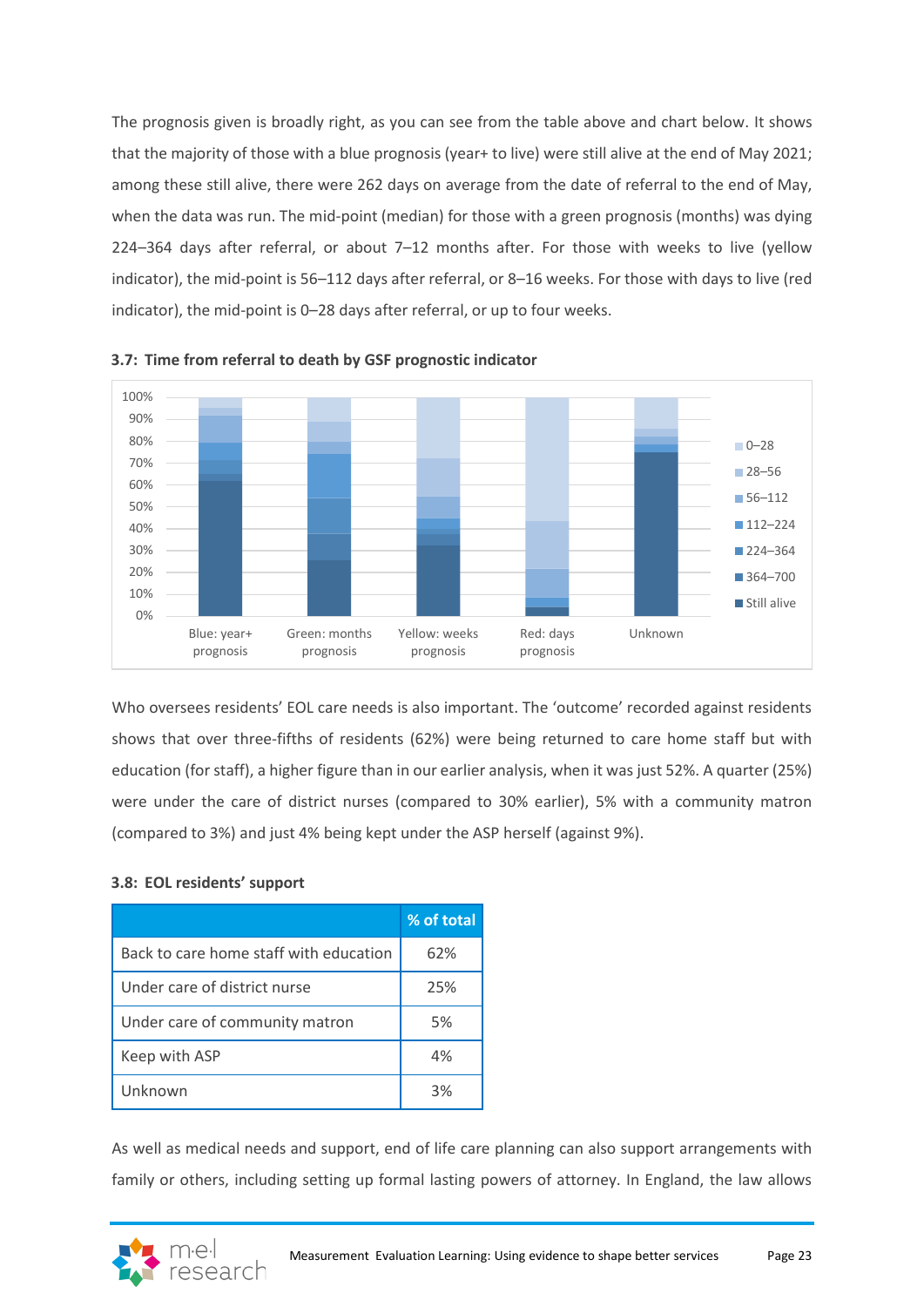The prognosis given is broadly right, as you can see from the table above and chart below. It shows that the majority of those with a blue prognosis (year+ to live) were still alive at the end of May 2021; among these still alive, there were 262 days on average from the date of referral to the end of May, when the data was run. The mid-point (median) for those with a green prognosis (months) was dying 224–364 days after referral, or about 7–12 months after. For those with weeks to live (yellow indicator), the mid-point is 56–112 days after referral, or 8–16 weeks. For those with days to live (red indicator), the mid-point is 0–28 days after referral, or up to four weeks.





Who oversees residents' EOL care needs is also important. The 'outcome' recorded against residents shows that over three-fifths of residents (62%) were being returned to care home staff but with education (for staff), a higher figure than in our earlier analysis, when it was just 52%. A quarter (25%) were under the care of district nurses (compared to 30% earlier), 5% with a community matron (compared to 3%) and just 4% being kept under the ASP herself (against 9%).

### **3.8: EOL residents' support**

|                                        | % of total |
|----------------------------------------|------------|
| Back to care home staff with education | 62%        |
| Under care of district nurse           | 25%        |
| Under care of community matron         | 5%         |
| Keep with ASP                          | 4%         |
| Unknown                                | 3%         |

As well as medical needs and support, end of life care planning can also support arrangements with family or others, including setting up formal lasting powers of attorney. In England, the law allows

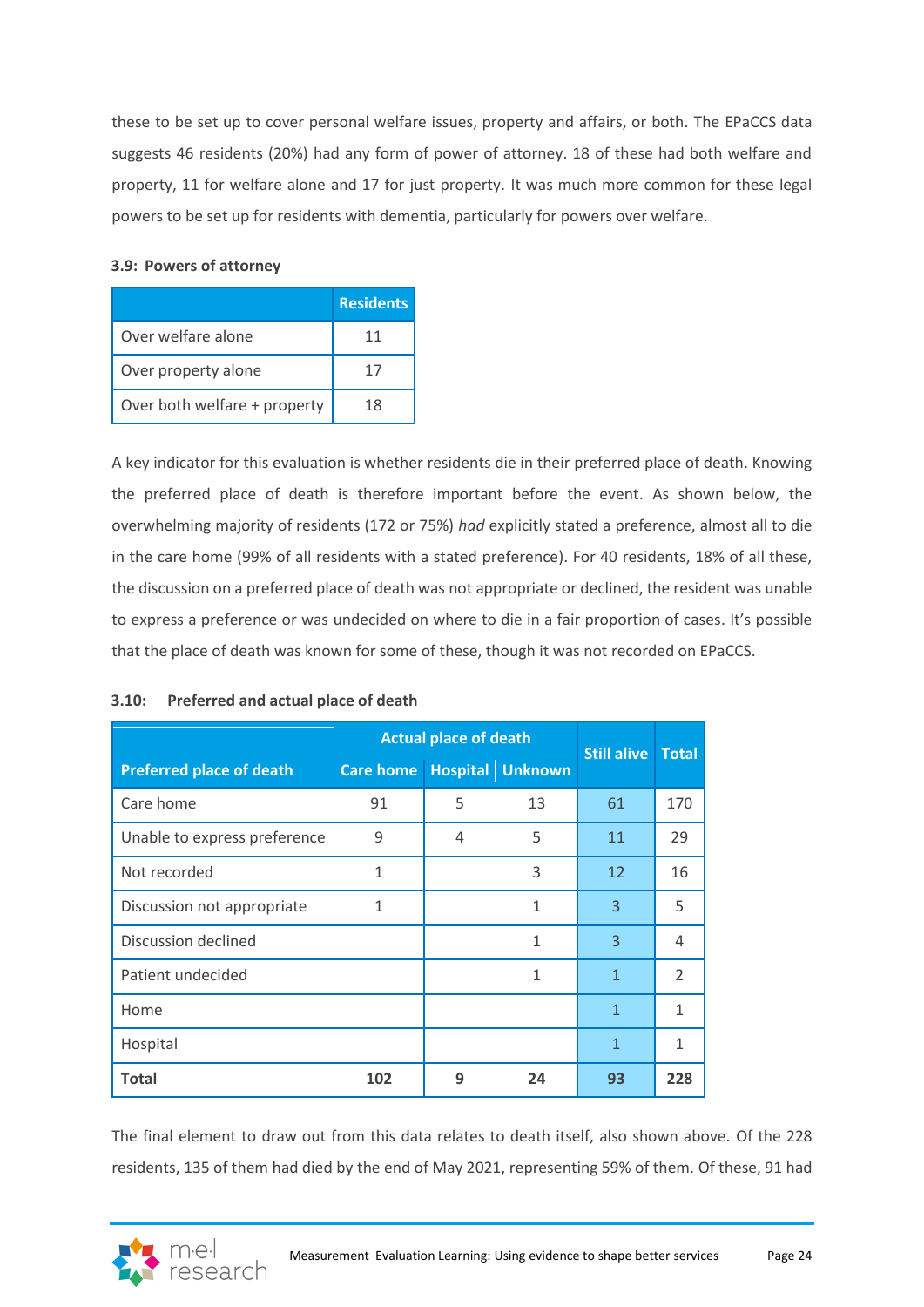these to be set up to cover personal welfare issues, property and affairs, or both. The EPaCCS data suggests 46 residents (20%) had any form of power of attorney. 18 of these had both welfare and property, 11 for welfare alone and 17 for just property. It was much more common for these legal powers to be set up for residents with dementia, particularly for powers over welfare.

### **3.9: Powers of attorney**

|                              | <b>Residents</b> |
|------------------------------|------------------|
| Over welfare alone           | 11               |
| Over property alone          | 17               |
| Over both welfare + property | 18               |

A key indicator for this evaluation is whether residents die in their preferred place of death. Knowing the preferred place of death is therefore important before the event. As shown below, the overwhelming majority of residents (172 or 75%) *had* explicitly stated a preference, almost all to die in the care home (99% of all residents with a stated preference). For 40 residents, 18% of all these, the discussion on a preferred place of death was not appropriate or declined, the resident was unable to express a preference or was undecided on where to die in a fair proportion of cases. It's possible that the place of death was known for some of these, though it was not recorded on EPaCCS.

| <b>Actual place of death</b>    |                                   |   | <b>Still alive</b> | <b>Total</b> |                |
|---------------------------------|-----------------------------------|---|--------------------|--------------|----------------|
| <b>Preferred place of death</b> | <b>Care home Hospital Unknown</b> |   |                    |              |                |
| Care home                       | 91                                | 5 | 13                 | 61           | 170            |
| Unable to express preference    | 9                                 | 4 | 5                  | 11           | 29             |
| Not recorded                    | 1                                 |   | 3                  | 12           | 16             |
| Discussion not appropriate      | $\mathbf{1}$                      |   | $\mathbf{1}$       | 3            | 5              |
| Discussion declined             |                                   |   | $\mathbf{1}$       | 3            | 4              |
| Patient undecided               |                                   |   | 1                  | $\mathbf{1}$ | $\overline{2}$ |
| Home                            |                                   |   |                    | $\mathbf{1}$ | 1              |
| Hospital                        |                                   |   |                    | 1            | 1              |
| <b>Total</b>                    | 102                               | 9 | 24                 | 93           | 228            |

### **3.10: Preferred and actual place of death**

The final element to draw out from this data relates to death itself, also shown above. Of the 228 residents, 135 of them had died by the end of May 2021, representing 59% of them. Of these, 91 had

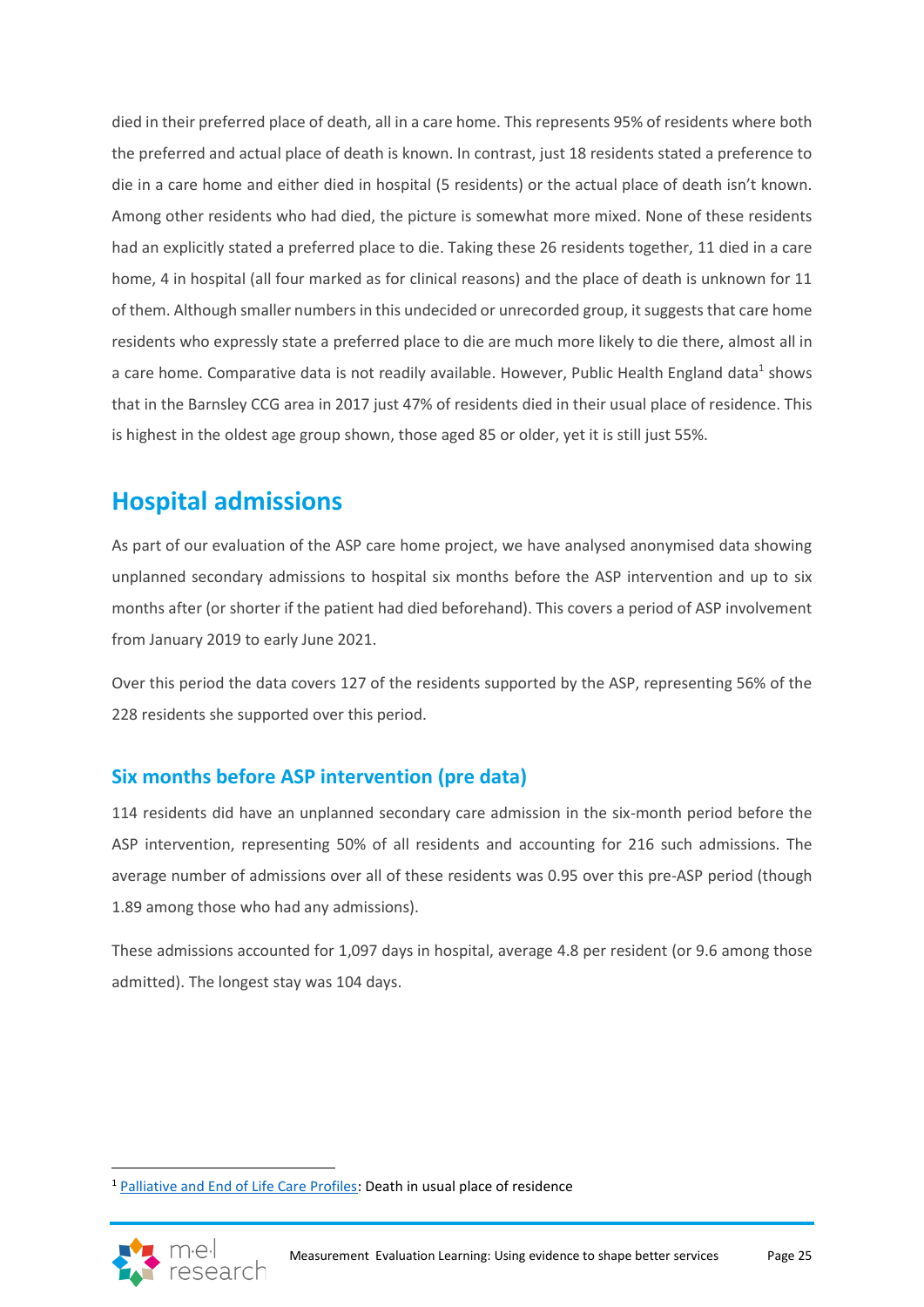died in their preferred place of death, all in a care home. This represents 95% of residents where both the preferred and actual place of death is known. In contrast, just 18 residents stated a preference to die in a care home and either died in hospital (5 residents) or the actual place of death isn't known. Among other residents who had died, the picture is somewhat more mixed. None of these residents had an explicitly stated a preferred place to die. Taking these 26 residents together, 11 died in a care home, 4 in hospital (all four marked as for clinical reasons) and the place of death is unknown for 11 of them. Although smaller numbers in this undecided or unrecorded group, it suggests that care home residents who expressly state a preferred place to die are much more likely to die there, almost all in a care home. Comparative data is not readily available. However, Public Health England data<sup>1</sup> shows that in the Barnsley CCG area in 2017 just 47% of residents died in their usual place of residence. This is highest in the oldest age group shown, those aged 85 or older, yet it is still just 55%.

# <span id="page-24-0"></span>**Hospital admissions**

As part of our evaluation of the ASP care home project, we have analysed anonymised data showing unplanned secondary admissions to hospital six months before the ASP intervention and up to six months after (or shorter if the patient had died beforehand). This covers a period of ASP involvement from January 2019 to early June 2021.

Over this period the data covers 127 of the residents supported by the ASP, representing 56% of the 228 residents she supported over this period.

## **Six months before ASP intervention (pre data)**

114 residents did have an unplanned secondary care admission in the six-month period before the ASP intervention, representing 50% of all residents and accounting for 216 such admissions. The average number of admissions over all of these residents was 0.95 over this pre-ASP period (though 1.89 among those who had any admissions).

These admissions accounted for 1,097 days in hospital, average 4.8 per resident (or 9.6 among those admitted). The longest stay was 104 days.

<sup>&</sup>lt;sup>1</sup> [Palliative and End of Life Care Profiles:](https://fingertips.phe.org.uk/profile/end-of-life/data) Death in usual place of residence

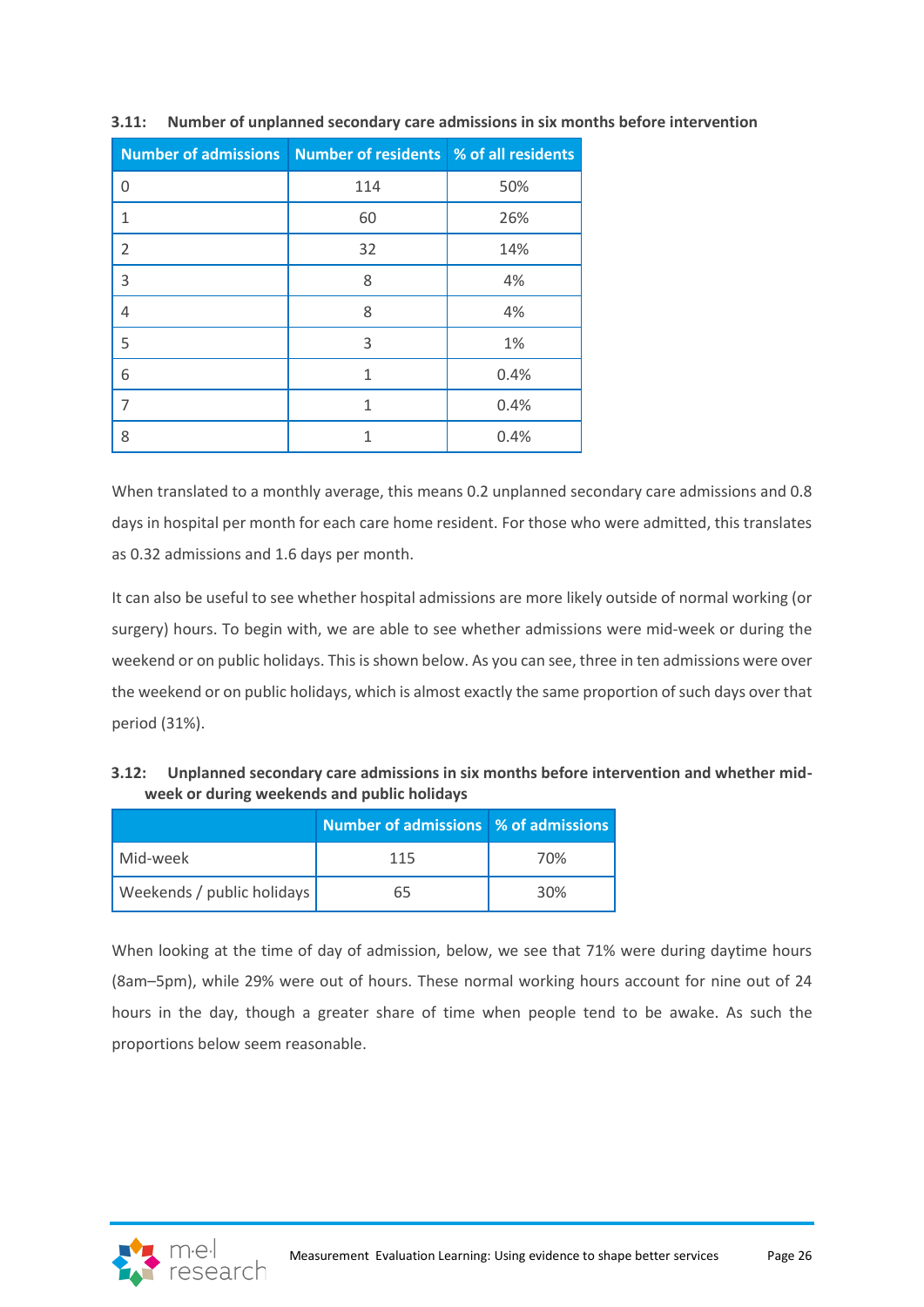| Number of admissions Number of residents % of all residents |              |      |
|-------------------------------------------------------------|--------------|------|
| 0                                                           | 114          | 50%  |
| 1                                                           | 60           | 26%  |
| $\overline{2}$                                              | 32           | 14%  |
| 3                                                           | 8            | 4%   |
| 4                                                           | 8            | 4%   |
| 5                                                           | 3            | 1%   |
| 6                                                           | $\mathbf{1}$ | 0.4% |
| 7                                                           | 1            | 0.4% |
| 8                                                           |              | 0.4% |

**3.11: Number of unplanned secondary care admissions in six months before intervention**

When translated to a monthly average, this means 0.2 unplanned secondary care admissions and 0.8 days in hospital per month for each care home resident. For those who were admitted, this translates as 0.32 admissions and 1.6 days per month.

It can also be useful to see whether hospital admissions are more likely outside of normal working (or surgery) hours. To begin with, we are able to see whether admissions were mid-week or during the weekend or on public holidays. This is shown below. As you can see, three in ten admissions were over the weekend or on public holidays, which is almost exactly the same proportion of such days over that period (31%).

| 3.12: Unplanned secondary care admissions in six months before intervention and whether mid- |
|----------------------------------------------------------------------------------------------|
| week or during weekends and public holidays                                                  |

|                            | <b>Number of admissions % of admissions</b> |     |
|----------------------------|---------------------------------------------|-----|
| Mid-week                   | 115                                         | 70% |
| Weekends / public holidays | 65                                          | 30% |

When looking at the time of day of admission, below, we see that 71% were during daytime hours (8am–5pm), while 29% were out of hours. These normal working hours account for nine out of 24 hours in the day, though a greater share of time when people tend to be awake. As such the proportions below seem reasonable.

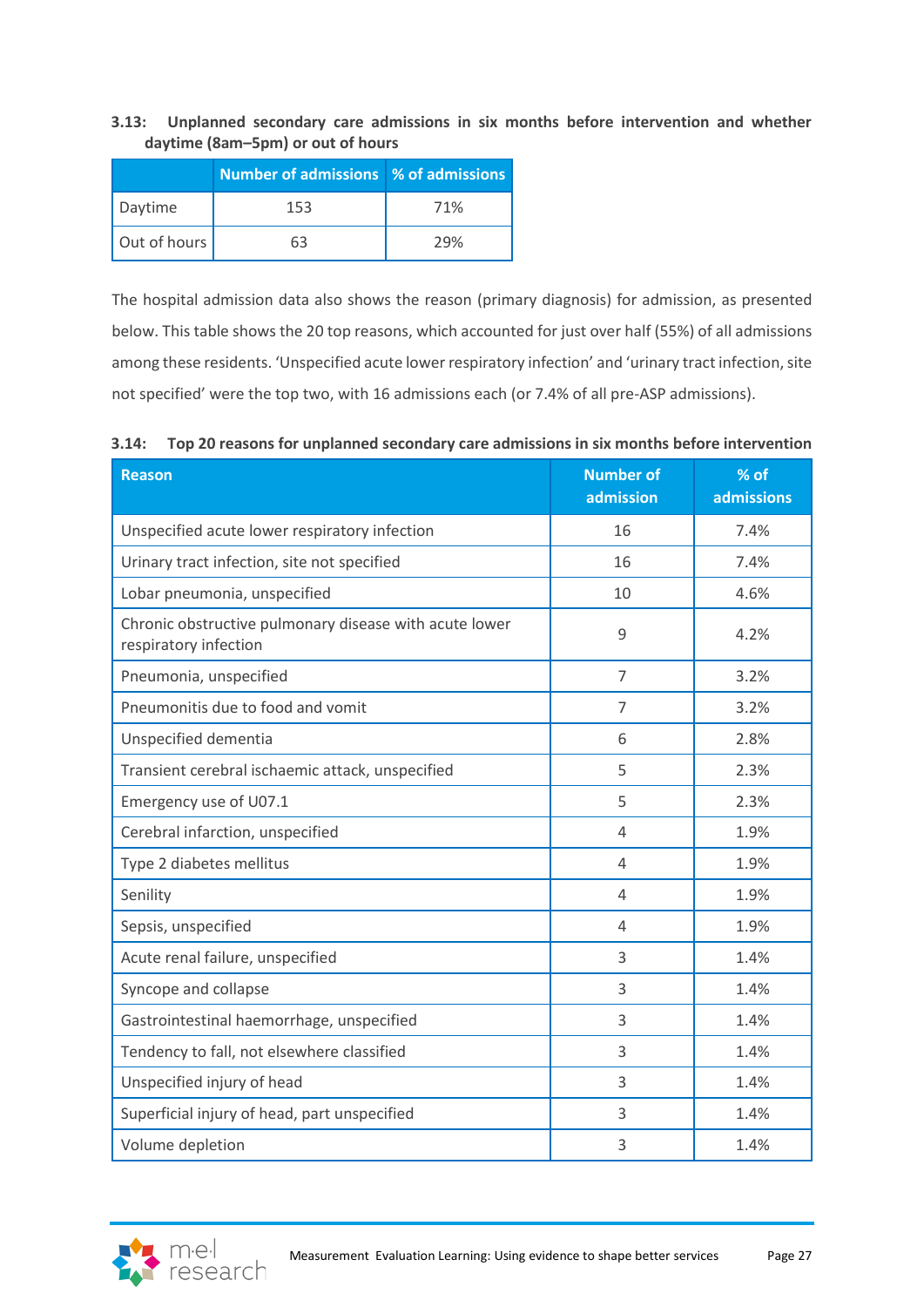**3.13: Unplanned secondary care admissions in six months before intervention and whether daytime (8am–5pm) or out of hours**

|              | <b>Number of admissions % of admissions</b> |     |
|--------------|---------------------------------------------|-----|
| Daytime      | 153                                         | 71% |
| Out of hours | 63                                          | 29% |

The hospital admission data also shows the reason (primary diagnosis) for admission, as presented below. This table shows the 20 top reasons, which accounted for just over half (55%) of all admissions among these residents. 'Unspecified acute lower respiratory infection' and 'urinary tract infection, site not specified' were the top two, with 16 admissions each (or 7.4% of all pre-ASP admissions).

|  |  |  | 3.14: Top 20 reasons for unplanned secondary care admissions in six months before intervention |
|--|--|--|------------------------------------------------------------------------------------------------|
|  |  |  |                                                                                                |

| <b>Reason</b>                                                                   | <b>Number of</b><br>admission | % of<br>admissions |
|---------------------------------------------------------------------------------|-------------------------------|--------------------|
| Unspecified acute lower respiratory infection                                   | 16                            | 7.4%               |
| Urinary tract infection, site not specified                                     | 16                            | 7.4%               |
| Lobar pneumonia, unspecified                                                    | 10                            | 4.6%               |
| Chronic obstructive pulmonary disease with acute lower<br>respiratory infection | 9                             | 4.2%               |
| Pneumonia, unspecified                                                          | $\overline{7}$                | 3.2%               |
| Pneumonitis due to food and vomit                                               | $\overline{7}$                | 3.2%               |
| Unspecified dementia                                                            | 6                             | 2.8%               |
| Transient cerebral ischaemic attack, unspecified                                | 5                             | 2.3%               |
| Emergency use of U07.1                                                          | 5                             | 2.3%               |
| Cerebral infarction, unspecified                                                | 4                             | 1.9%               |
| Type 2 diabetes mellitus                                                        | 4                             | 1.9%               |
| Senility                                                                        | 4                             | 1.9%               |
| Sepsis, unspecified                                                             | 4                             | 1.9%               |
| Acute renal failure, unspecified                                                | 3                             | 1.4%               |
| Syncope and collapse                                                            | 3                             | 1.4%               |
| Gastrointestinal haemorrhage, unspecified                                       | 3                             | 1.4%               |
| Tendency to fall, not elsewhere classified                                      | 3                             | 1.4%               |
| Unspecified injury of head                                                      | 3                             | 1.4%               |
| Superficial injury of head, part unspecified                                    | 3                             | 1.4%               |
| Volume depletion                                                                | 3                             | 1.4%               |

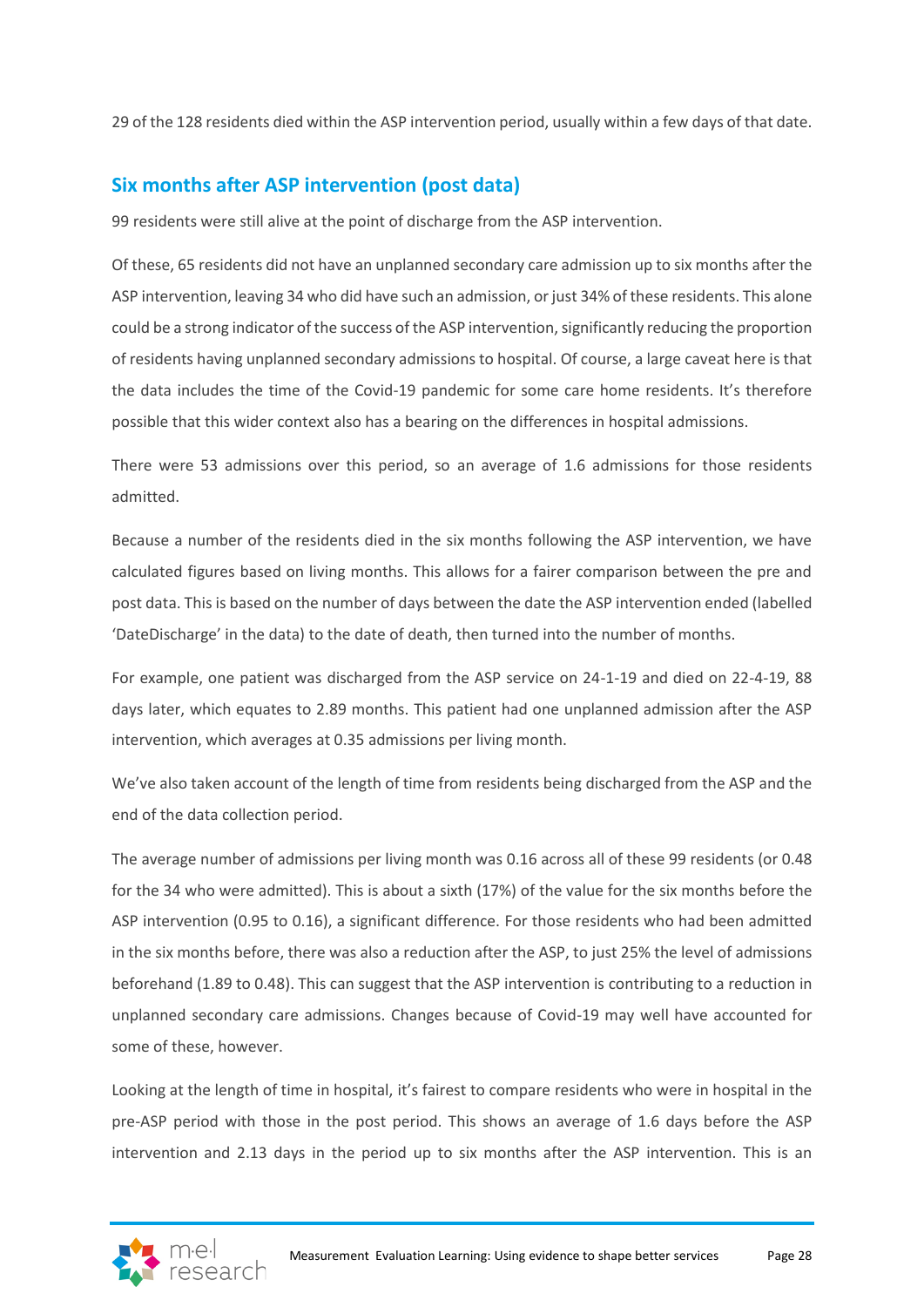29 of the 128 residents died within the ASP intervention period, usually within a few days of that date.

## **Six months after ASP intervention (post data)**

99 residents were still alive at the point of discharge from the ASP intervention.

Of these, 65 residents did not have an unplanned secondary care admission up to six months after the ASP intervention, leaving 34 who did have such an admission, or just 34% of these residents. This alone could be a strong indicator of the success of the ASP intervention, significantly reducing the proportion of residents having unplanned secondary admissions to hospital. Of course, a large caveat here is that the data includes the time of the Covid-19 pandemic for some care home residents. It's therefore possible that this wider context also has a bearing on the differences in hospital admissions.

There were 53 admissions over this period, so an average of 1.6 admissions for those residents admitted.

Because a number of the residents died in the six months following the ASP intervention, we have calculated figures based on living months. This allows for a fairer comparison between the pre and post data. This is based on the number of days between the date the ASP intervention ended (labelled 'DateDischarge' in the data) to the date of death, then turned into the number of months.

For example, one patient was discharged from the ASP service on 24-1-19 and died on 22-4-19, 88 days later, which equates to 2.89 months. This patient had one unplanned admission after the ASP intervention, which averages at 0.35 admissions per living month.

We've also taken account of the length of time from residents being discharged from the ASP and the end of the data collection period.

The average number of admissions per living month was 0.16 across all of these 99 residents (or 0.48 for the 34 who were admitted). This is about a sixth (17%) of the value for the six months before the ASP intervention (0.95 to 0.16), a significant difference. For those residents who had been admitted in the six months before, there was also a reduction after the ASP, to just 25% the level of admissions beforehand (1.89 to 0.48). This can suggest that the ASP intervention is contributing to a reduction in unplanned secondary care admissions. Changes because of Covid-19 may well have accounted for some of these, however.

Looking at the length of time in hospital, it's fairest to compare residents who were in hospital in the pre-ASP period with those in the post period. This shows an average of 1.6 days before the ASP intervention and 2.13 days in the period up to six months after the ASP intervention. This is an

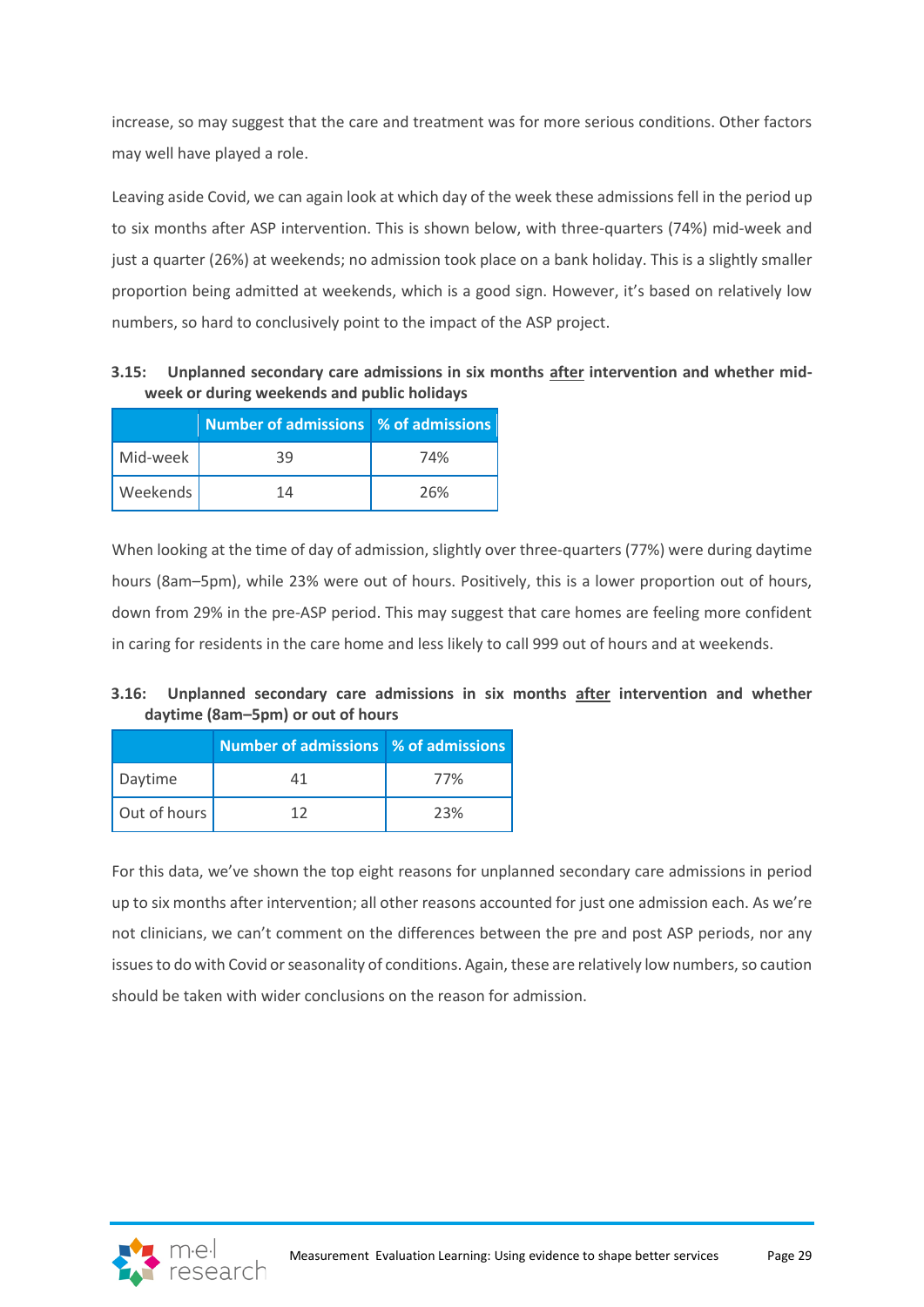increase, so may suggest that the care and treatment was for more serious conditions. Other factors may well have played a role.

Leaving aside Covid, we can again look at which day of the week these admissions fell in the period up to six months after ASP intervention. This is shown below, with three-quarters (74%) mid-week and just a quarter (26%) at weekends; no admission took place on a bank holiday. This is a slightly smaller proportion being admitted at weekends, which is a good sign. However, it's based on relatively low numbers, so hard to conclusively point to the impact of the ASP project.

**3.15: Unplanned secondary care admissions in six months after intervention and whether midweek or during weekends and public holidays**

|          | <b>Number of admissions % of admissions</b> |     |
|----------|---------------------------------------------|-----|
| Mid-week | 39                                          | 74% |
| Weekends | 14                                          | 26% |

When looking at the time of day of admission, slightly over three-quarters (77%) were during daytime hours (8am–5pm), while 23% were out of hours. Positively, this is a lower proportion out of hours, down from 29% in the pre-ASP period. This may suggest that care homes are feeling more confident in caring for residents in the care home and less likely to call 999 out of hours and at weekends.

### **3.16: Unplanned secondary care admissions in six months after intervention and whether daytime (8am–5pm) or out of hours**

|              | <b>Number of admissions % of admissions</b> |     |
|--------------|---------------------------------------------|-----|
| Daytime      |                                             | 77% |
| Out of hours | 1つ                                          | 23% |

For this data, we've shown the top eight reasons for unplanned secondary care admissions in period up to six months after intervention; all other reasons accounted for just one admission each. As we're not clinicians, we can't comment on the differences between the pre and post ASP periods, nor any issues to do with Covid or seasonality of conditions. Again, these are relatively low numbers, so caution should be taken with wider conclusions on the reason for admission.

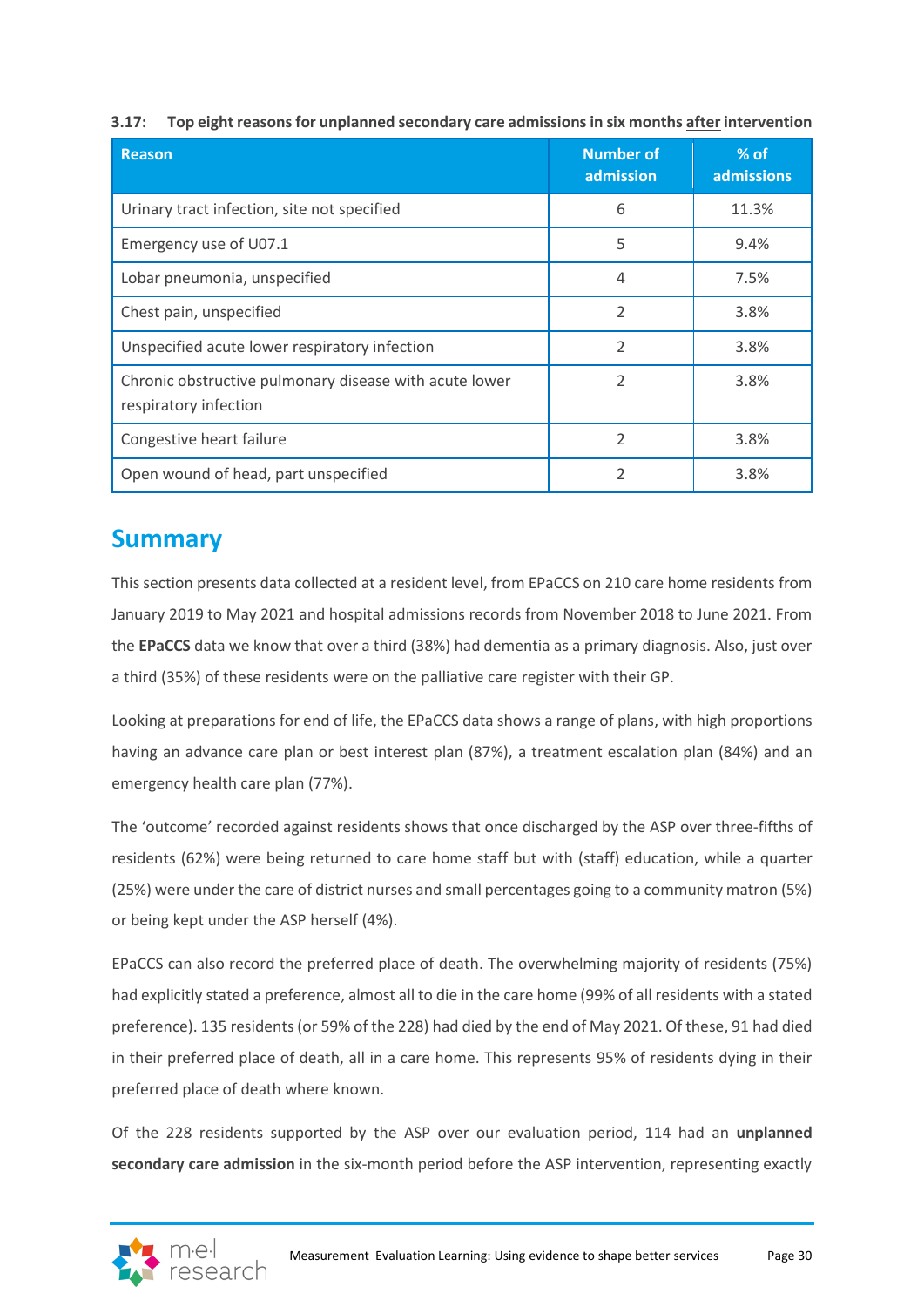| <b>Reason</b>                                                                   | <b>Number of</b><br>admission | $%$ of<br>admissions |
|---------------------------------------------------------------------------------|-------------------------------|----------------------|
| Urinary tract infection, site not specified                                     | 6                             | 11.3%                |
| Emergency use of U07.1                                                          | 5                             | 9.4%                 |
| Lobar pneumonia, unspecified                                                    | $\overline{4}$                | 7.5%                 |
| Chest pain, unspecified                                                         | $\overline{\phantom{a}}$      | 3.8%                 |
| Unspecified acute lower respiratory infection                                   | $\overline{2}$                | 3.8%                 |
| Chronic obstructive pulmonary disease with acute lower<br>respiratory infection | $\overline{2}$                | 3.8%                 |
| Congestive heart failure                                                        | $\overline{2}$                | 3.8%                 |
| Open wound of head, part unspecified                                            | フ                             | 3.8%                 |

### **3.17: Top eight reasons for unplanned secondary care admissions in six months after intervention**

# <span id="page-29-0"></span>**Summary**

This section presents data collected at a resident level, from EPaCCS on 210 care home residents from January 2019 to May 2021 and hospital admissions records from November 2018 to June 2021. From the **EPaCCS** data we know that over a third (38%) had dementia as a primary diagnosis. Also, just over a third (35%) of these residents were on the palliative care register with their GP.

Looking at preparations for end of life, the EPaCCS data shows a range of plans, with high proportions having an advance care plan or best interest plan (87%), a treatment escalation plan (84%) and an emergency health care plan (77%).

The 'outcome' recorded against residents shows that once discharged by the ASP over three-fifths of residents (62%) were being returned to care home staff but with (staff) education, while a quarter (25%) were under the care of district nurses and small percentages going to a community matron (5%) or being kept under the ASP herself (4%).

EPaCCS can also record the preferred place of death. The overwhelming majority of residents (75%) had explicitly stated a preference, almost all to die in the care home (99% of all residents with a stated preference). 135 residents (or 59% of the 228) had died by the end of May 2021. Of these, 91 had died in their preferred place of death, all in a care home. This represents 95% of residents dying in their preferred place of death where known.

Of the 228 residents supported by the ASP over our evaluation period, 114 had an **unplanned secondary care admission** in the six-month period before the ASP intervention, representing exactly

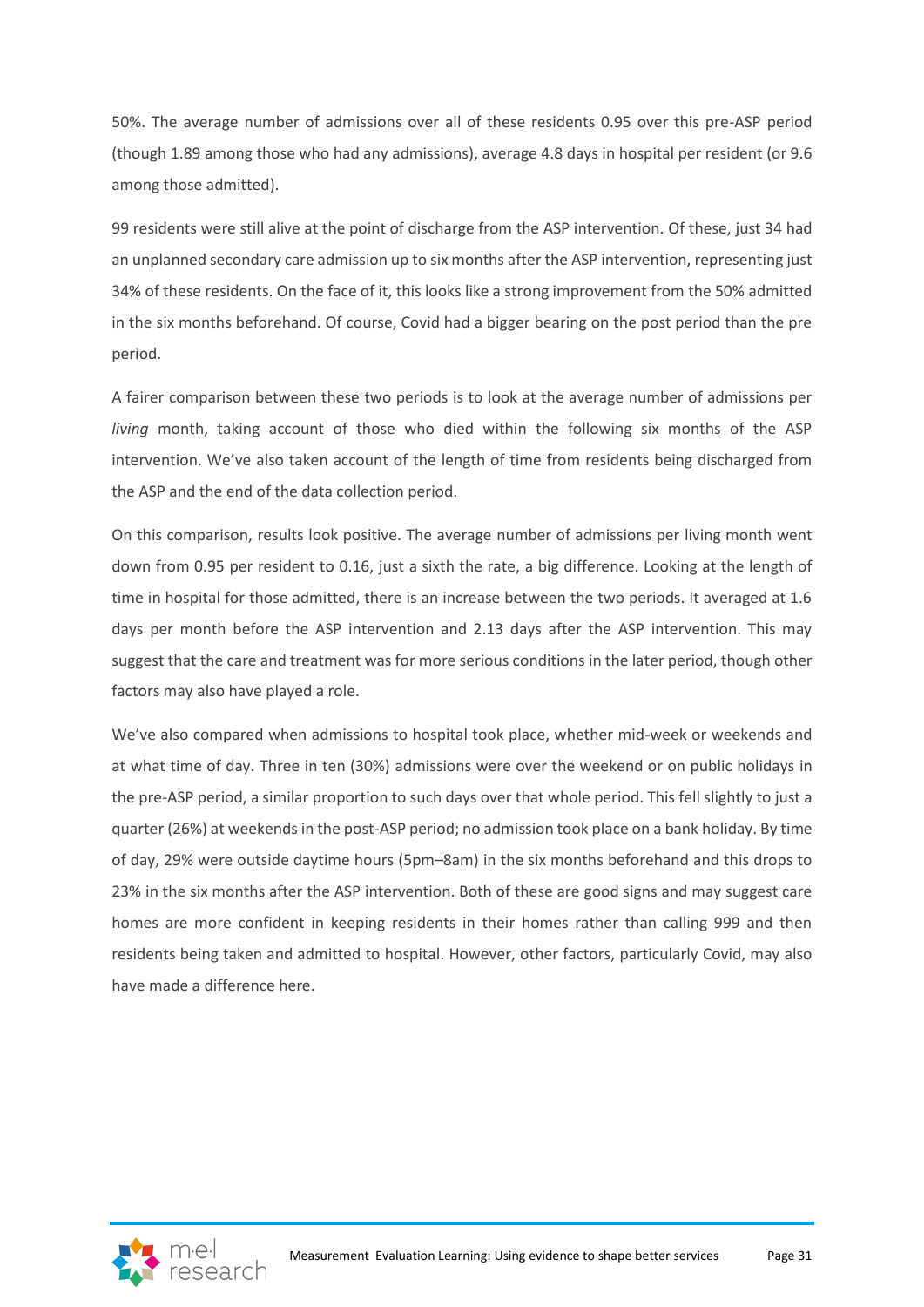50%. The average number of admissions over all of these residents 0.95 over this pre-ASP period (though 1.89 among those who had any admissions), average 4.8 days in hospital per resident (or 9.6 among those admitted).

99 residents were still alive at the point of discharge from the ASP intervention. Of these, just 34 had an unplanned secondary care admission up to six months after the ASP intervention, representing just 34% of these residents. On the face of it, this looks like a strong improvement from the 50% admitted in the six months beforehand. Of course, Covid had a bigger bearing on the post period than the pre period.

A fairer comparison between these two periods is to look at the average number of admissions per *living* month, taking account of those who died within the following six months of the ASP intervention. We've also taken account of the length of time from residents being discharged from the ASP and the end of the data collection period.

On this comparison, results look positive. The average number of admissions per living month went down from 0.95 per resident to 0.16, just a sixth the rate, a big difference. Looking at the length of time in hospital for those admitted, there is an increase between the two periods. It averaged at 1.6 days per month before the ASP intervention and 2.13 days after the ASP intervention. This may suggest that the care and treatment was for more serious conditions in the later period, though other factors may also have played a role.

We've also compared when admissions to hospital took place, whether mid-week or weekends and at what time of day. Three in ten (30%) admissions were over the weekend or on public holidays in the pre-ASP period, a similar proportion to such days over that whole period. This fell slightly to just a quarter (26%) at weekendsin the post-ASP period; no admission took place on a bank holiday. By time of day, 29% were outside daytime hours (5pm–8am) in the six months beforehand and this drops to 23% in the six months after the ASP intervention. Both of these are good signs and may suggest care homes are more confident in keeping residents in their homes rather than calling 999 and then residents being taken and admitted to hospital. However, other factors, particularly Covid, may also have made a difference here.

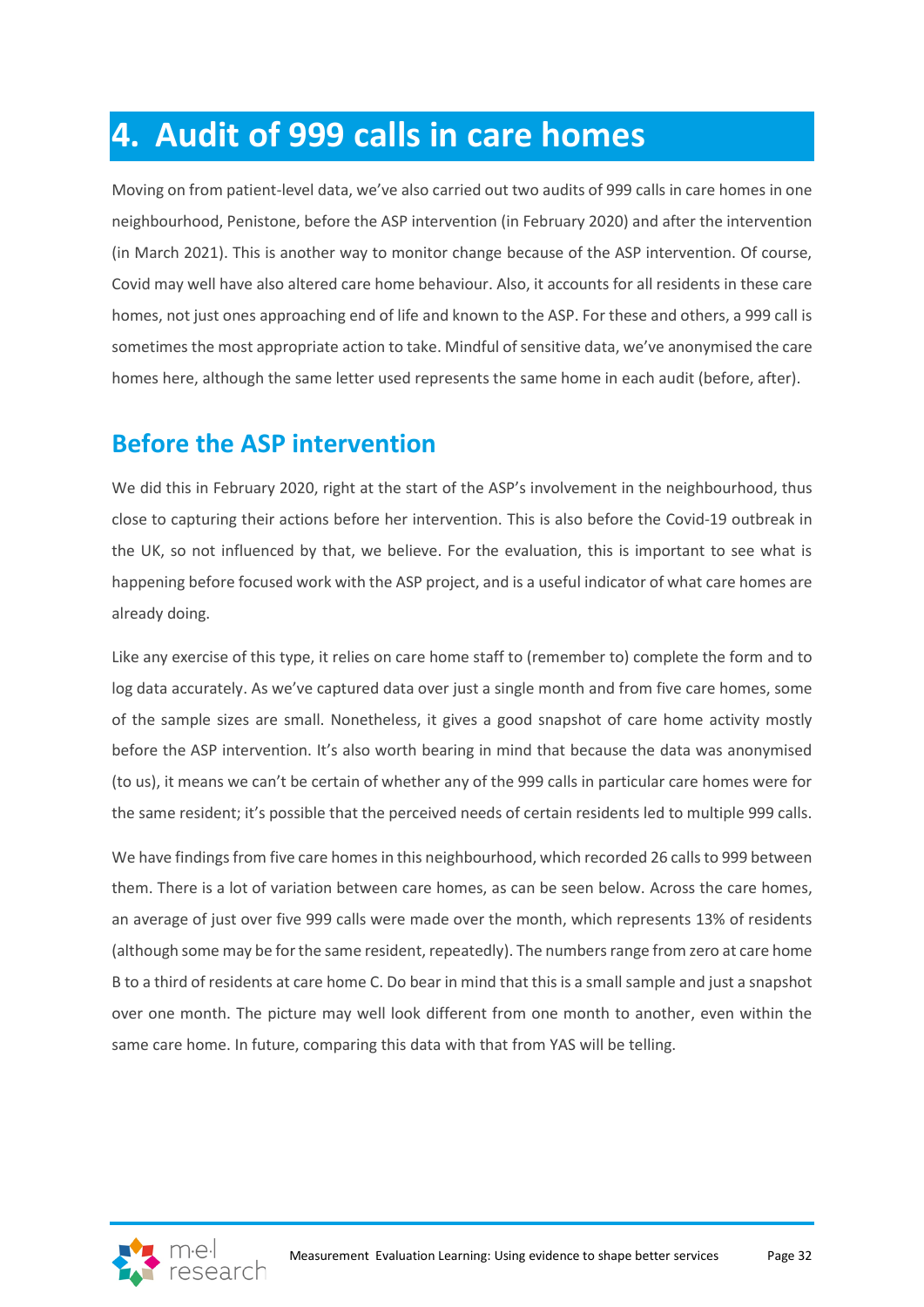# <span id="page-31-0"></span>**4. Audit of 999 calls in care homes**

Moving on from patient-level data, we've also carried out two audits of 999 calls in care homes in one neighbourhood, Penistone, before the ASP intervention (in February 2020) and after the intervention (in March 2021). This is another way to monitor change because of the ASP intervention. Of course, Covid may well have also altered care home behaviour. Also, it accounts for all residents in these care homes, not just ones approaching end of life and known to the ASP. For these and others, a 999 call is sometimes the most appropriate action to take. Mindful of sensitive data, we've anonymised the care homes here, although the same letter used represents the same home in each audit (before, after).

# <span id="page-31-1"></span>**Before the ASP intervention**

We did this in February 2020, right at the start of the ASP's involvement in the neighbourhood, thus close to capturing their actions before her intervention. This is also before the Covid-19 outbreak in the UK, so not influenced by that, we believe. For the evaluation, this is important to see what is happening before focused work with the ASP project, and is a useful indicator of what care homes are already doing.

Like any exercise of this type, it relies on care home staff to (remember to) complete the form and to log data accurately. As we've captured data over just a single month and from five care homes, some of the sample sizes are small. Nonetheless, it gives a good snapshot of care home activity mostly before the ASP intervention. It's also worth bearing in mind that because the data was anonymised (to us), it means we can't be certain of whether any of the 999 calls in particular care homes were for the same resident; it's possible that the perceived needs of certain residents led to multiple 999 calls.

We have findings from five care homes in this neighbourhood, which recorded 26 calls to 999 between them. There is a lot of variation between care homes, as can be seen below. Across the care homes, an average of just over five 999 calls were made over the month, which represents 13% of residents (although some may be for the same resident, repeatedly). The numbers range from zero at care home B to a third of residents at care home C. Do bear in mind that this is a small sample and just a snapshot over one month. The picture may well look different from one month to another, even within the same care home. In future, comparing this data with that from YAS will be telling.

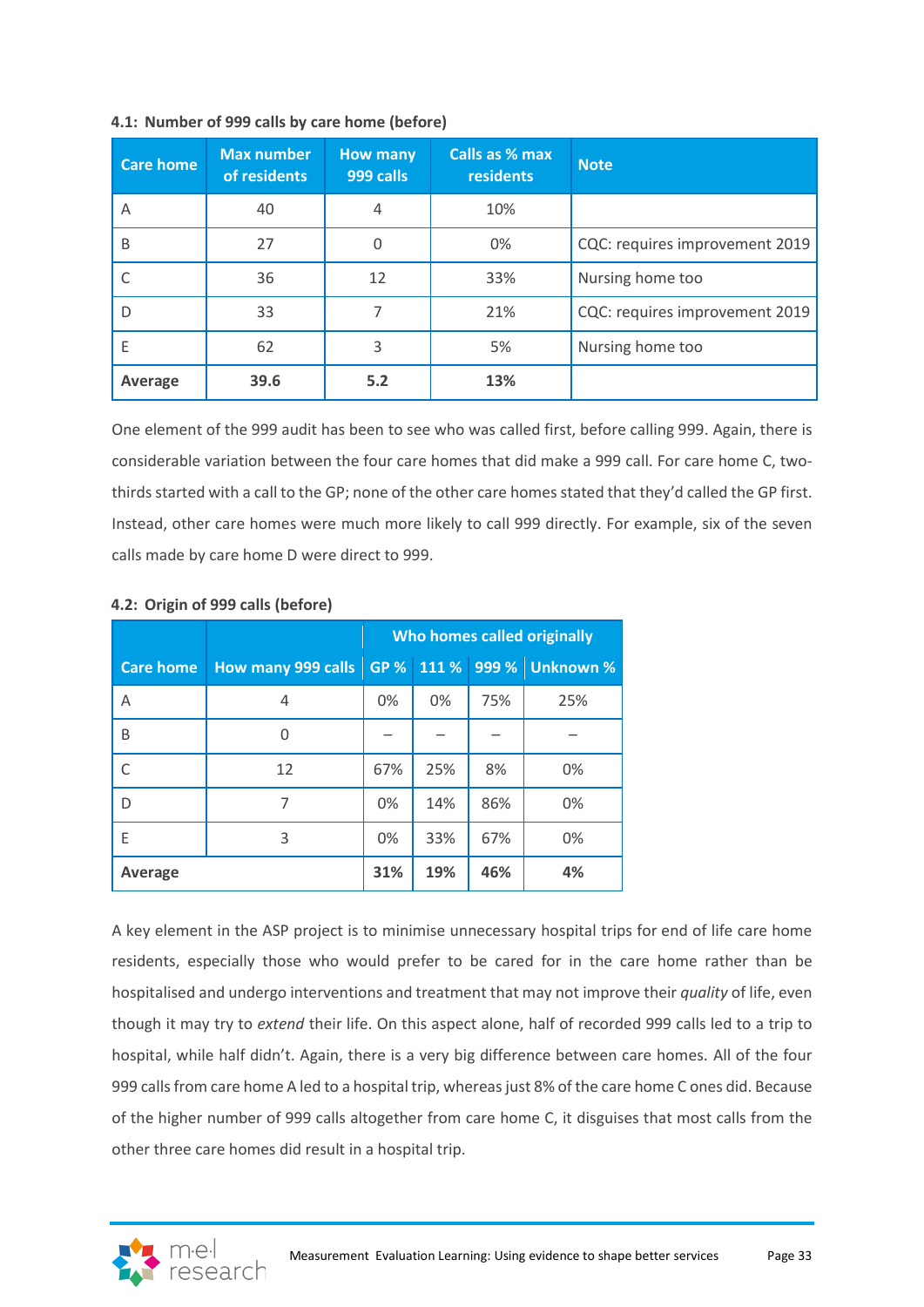| <b>Care home</b> | <b>Max number</b><br>of residents | <b>How many</b><br>999 calls | <b>Calls as % max</b><br>residents | <b>Note</b>                    |
|------------------|-----------------------------------|------------------------------|------------------------------------|--------------------------------|
| Α                | 40                                | 4                            | 10%                                |                                |
| B                | 27                                | 0                            | 0%                                 | CQC: requires improvement 2019 |
|                  | 36                                | 12                           | 33%                                | Nursing home too               |
| D                | 33                                | 7                            | 21%                                | CQC: requires improvement 2019 |
| Е                | 62                                | 3                            | 5%                                 | Nursing home too               |
| Average          | 39.6                              | 5.2                          | 13%                                |                                |

### **4.1: Number of 999 calls by care home (before)**

One element of the 999 audit has been to see who was called first, before calling 999. Again, there is considerable variation between the four care homes that did make a 999 call. For care home C, twothirds started with a call to the GP; none of the other care homes stated that they'd called the GP first. Instead, other care homes were much more likely to call 999 directly. For example, six of the seven calls made by care home D were direct to 999.

|                  |                           | Who homes called originally |       |       |                  |
|------------------|---------------------------|-----------------------------|-------|-------|------------------|
| <b>Care home</b> | <b>How many 999 calls</b> | <b>GP %</b>                 | 111 % | 999 % | <b>Unknown %</b> |
| Α                | 4                         | 0%                          | 0%    | 75%   | 25%              |
| B                | 0                         |                             |       |       |                  |
| C                | 12                        | 67%                         | 25%   | 8%    | 0%               |
| D                | 7                         | 0%                          | 14%   | 86%   | 0%               |
| E                | 3                         | 0%                          | 33%   | 67%   | 0%               |
| Average          |                           | 31%                         | 19%   | 46%   | 4%               |

#### **4.2: Origin of 999 calls (before)**

A key element in the ASP project is to minimise unnecessary hospital trips for end of life care home residents, especially those who would prefer to be cared for in the care home rather than be hospitalised and undergo interventions and treatment that may not improve their *quality* of life, even though it may try to *extend* their life. On this aspect alone, half of recorded 999 calls led to a trip to hospital, while half didn't. Again, there is a very big difference between care homes. All of the four 999 calls from care home A led to a hospital trip, whereas just 8% of the care home C ones did. Because of the higher number of 999 calls altogether from care home C, it disguises that most calls from the other three care homes did result in a hospital trip.

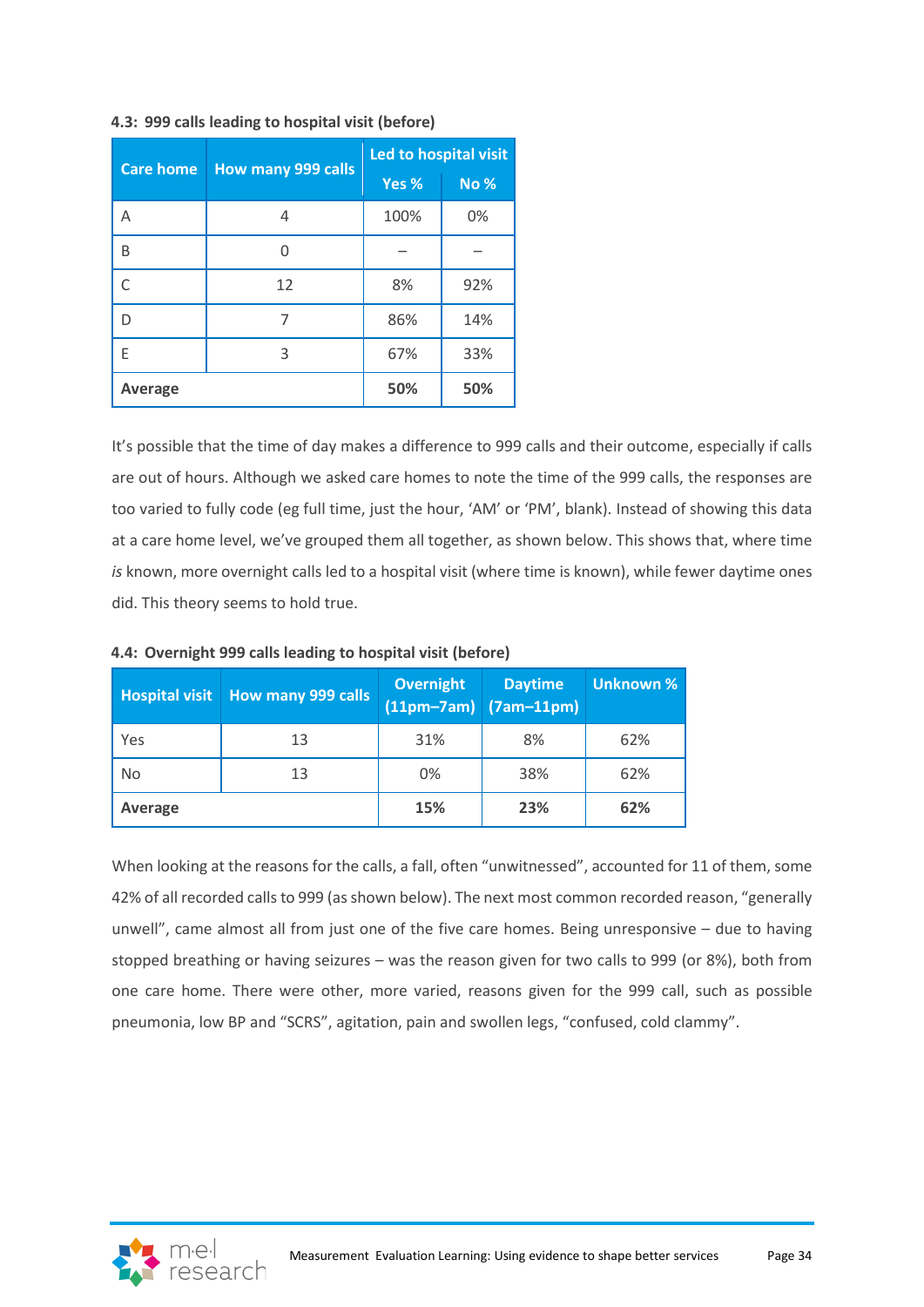### **4.3: 999 calls leading to hospital visit (before)**

| <b>Care home</b> |                           | Led to hospital visit |            |  |
|------------------|---------------------------|-----------------------|------------|--|
|                  | <b>How many 999 calls</b> | Yes %                 | <b>No%</b> |  |
| Α                | 4                         | 100%                  | 0%         |  |
| B                | 0                         |                       |            |  |
| C                | 12                        | 8%                    | 92%        |  |
| D                |                           | 86%                   | 14%        |  |
| F                | 3                         |                       | 33%        |  |
| <b>Average</b>   |                           | 50%                   | 50%        |  |

It's possible that the time of day makes a difference to 999 calls and their outcome, especially if calls are out of hours. Although we asked care homes to note the time of the 999 calls, the responses are too varied to fully code (eg full time, just the hour, 'AM' or 'PM', blank). Instead of showing this data at a care home level, we've grouped them all together, as shown below. This shows that, where time *is* known, more overnight calls led to a hospital visit (where time is known), while fewer daytime ones did. This theory seems to hold true.

| <b>Hospital visit</b> | <b>How many 999 calls</b> | <b>Overnight</b><br>$(11pm-7am)$ | <b>Daytime</b><br>$(7am-11pm)$ | Unknown % |  |
|-----------------------|---------------------------|----------------------------------|--------------------------------|-----------|--|
| Yes                   | 13                        | 31%                              | 8%                             | 62%       |  |
| No                    | 13                        |                                  | 38%                            | 62%       |  |
| Average               |                           | 15%                              | 23%                            | 62%       |  |

**4.4: Overnight 999 calls leading to hospital visit (before)**

When looking at the reasons for the calls, a fall, often "unwitnessed", accounted for 11 of them, some 42% of all recorded calls to 999 (as shown below). The next most common recorded reason, "generally unwell", came almost all from just one of the five care homes. Being unresponsive – due to having stopped breathing or having seizures – was the reason given for two calls to 999 (or 8%), both from one care home. There were other, more varied, reasons given for the 999 call, such as possible pneumonia, low BP and "SCRS", agitation, pain and swollen legs, "confused, cold clammy".

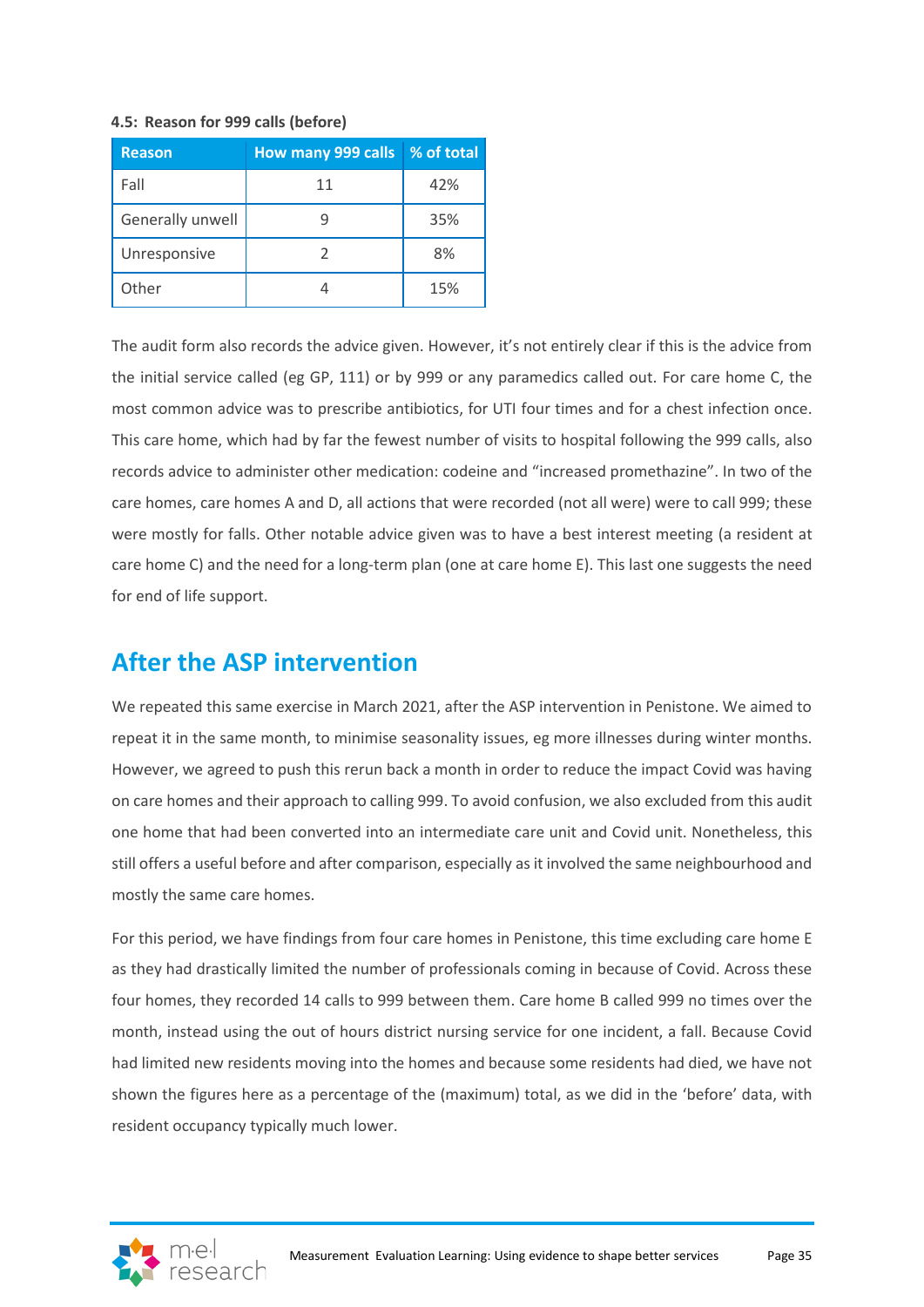### **4.5: Reason for 999 calls (before)**

| <b>Reason</b>    | <b>How many 999 calls</b> | ■ % of total |
|------------------|---------------------------|--------------|
| Fall             | 11                        | 42%          |
| Generally unwell |                           | 35%          |
| Unresponsive     |                           | 8%           |
| Other            |                           | 15%          |

The audit form also records the advice given. However, it's not entirely clear if this is the advice from the initial service called (eg GP, 111) or by 999 or any paramedics called out. For care home C, the most common advice was to prescribe antibiotics, for UTI four times and for a chest infection once. This care home, which had by far the fewest number of visits to hospital following the 999 calls, also records advice to administer other medication: codeine and "increased promethazine". In two of the care homes, care homes A and D, all actions that were recorded (not all were) were to call 999; these were mostly for falls. Other notable advice given was to have a best interest meeting (a resident at care home C) and the need for a long-term plan (one at care home E). This last one suggests the need for end of life support.

## <span id="page-34-0"></span>**After the ASP intervention**

We repeated this same exercise in March 2021, after the ASP intervention in Penistone. We aimed to repeat it in the same month, to minimise seasonality issues, eg more illnesses during winter months. However, we agreed to push this rerun back a month in order to reduce the impact Covid was having on care homes and their approach to calling 999. To avoid confusion, we also excluded from this audit one home that had been converted into an intermediate care unit and Covid unit. Nonetheless, this still offers a useful before and after comparison, especially as it involved the same neighbourhood and mostly the same care homes.

For this period, we have findings from four care homes in Penistone, this time excluding care home E as they had drastically limited the number of professionals coming in because of Covid. Across these four homes, they recorded 14 calls to 999 between them. Care home B called 999 no times over the month, instead using the out of hours district nursing service for one incident, a fall. Because Covid had limited new residents moving into the homes and because some residents had died, we have not shown the figures here as a percentage of the (maximum) total, as we did in the 'before' data, with resident occupancy typically much lower.

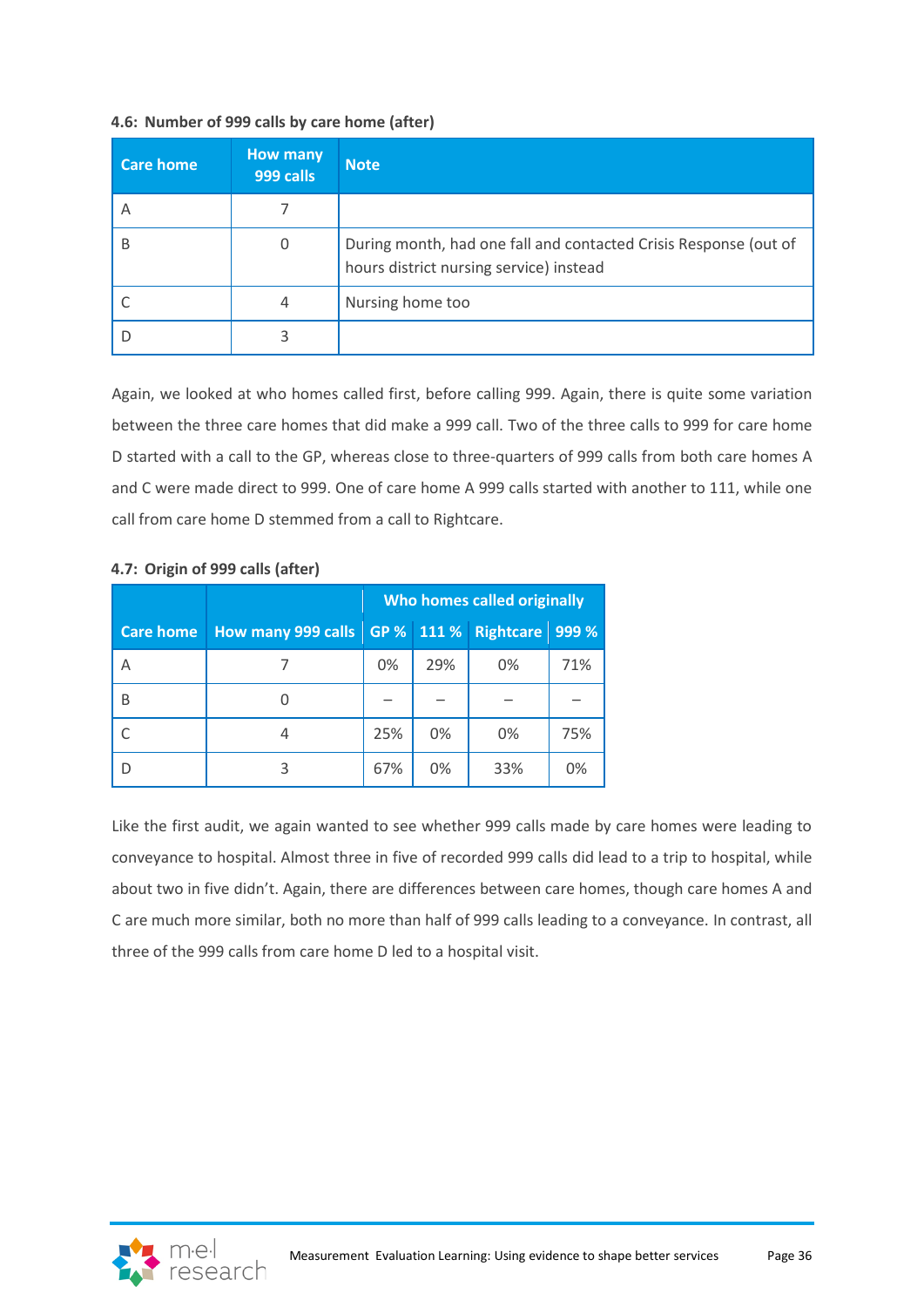### **4.6: Number of 999 calls by care home (after)**

| <b>Care home</b> | <b>How many</b><br>999 calls | <b>Note</b>                                                                                                 |
|------------------|------------------------------|-------------------------------------------------------------------------------------------------------------|
| A                |                              |                                                                                                             |
| B                | 0                            | During month, had one fall and contacted Crisis Response (out of<br>hours district nursing service) instead |
|                  | 4                            | Nursing home too                                                                                            |
|                  | 3                            |                                                                                                             |

Again, we looked at who homes called first, before calling 999. Again, there is quite some variation between the three care homes that did make a 999 call. Two of the three calls to 999 for care home D started with a call to the GP, whereas close to three-quarters of 999 calls from both care homes A and C were made direct to 999. One of care home A 999 calls started with another to 111, while one call from care home D stemmed from a call to Rightcare.

### **4.7: Origin of 999 calls (after)**

|                  |                           | Who homes called originally |     |                      |       |
|------------------|---------------------------|-----------------------------|-----|----------------------|-------|
| <b>Care home</b> | <b>How many 999 calls</b> |                             |     | GP % 111 % Rightcare | 999 % |
| Α                |                           | 0%                          | 29% | 0%                   | 71%   |
| B                |                           |                             |     |                      |       |
|                  | 4                         | 25%                         | 0%  | 0%                   | 75%   |
|                  | 3                         | 67%                         | 0%  | 33%                  | 0%    |

Like the first audit, we again wanted to see whether 999 calls made by care homes were leading to conveyance to hospital. Almost three in five of recorded 999 calls did lead to a trip to hospital, while about two in five didn't. Again, there are differences between care homes, though care homes A and C are much more similar, both no more than half of 999 calls leading to a conveyance. In contrast, all three of the 999 calls from care home D led to a hospital visit.

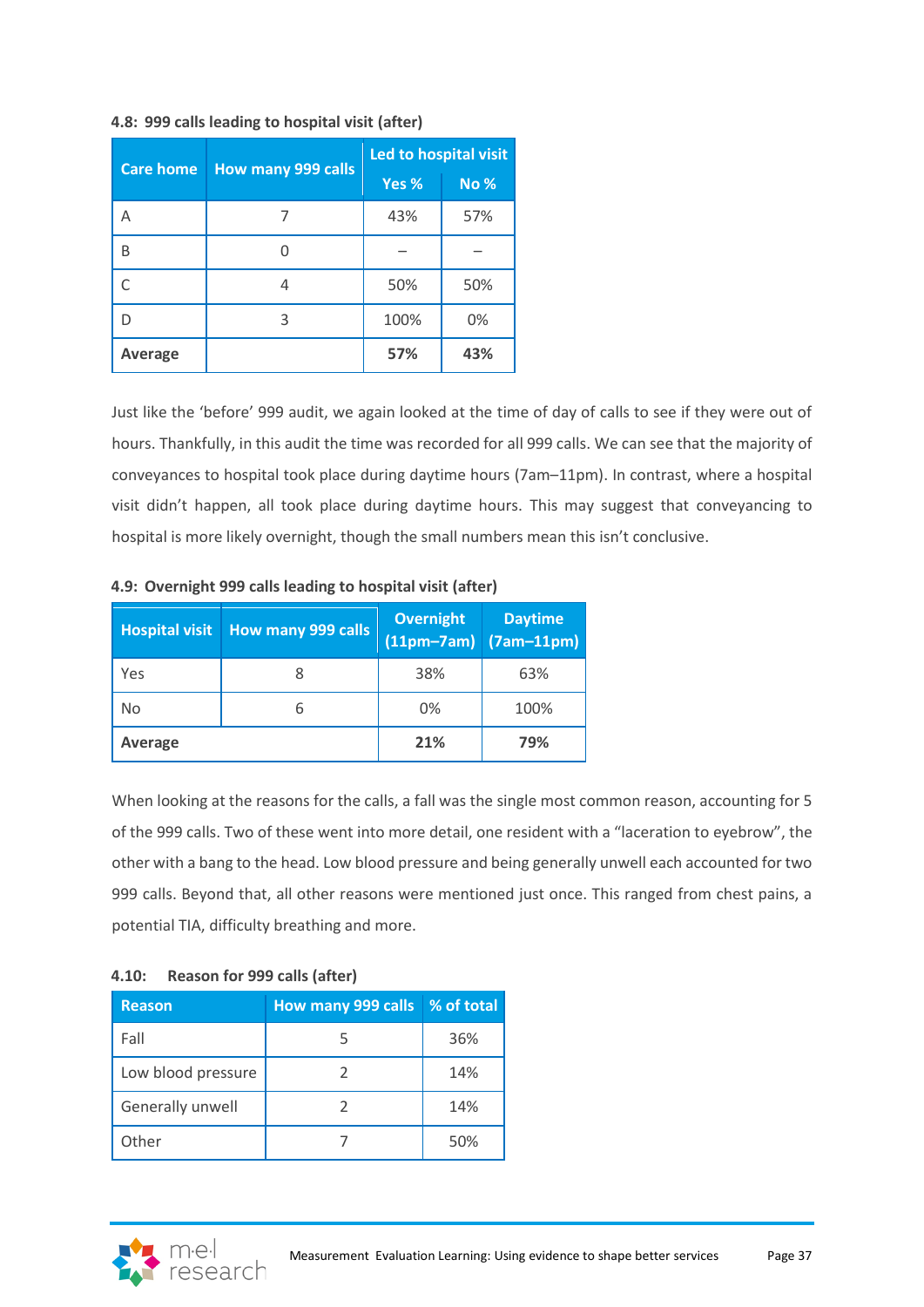#### **4.8: 999 calls leading to hospital visit (after)**

| <b>Care home</b> | <b>How many 999 calls</b> | Led to hospital visit |            |
|------------------|---------------------------|-----------------------|------------|
|                  |                           | Yes %                 | <b>No%</b> |
| А                |                           | 43%                   | 57%        |
| R                |                           |                       |            |
|                  |                           | 50%                   | 50%        |
| n                | 3                         | 100%                  | 0%         |
| <b>Average</b>   |                           | 57%                   | 43%        |

Just like the 'before' 999 audit, we again looked at the time of day of calls to see if they were out of hours. Thankfully, in this audit the time was recorded for all 999 calls. We can see that the majority of conveyances to hospital took place during daytime hours (7am–11pm). In contrast, where a hospital visit didn't happen, all took place during daytime hours. This may suggest that conveyancing to hospital is more likely overnight, though the small numbers mean this isn't conclusive.

| <b>Hospital visit</b> | <b>How many 999 calls</b> | <b>Overnight</b> | <b>Daytime</b><br>$(11pm-7am)$ (7am-11pm) |
|-----------------------|---------------------------|------------------|-------------------------------------------|
| Yes                   |                           | 38%              | 63%                                       |
| No                    | 6                         | 0%               | 100%                                      |
| Average               |                           | 21%              | 79%                                       |

**4.9: Overnight 999 calls leading to hospital visit (after)**

When looking at the reasons for the calls, a fall was the single most common reason, accounting for 5 of the 999 calls. Two of these went into more detail, one resident with a "laceration to eyebrow", the other with a bang to the head. Low blood pressure and being generally unwell each accounted for two 999 calls. Beyond that, all other reasons were mentioned just once. This ranged from chest pains, a potential TIA, difficulty breathing and more.

| <b>Reason</b>      | How many 999 calls % of total |     |
|--------------------|-------------------------------|-----|
| Fall               |                               | 36% |
| Low blood pressure |                               | 14% |
| Generally unwell   |                               | 14% |
| Other              |                               | 50% |

#### **4.10: Reason for 999 calls (after)**

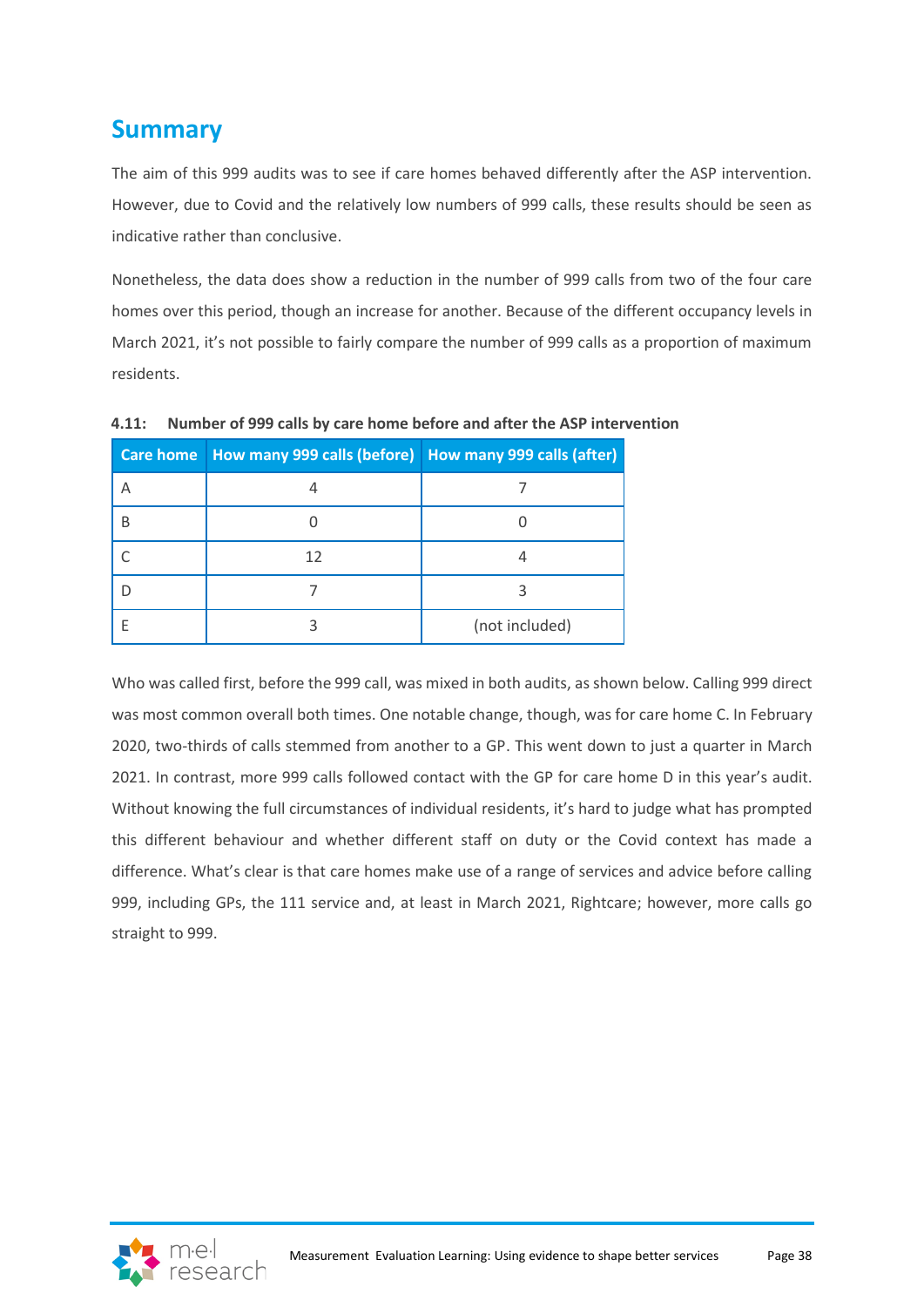## **Summary**

The aim of this 999 audits was to see if care homes behaved differently after the ASP intervention. However, due to Covid and the relatively low numbers of 999 calls, these results should be seen as indicative rather than conclusive.

Nonetheless, the data does show a reduction in the number of 999 calls from two of the four care homes over this period, though an increase for another. Because of the different occupancy levels in March 2021, it's not possible to fairly compare the number of 999 calls as a proportion of maximum residents.

|   | Care home   How many 999 calls (before)   How many 999 calls (after) |                |
|---|----------------------------------------------------------------------|----------------|
|   |                                                                      |                |
| B |                                                                      |                |
|   | 12                                                                   |                |
|   |                                                                      |                |
|   |                                                                      | (not included) |

**4.11: Number of 999 calls by care home before and after the ASP intervention**

Who was called first, before the 999 call, was mixed in both audits, as shown below. Calling 999 direct was most common overall both times. One notable change, though, was for care home C. In February 2020, two-thirds of calls stemmed from another to a GP. This went down to just a quarter in March 2021. In contrast, more 999 calls followed contact with the GP for care home D in this year's audit. Without knowing the full circumstances of individual residents, it's hard to judge what has prompted this different behaviour and whether different staff on duty or the Covid context has made a difference. What's clear is that care homes make use of a range of services and advice before calling 999, including GPs, the 111 service and, at least in March 2021, Rightcare; however, more calls go straight to 999.

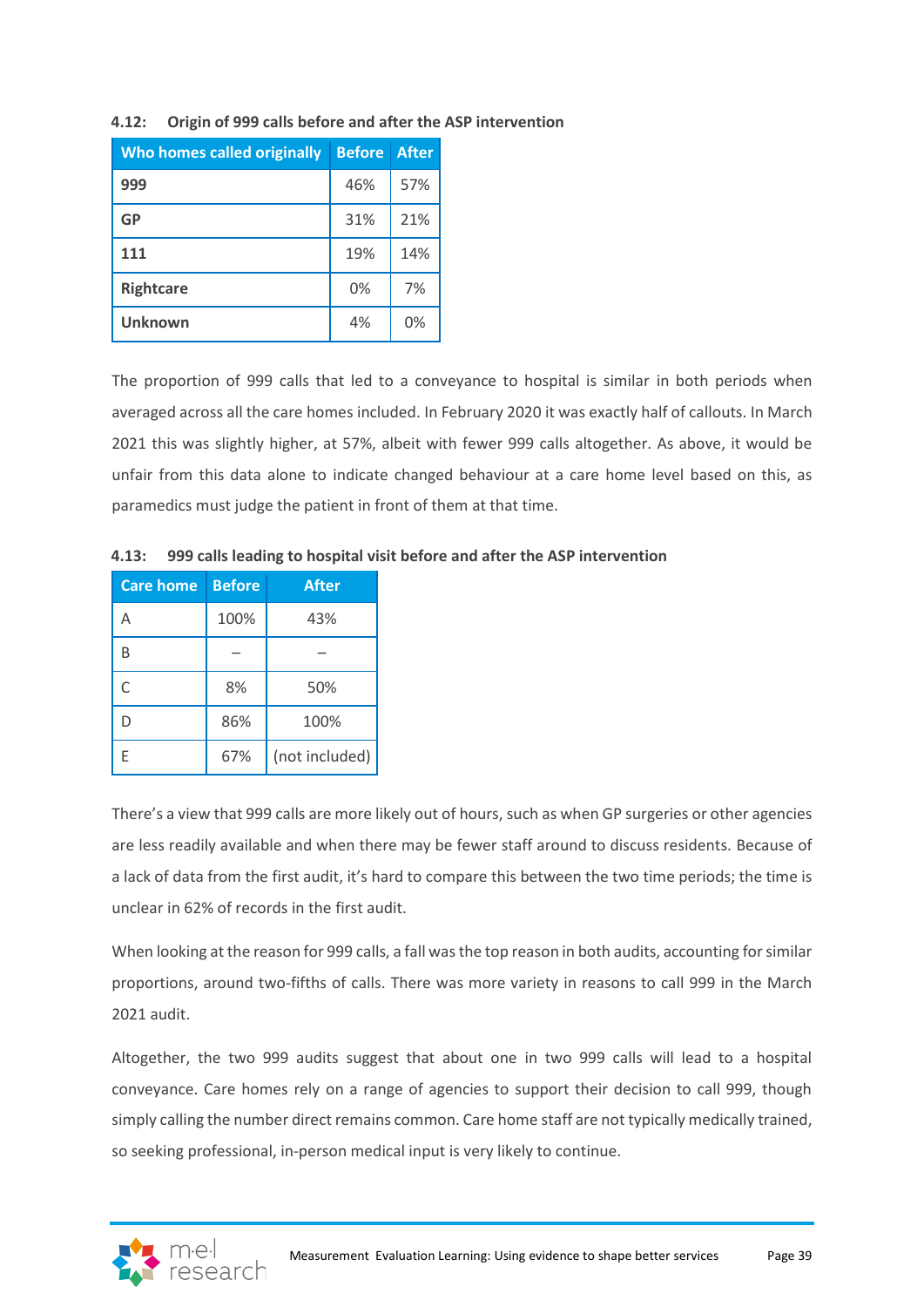| <b>Who homes called originally</b> | <b>Before After</b> |     |
|------------------------------------|---------------------|-----|
| 999                                | 46%                 | 57% |
| <b>GP</b>                          | 31%                 | 21% |
| 111                                | 19%                 | 14% |
| <b>Rightcare</b>                   | 0%                  | 7%  |
| <b>Unknown</b>                     | 4%                  | 0%  |

#### **4.12: Origin of 999 calls before and after the ASP intervention**

The proportion of 999 calls that led to a conveyance to hospital is similar in both periods when averaged across all the care homes included. In February 2020 it was exactly half of callouts. In March 2021 this was slightly higher, at 57%, albeit with fewer 999 calls altogether. As above, it would be unfair from this data alone to indicate changed behaviour at a care home level based on this, as paramedics must judge the patient in front of them at that time.

**4.13: 999 calls leading to hospital visit before and after the ASP intervention**

| Care home | <b>Before</b> | <b>After</b>   |
|-----------|---------------|----------------|
| А         | 100%          | 43%            |
| B         |               |                |
| Ċ         | 8%            | 50%            |
| D         | 86%           | 100%           |
| F         | 67%           | (not included) |

There's a view that 999 calls are more likely out of hours, such as when GP surgeries or other agencies are less readily available and when there may be fewer staff around to discuss residents. Because of a lack of data from the first audit, it's hard to compare this between the two time periods; the time is unclear in 62% of records in the first audit.

When looking at the reason for 999 calls, a fall was the top reason in both audits, accounting for similar proportions, around two-fifths of calls. There was more variety in reasons to call 999 in the March 2021 audit.

Altogether, the two 999 audits suggest that about one in two 999 calls will lead to a hospital conveyance. Care homes rely on a range of agencies to support their decision to call 999, though simply calling the number direct remains common. Care home staff are not typically medically trained, so seeking professional, in-person medical input is very likely to continue.

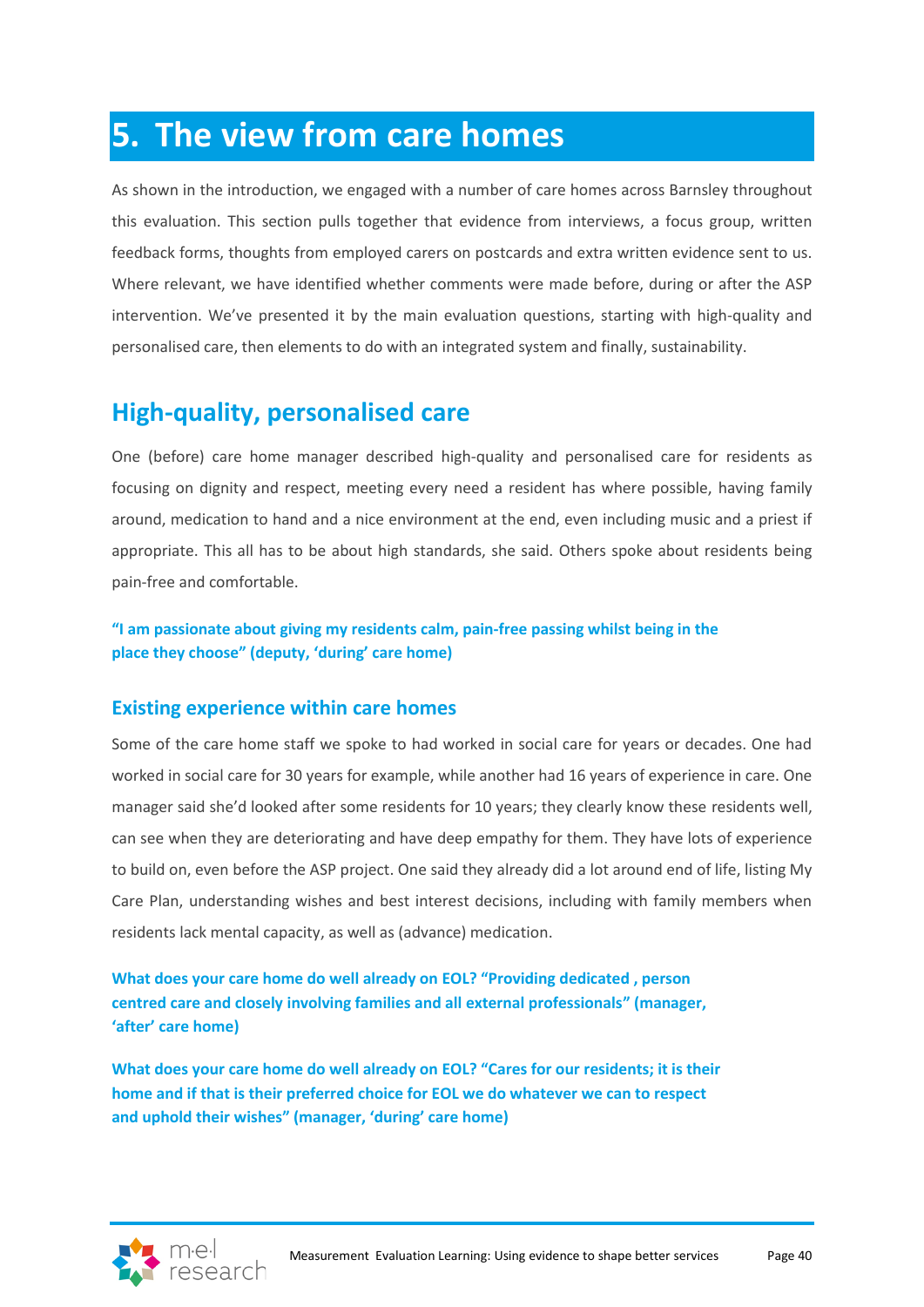# **5. The view from care homes**

As shown in the introduction, we engaged with a number of care homes across Barnsley throughout this evaluation. This section pulls together that evidence from interviews, a focus group, written feedback forms, thoughts from employed carers on postcards and extra written evidence sent to us. Where relevant, we have identified whether comments were made before, during or after the ASP intervention. We've presented it by the main evaluation questions, starting with high-quality and personalised care, then elements to do with an integrated system and finally, sustainability.

## **High-quality, personalised care**

One (before) care home manager described high-quality and personalised care for residents as focusing on dignity and respect, meeting every need a resident has where possible, having family around, medication to hand and a nice environment at the end, even including music and a priest if appropriate. This all has to be about high standards, she said. Others spoke about residents being pain-free and comfortable.

**"I am passionate about giving my residents calm, pain-free passing whilst being in the place they choose" (deputy, 'during' care home)**

## **Existing experience within care homes**

Some of the care home staff we spoke to had worked in social care for years or decades. One had worked in social care for 30 years for example, while another had 16 years of experience in care. One manager said she'd looked after some residents for 10 years; they clearly know these residents well, can see when they are deteriorating and have deep empathy for them. They have lots of experience to build on, even before the ASP project. One said they already did a lot around end of life, listing My Care Plan, understanding wishes and best interest decisions, including with family members when residents lack mental capacity, as well as (advance) medication.

**What does your care home do well already on EOL? "Providing dedicated , person centred care and closely involving families and all external professionals" (manager, 'after' care home)**

**What does your care home do well already on EOL? "Cares for our residents; it is their home and if that is their preferred choice for EOL we do whatever we can to respect and uphold their wishes" (manager, 'during' care home)**

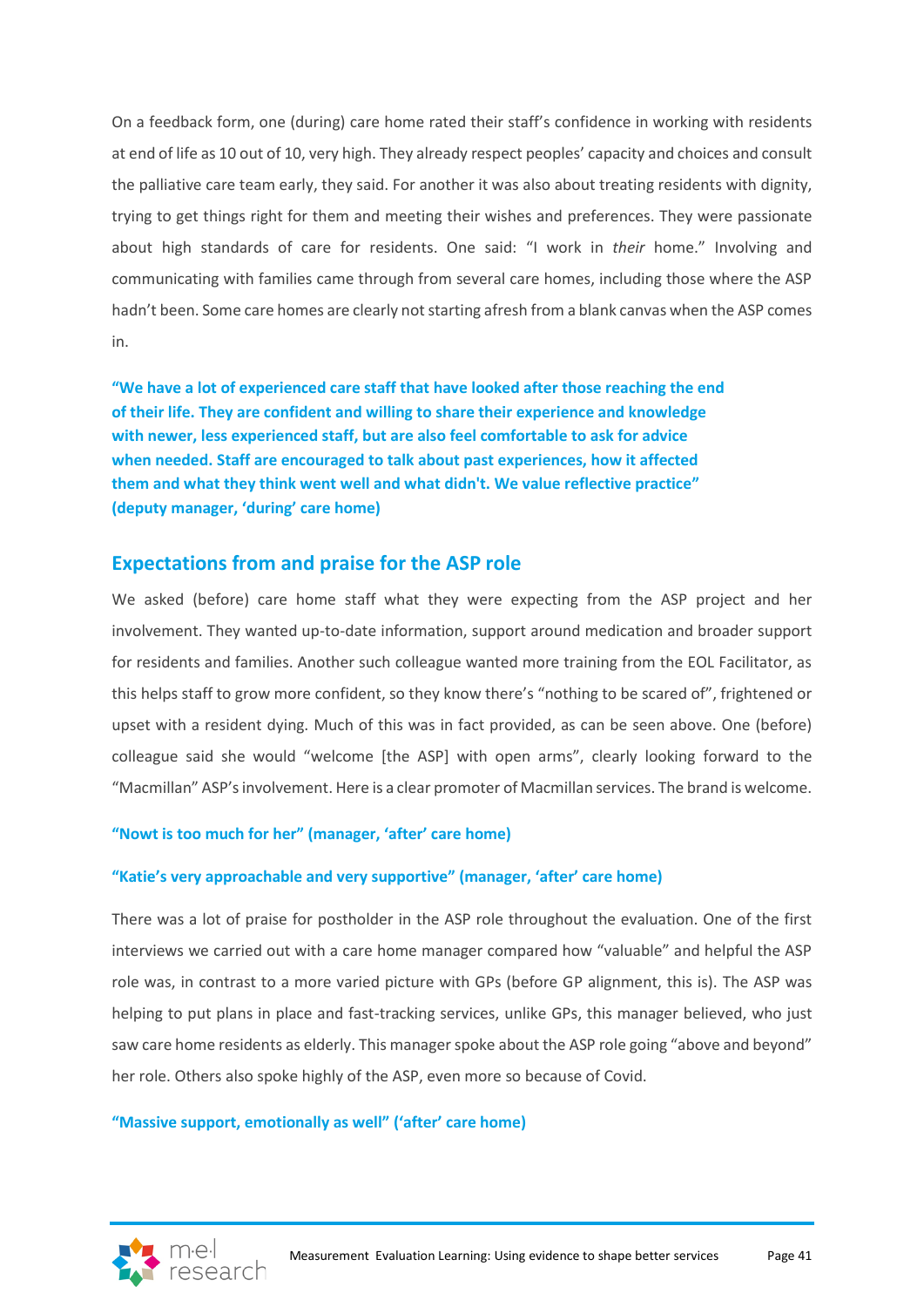On a feedback form, one (during) care home rated their staff's confidence in working with residents at end of life as 10 out of 10, very high. They already respect peoples' capacity and choices and consult the palliative care team early, they said. For another it was also about treating residents with dignity, trying to get things right for them and meeting their wishes and preferences. They were passionate about high standards of care for residents. One said: "I work in *their* home." Involving and communicating with families came through from several care homes, including those where the ASP hadn't been. Some care homes are clearly not starting afresh from a blank canvas when the ASP comes in.

**"We have a lot of experienced care staff that have looked after those reaching the end of their life. They are confident and willing to share their experience and knowledge with newer, less experienced staff, but are also feel comfortable to ask for advice when needed. Staff are encouraged to talk about past experiences, how it affected them and what they think went well and what didn't. We value reflective practice" (deputy manager, 'during' care home)**

### **Expectations from and praise for the ASP role**

We asked (before) care home staff what they were expecting from the ASP project and her involvement. They wanted up-to-date information, support around medication and broader support for residents and families. Another such colleague wanted more training from the EOL Facilitator, as this helps staff to grow more confident, so they know there's "nothing to be scared of", frightened or upset with a resident dying. Much of this was in fact provided, as can be seen above. One (before) colleague said she would "welcome [the ASP] with open arms", clearly looking forward to the "Macmillan" ASP's involvement. Here is a clear promoter of Macmillan services. The brand is welcome.

#### **"Nowt is too much for her" (manager, 'after' care home)**

#### **"Katie's very approachable and very supportive" (manager, 'after' care home)**

There was a lot of praise for postholder in the ASP role throughout the evaluation. One of the first interviews we carried out with a care home manager compared how "valuable" and helpful the ASP role was, in contrast to a more varied picture with GPs (before GP alignment, this is). The ASP was helping to put plans in place and fast-tracking services, unlike GPs, this manager believed, who just saw care home residents as elderly. This manager spoke about the ASP role going "above and beyond" her role. Others also spoke highly of the ASP, even more so because of Covid.

#### **"Massive support, emotionally as well" ('after' care home)**

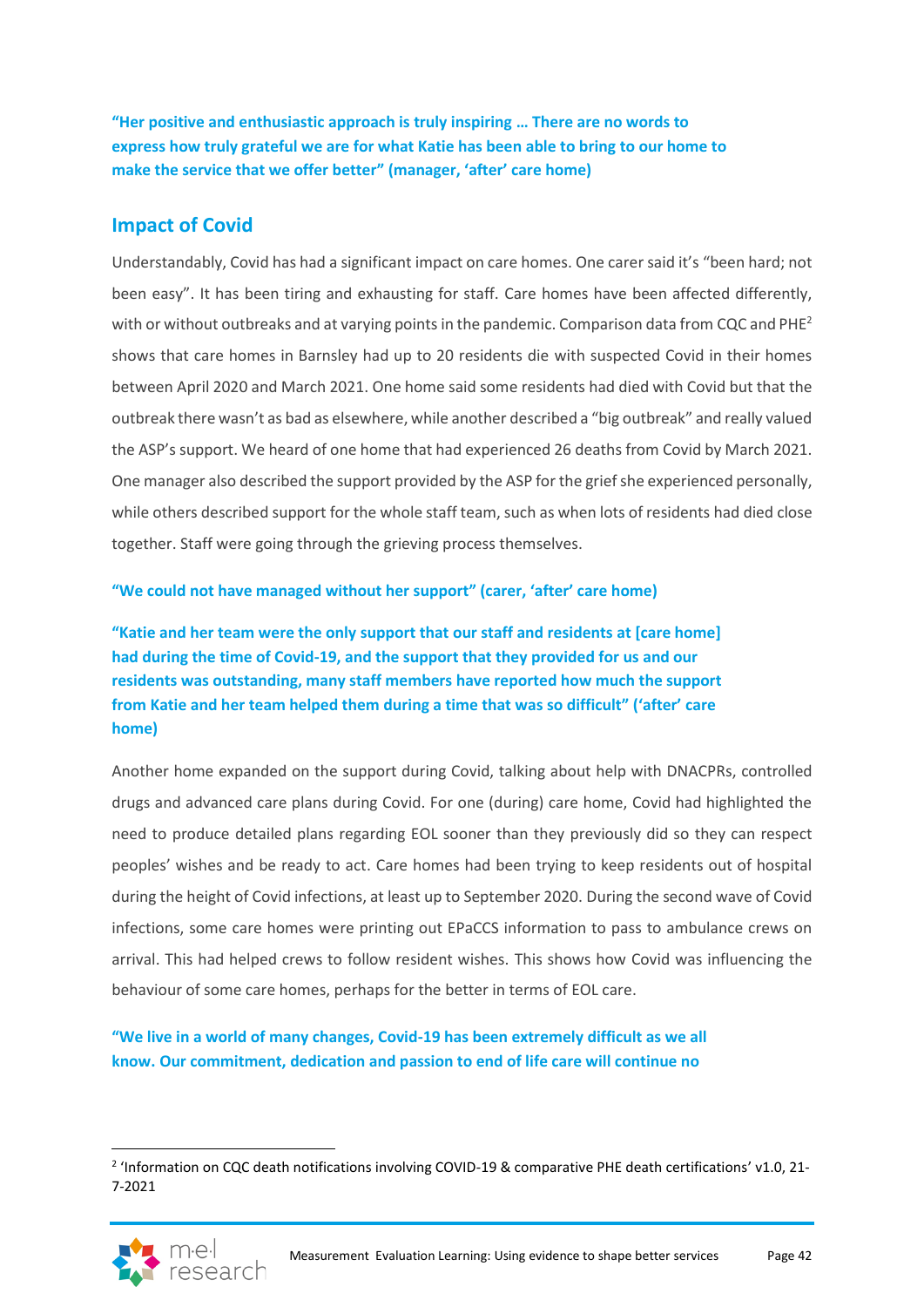**"Her positive and enthusiastic approach is truly inspiring … There are no words to express how truly grateful we are for what Katie has been able to bring to our home to make the service that we offer better" (manager, 'after' care home)**

## **Impact of Covid**

Understandably, Covid has had a significant impact on care homes. One carer said it's "been hard; not been easy". It has been tiring and exhausting for staff. Care homes have been affected differently, with or without outbreaks and at varying points in the pandemic. Comparison data from CQC and PHE<sup>2</sup> shows that care homes in Barnsley had up to 20 residents die with suspected Covid in their homes between April 2020 and March 2021. One home said some residents had died with Covid but that the outbreak there wasn't as bad as elsewhere, while another described a "big outbreak" and really valued the ASP's support. We heard of one home that had experienced 26 deaths from Covid by March 2021. One manager also described the support provided by the ASP for the grief she experienced personally, while others described support for the whole staff team, such as when lots of residents had died close together. Staff were going through the grieving process themselves.

#### **"We could not have managed without her support" (carer, 'after' care home)**

**"Katie and her team were the only support that our staff and residents at [care home] had during the time of Covid-19, and the support that they provided for us and our residents was outstanding, many staff members have reported how much the support from Katie and her team helped them during a time that was so difficult" ('after' care home)**

Another home expanded on the support during Covid, talking about help with DNACPRs, controlled drugs and advanced care plans during Covid. For one (during) care home, Covid had highlighted the need to produce detailed plans regarding EOL sooner than they previously did so they can respect peoples' wishes and be ready to act. Care homes had been trying to keep residents out of hospital during the height of Covid infections, at least up to September 2020. During the second wave of Covid infections, some care homes were printing out EPaCCS information to pass to ambulance crews on arrival. This had helped crews to follow resident wishes. This shows how Covid was influencing the behaviour of some care homes, perhaps for the better in terms of EOL care.

**"We live in a world of many changes, Covid-19 has been extremely difficult as we all know. Our commitment, dedication and passion to end of life care will continue no** 

<sup>&</sup>lt;sup>2</sup> 'Information on CQC death notifications involving COVID-19 & comparative PHE death certifications' v1.0, 21-7-2021

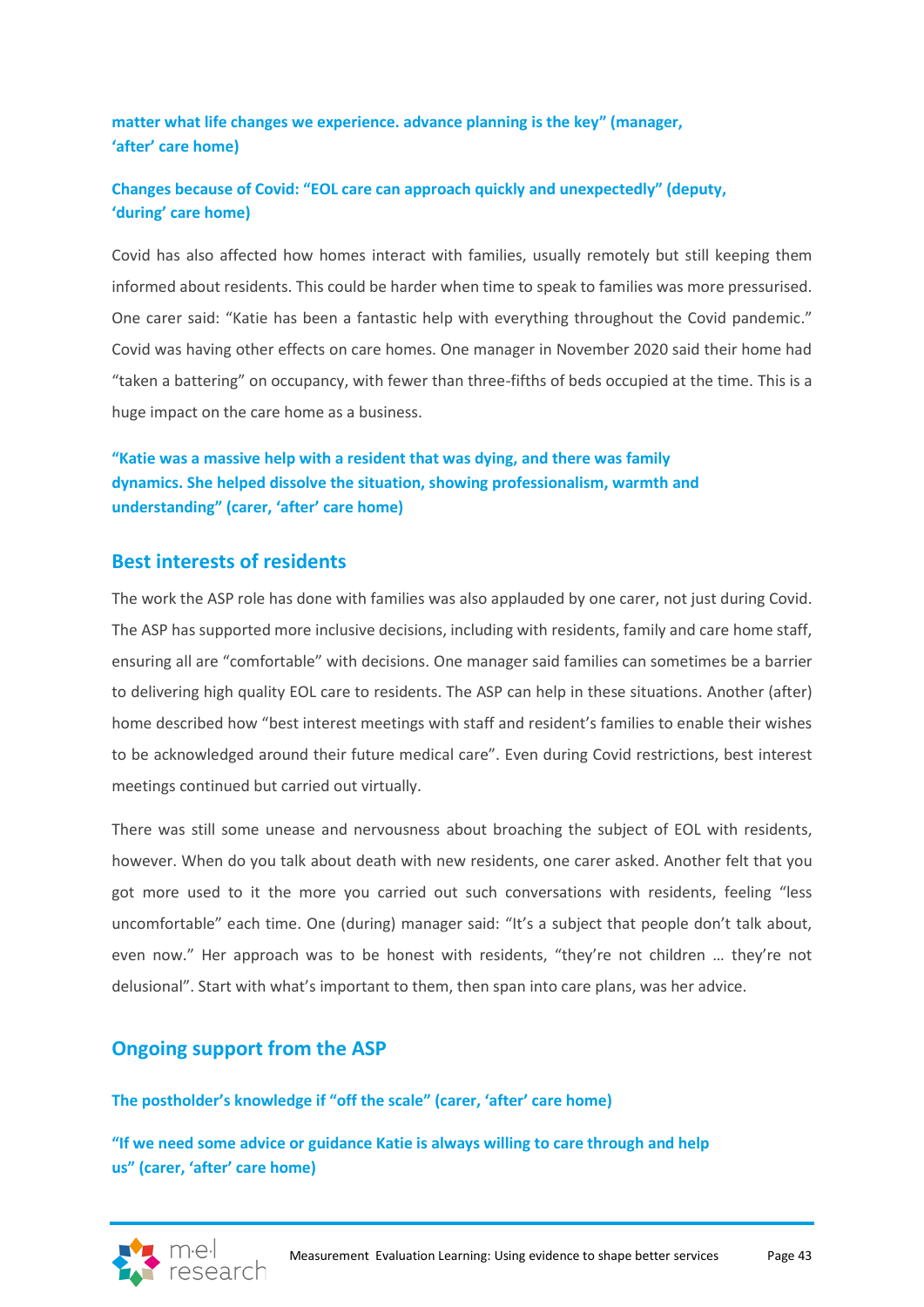**matter what life changes we experience. advance planning is the key" (manager, 'after' care home)**

## **Changes because of Covid: "EOL care can approach quickly and unexpectedly" (deputy, 'during' care home)**

Covid has also affected how homes interact with families, usually remotely but still keeping them informed about residents. This could be harder when time to speak to families was more pressurised. One carer said: "Katie has been a fantastic help with everything throughout the Covid pandemic." Covid was having other effects on care homes. One manager in November 2020 said their home had "taken a battering" on occupancy, with fewer than three-fifths of beds occupied at the time. This is a huge impact on the care home as a business.

**"Katie was a massive help with a resident that was dying, and there was family dynamics. She helped dissolve the situation, showing professionalism, warmth and understanding" (carer, 'after' care home)**

#### **Best interests of residents**

The work the ASP role has done with families was also applauded by one carer, not just during Covid. The ASP has supported more inclusive decisions, including with residents, family and care home staff, ensuring all are "comfortable" with decisions. One manager said families can sometimes be a barrier to delivering high quality EOL care to residents. The ASP can help in these situations. Another (after) home described how "best interest meetings with staff and resident's families to enable their wishes to be acknowledged around their future medical care". Even during Covid restrictions, best interest meetings continued but carried out virtually.

There was still some unease and nervousness about broaching the subject of EOL with residents, however. When do you talk about death with new residents, one carer asked. Another felt that you got more used to it the more you carried out such conversations with residents, feeling "less uncomfortable" each time. One (during) manager said: "It's a subject that people don't talk about, even now." Her approach was to be honest with residents, "they're not children … they're not delusional". Start with what's important to them, then span into care plans, was her advice.

### **Ongoing support from the ASP**

#### **The postholder's knowledge if "off the scale" (carer, 'after' care home)**

**"If we need some advice or guidance Katie is always willing to care through and help us" (carer, 'after' care home)**

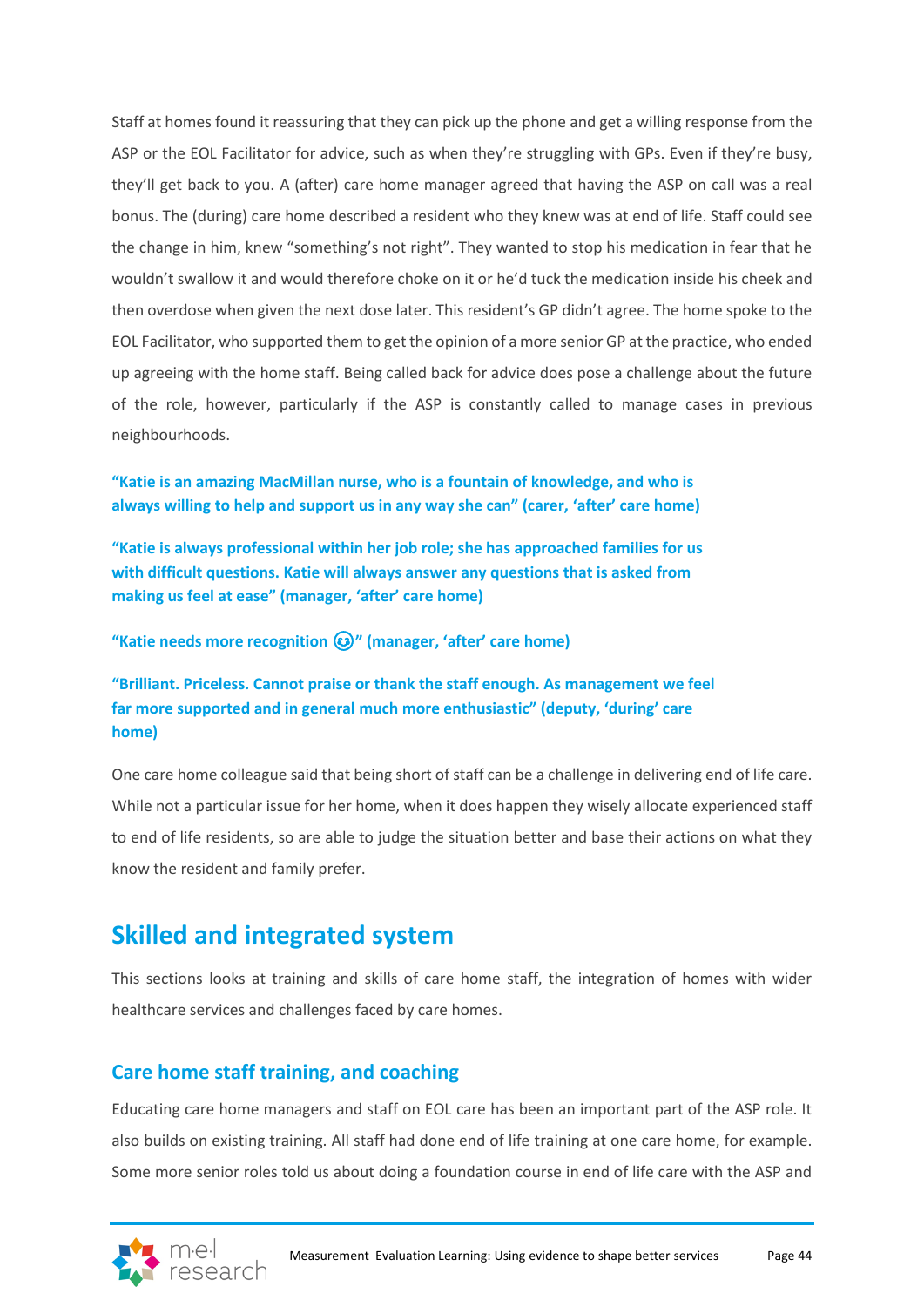Staff at homes found it reassuring that they can pick up the phone and get a willing response from the ASP or the EOL Facilitator for advice, such as when they're struggling with GPs. Even if they're busy, they'll get back to you. A (after) care home manager agreed that having the ASP on call was a real bonus. The (during) care home described a resident who they knew was at end of life. Staff could see the change in him, knew "something's not right". They wanted to stop his medication in fear that he wouldn't swallow it and would therefore choke on it or he'd tuck the medication inside his cheek and then overdose when given the next dose later. This resident's GP didn't agree. The home spoke to the EOL Facilitator, who supported them to get the opinion of a more senior GP at the practice, who ended up agreeing with the home staff. Being called back for advice does pose a challenge about the future of the role, however, particularly if the ASP is constantly called to manage cases in previous neighbourhoods.

**"Katie is an amazing MacMillan nurse, who is a fountain of knowledge, and who is always willing to help and support us in any way she can" (carer, 'after' care home)**

**"Katie is always professional within her job role; she has approached families for us with difficult questions. Katie will always answer any questions that is asked from making us feel at ease" (manager, 'after' care home)**

**"Katie needs more recognition " (manager, 'after' care home)**

**"Brilliant. Priceless. Cannot praise or thank the staff enough. As management we feel far more supported and in general much more enthusiastic" (deputy, 'during' care home)**

One care home colleague said that being short of staff can be a challenge in delivering end of life care. While not a particular issue for her home, when it does happen they wisely allocate experienced staff to end of life residents, so are able to judge the situation better and base their actions on what they know the resident and family prefer.

## **Skilled and integrated system**

This sections looks at training and skills of care home staff, the integration of homes with wider healthcare services and challenges faced by care homes.

## **Care home staff training, and coaching**

Educating care home managers and staff on EOL care has been an important part of the ASP role. It also builds on existing training. All staff had done end of life training at one care home, for example. Some more senior roles told us about doing a foundation course in end of life care with the ASP and

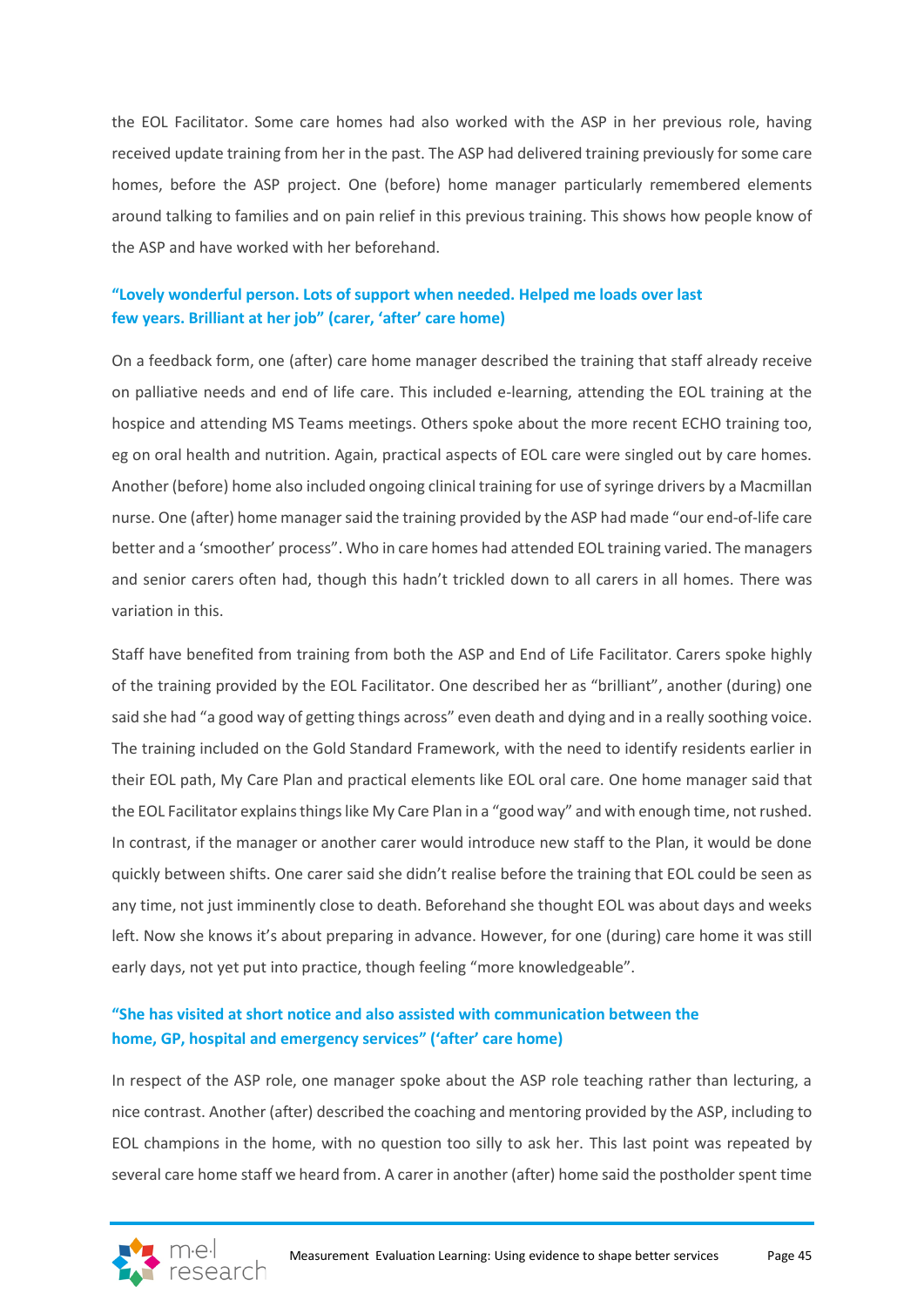the EOL Facilitator. Some care homes had also worked with the ASP in her previous role, having received update training from her in the past. The ASP had delivered training previously for some care homes, before the ASP project. One (before) home manager particularly remembered elements around talking to families and on pain relief in this previous training. This shows how people know of the ASP and have worked with her beforehand.

#### **"Lovely wonderful person. Lots of support when needed. Helped me loads over last few years. Brilliant at her job" (carer, 'after' care home)**

On a feedback form, one (after) care home manager described the training that staff already receive on palliative needs and end of life care. This included e-learning, attending the EOL training at the hospice and attending MS Teams meetings. Others spoke about the more recent ECHO training too, eg on oral health and nutrition. Again, practical aspects of EOL care were singled out by care homes. Another (before) home also included ongoing clinical training for use of syringe drivers by a Macmillan nurse. One (after) home manager said the training provided by the ASP had made "our end-of-life care better and a 'smoother' process". Who in care homes had attended EOL training varied. The managers and senior carers often had, though this hadn't trickled down to all carers in all homes. There was variation in this.

Staff have benefited from training from both the ASP and End of Life Facilitator. Carers spoke highly of the training provided by the EOL Facilitator. One described her as "brilliant", another (during) one said she had "a good way of getting things across" even death and dying and in a really soothing voice. The training included on the Gold Standard Framework, with the need to identify residents earlier in their EOL path, My Care Plan and practical elements like EOL oral care. One home manager said that the EOL Facilitator explains things like My Care Plan in a "good way" and with enough time, not rushed. In contrast, if the manager or another carer would introduce new staff to the Plan, it would be done quickly between shifts. One carer said she didn't realise before the training that EOL could be seen as any time, not just imminently close to death. Beforehand she thought EOL was about days and weeks left. Now she knows it's about preparing in advance. However, for one (during) care home it was still early days, not yet put into practice, though feeling "more knowledgeable".

### **"She has visited at short notice and also assisted with communication between the home, GP, hospital and emergency services" ('after' care home)**

In respect of the ASP role, one manager spoke about the ASP role teaching rather than lecturing, a nice contrast. Another (after) described the coaching and mentoring provided by the ASP, including to EOL champions in the home, with no question too silly to ask her. This last point was repeated by several care home staff we heard from. A carer in another (after) home said the postholder spent time

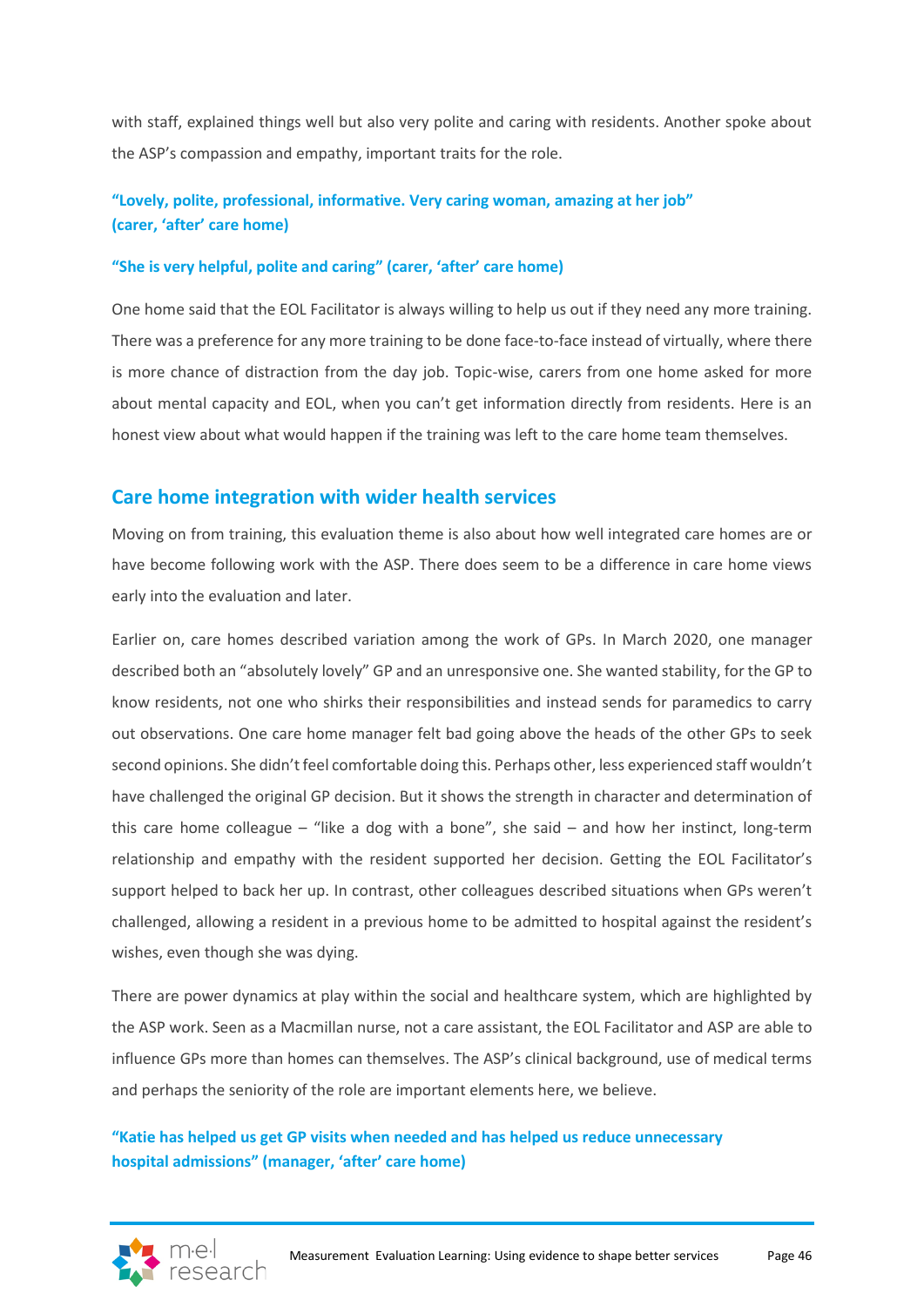with staff, explained things well but also very polite and caring with residents. Another spoke about the ASP's compassion and empathy, important traits for the role.

## **"Lovely, polite, professional, informative. Very caring woman, amazing at her job" (carer, 'after' care home)**

#### **"She is very helpful, polite and caring" (carer, 'after' care home)**

One home said that the EOL Facilitator is always willing to help us out if they need any more training. There was a preference for any more training to be done face-to-face instead of virtually, where there is more chance of distraction from the day job. Topic-wise, carers from one home asked for more about mental capacity and EOL, when you can't get information directly from residents. Here is an honest view about what would happen if the training was left to the care home team themselves.

#### **Care home integration with wider health services**

Moving on from training, this evaluation theme is also about how well integrated care homes are or have become following work with the ASP. There does seem to be a difference in care home views early into the evaluation and later.

Earlier on, care homes described variation among the work of GPs. In March 2020, one manager described both an "absolutely lovely" GP and an unresponsive one. She wanted stability, for the GP to know residents, not one who shirks their responsibilities and instead sends for paramedics to carry out observations. One care home manager felt bad going above the heads of the other GPs to seek second opinions. She didn't feel comfortable doing this. Perhaps other, less experienced staff wouldn't have challenged the original GP decision. But it shows the strength in character and determination of this care home colleague – "like a dog with a bone", she said – and how her instinct, long-term relationship and empathy with the resident supported her decision. Getting the EOL Facilitator's support helped to back her up. In contrast, other colleagues described situations when GPs weren't challenged, allowing a resident in a previous home to be admitted to hospital against the resident's wishes, even though she was dying.

There are power dynamics at play within the social and healthcare system, which are highlighted by the ASP work. Seen as a Macmillan nurse, not a care assistant, the EOL Facilitator and ASP are able to influence GPs more than homes can themselves. The ASP's clinical background, use of medical terms and perhaps the seniority of the role are important elements here, we believe.

#### **"Katie has helped us get GP visits when needed and has helped us reduce unnecessary hospital admissions" (manager, 'after' care home)**

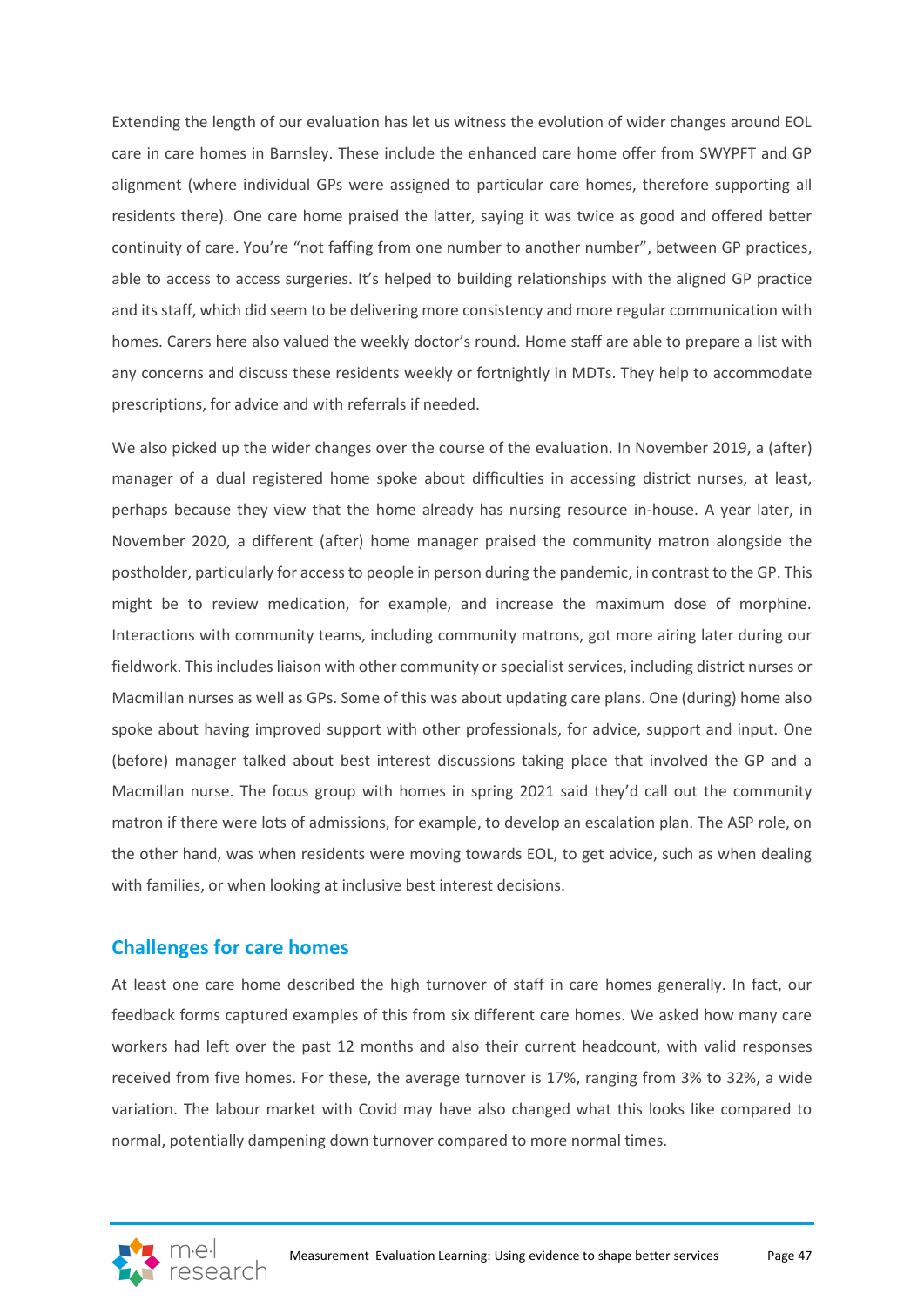Extending the length of our evaluation has let us witness the evolution of wider changes around EOL care in care homes in Barnsley. These include the enhanced care home offer from SWYPFT and GP alignment (where individual GPs were assigned to particular care homes, therefore supporting all residents there). One care home praised the latter, saying it was twice as good and offered better continuity of care. You're "not faffing from one number to another number", between GP practices, able to access to access surgeries. It's helped to building relationships with the aligned GP practice and its staff, which did seem to be delivering more consistency and more regular communication with homes. Carers here also valued the weekly doctor's round. Home staff are able to prepare a list with any concerns and discuss these residents weekly or fortnightly in MDTs. They help to accommodate prescriptions, for advice and with referrals if needed.

We also picked up the wider changes over the course of the evaluation. In November 2019, a (after) manager of a dual registered home spoke about difficulties in accessing district nurses, at least, perhaps because they view that the home already has nursing resource in-house. A year later, in November 2020, a different (after) home manager praised the community matron alongside the postholder, particularly for access to people in person during the pandemic, in contrast to the GP. This might be to review medication, for example, and increase the maximum dose of morphine. Interactions with community teams, including community matrons, got more airing later during our fieldwork. This includes liaison with other community or specialist services, including district nurses or Macmillan nurses as well as GPs. Some of this was about updating care plans. One (during) home also spoke about having improved support with other professionals, for advice, support and input. One (before) manager talked about best interest discussions taking place that involved the GP and a Macmillan nurse. The focus group with homes in spring 2021 said they'd call out the community matron if there were lots of admissions, for example, to develop an escalation plan. The ASP role, on the other hand, was when residents were moving towards EOL, to get advice, such as when dealing with families, or when looking at inclusive best interest decisions.

### **Challenges for care homes**

At least one care home described the high turnover of staff in care homes generally. In fact, our feedback forms captured examples of this from six different care homes. We asked how many care workers had left over the past 12 months and also their current headcount, with valid responses received from five homes. For these, the average turnover is 17%, ranging from 3% to 32%, a wide variation. The labour market with Covid may have also changed what this looks like compared to normal, potentially dampening down turnover compared to more normal times.

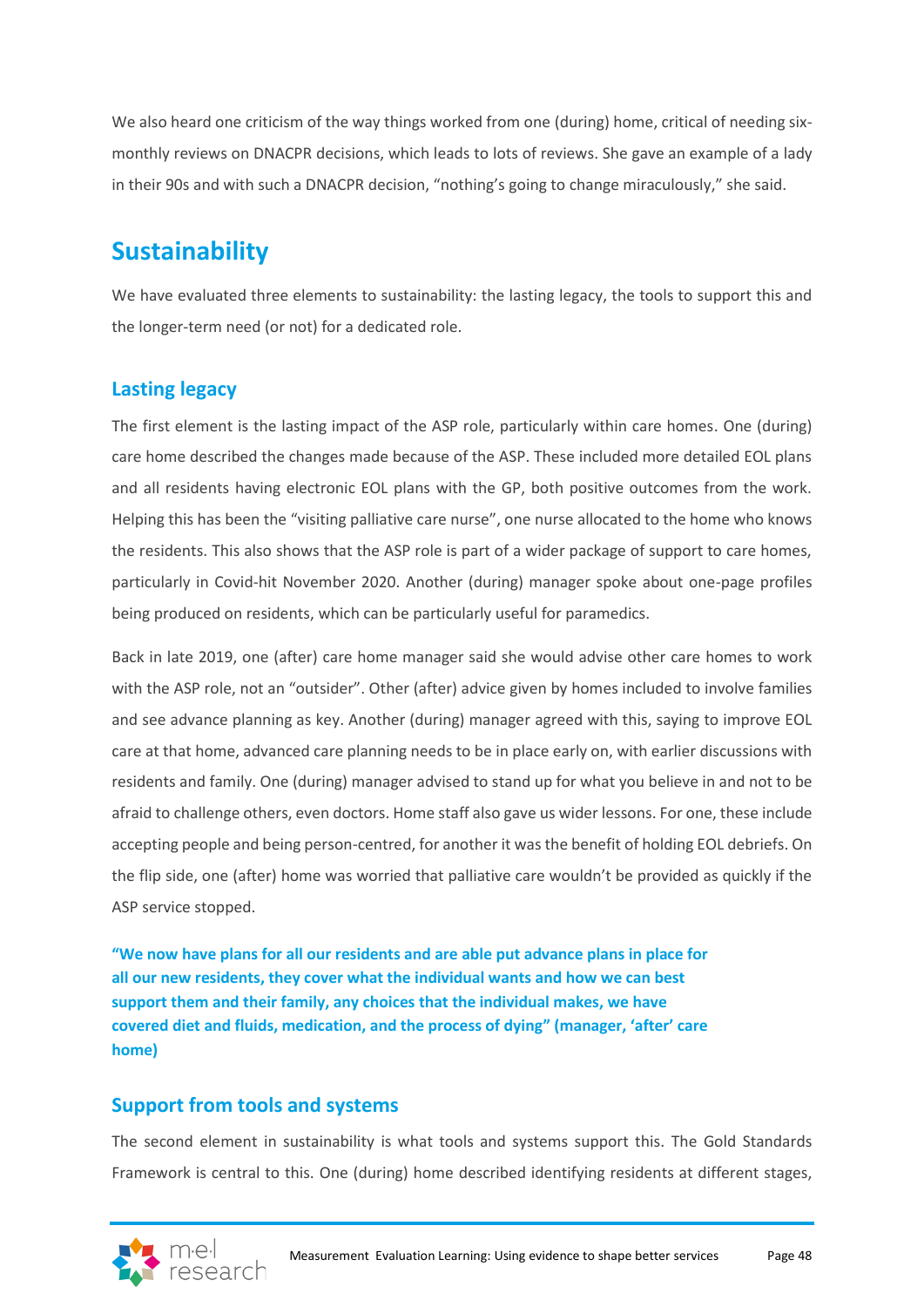We also heard one criticism of the way things worked from one (during) home, critical of needing sixmonthly reviews on DNACPR decisions, which leads to lots of reviews. She gave an example of a lady in their 90s and with such a DNACPR decision, "nothing's going to change miraculously," she said.

## **Sustainability**

We have evaluated three elements to sustainability: the lasting legacy, the tools to support this and the longer-term need (or not) for a dedicated role.

## **Lasting legacy**

The first element is the lasting impact of the ASP role, particularly within care homes. One (during) care home described the changes made because of the ASP. These included more detailed EOL plans and all residents having electronic EOL plans with the GP, both positive outcomes from the work. Helping this has been the "visiting palliative care nurse", one nurse allocated to the home who knows the residents. This also shows that the ASP role is part of a wider package of support to care homes, particularly in Covid-hit November 2020. Another (during) manager spoke about one-page profiles being produced on residents, which can be particularly useful for paramedics.

Back in late 2019, one (after) care home manager said she would advise other care homes to work with the ASP role, not an "outsider". Other (after) advice given by homes included to involve families and see advance planning as key. Another (during) manager agreed with this, saying to improve EOL care at that home, advanced care planning needs to be in place early on, with earlier discussions with residents and family. One (during) manager advised to stand up for what you believe in and not to be afraid to challenge others, even doctors. Home staff also gave us wider lessons. For one, these include accepting people and being person-centred, for another it was the benefit of holding EOL debriefs. On the flip side, one (after) home was worried that palliative care wouldn't be provided as quickly if the ASP service stopped.

**"We now have plans for all our residents and are able put advance plans in place for all our new residents, they cover what the individual wants and how we can best support them and their family, any choices that the individual makes, we have covered diet and fluids, medication, and the process of dying" (manager, 'after' care home)**

## **Support from tools and systems**

The second element in sustainability is what tools and systems support this. The Gold Standards Framework is central to this. One (during) home described identifying residents at different stages,

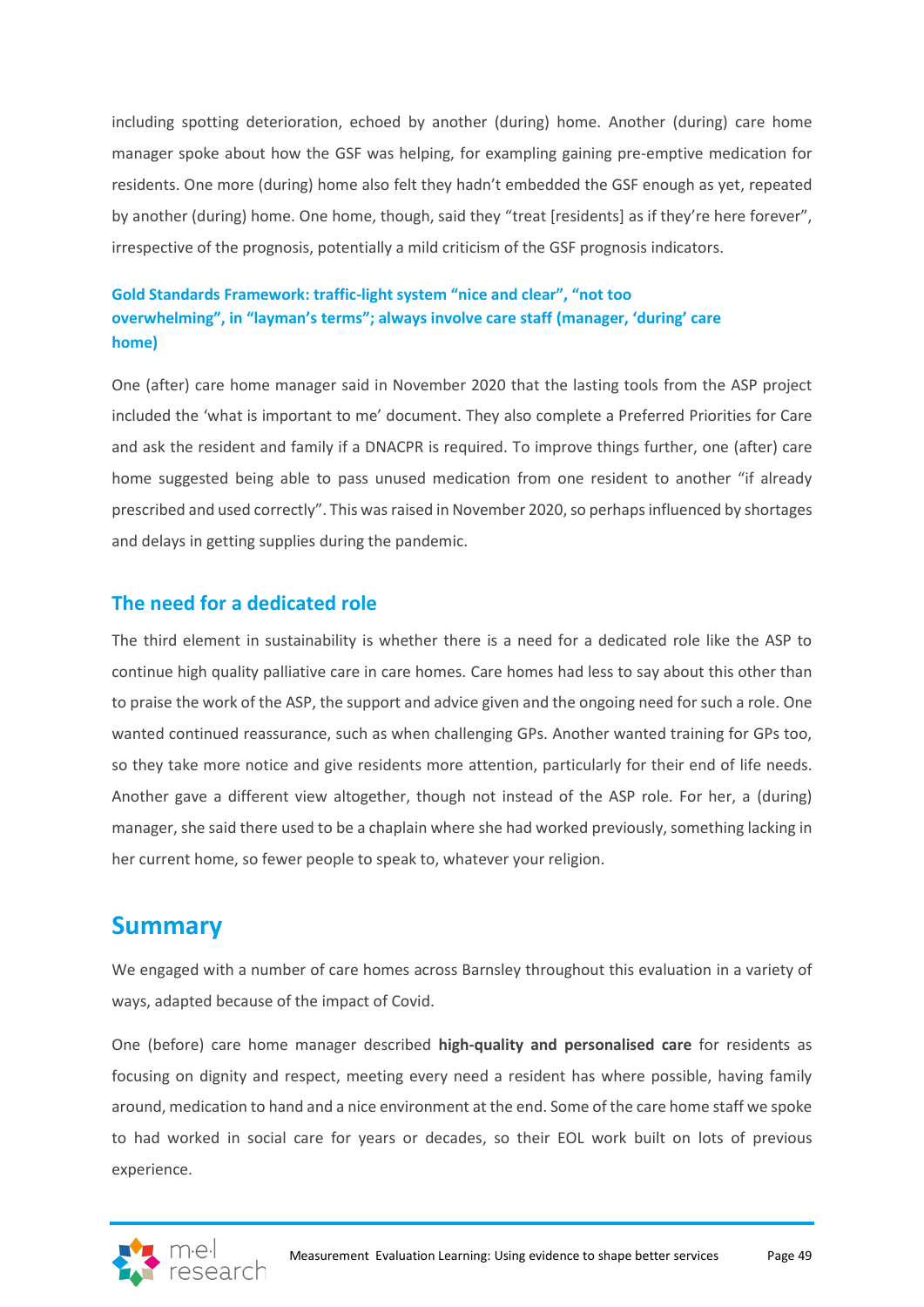including spotting deterioration, echoed by another (during) home. Another (during) care home manager spoke about how the GSF was helping, for exampling gaining pre-emptive medication for residents. One more (during) home also felt they hadn't embedded the GSF enough as yet, repeated by another (during) home. One home, though, said they "treat [residents] as if they're here forever", irrespective of the prognosis, potentially a mild criticism of the GSF prognosis indicators.

## **Gold Standards Framework: traffic-light system "nice and clear", "not too overwhelming", in "layman's terms"; always involve care staff (manager, 'during' care home)**

One (after) care home manager said in November 2020 that the lasting tools from the ASP project included the 'what is important to me' document. They also complete a Preferred Priorities for Care and ask the resident and family if a DNACPR is required. To improve things further, one (after) care home suggested being able to pass unused medication from one resident to another "if already prescribed and used correctly". This was raised in November 2020, so perhaps influenced by shortages and delays in getting supplies during the pandemic.

## **The need for a dedicated role**

The third element in sustainability is whether there is a need for a dedicated role like the ASP to continue high quality palliative care in care homes. Care homes had less to say about this other than to praise the work of the ASP, the support and advice given and the ongoing need for such a role. One wanted continued reassurance, such as when challenging GPs. Another wanted training for GPs too, so they take more notice and give residents more attention, particularly for their end of life needs. Another gave a different view altogether, though not instead of the ASP role. For her, a (during) manager, she said there used to be a chaplain where she had worked previously, something lacking in her current home, so fewer people to speak to, whatever your religion.

## **Summary**

We engaged with a number of care homes across Barnsley throughout this evaluation in a variety of ways, adapted because of the impact of Covid.

One (before) care home manager described **high-quality and personalised care** for residents as focusing on dignity and respect, meeting every need a resident has where possible, having family around, medication to hand and a nice environment at the end. Some of the care home staff we spoke to had worked in social care for years or decades, so their EOL work built on lots of previous experience.

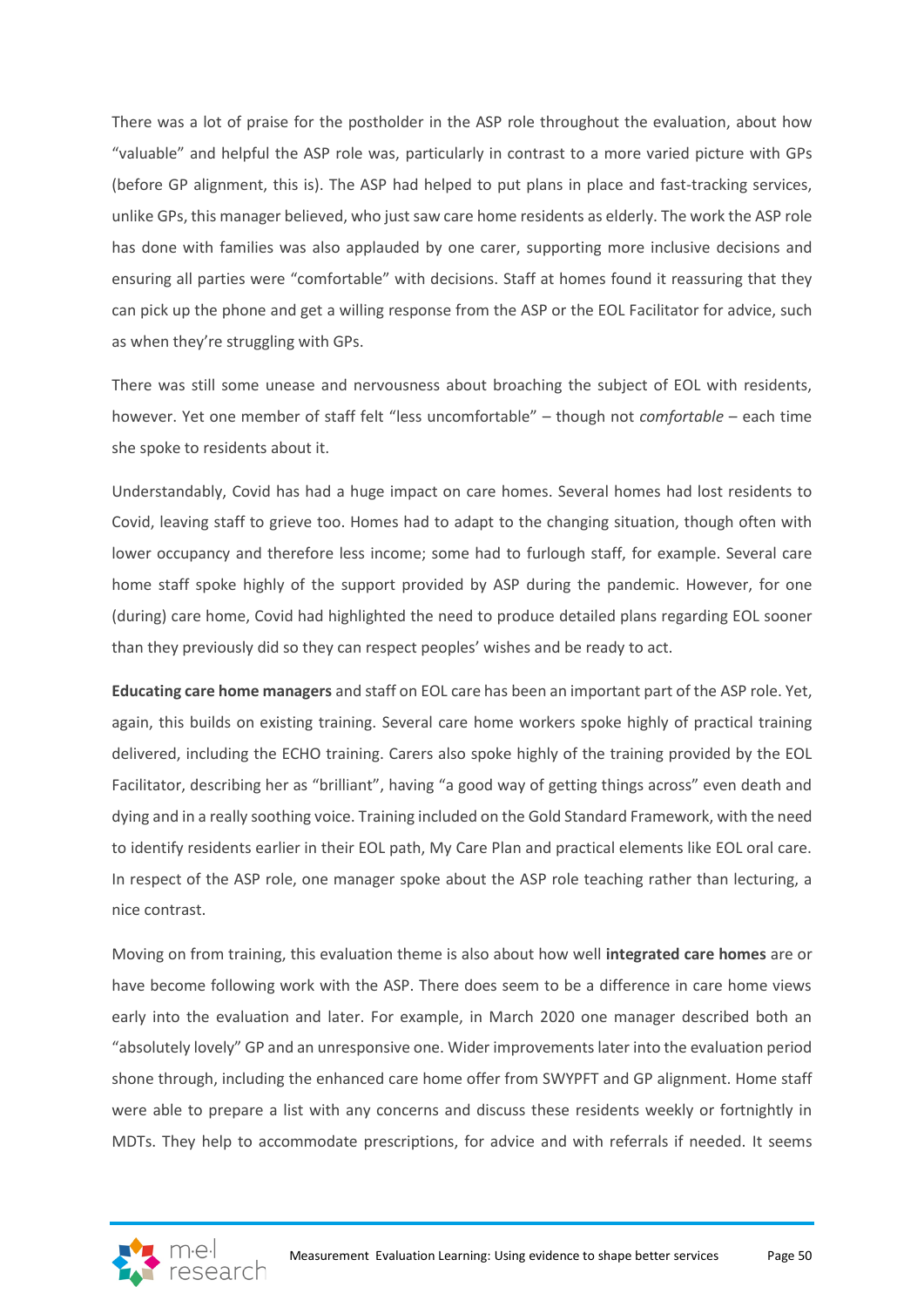There was a lot of praise for the postholder in the ASP role throughout the evaluation, about how "valuable" and helpful the ASP role was, particularly in contrast to a more varied picture with GPs (before GP alignment, this is). The ASP had helped to put plans in place and fast-tracking services, unlike GPs, this manager believed, who just saw care home residents as elderly. The work the ASP role has done with families was also applauded by one carer, supporting more inclusive decisions and ensuring all parties were "comfortable" with decisions. Staff at homes found it reassuring that they can pick up the phone and get a willing response from the ASP or the EOL Facilitator for advice, such as when they're struggling with GPs.

There was still some unease and nervousness about broaching the subject of EOL with residents, however. Yet one member of staff felt "less uncomfortable" – though not *comfortable* – each time she spoke to residents about it.

Understandably, Covid has had a huge impact on care homes. Several homes had lost residents to Covid, leaving staff to grieve too. Homes had to adapt to the changing situation, though often with lower occupancy and therefore less income; some had to furlough staff, for example. Several care home staff spoke highly of the support provided by ASP during the pandemic. However, for one (during) care home, Covid had highlighted the need to produce detailed plans regarding EOL sooner than they previously did so they can respect peoples' wishes and be ready to act.

**Educating care home managers** and staff on EOL care has been an important part of the ASP role. Yet, again, this builds on existing training. Several care home workers spoke highly of practical training delivered, including the ECHO training. Carers also spoke highly of the training provided by the EOL Facilitator, describing her as "brilliant", having "a good way of getting things across" even death and dying and in a really soothing voice. Training included on the Gold Standard Framework, with the need to identify residents earlier in their EOL path, My Care Plan and practical elements like EOL oral care. In respect of the ASP role, one manager spoke about the ASP role teaching rather than lecturing, a nice contrast.

Moving on from training, this evaluation theme is also about how well **integrated care homes** are or have become following work with the ASP. There does seem to be a difference in care home views early into the evaluation and later. For example, in March 2020 one manager described both an "absolutely lovely" GP and an unresponsive one. Wider improvements later into the evaluation period shone through, including the enhanced care home offer from SWYPFT and GP alignment. Home staff were able to prepare a list with any concerns and discuss these residents weekly or fortnightly in MDTs. They help to accommodate prescriptions, for advice and with referrals if needed. It seems

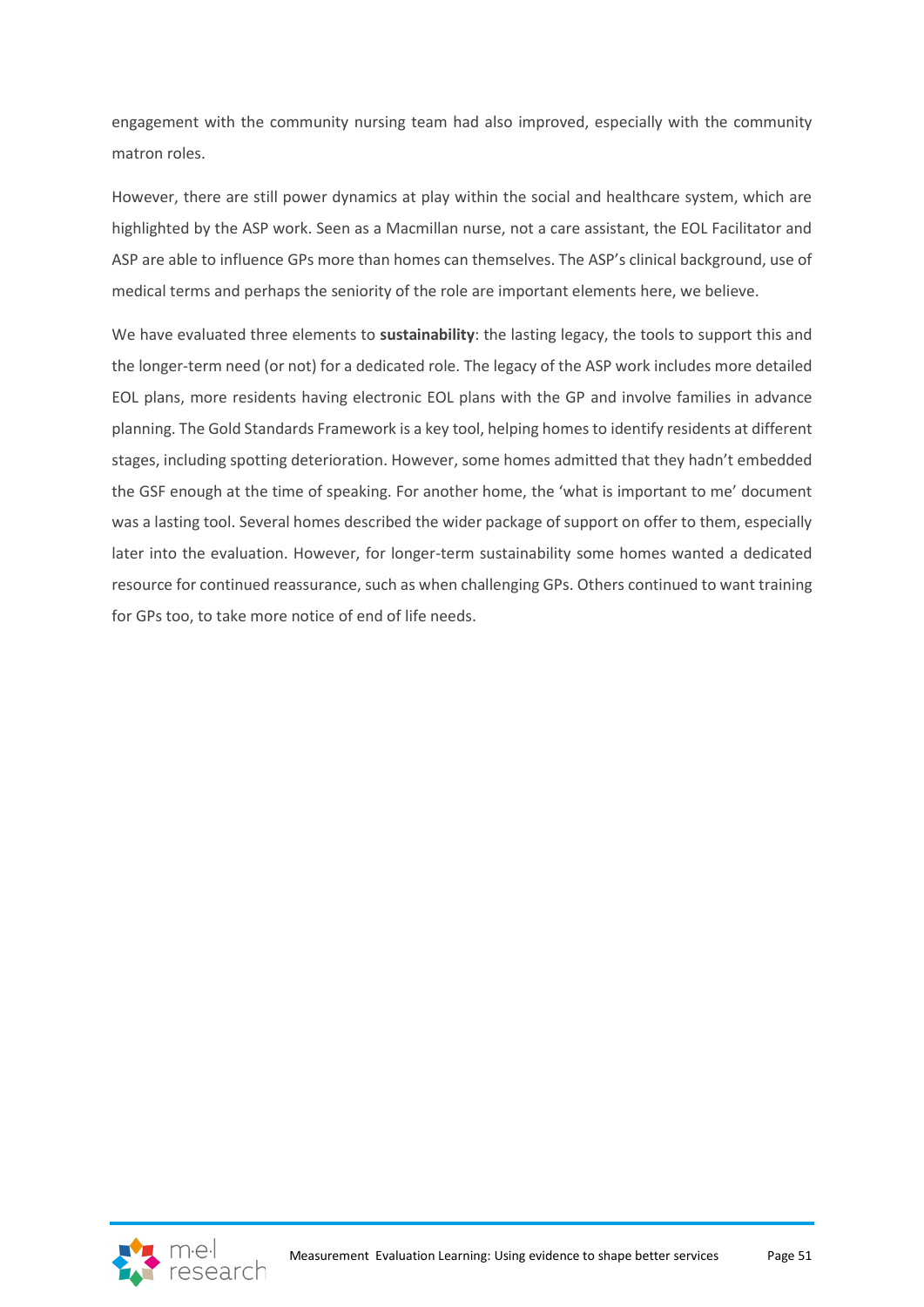engagement with the community nursing team had also improved, especially with the community matron roles.

However, there are still power dynamics at play within the social and healthcare system, which are highlighted by the ASP work. Seen as a Macmillan nurse, not a care assistant, the EOL Facilitator and ASP are able to influence GPs more than homes can themselves. The ASP's clinical background, use of medical terms and perhaps the seniority of the role are important elements here, we believe.

We have evaluated three elements to **sustainability**: the lasting legacy, the tools to support this and the longer-term need (or not) for a dedicated role. The legacy of the ASP work includes more detailed EOL plans, more residents having electronic EOL plans with the GP and involve families in advance planning. The Gold Standards Framework is a key tool, helping homes to identify residents at different stages, including spotting deterioration. However, some homes admitted that they hadn't embedded the GSF enough at the time of speaking. For another home, the 'what is important to me' document was a lasting tool. Several homes described the wider package of support on offer to them, especially later into the evaluation. However, for longer-term sustainability some homes wanted a dedicated resource for continued reassurance, such as when challenging GPs. Others continued to want training for GPs too, to take more notice of end of life needs.

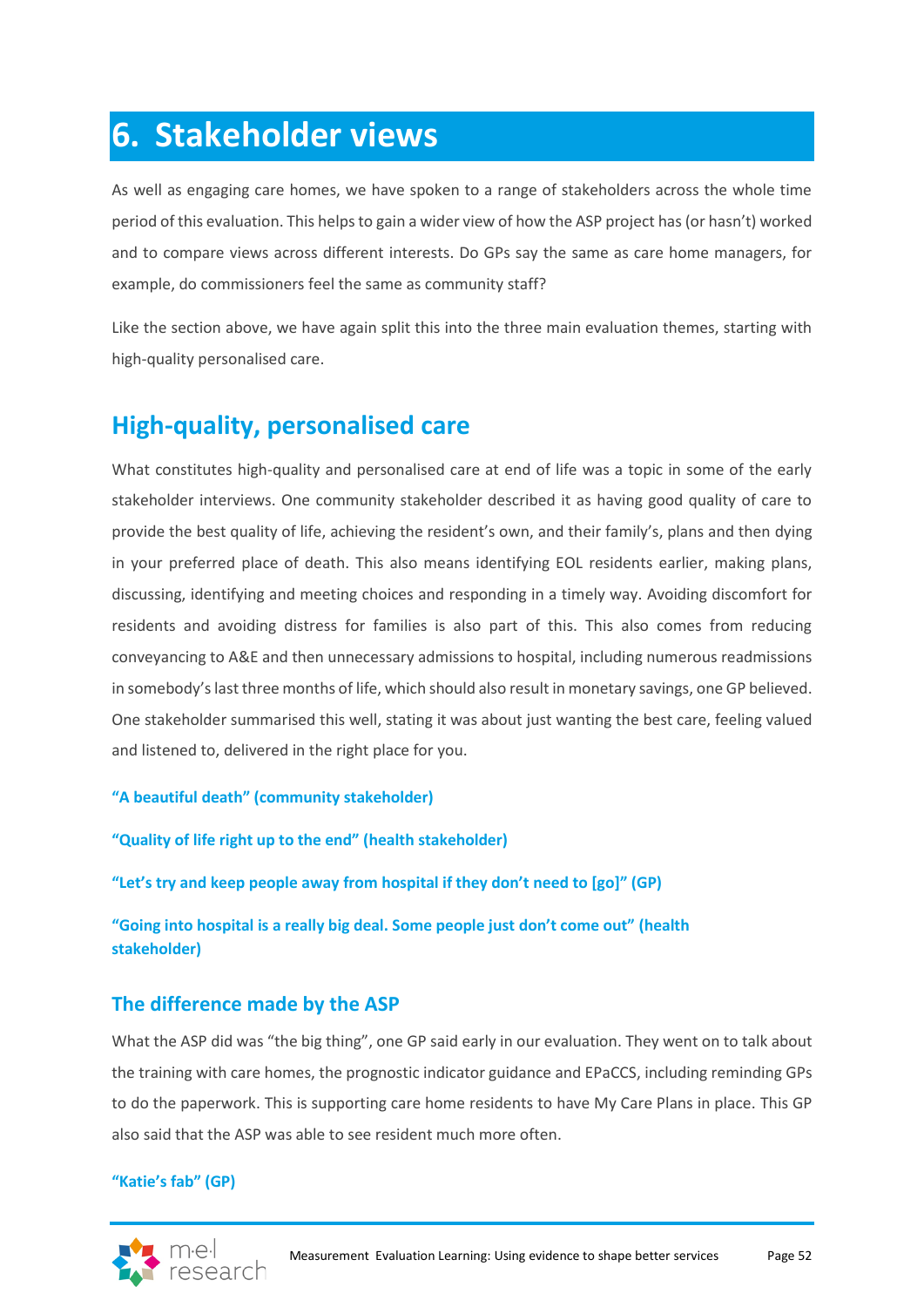# **6. Stakeholder views**

As well as engaging care homes, we have spoken to a range of stakeholders across the whole time period of this evaluation. This helps to gain a wider view of how the ASP project has (or hasn't) worked and to compare views across different interests. Do GPs say the same as care home managers, for example, do commissioners feel the same as community staff?

Like the section above, we have again split this into the three main evaluation themes, starting with high-quality personalised care.

## **High-quality, personalised care**

What constitutes high-quality and personalised care at end of life was a topic in some of the early stakeholder interviews. One community stakeholder described it as having good quality of care to provide the best quality of life, achieving the resident's own, and their family's, plans and then dying in your preferred place of death. This also means identifying EOL residents earlier, making plans, discussing, identifying and meeting choices and responding in a timely way. Avoiding discomfort for residents and avoiding distress for families is also part of this. This also comes from reducing conveyancing to A&E and then unnecessary admissions to hospital, including numerous readmissions in somebody'slast three months of life, which should also result in monetary savings, one GP believed. One stakeholder summarised this well, stating it was about just wanting the best care, feeling valued and listened to, delivered in the right place for you.

#### **"A beautiful death" (community stakeholder)**

**"Quality of life right up to the end" (health stakeholder)**

**"Let's try and keep people away from hospital if they don't need to [go]" (GP)**

**"Going into hospital is a really big deal. Some people just don't come out" (health stakeholder)**

## **The difference made by the ASP**

What the ASP did was "the big thing", one GP said early in our evaluation. They went on to talk about the training with care homes, the prognostic indicator guidance and EPaCCS, including reminding GPs to do the paperwork. This is supporting care home residents to have My Care Plans in place. This GP also said that the ASP was able to see resident much more often.

### **"Katie's fab" (GP)**

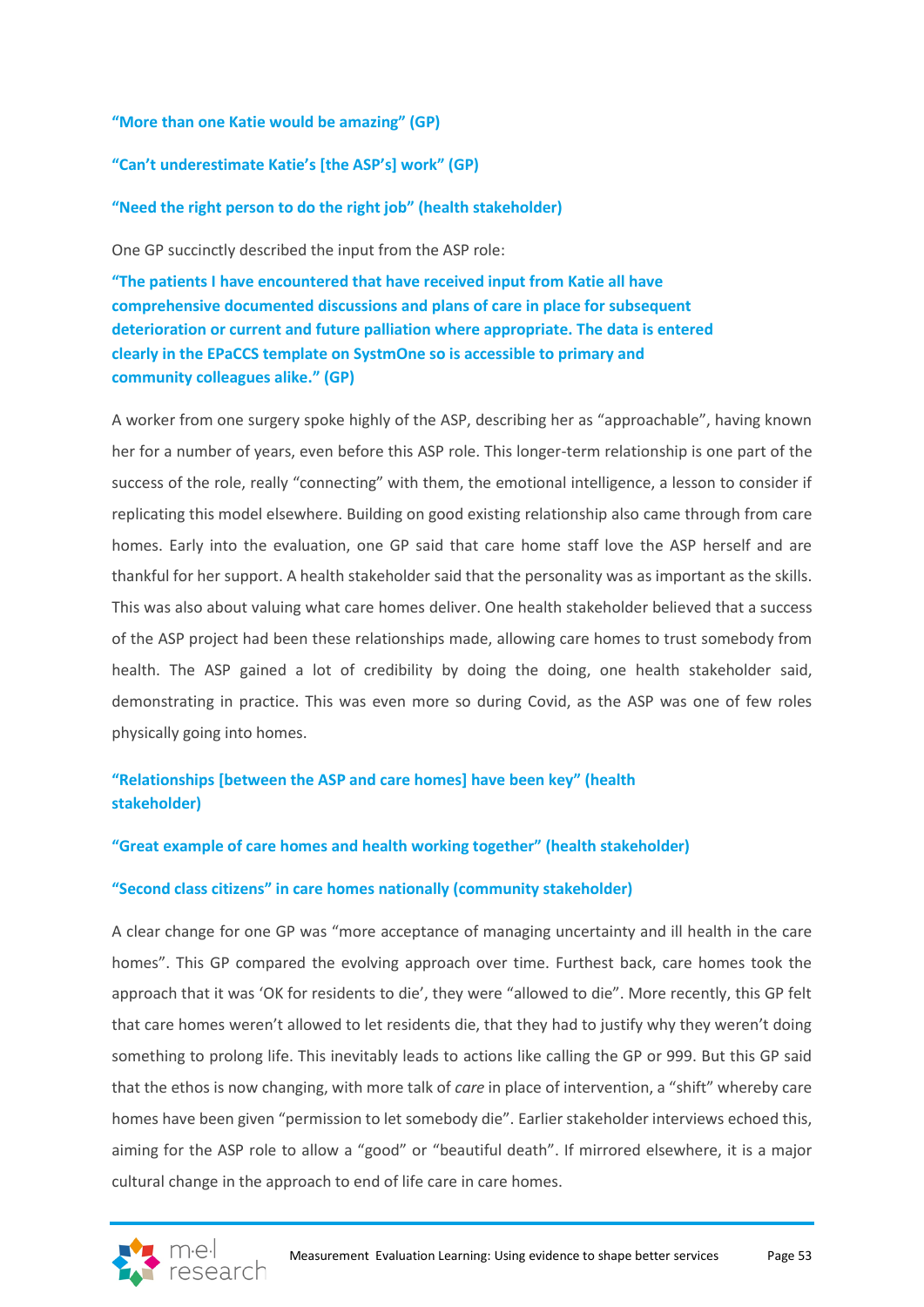#### **"More than one Katie would be amazing" (GP)**

#### **"Can't underestimate Katie's [the ASP's] work" (GP)**

#### **"Need the right person to do the right job" (health stakeholder)**

One GP succinctly described the input from the ASP role:

**"The patients I have encountered that have received input from Katie all have comprehensive documented discussions and plans of care in place for subsequent deterioration or current and future palliation where appropriate. The data is entered clearly in the EPaCCS template on SystmOne so is accessible to primary and community colleagues alike." (GP)**

A worker from one surgery spoke highly of the ASP, describing her as "approachable", having known her for a number of years, even before this ASP role. This longer-term relationship is one part of the success of the role, really "connecting" with them, the emotional intelligence, a lesson to consider if replicating this model elsewhere. Building on good existing relationship also came through from care homes. Early into the evaluation, one GP said that care home staff love the ASP herself and are thankful for her support. A health stakeholder said that the personality was as important as the skills. This was also about valuing what care homes deliver. One health stakeholder believed that a success of the ASP project had been these relationships made, allowing care homes to trust somebody from health. The ASP gained a lot of credibility by doing the doing, one health stakeholder said, demonstrating in practice. This was even more so during Covid, as the ASP was one of few roles physically going into homes.

#### **"Relationships [between the ASP and care homes] have been key" (health stakeholder)**

#### **"Great example of care homes and health working together" (health stakeholder)**

#### **"Second class citizens" in care homes nationally (community stakeholder)**

A clear change for one GP was "more acceptance of managing uncertainty and ill health in the care homes". This GP compared the evolving approach over time. Furthest back, care homes took the approach that it was 'OK for residents to die', they were "allowed to die". More recently, this GP felt that care homes weren't allowed to let residents die, that they had to justify why they weren't doing something to prolong life. This inevitably leads to actions like calling the GP or 999. But this GP said that the ethos is now changing, with more talk of *care* in place of intervention, a "shift" whereby care homes have been given "permission to let somebody die". Earlier stakeholder interviews echoed this, aiming for the ASP role to allow a "good" or "beautiful death". If mirrored elsewhere, it is a major cultural change in the approach to end of life care in care homes.

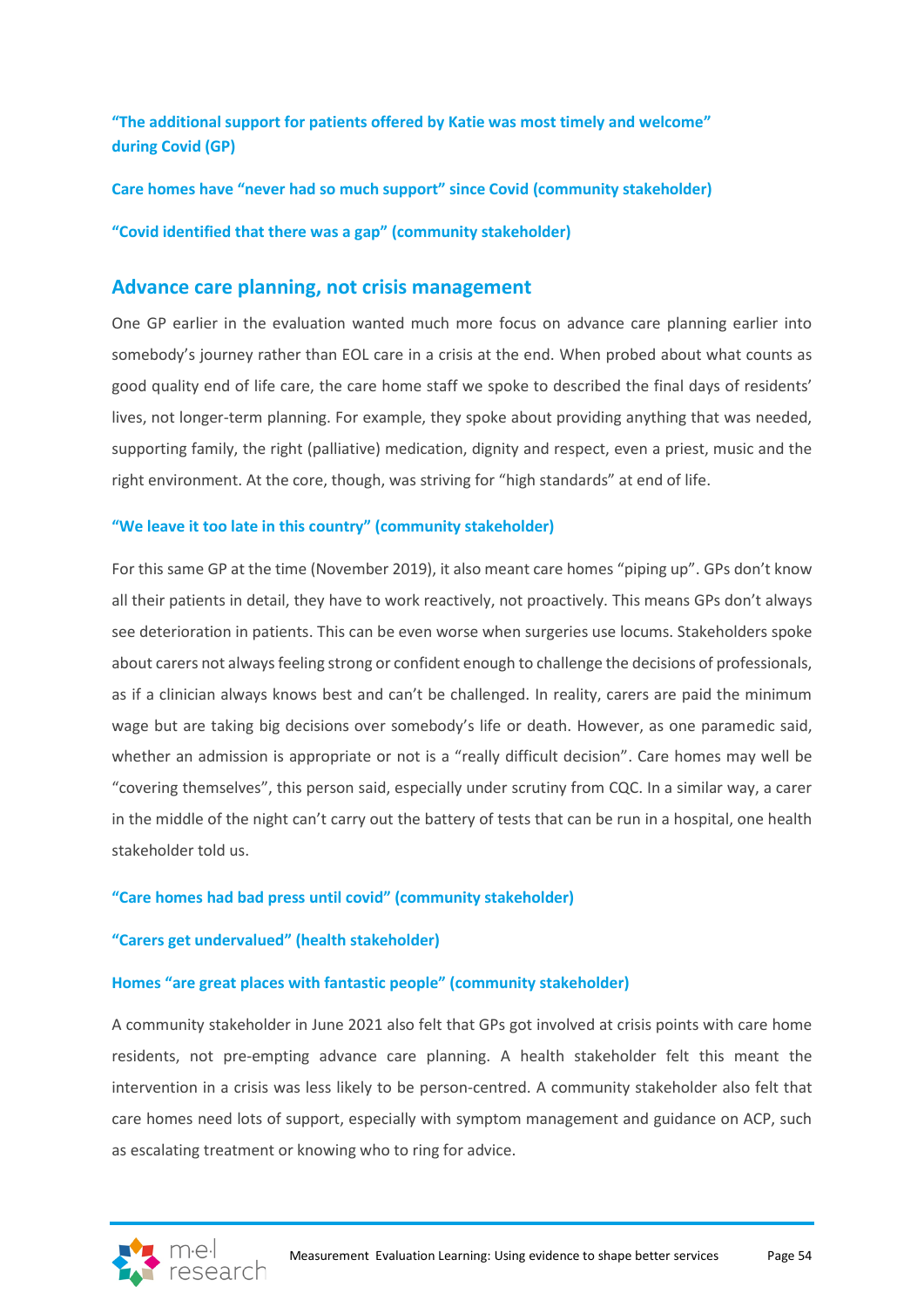**"The additional support for patients offered by Katie was most timely and welcome" during Covid (GP)**

**Care homes have "never had so much support" since Covid (community stakeholder)**

**"Covid identified that there was a gap" (community stakeholder)**

### **Advance care planning, not crisis management**

One GP earlier in the evaluation wanted much more focus on advance care planning earlier into somebody's journey rather than EOL care in a crisis at the end. When probed about what counts as good quality end of life care, the care home staff we spoke to described the final days of residents' lives, not longer-term planning. For example, they spoke about providing anything that was needed, supporting family, the right (palliative) medication, dignity and respect, even a priest, music and the right environment. At the core, though, was striving for "high standards" at end of life.

#### **"We leave it too late in this country" (community stakeholder)**

For this same GP at the time (November 2019), it also meant care homes "piping up". GPs don't know all their patients in detail, they have to work reactively, not proactively. This means GPs don't always see deterioration in patients. This can be even worse when surgeries use locums. Stakeholders spoke about carers not always feeling strong or confident enough to challenge the decisions of professionals, as if a clinician always knows best and can't be challenged. In reality, carers are paid the minimum wage but are taking big decisions over somebody's life or death. However, as one paramedic said, whether an admission is appropriate or not is a "really difficult decision". Care homes may well be "covering themselves", this person said, especially under scrutiny from CQC. In a similar way, a carer in the middle of the night can't carry out the battery of tests that can be run in a hospital, one health stakeholder told us.

#### **"Care homes had bad press until covid" (community stakeholder)**

#### **"Carers get undervalued" (health stakeholder)**

#### **Homes "are great places with fantastic people" (community stakeholder)**

A community stakeholder in June 2021 also felt that GPs got involved at crisis points with care home residents, not pre-empting advance care planning. A health stakeholder felt this meant the intervention in a crisis was less likely to be person-centred. A community stakeholder also felt that care homes need lots of support, especially with symptom management and guidance on ACP, such as escalating treatment or knowing who to ring for advice.

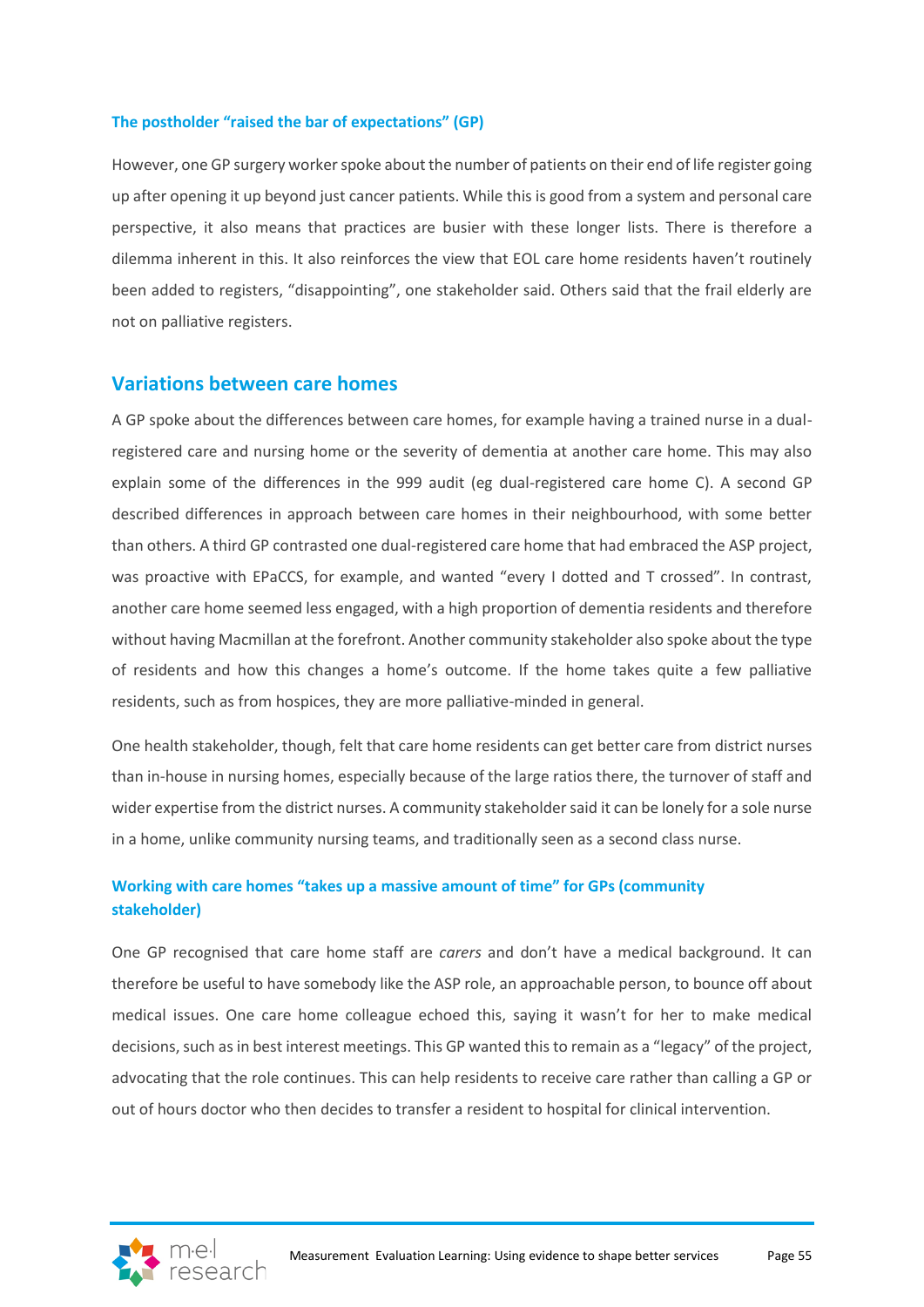#### **The postholder "raised the bar of expectations" (GP)**

However, one GP surgery worker spoke about the number of patients on their end of life register going up after opening it up beyond just cancer patients. While this is good from a system and personal care perspective, it also means that practices are busier with these longer lists. There is therefore a dilemma inherent in this. It also reinforces the view that EOL care home residents haven't routinely been added to registers, "disappointing", one stakeholder said. Others said that the frail elderly are not on palliative registers.

#### **Variations between care homes**

A GP spoke about the differences between care homes, for example having a trained nurse in a dualregistered care and nursing home or the severity of dementia at another care home. This may also explain some of the differences in the 999 audit (eg dual-registered care home C). A second GP described differences in approach between care homes in their neighbourhood, with some better than others. A third GP contrasted one dual-registered care home that had embraced the ASP project, was proactive with EPaCCS, for example, and wanted "every I dotted and T crossed". In contrast, another care home seemed less engaged, with a high proportion of dementia residents and therefore without having Macmillan at the forefront. Another community stakeholder also spoke about the type of residents and how this changes a home's outcome. If the home takes quite a few palliative residents, such as from hospices, they are more palliative-minded in general.

One health stakeholder, though, felt that care home residents can get better care from district nurses than in-house in nursing homes, especially because of the large ratios there, the turnover of staff and wider expertise from the district nurses. A community stakeholder said it can be lonely for a sole nurse in a home, unlike community nursing teams, and traditionally seen as a second class nurse.

#### **Working with care homes "takes up a massive amount of time" for GPs (community stakeholder)**

One GP recognised that care home staff are *carers* and don't have a medical background. It can therefore be useful to have somebody like the ASP role, an approachable person, to bounce off about medical issues. One care home colleague echoed this, saying it wasn't for her to make medical decisions, such as in best interest meetings. This GP wanted this to remain as a "legacy" of the project, advocating that the role continues. This can help residents to receive care rather than calling a GP or out of hours doctor who then decides to transfer a resident to hospital for clinical intervention.

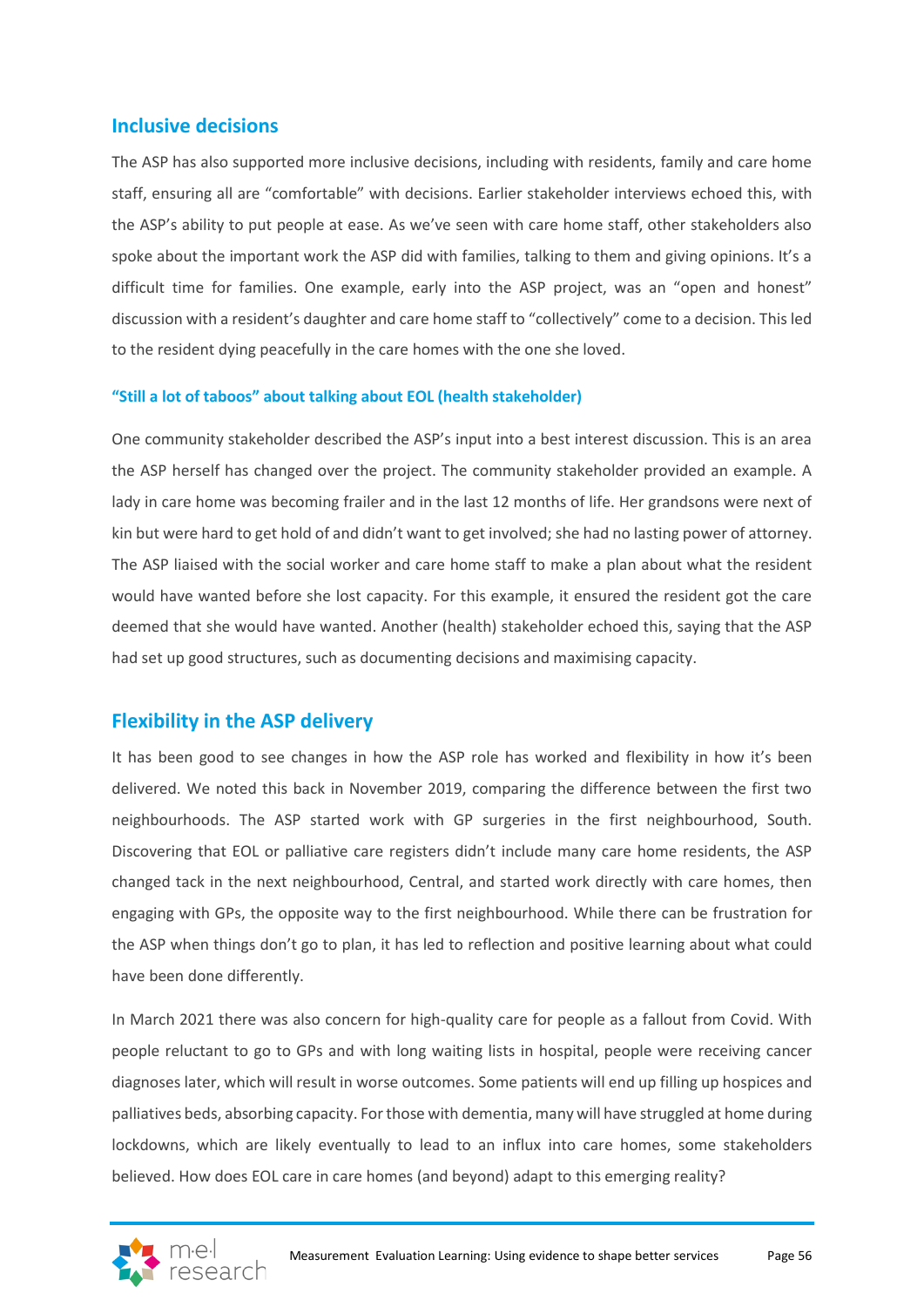## **Inclusive decisions**

The ASP has also supported more inclusive decisions, including with residents, family and care home staff, ensuring all are "comfortable" with decisions. Earlier stakeholder interviews echoed this, with the ASP's ability to put people at ease. As we've seen with care home staff, other stakeholders also spoke about the important work the ASP did with families, talking to them and giving opinions. It's a difficult time for families. One example, early into the ASP project, was an "open and honest" discussion with a resident's daughter and care home staff to "collectively" come to a decision. This led to the resident dying peacefully in the care homes with the one she loved.

#### **"Still a lot of taboos" about talking about EOL (health stakeholder)**

One community stakeholder described the ASP's input into a best interest discussion. This is an area the ASP herself has changed over the project. The community stakeholder provided an example. A lady in care home was becoming frailer and in the last 12 months of life. Her grandsons were next of kin but were hard to get hold of and didn't want to get involved; she had no lasting power of attorney. The ASP liaised with the social worker and care home staff to make a plan about what the resident would have wanted before she lost capacity. For this example, it ensured the resident got the care deemed that she would have wanted. Another (health) stakeholder echoed this, saying that the ASP had set up good structures, such as documenting decisions and maximising capacity.

### **Flexibility in the ASP delivery**

It has been good to see changes in how the ASP role has worked and flexibility in how it's been delivered. We noted this back in November 2019, comparing the difference between the first two neighbourhoods. The ASP started work with GP surgeries in the first neighbourhood, South. Discovering that EOL or palliative care registers didn't include many care home residents, the ASP changed tack in the next neighbourhood, Central, and started work directly with care homes, then engaging with GPs, the opposite way to the first neighbourhood. While there can be frustration for the ASP when things don't go to plan, it has led to reflection and positive learning about what could have been done differently.

In March 2021 there was also concern for high-quality care for people as a fallout from Covid. With people reluctant to go to GPs and with long waiting lists in hospital, people were receiving cancer diagnoses later, which will result in worse outcomes. Some patients will end up filling up hospices and palliatives beds, absorbing capacity. For those with dementia, many will have struggled at home during lockdowns, which are likely eventually to lead to an influx into care homes, some stakeholders believed. How does EOL care in care homes (and beyond) adapt to this emerging reality?

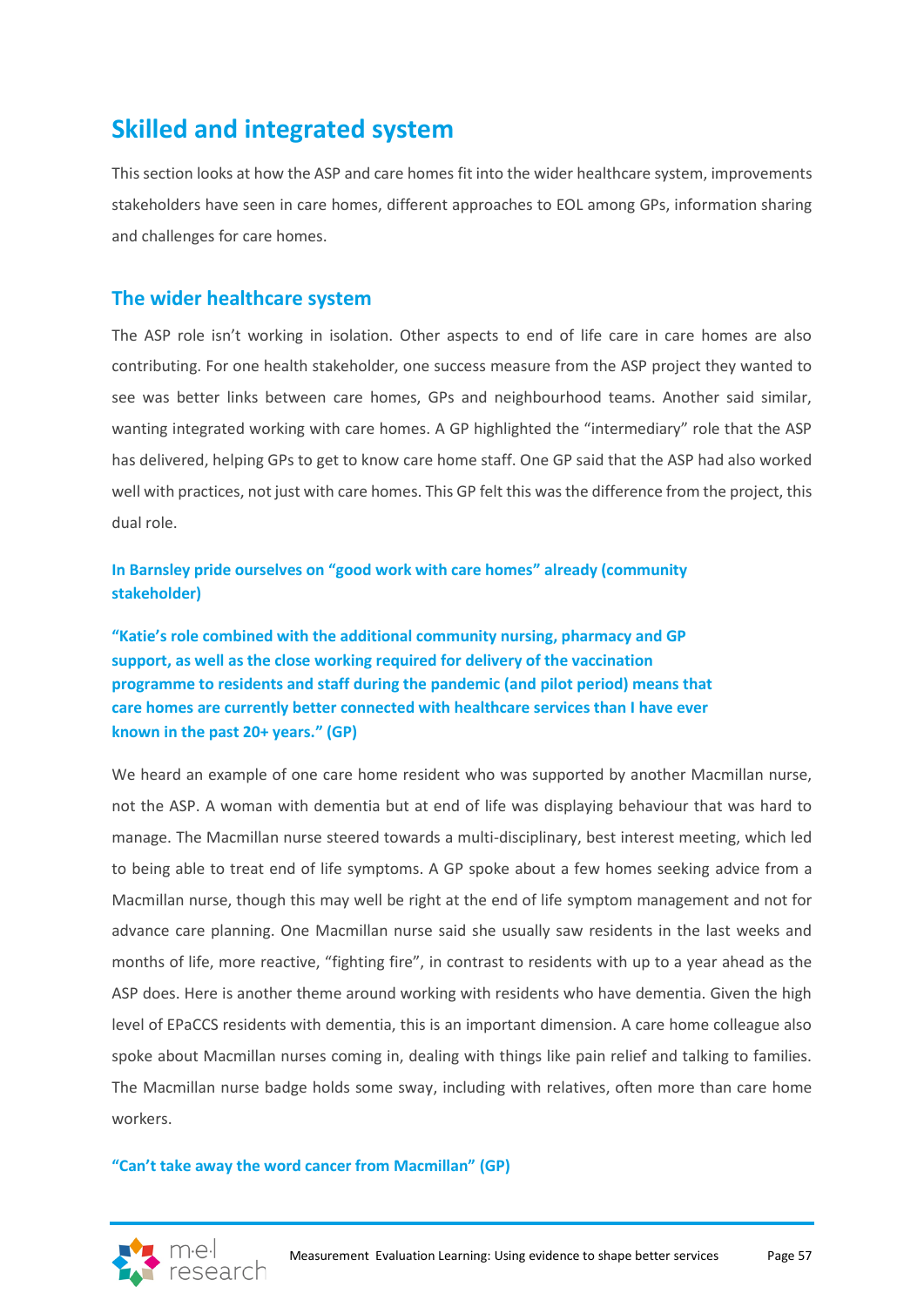## **Skilled and integrated system**

This section looks at how the ASP and care homes fit into the wider healthcare system, improvements stakeholders have seen in care homes, different approaches to EOL among GPs, information sharing and challenges for care homes.

## **The wider healthcare system**

The ASP role isn't working in isolation. Other aspects to end of life care in care homes are also contributing. For one health stakeholder, one success measure from the ASP project they wanted to see was better links between care homes, GPs and neighbourhood teams. Another said similar, wanting integrated working with care homes. A GP highlighted the "intermediary" role that the ASP has delivered, helping GPs to get to know care home staff. One GP said that the ASP had also worked well with practices, not just with care homes. This GP felt this was the difference from the project, this dual role.

**In Barnsley pride ourselves on "good work with care homes" already (community stakeholder)**

**"Katie's role combined with the additional community nursing, pharmacy and GP support, as well as the close working required for delivery of the vaccination programme to residents and staff during the pandemic (and pilot period) means that care homes are currently better connected with healthcare services than I have ever known in the past 20+ years." (GP)**

We heard an example of one care home resident who was supported by another Macmillan nurse, not the ASP. A woman with dementia but at end of life was displaying behaviour that was hard to manage. The Macmillan nurse steered towards a multi-disciplinary, best interest meeting, which led to being able to treat end of life symptoms. A GP spoke about a few homes seeking advice from a Macmillan nurse, though this may well be right at the end of life symptom management and not for advance care planning. One Macmillan nurse said she usually saw residents in the last weeks and months of life, more reactive, "fighting fire", in contrast to residents with up to a year ahead as the ASP does. Here is another theme around working with residents who have dementia. Given the high level of EPaCCS residents with dementia, this is an important dimension. A care home colleague also spoke about Macmillan nurses coming in, dealing with things like pain relief and talking to families. The Macmillan nurse badge holds some sway, including with relatives, often more than care home workers.

#### **"Can't take away the word cancer from Macmillan" (GP)**

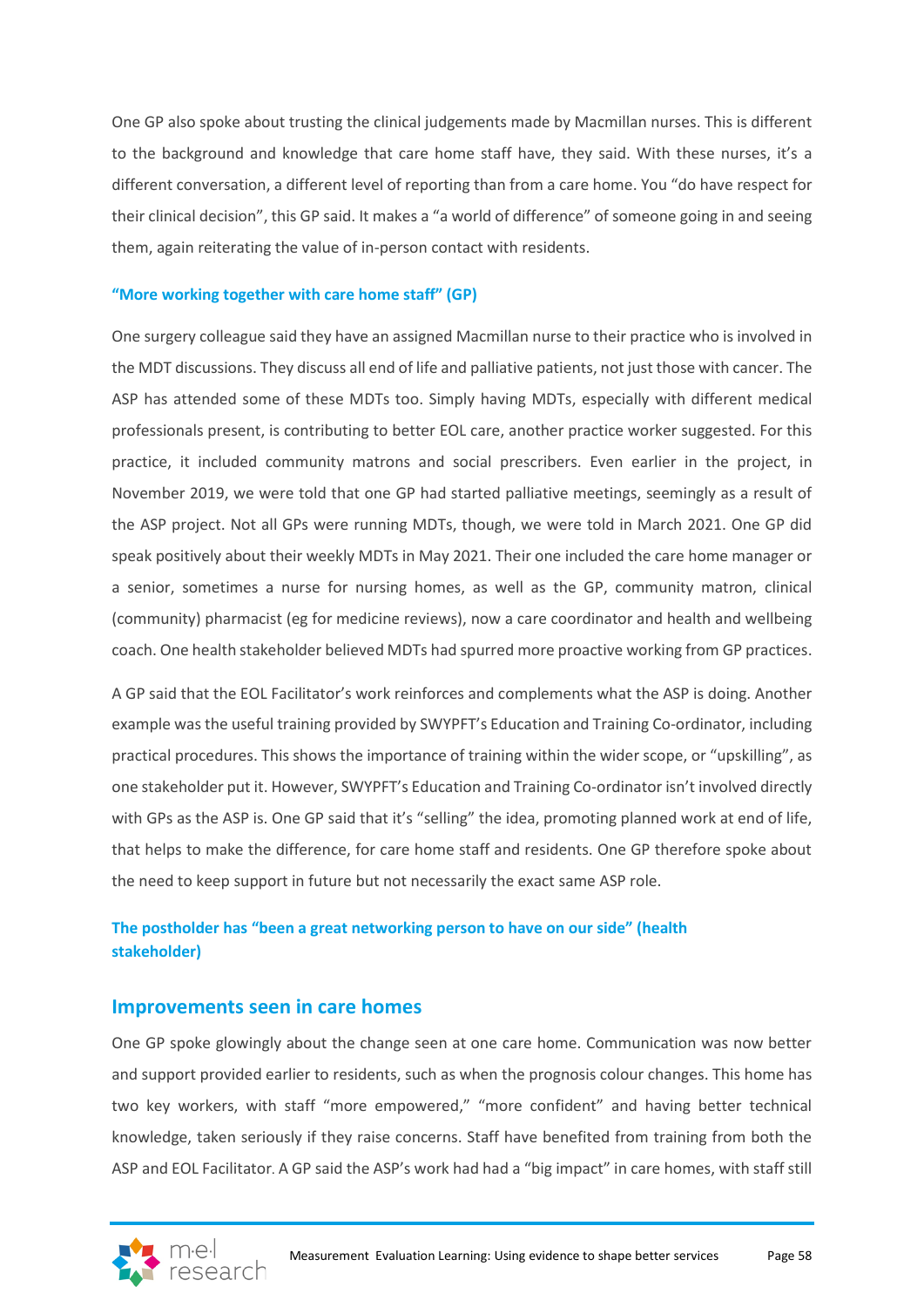One GP also spoke about trusting the clinical judgements made by Macmillan nurses. This is different to the background and knowledge that care home staff have, they said. With these nurses, it's a different conversation, a different level of reporting than from a care home. You "do have respect for their clinical decision", this GP said. It makes a "a world of difference" of someone going in and seeing them, again reiterating the value of in-person contact with residents.

#### **"More working together with care home staff" (GP)**

One surgery colleague said they have an assigned Macmillan nurse to their practice who is involved in the MDT discussions. They discuss all end of life and palliative patients, not just those with cancer. The ASP has attended some of these MDTs too. Simply having MDTs, especially with different medical professionals present, is contributing to better EOL care, another practice worker suggested. For this practice, it included community matrons and social prescribers. Even earlier in the project, in November 2019, we were told that one GP had started palliative meetings, seemingly as a result of the ASP project. Not all GPs were running MDTs, though, we were told in March 2021. One GP did speak positively about their weekly MDTs in May 2021. Their one included the care home manager or a senior, sometimes a nurse for nursing homes, as well as the GP, community matron, clinical (community) pharmacist (eg for medicine reviews), now a care coordinator and health and wellbeing coach. One health stakeholder believed MDTs had spurred more proactive working from GP practices.

A GP said that the EOL Facilitator's work reinforces and complements what the ASP is doing. Another example was the useful training provided by SWYPFT's Education and Training Co-ordinator, including practical procedures. This shows the importance of training within the wider scope, or "upskilling", as one stakeholder put it. However, SWYPFT's Education and Training Co-ordinator isn't involved directly with GPs as the ASP is. One GP said that it's "selling" the idea, promoting planned work at end of life, that helps to make the difference, for care home staff and residents. One GP therefore spoke about the need to keep support in future but not necessarily the exact same ASP role.

## **The postholder has "been a great networking person to have on our side" (health stakeholder)**

#### **Improvements seen in care homes**

One GP spoke glowingly about the change seen at one care home. Communication was now better and support provided earlier to residents, such as when the prognosis colour changes. This home has two key workers, with staff "more empowered," "more confident" and having better technical knowledge, taken seriously if they raise concerns. Staff have benefited from training from both the ASP and EOL Facilitator. A GP said the ASP's work had had a "big impact" in care homes, with staff still

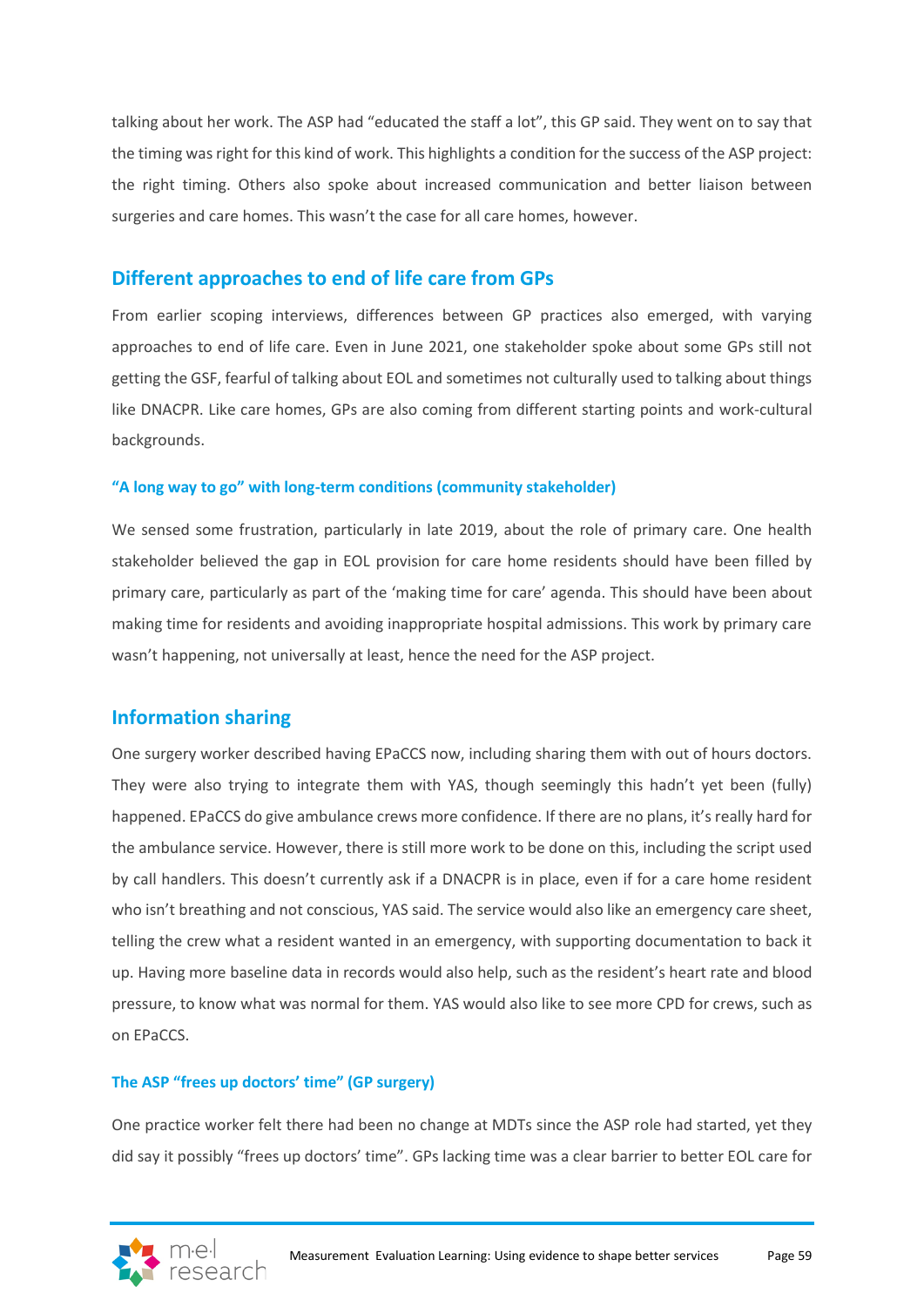talking about her work. The ASP had "educated the staff a lot", this GP said. They went on to say that the timing was right for this kind of work. This highlights a condition for the success of the ASP project: the right timing. Others also spoke about increased communication and better liaison between surgeries and care homes. This wasn't the case for all care homes, however.

#### **Different approaches to end of life care from GPs**

From earlier scoping interviews, differences between GP practices also emerged, with varying approaches to end of life care. Even in June 2021, one stakeholder spoke about some GPs still not getting the GSF, fearful of talking about EOL and sometimes not culturally used to talking about things like DNACPR. Like care homes, GPs are also coming from different starting points and work-cultural backgrounds.

#### **"A long way to go" with long-term conditions (community stakeholder)**

We sensed some frustration, particularly in late 2019, about the role of primary care. One health stakeholder believed the gap in EOL provision for care home residents should have been filled by primary care, particularly as part of the 'making time for care' agenda. This should have been about making time for residents and avoiding inappropriate hospital admissions. This work by primary care wasn't happening, not universally at least, hence the need for the ASP project.

### **Information sharing**

One surgery worker described having EPaCCS now, including sharing them with out of hours doctors. They were also trying to integrate them with YAS, though seemingly this hadn't yet been (fully) happened. EPaCCS do give ambulance crews more confidence. If there are no plans, it's really hard for the ambulance service. However, there is still more work to be done on this, including the script used by call handlers. This doesn't currently ask if a DNACPR is in place, even if for a care home resident who isn't breathing and not conscious, YAS said. The service would also like an emergency care sheet, telling the crew what a resident wanted in an emergency, with supporting documentation to back it up. Having more baseline data in records would also help, such as the resident's heart rate and blood pressure, to know what was normal for them. YAS would also like to see more CPD for crews, such as on EPaCCS.

#### **The ASP "frees up doctors' time" (GP surgery)**

One practice worker felt there had been no change at MDTs since the ASP role had started, yet they did say it possibly "frees up doctors' time". GPs lacking time was a clear barrier to better EOL care for

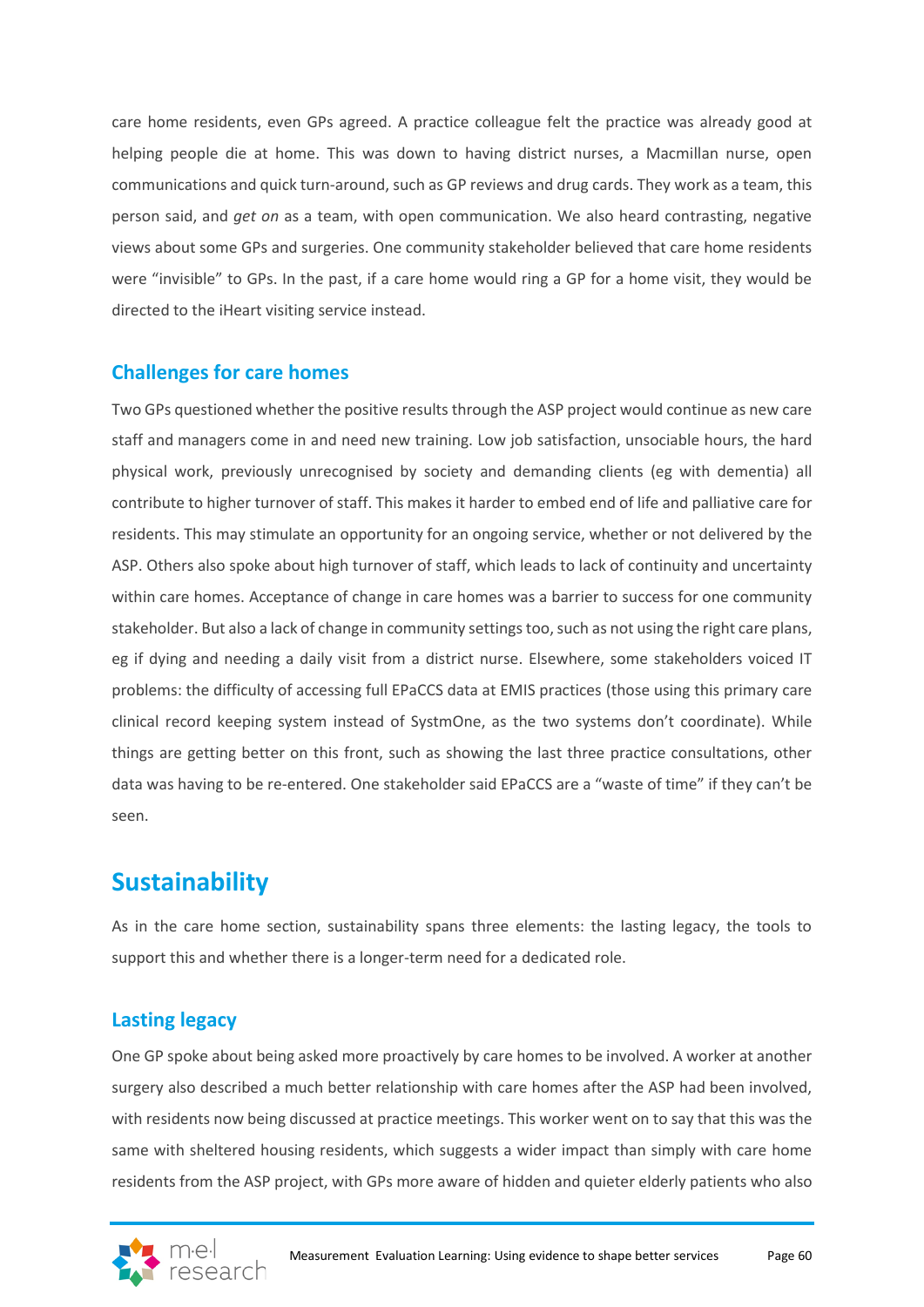care home residents, even GPs agreed. A practice colleague felt the practice was already good at helping people die at home. This was down to having district nurses, a Macmillan nurse, open communications and quick turn-around, such as GP reviews and drug cards. They work as a team, this person said, and *get on* as a team, with open communication. We also heard contrasting, negative views about some GPs and surgeries. One community stakeholder believed that care home residents were "invisible" to GPs. In the past, if a care home would ring a GP for a home visit, they would be directed to the iHeart visiting service instead.

## **Challenges for care homes**

Two GPs questioned whether the positive results through the ASP project would continue as new care staff and managers come in and need new training. Low job satisfaction, unsociable hours, the hard physical work, previously unrecognised by society and demanding clients (eg with dementia) all contribute to higher turnover of staff. This makes it harder to embed end of life and palliative care for residents. This may stimulate an opportunity for an ongoing service, whether or not delivered by the ASP. Others also spoke about high turnover of staff, which leads to lack of continuity and uncertainty within care homes. Acceptance of change in care homes was a barrier to success for one community stakeholder. But also a lack of change in community settings too, such as not using the right care plans, eg if dying and needing a daily visit from a district nurse. Elsewhere, some stakeholders voiced IT problems: the difficulty of accessing full EPaCCS data at EMIS practices (those using this primary care clinical record keeping system instead of SystmOne, as the two systems don't coordinate). While things are getting better on this front, such as showing the last three practice consultations, other data was having to be re-entered. One stakeholder said EPaCCS are a "waste of time" if they can't be seen.

## **Sustainability**

As in the care home section, sustainability spans three elements: the lasting legacy, the tools to support this and whether there is a longer-term need for a dedicated role.

## **Lasting legacy**

One GP spoke about being asked more proactively by care homes to be involved. A worker at another surgery also described a much better relationship with care homes after the ASP had been involved, with residents now being discussed at practice meetings. This worker went on to say that this was the same with sheltered housing residents, which suggests a wider impact than simply with care home residents from the ASP project, with GPs more aware of hidden and quieter elderly patients who also

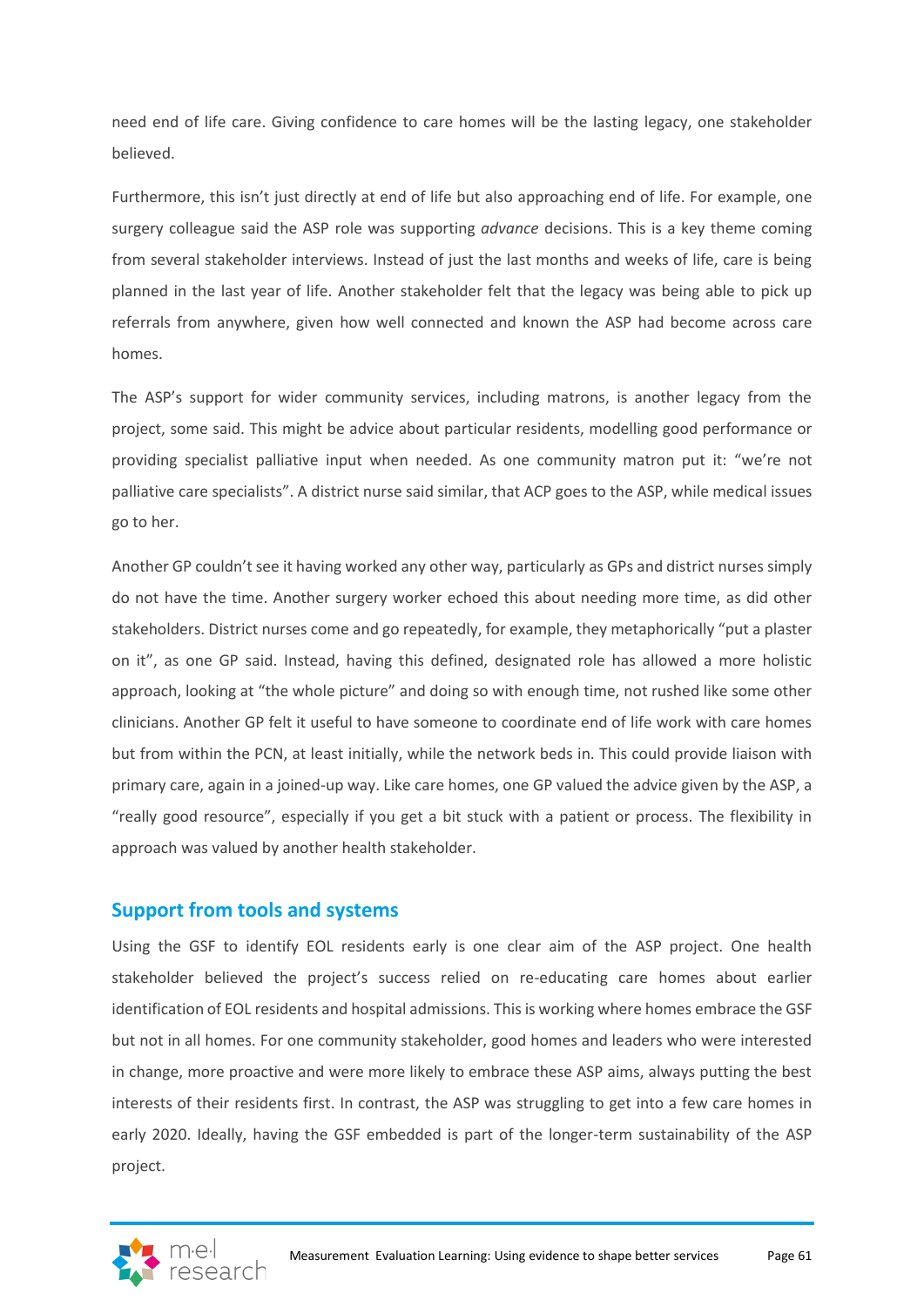need end of life care. Giving confidence to care homes will be the lasting legacy, one stakeholder believed.

Furthermore, this isn't just directly at end of life but also approaching end of life. For example, one surgery colleague said the ASP role was supporting *advance* decisions. This is a key theme coming from several stakeholder interviews. Instead of just the last months and weeks of life, care is being planned in the last year of life. Another stakeholder felt that the legacy was being able to pick up referrals from anywhere, given how well connected and known the ASP had become across care homes.

The ASP's support for wider community services, including matrons, is another legacy from the project, some said. This might be advice about particular residents, modelling good performance or providing specialist palliative input when needed. As one community matron put it: "we're not palliative care specialists". A district nurse said similar, that ACP goes to the ASP, while medical issues go to her.

Another GP couldn't see it having worked any other way, particularly as GPs and district nurses simply do not have the time. Another surgery worker echoed this about needing more time, as did other stakeholders. District nurses come and go repeatedly, for example, they metaphorically "put a plaster on it", as one GP said. Instead, having this defined, designated role has allowed a more holistic approach, looking at "the whole picture" and doing so with enough time, not rushed like some other clinicians. Another GP felt it useful to have someone to coordinate end of life work with care homes but from within the PCN, at least initially, while the network beds in. This could provide liaison with primary care, again in a joined-up way. Like care homes, one GP valued the advice given by the ASP, a "really good resource", especially if you get a bit stuck with a patient or process. The flexibility in approach was valued by another health stakeholder.

### **Support from tools and systems**

Using the GSF to identify EOL residents early is one clear aim of the ASP project. One health stakeholder believed the project's success relied on re-educating care homes about earlier identification of EOL residents and hospital admissions. This is working where homes embrace the GSF but not in all homes. For one community stakeholder, good homes and leaders who were interested in change, more proactive and were more likely to embrace these ASP aims, always putting the best interests of their residents first. In contrast, the ASP was struggling to get into a few care homes in early 2020. Ideally, having the GSF embedded is part of the longer-term sustainability of the ASP project.

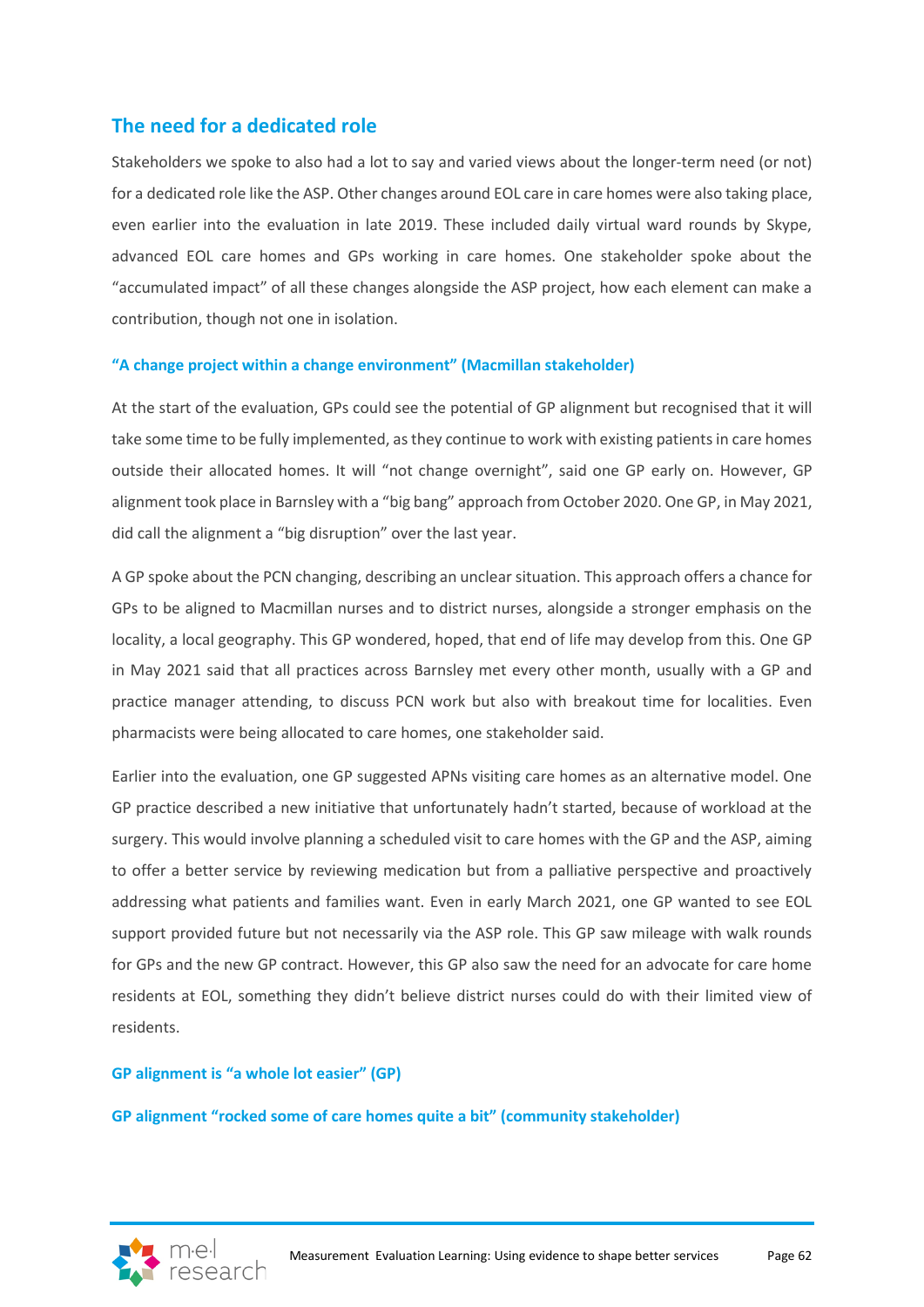## **The need for a dedicated role**

Stakeholders we spoke to also had a lot to say and varied views about the longer-term need (or not) for a dedicated role like the ASP. Other changes around EOL care in care homes were also taking place, even earlier into the evaluation in late 2019. These included daily virtual ward rounds by Skype, advanced EOL care homes and GPs working in care homes. One stakeholder spoke about the "accumulated impact" of all these changes alongside the ASP project, how each element can make a contribution, though not one in isolation.

#### **"A change project within a change environment" (Macmillan stakeholder)**

At the start of the evaluation, GPs could see the potential of GP alignment but recognised that it will take some time to be fully implemented, as they continue to work with existing patients in care homes outside their allocated homes. It will "not change overnight", said one GP early on. However, GP alignment took place in Barnsley with a "big bang" approach from October 2020. One GP, in May 2021, did call the alignment a "big disruption" over the last year.

A GP spoke about the PCN changing, describing an unclear situation. This approach offers a chance for GPs to be aligned to Macmillan nurses and to district nurses, alongside a stronger emphasis on the locality, a local geography. This GP wondered, hoped, that end of life may develop from this. One GP in May 2021 said that all practices across Barnsley met every other month, usually with a GP and practice manager attending, to discuss PCN work but also with breakout time for localities. Even pharmacists were being allocated to care homes, one stakeholder said.

Earlier into the evaluation, one GP suggested APNs visiting care homes as an alternative model. One GP practice described a new initiative that unfortunately hadn't started, because of workload at the surgery. This would involve planning a scheduled visit to care homes with the GP and the ASP, aiming to offer a better service by reviewing medication but from a palliative perspective and proactively addressing what patients and families want. Even in early March 2021, one GP wanted to see EOL support provided future but not necessarily via the ASP role. This GP saw mileage with walk rounds for GPs and the new GP contract. However, this GP also saw the need for an advocate for care home residents at EOL, something they didn't believe district nurses could do with their limited view of residents.

#### **GP alignment is "a whole lot easier" (GP)**

**GP alignment "rocked some of care homes quite a bit" (community stakeholder)**

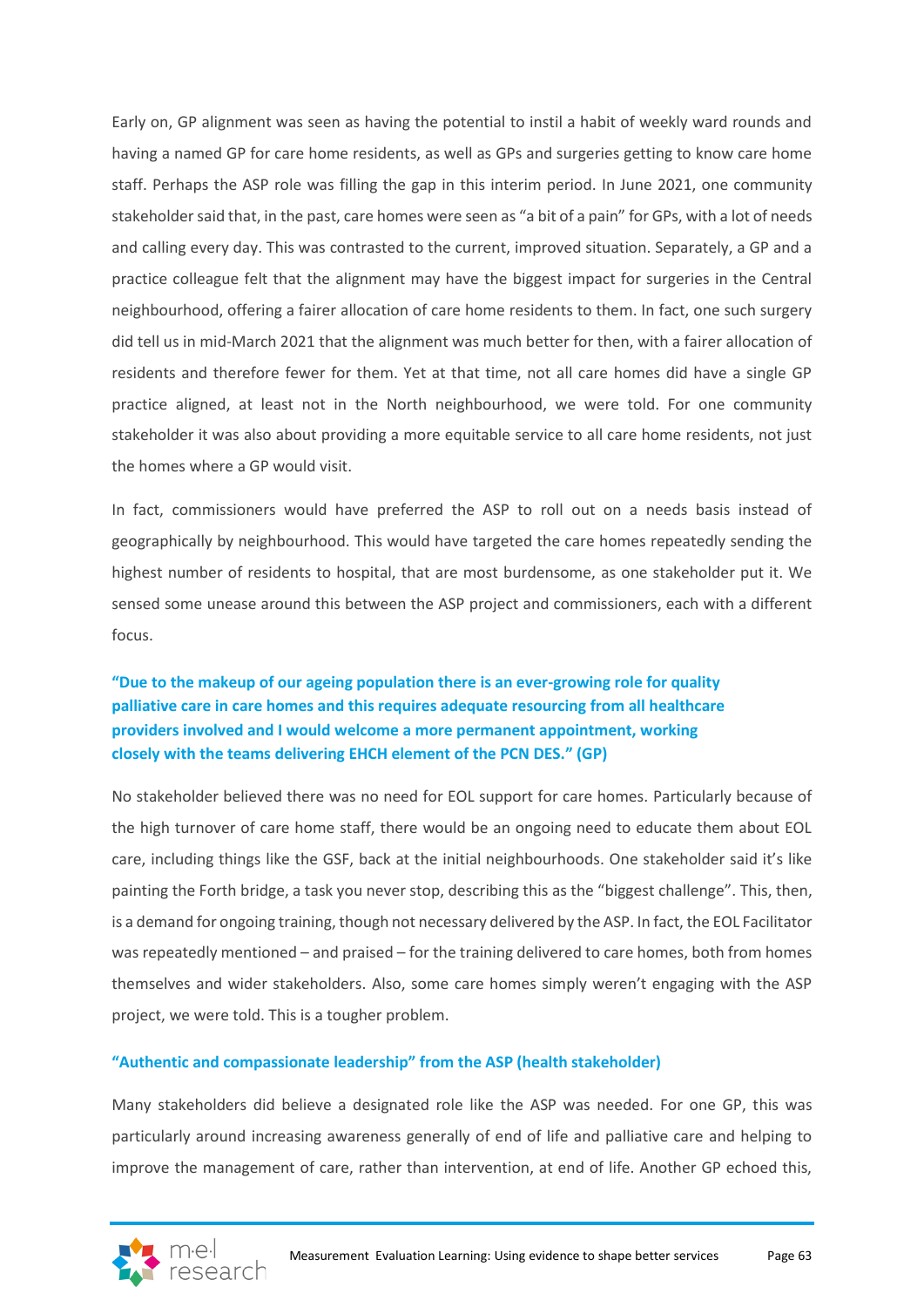Early on, GP alignment was seen as having the potential to instil a habit of weekly ward rounds and having a named GP for care home residents, as well as GPs and surgeries getting to know care home staff. Perhaps the ASP role was filling the gap in this interim period. In June 2021, one community stakeholder said that, in the past, care homes were seen as "a bit of a pain" for GPs, with a lot of needs and calling every day. This was contrasted to the current, improved situation. Separately, a GP and a practice colleague felt that the alignment may have the biggest impact for surgeries in the Central neighbourhood, offering a fairer allocation of care home residents to them. In fact, one such surgery did tell us in mid-March 2021 that the alignment was much better for then, with a fairer allocation of residents and therefore fewer for them. Yet at that time, not all care homes did have a single GP practice aligned, at least not in the North neighbourhood, we were told. For one community stakeholder it was also about providing a more equitable service to all care home residents, not just the homes where a GP would visit.

In fact, commissioners would have preferred the ASP to roll out on a needs basis instead of geographically by neighbourhood. This would have targeted the care homes repeatedly sending the highest number of residents to hospital, that are most burdensome, as one stakeholder put it. We sensed some unease around this between the ASP project and commissioners, each with a different focus.

## **"Due to the makeup of our ageing population there is an ever-growing role for quality palliative care in care homes and this requires adequate resourcing from all healthcare providers involved and I would welcome a more permanent appointment, working closely with the teams delivering EHCH element of the PCN DES." (GP)**

No stakeholder believed there was no need for EOL support for care homes. Particularly because of the high turnover of care home staff, there would be an ongoing need to educate them about EOL care, including things like the GSF, back at the initial neighbourhoods. One stakeholder said it's like painting the Forth bridge, a task you never stop, describing this as the "biggest challenge". This, then, is a demand for ongoing training, though not necessary delivered by the ASP. In fact, the EOL Facilitator was repeatedly mentioned – and praised – for the training delivered to care homes, both from homes themselves and wider stakeholders. Also, some care homes simply weren't engaging with the ASP project, we were told. This is a tougher problem.

#### **"Authentic and compassionate leadership" from the ASP (health stakeholder)**

Many stakeholders did believe a designated role like the ASP was needed. For one GP, this was particularly around increasing awareness generally of end of life and palliative care and helping to improve the management of care, rather than intervention, at end of life. Another GP echoed this,

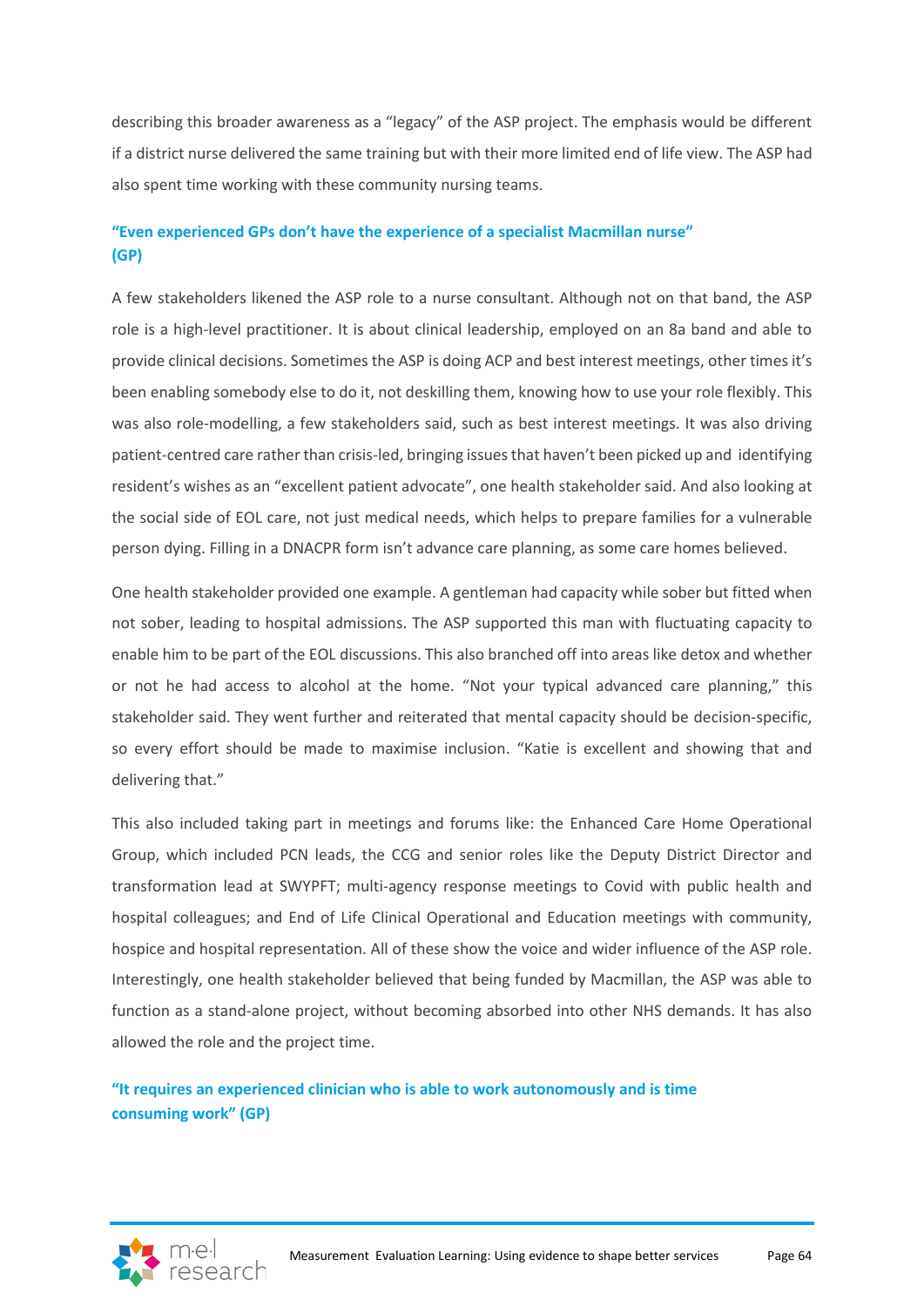describing this broader awareness as a "legacy" of the ASP project. The emphasis would be different if a district nurse delivered the same training but with their more limited end of life view. The ASP had also spent time working with these community nursing teams.

### **"Even experienced GPs don't have the experience of a specialist Macmillan nurse" (GP)**

A few stakeholders likened the ASP role to a nurse consultant. Although not on that band, the ASP role is a high-level practitioner. It is about clinical leadership, employed on an 8a band and able to provide clinical decisions. Sometimes the ASP is doing ACP and best interest meetings, other times it's been enabling somebody else to do it, not deskilling them, knowing how to use your role flexibly. This was also role-modelling, a few stakeholders said, such as best interest meetings. It was also driving patient-centred care rather than crisis-led, bringing issues that haven't been picked up and identifying resident's wishes as an "excellent patient advocate", one health stakeholder said. And also looking at the social side of EOL care, not just medical needs, which helps to prepare families for a vulnerable person dying. Filling in a DNACPR form isn't advance care planning, as some care homes believed.

One health stakeholder provided one example. A gentleman had capacity while sober but fitted when not sober, leading to hospital admissions. The ASP supported this man with fluctuating capacity to enable him to be part of the EOL discussions. This also branched off into areas like detox and whether or not he had access to alcohol at the home. "Not your typical advanced care planning," this stakeholder said. They went further and reiterated that mental capacity should be decision-specific, so every effort should be made to maximise inclusion. "Katie is excellent and showing that and delivering that."

This also included taking part in meetings and forums like: the Enhanced Care Home Operational Group, which included PCN leads, the CCG and senior roles like the Deputy District Director and transformation lead at SWYPFT; multi-agency response meetings to Covid with public health and hospital colleagues; and End of Life Clinical Operational and Education meetings with community, hospice and hospital representation. All of these show the voice and wider influence of the ASP role. Interestingly, one health stakeholder believed that being funded by Macmillan, the ASP was able to function as a stand-alone project, without becoming absorbed into other NHS demands. It has also allowed the role and the project time.

**"It requires an experienced clinician who is able to work autonomously and is time consuming work" (GP)**

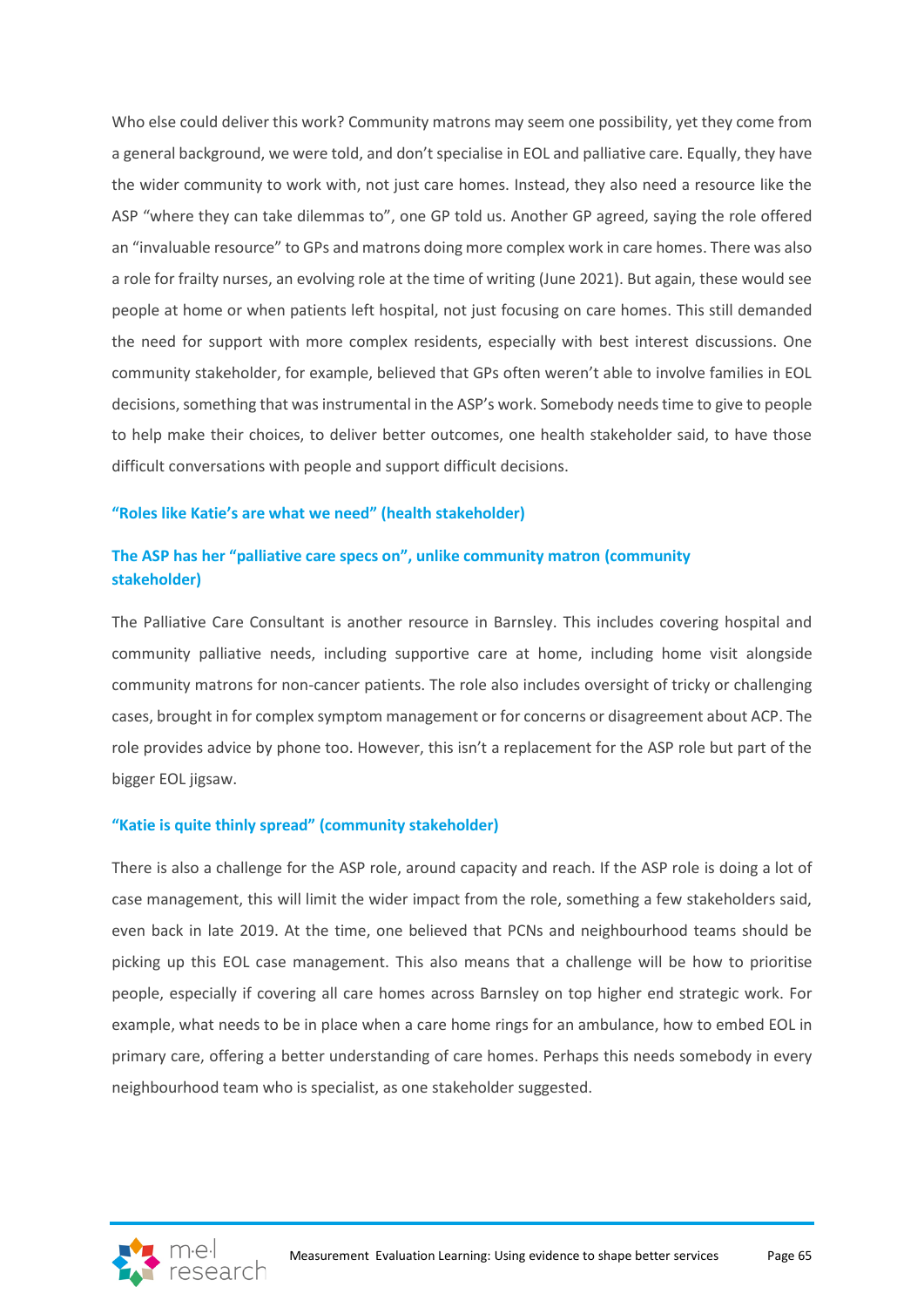Who else could deliver this work? Community matrons may seem one possibility, yet they come from a general background, we were told, and don't specialise in EOL and palliative care. Equally, they have the wider community to work with, not just care homes. Instead, they also need a resource like the ASP "where they can take dilemmas to", one GP told us. Another GP agreed, saying the role offered an "invaluable resource" to GPs and matrons doing more complex work in care homes. There was also a role for frailty nurses, an evolving role at the time of writing (June 2021). But again, these would see people at home or when patients left hospital, not just focusing on care homes. This still demanded the need for support with more complex residents, especially with best interest discussions. One community stakeholder, for example, believed that GPs often weren't able to involve families in EOL decisions, something that was instrumental in the ASP's work. Somebody needs time to give to people to help make their choices, to deliver better outcomes, one health stakeholder said, to have those difficult conversations with people and support difficult decisions.

#### **"Roles like Katie's are what we need" (health stakeholder)**

### **The ASP has her "palliative care specs on", unlike community matron (community stakeholder)**

The Palliative Care Consultant is another resource in Barnsley. This includes covering hospital and community palliative needs, including supportive care at home, including home visit alongside community matrons for non-cancer patients. The role also includes oversight of tricky or challenging cases, brought in for complex symptom management or for concerns or disagreement about ACP. The role provides advice by phone too. However, this isn't a replacement for the ASP role but part of the bigger EOL jigsaw.

#### **"Katie is quite thinly spread" (community stakeholder)**

There is also a challenge for the ASP role, around capacity and reach. If the ASP role is doing a lot of case management, this will limit the wider impact from the role, something a few stakeholders said, even back in late 2019. At the time, one believed that PCNs and neighbourhood teams should be picking up this EOL case management. This also means that a challenge will be how to prioritise people, especially if covering all care homes across Barnsley on top higher end strategic work. For example, what needs to be in place when a care home rings for an ambulance, how to embed EOL in primary care, offering a better understanding of care homes. Perhaps this needs somebody in every neighbourhood team who is specialist, as one stakeholder suggested.

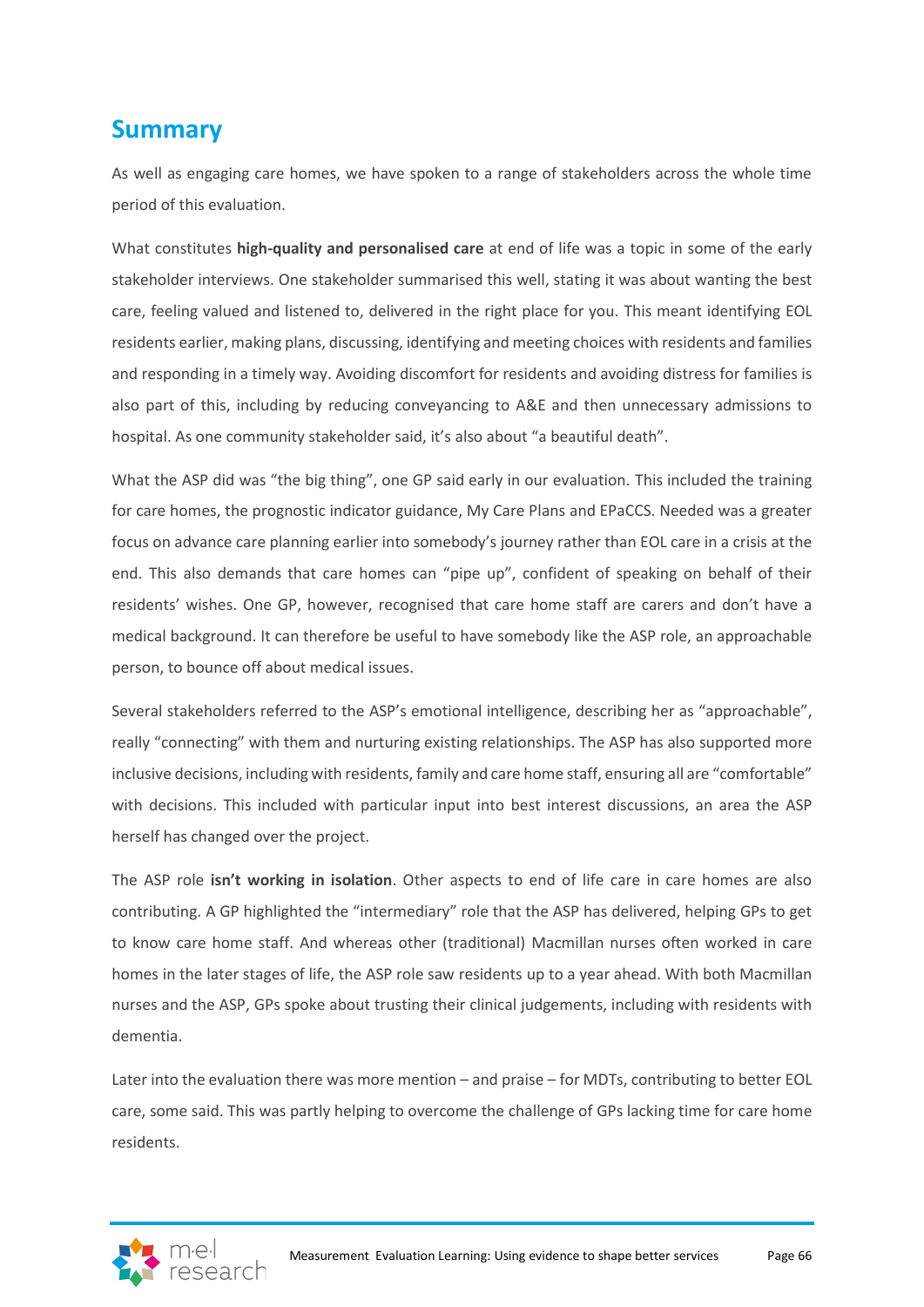## **Summary**

As well as engaging care homes, we have spoken to a range of stakeholders across the whole time period of this evaluation.

What constitutes **high-quality and personalised care** at end of life was a topic in some of the early stakeholder interviews. One stakeholder summarised this well, stating it was about wanting the best care, feeling valued and listened to, delivered in the right place for you. This meant identifying EOL residents earlier, making plans, discussing, identifying and meeting choices with residents and families and responding in a timely way. Avoiding discomfort for residents and avoiding distress for families is also part of this, including by reducing conveyancing to A&E and then unnecessary admissions to hospital. As one community stakeholder said, it's also about "a beautiful death".

What the ASP did was "the big thing", one GP said early in our evaluation. This included the training for care homes, the prognostic indicator guidance, My Care Plans and EPaCCS. Needed was a greater focus on advance care planning earlier into somebody's journey rather than EOL care in a crisis at the end. This also demands that care homes can "pipe up", confident of speaking on behalf of their residents' wishes. One GP, however, recognised that care home staff are carers and don't have a medical background. It can therefore be useful to have somebody like the ASP role, an approachable person, to bounce off about medical issues.

Several stakeholders referred to the ASP's emotional intelligence, describing her as "approachable", really "connecting" with them and nurturing existing relationships. The ASP has also supported more inclusive decisions, including with residents, family and care home staff, ensuring all are "comfortable" with decisions. This included with particular input into best interest discussions, an area the ASP herself has changed over the project.

The ASP role **isn't working in isolation**. Other aspects to end of life care in care homes are also contributing. A GP highlighted the "intermediary" role that the ASP has delivered, helping GPs to get to know care home staff. And whereas other (traditional) Macmillan nurses often worked in care homes in the later stages of life, the ASP role saw residents up to a year ahead. With both Macmillan nurses and the ASP, GPs spoke about trusting their clinical judgements, including with residents with dementia.

Later into the evaluation there was more mention – and praise – for MDTs, contributing to better EOL care, some said. This was partly helping to overcome the challenge of GPs lacking time for care home residents.

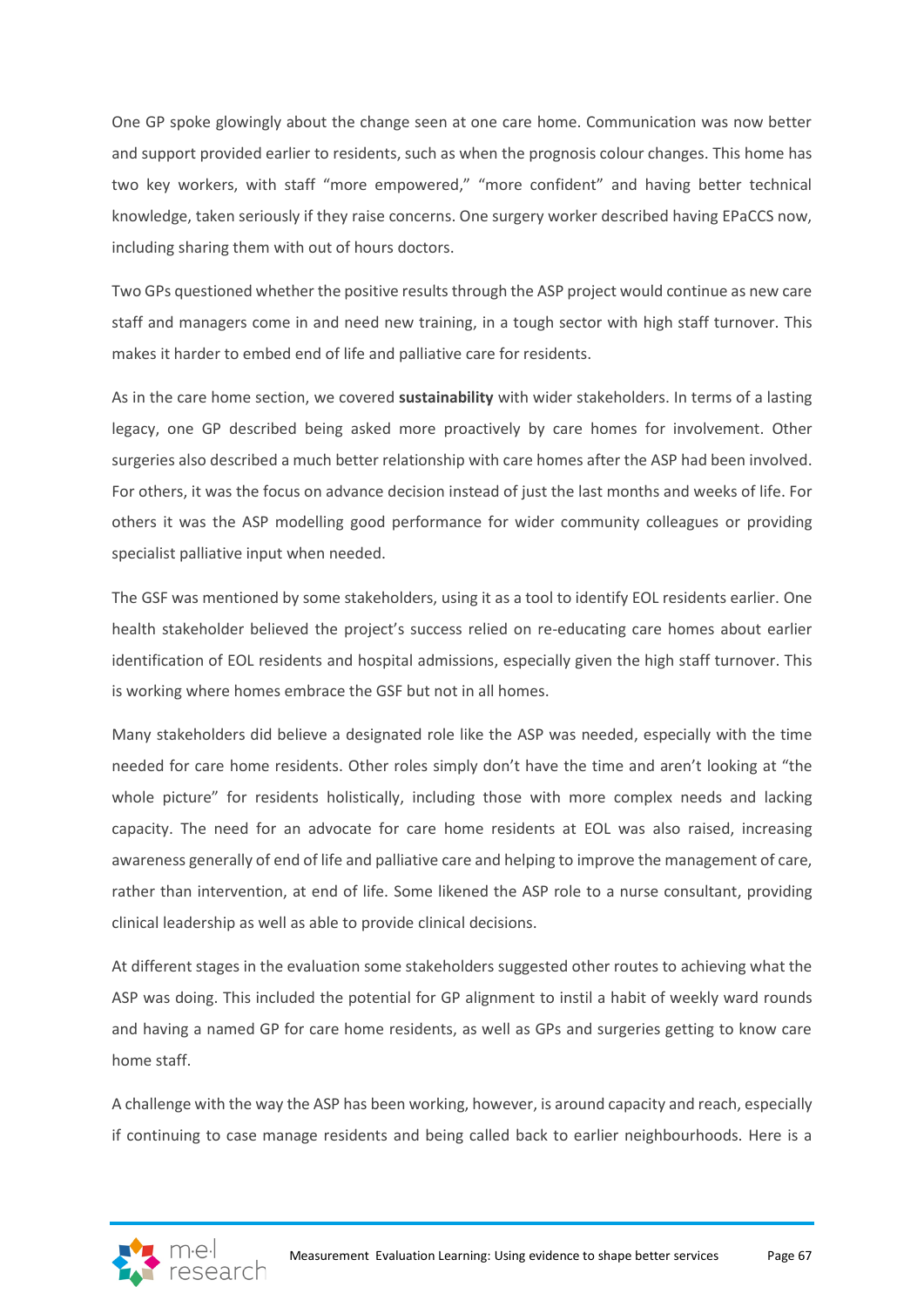One GP spoke glowingly about the change seen at one care home. Communication was now better and support provided earlier to residents, such as when the prognosis colour changes. This home has two key workers, with staff "more empowered," "more confident" and having better technical knowledge, taken seriously if they raise concerns. One surgery worker described having EPaCCS now, including sharing them with out of hours doctors.

Two GPs questioned whether the positive results through the ASP project would continue as new care staff and managers come in and need new training, in a tough sector with high staff turnover. This makes it harder to embed end of life and palliative care for residents.

As in the care home section, we covered **sustainability** with wider stakeholders. In terms of a lasting legacy, one GP described being asked more proactively by care homes for involvement. Other surgeries also described a much better relationship with care homes after the ASP had been involved. For others, it was the focus on advance decision instead of just the last months and weeks of life. For others it was the ASP modelling good performance for wider community colleagues or providing specialist palliative input when needed.

The GSF was mentioned by some stakeholders, using it as a tool to identify EOL residents earlier. One health stakeholder believed the project's success relied on re-educating care homes about earlier identification of EOL residents and hospital admissions, especially given the high staff turnover. This is working where homes embrace the GSF but not in all homes.

Many stakeholders did believe a designated role like the ASP was needed, especially with the time needed for care home residents. Other roles simply don't have the time and aren't looking at "the whole picture" for residents holistically, including those with more complex needs and lacking capacity. The need for an advocate for care home residents at EOL was also raised, increasing awareness generally of end of life and palliative care and helping to improve the management of care, rather than intervention, at end of life. Some likened the ASP role to a nurse consultant, providing clinical leadership as well as able to provide clinical decisions.

At different stages in the evaluation some stakeholders suggested other routes to achieving what the ASP was doing. This included the potential for GP alignment to instil a habit of weekly ward rounds and having a named GP for care home residents, as well as GPs and surgeries getting to know care home staff.

A challenge with the way the ASP has been working, however, is around capacity and reach, especially if continuing to case manage residents and being called back to earlier neighbourhoods. Here is a

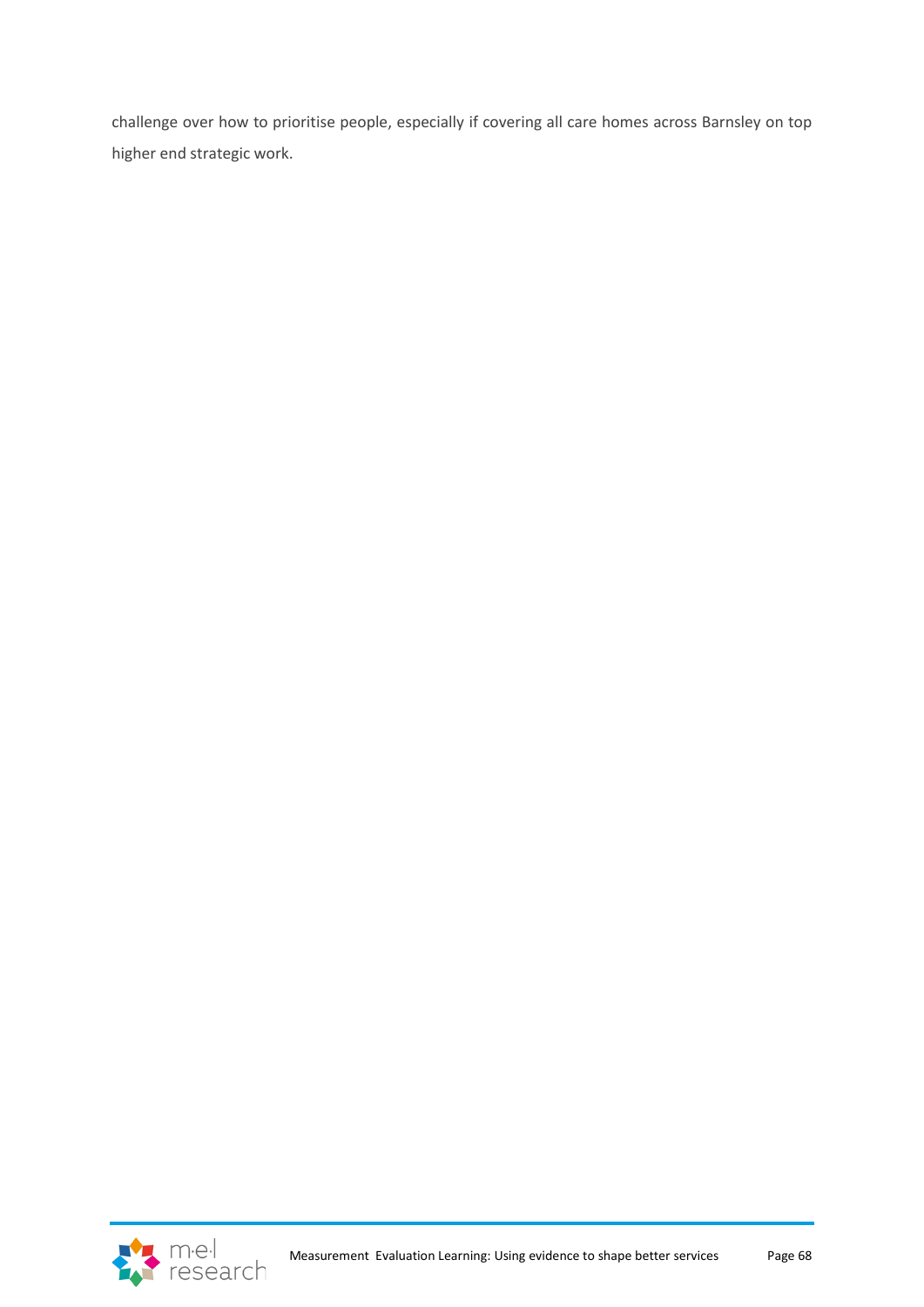challenge over how to prioritise people, especially if covering all care homes across Barnsley on top higher end strategic work.

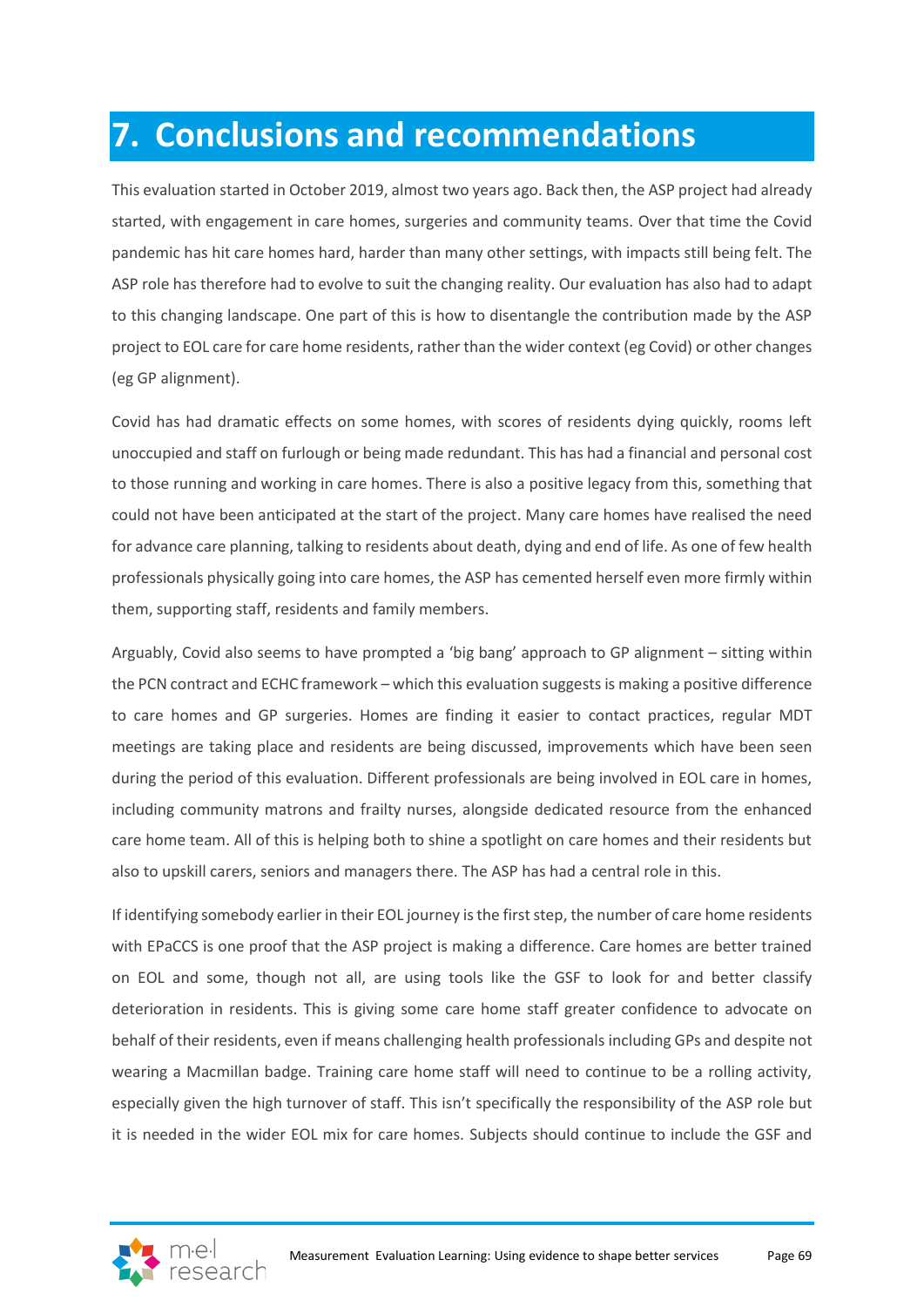# **7. Conclusions and recommendations**

This evaluation started in October 2019, almost two years ago. Back then, the ASP project had already started, with engagement in care homes, surgeries and community teams. Over that time the Covid pandemic has hit care homes hard, harder than many other settings, with impacts still being felt. The ASP role has therefore had to evolve to suit the changing reality. Our evaluation has also had to adapt to this changing landscape. One part of this is how to disentangle the contribution made by the ASP project to EOL care for care home residents, rather than the wider context (eg Covid) or other changes (eg GP alignment).

Covid has had dramatic effects on some homes, with scores of residents dying quickly, rooms left unoccupied and staff on furlough or being made redundant. This has had a financial and personal cost to those running and working in care homes. There is also a positive legacy from this, something that could not have been anticipated at the start of the project. Many care homes have realised the need for advance care planning, talking to residents about death, dying and end of life. As one of few health professionals physically going into care homes, the ASP has cemented herself even more firmly within them, supporting staff, residents and family members.

Arguably, Covid also seems to have prompted a 'big bang' approach to GP alignment – sitting within the PCN contract and ECHC framework – which this evaluation suggests is making a positive difference to care homes and GP surgeries. Homes are finding it easier to contact practices, regular MDT meetings are taking place and residents are being discussed, improvements which have been seen during the period of this evaluation. Different professionals are being involved in EOL care in homes, including community matrons and frailty nurses, alongside dedicated resource from the enhanced care home team. All of this is helping both to shine a spotlight on care homes and their residents but also to upskill carers, seniors and managers there. The ASP has had a central role in this.

If identifying somebody earlier in their EOL journey is the first step, the number of care home residents with EPaCCS is one proof that the ASP project is making a difference. Care homes are better trained on EOL and some, though not all, are using tools like the GSF to look for and better classify deterioration in residents. This is giving some care home staff greater confidence to advocate on behalf of their residents, even if means challenging health professionals including GPs and despite not wearing a Macmillan badge. Training care home staff will need to continue to be a rolling activity, especially given the high turnover of staff. This isn't specifically the responsibility of the ASP role but it is needed in the wider EOL mix for care homes. Subjects should continue to include the GSF and

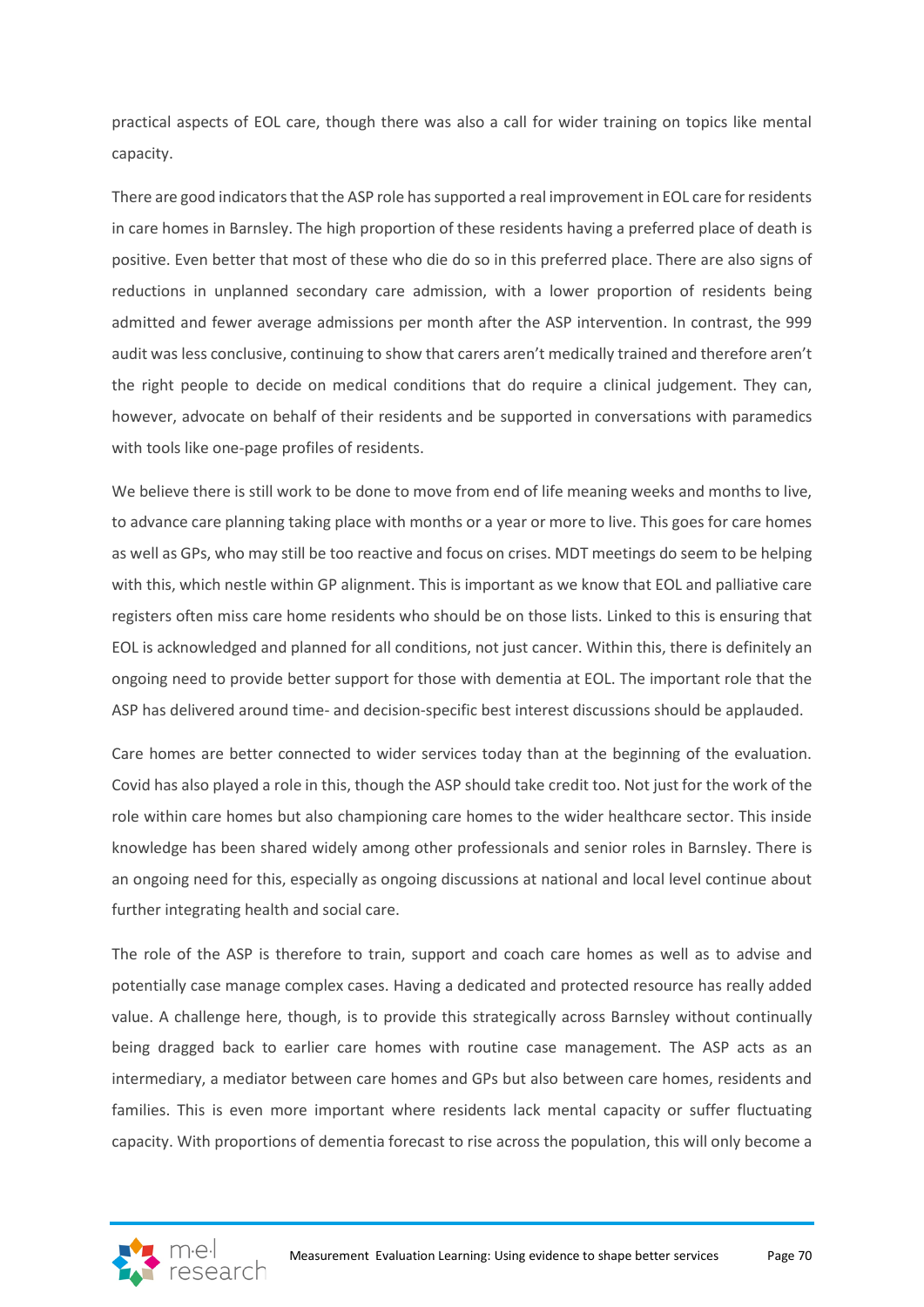practical aspects of EOL care, though there was also a call for wider training on topics like mental capacity.

There are good indicators that the ASP role has supported a real improvement in EOL care for residents in care homes in Barnsley. The high proportion of these residents having a preferred place of death is positive. Even better that most of these who die do so in this preferred place. There are also signs of reductions in unplanned secondary care admission, with a lower proportion of residents being admitted and fewer average admissions per month after the ASP intervention. In contrast, the 999 audit was less conclusive, continuing to show that carers aren't medically trained and therefore aren't the right people to decide on medical conditions that do require a clinical judgement. They can, however, advocate on behalf of their residents and be supported in conversations with paramedics with tools like one-page profiles of residents.

We believe there is still work to be done to move from end of life meaning weeks and months to live, to advance care planning taking place with months or a year or more to live. This goes for care homes as well as GPs, who may still be too reactive and focus on crises. MDT meetings do seem to be helping with this, which nestle within GP alignment. This is important as we know that EOL and palliative care registers often miss care home residents who should be on those lists. Linked to this is ensuring that EOL is acknowledged and planned for all conditions, not just cancer. Within this, there is definitely an ongoing need to provide better support for those with dementia at EOL. The important role that the ASP has delivered around time- and decision-specific best interest discussions should be applauded.

Care homes are better connected to wider services today than at the beginning of the evaluation. Covid has also played a role in this, though the ASP should take credit too. Not just for the work of the role within care homes but also championing care homes to the wider healthcare sector. This inside knowledge has been shared widely among other professionals and senior roles in Barnsley. There is an ongoing need for this, especially as ongoing discussions at national and local level continue about further integrating health and social care.

The role of the ASP is therefore to train, support and coach care homes as well as to advise and potentially case manage complex cases. Having a dedicated and protected resource has really added value. A challenge here, though, is to provide this strategically across Barnsley without continually being dragged back to earlier care homes with routine case management. The ASP acts as an intermediary, a mediator between care homes and GPs but also between care homes, residents and families. This is even more important where residents lack mental capacity or suffer fluctuating capacity. With proportions of dementia forecast to rise across the population, this will only become a

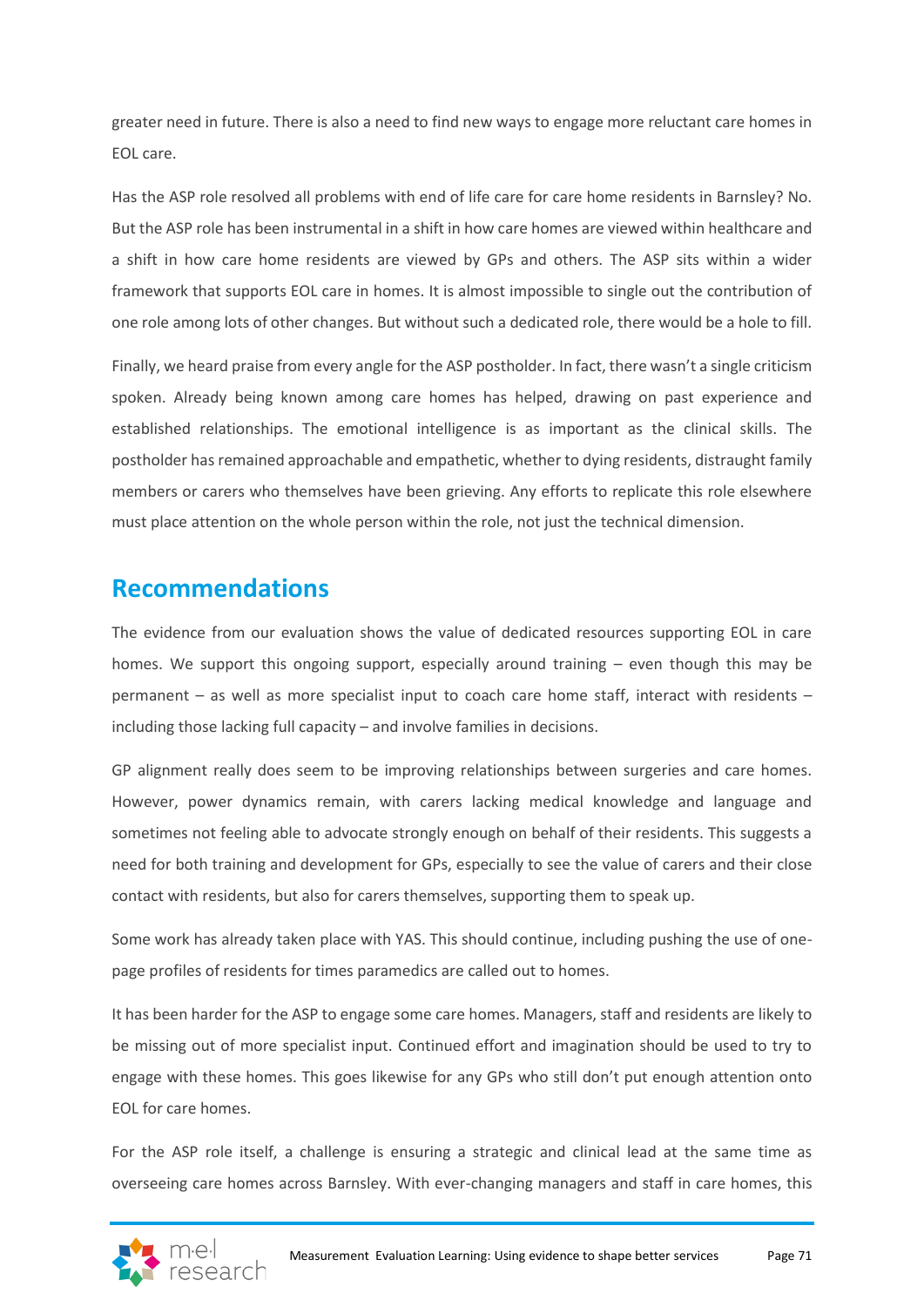greater need in future. There is also a need to find new ways to engage more reluctant care homes in EOL care.

Has the ASP role resolved all problems with end of life care for care home residents in Barnsley? No. But the ASP role has been instrumental in a shift in how care homes are viewed within healthcare and a shift in how care home residents are viewed by GPs and others. The ASP sits within a wider framework that supports EOL care in homes. It is almost impossible to single out the contribution of one role among lots of other changes. But without such a dedicated role, there would be a hole to fill.

Finally, we heard praise from every angle for the ASP postholder. In fact, there wasn't a single criticism spoken. Already being known among care homes has helped, drawing on past experience and established relationships. The emotional intelligence is as important as the clinical skills. The postholder has remained approachable and empathetic, whether to dying residents, distraught family members or carers who themselves have been grieving. Any efforts to replicate this role elsewhere must place attention on the whole person within the role, not just the technical dimension.

## **Recommendations**

The evidence from our evaluation shows the value of dedicated resources supporting EOL in care homes. We support this ongoing support, especially around training – even though this may be permanent – as well as more specialist input to coach care home staff, interact with residents – including those lacking full capacity – and involve families in decisions.

GP alignment really does seem to be improving relationships between surgeries and care homes. However, power dynamics remain, with carers lacking medical knowledge and language and sometimes not feeling able to advocate strongly enough on behalf of their residents. This suggests a need for both training and development for GPs, especially to see the value of carers and their close contact with residents, but also for carers themselves, supporting them to speak up.

Some work has already taken place with YAS. This should continue, including pushing the use of onepage profiles of residents for times paramedics are called out to homes.

It has been harder for the ASP to engage some care homes. Managers, staff and residents are likely to be missing out of more specialist input. Continued effort and imagination should be used to try to engage with these homes. This goes likewise for any GPs who still don't put enough attention onto EOL for care homes.

For the ASP role itself, a challenge is ensuring a strategic and clinical lead at the same time as overseeing care homes across Barnsley. With ever-changing managers and staff in care homes, this

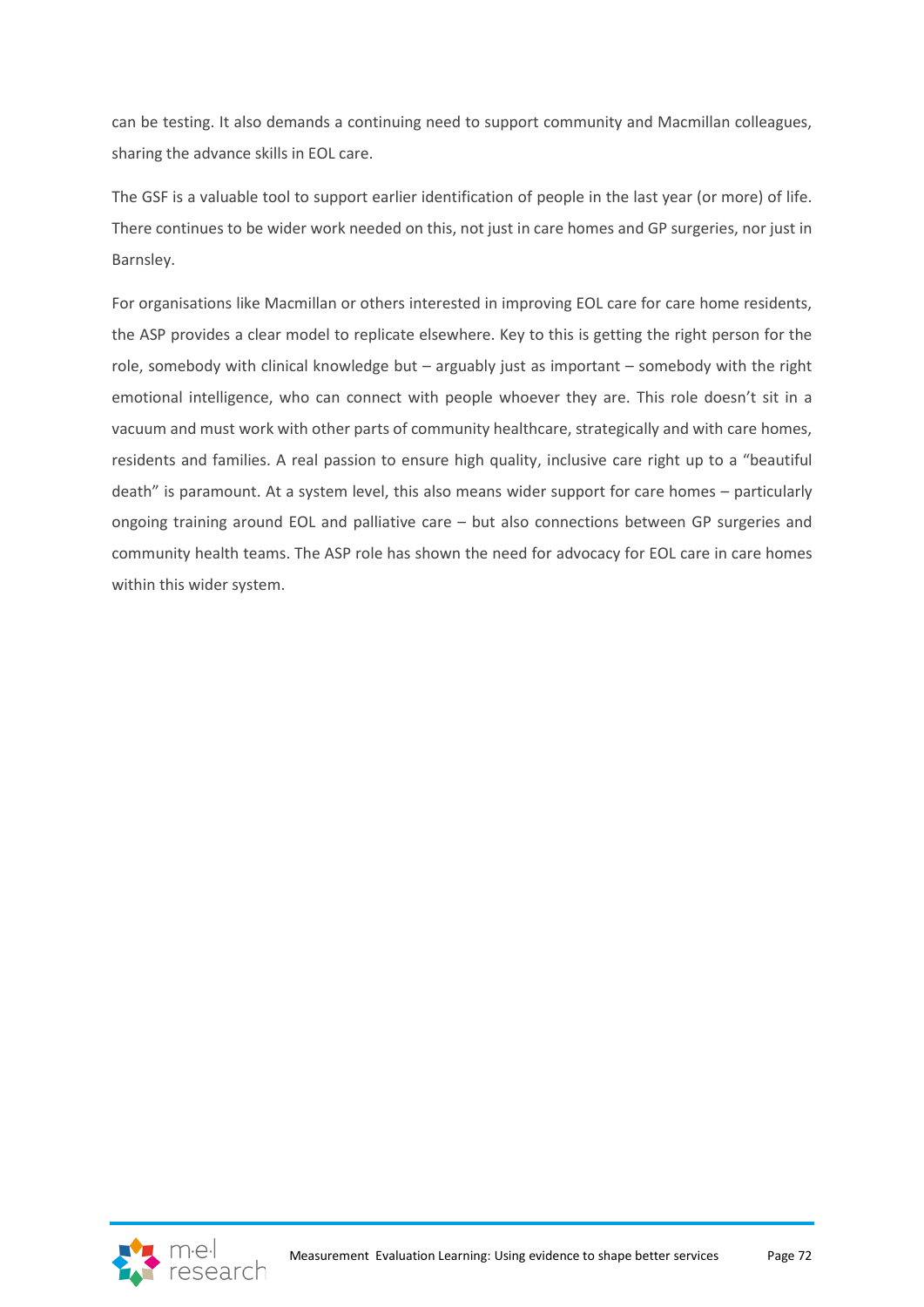can be testing. It also demands a continuing need to support community and Macmillan colleagues, sharing the advance skills in EOL care.

The GSF is a valuable tool to support earlier identification of people in the last year (or more) of life. There continues to be wider work needed on this, not just in care homes and GP surgeries, nor just in Barnsley.

For organisations like Macmillan or others interested in improving EOL care for care home residents, the ASP provides a clear model to replicate elsewhere. Key to this is getting the right person for the role, somebody with clinical knowledge but – arguably just as important – somebody with the right emotional intelligence, who can connect with people whoever they are. This role doesn't sit in a vacuum and must work with other parts of community healthcare, strategically and with care homes, residents and families. A real passion to ensure high quality, inclusive care right up to a "beautiful death" is paramount. At a system level, this also means wider support for care homes – particularly ongoing training around EOL and palliative care – but also connections between GP surgeries and community health teams. The ASP role has shown the need for advocacy for EOL care in care homes within this wider system.

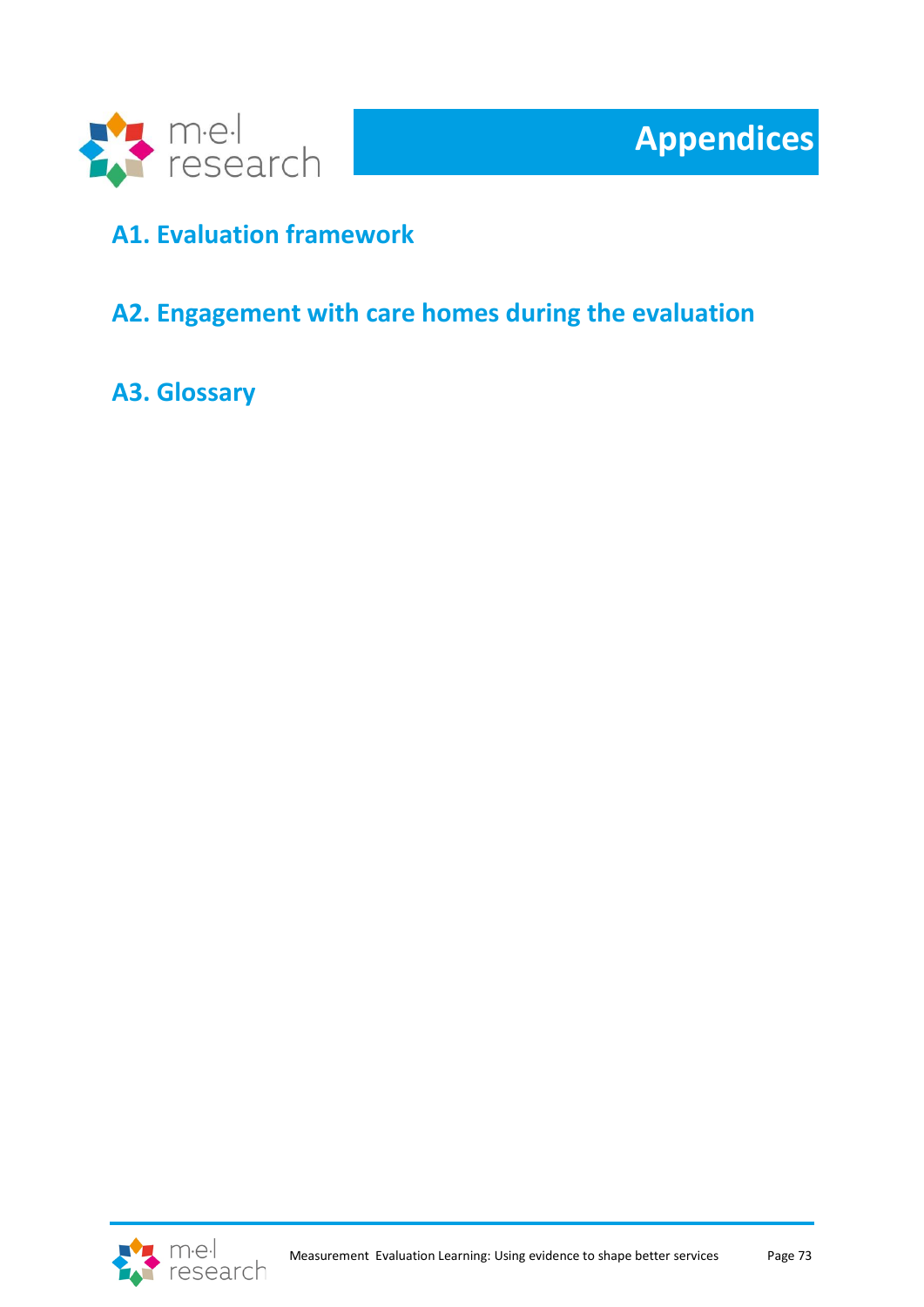

## **A1. Evaluation framework**

### **A2. Engagement with care homes during the evaluation**

**A3. Glossary**

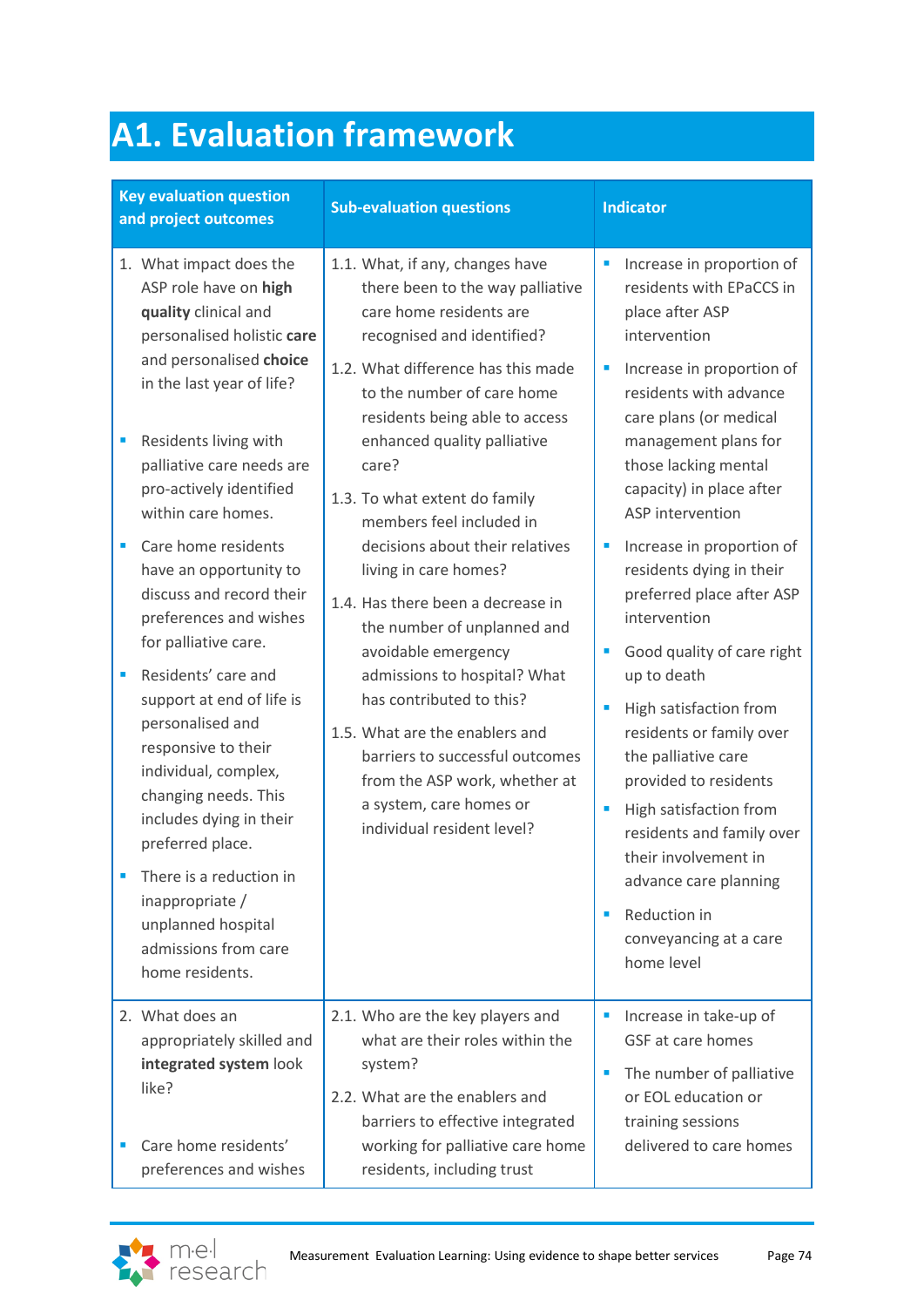# **A1. Evaluation framework**

| <b>Key evaluation question</b><br>and project outcomes                                                                                                                                                                                                                                                                                                                                                                                                                                                                                                                                                                                                                                                                             | <b>Sub-evaluation questions</b>                                                                                                                                                                                                                                                                                                                                                                                                                                                                                                                                                                                                                                                                                           | <b>Indicator</b>                                                                                                                                                                                                                                                                                                                                                                                                                                                                                                                                                                                                                                                                                                           |  |  |
|------------------------------------------------------------------------------------------------------------------------------------------------------------------------------------------------------------------------------------------------------------------------------------------------------------------------------------------------------------------------------------------------------------------------------------------------------------------------------------------------------------------------------------------------------------------------------------------------------------------------------------------------------------------------------------------------------------------------------------|---------------------------------------------------------------------------------------------------------------------------------------------------------------------------------------------------------------------------------------------------------------------------------------------------------------------------------------------------------------------------------------------------------------------------------------------------------------------------------------------------------------------------------------------------------------------------------------------------------------------------------------------------------------------------------------------------------------------------|----------------------------------------------------------------------------------------------------------------------------------------------------------------------------------------------------------------------------------------------------------------------------------------------------------------------------------------------------------------------------------------------------------------------------------------------------------------------------------------------------------------------------------------------------------------------------------------------------------------------------------------------------------------------------------------------------------------------------|--|--|
| 1. What impact does the<br>ASP role have on high<br>quality clinical and<br>personalised holistic care<br>and personalised choice<br>in the last year of life?<br>a,<br>Residents living with<br>palliative care needs are<br>pro-actively identified<br>within care homes.<br>Care home residents<br>a,<br>have an opportunity to<br>discuss and record their<br>preferences and wishes<br>for palliative care.<br>Residents' care and<br>a,<br>support at end of life is<br>personalised and<br>responsive to their<br>individual, complex,<br>changing needs. This<br>includes dying in their<br>preferred place.<br>There is a reduction in<br>inappropriate/<br>unplanned hospital<br>admissions from care<br>home residents. | 1.1. What, if any, changes have<br>there been to the way palliative<br>care home residents are<br>recognised and identified?<br>1.2. What difference has this made<br>to the number of care home<br>residents being able to access<br>enhanced quality palliative<br>care?<br>1.3. To what extent do family<br>members feel included in<br>decisions about their relatives<br>living in care homes?<br>1.4. Has there been a decrease in<br>the number of unplanned and<br>avoidable emergency<br>admissions to hospital? What<br>has contributed to this?<br>1.5. What are the enablers and<br>barriers to successful outcomes<br>from the ASP work, whether at<br>a system, care homes or<br>individual resident level? | Increase in proportion of<br>residents with EPaCCS in<br>place after ASP<br>intervention<br>Increase in proportion of<br>residents with advance<br>care plans (or medical<br>management plans for<br>those lacking mental<br>capacity) in place after<br>ASP intervention<br>Increase in proportion of<br>residents dying in their<br>preferred place after ASP<br>intervention<br>Good quality of care right<br>up to death<br>High satisfaction from<br>residents or family over<br>the palliative care<br>provided to residents<br>High satisfaction from<br>I.<br>residents and family over<br>their involvement in<br>advance care planning<br>Reduction in<br>$\blacksquare$<br>conveyancing at a care<br>home level |  |  |
| 2. What does an<br>appropriately skilled and<br>integrated system look<br>like?<br>Care home residents'<br>п<br>preferences and wishes                                                                                                                                                                                                                                                                                                                                                                                                                                                                                                                                                                                             | 2.1. Who are the key players and<br>what are their roles within the<br>system?<br>2.2. What are the enablers and<br>barriers to effective integrated<br>working for palliative care home<br>residents, including trust                                                                                                                                                                                                                                                                                                                                                                                                                                                                                                    | Increase in take-up of<br>П<br>GSF at care homes<br>The number of palliative<br>I.<br>or EOL education or<br>training sessions<br>delivered to care homes                                                                                                                                                                                                                                                                                                                                                                                                                                                                                                                                                                  |  |  |

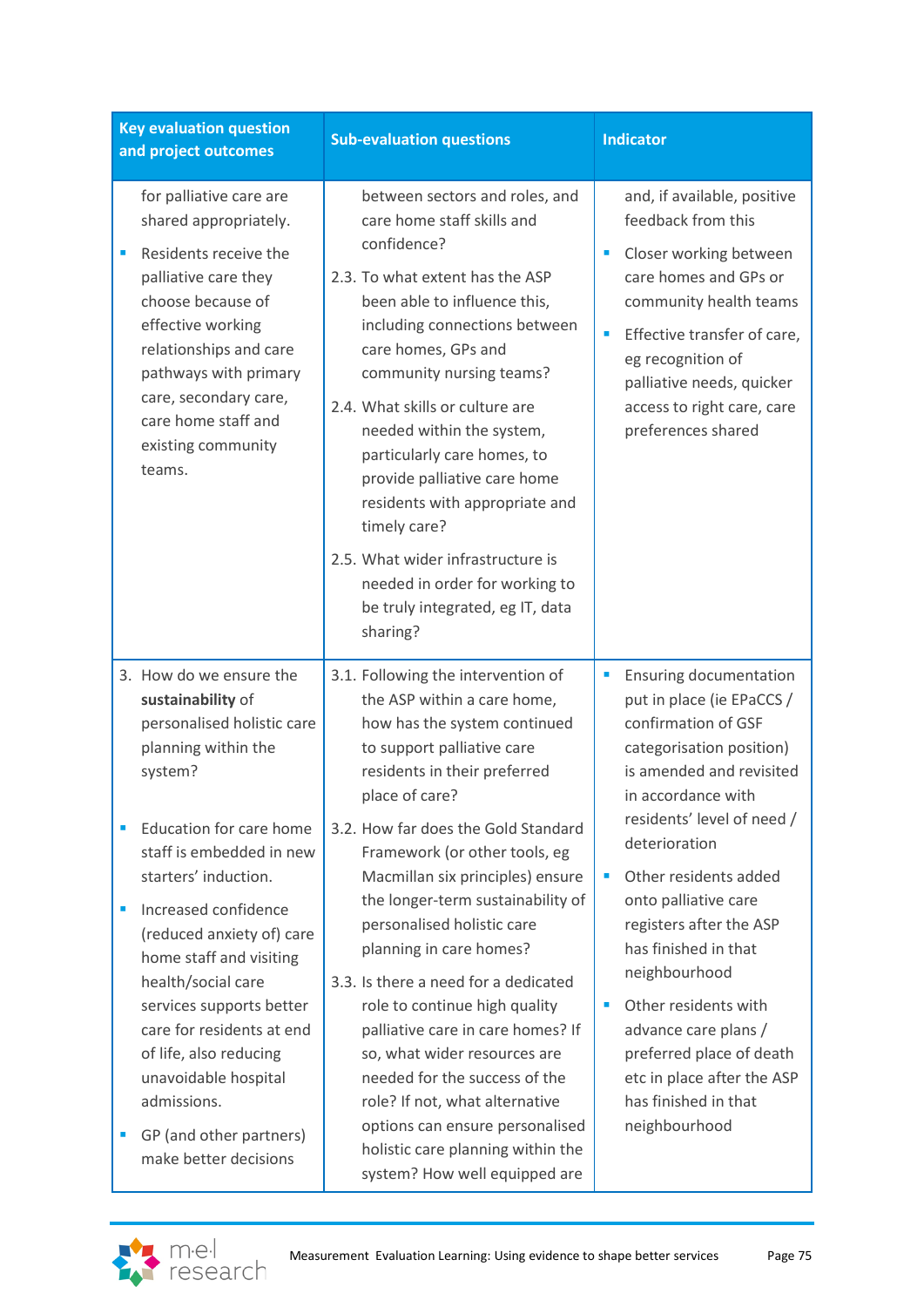| <b>Key evaluation question</b><br>and project outcomes |                                                                                                                                                                                                                                                                                                                               | <b>Sub-evaluation questions</b>                                                                                                                                                                                                                                                                                                                                                                                                                                                                                                            | <b>Indicator</b>                                                                                                                                                                                                                                                                                                                                                                 |  |  |
|--------------------------------------------------------|-------------------------------------------------------------------------------------------------------------------------------------------------------------------------------------------------------------------------------------------------------------------------------------------------------------------------------|--------------------------------------------------------------------------------------------------------------------------------------------------------------------------------------------------------------------------------------------------------------------------------------------------------------------------------------------------------------------------------------------------------------------------------------------------------------------------------------------------------------------------------------------|----------------------------------------------------------------------------------------------------------------------------------------------------------------------------------------------------------------------------------------------------------------------------------------------------------------------------------------------------------------------------------|--|--|
| Ē,                                                     | for palliative care are<br>shared appropriately.<br>Residents receive the<br>palliative care they<br>choose because of<br>effective working<br>relationships and care<br>pathways with primary<br>care, secondary care,<br>care home staff and<br>existing community<br>teams.                                                | between sectors and roles, and<br>care home staff skills and<br>confidence?<br>2.3. To what extent has the ASP<br>been able to influence this,<br>including connections between<br>care homes, GPs and<br>community nursing teams?<br>2.4. What skills or culture are<br>needed within the system,<br>particularly care homes, to<br>provide palliative care home<br>residents with appropriate and<br>timely care?<br>2.5. What wider infrastructure is<br>needed in order for working to<br>be truly integrated, eg IT, data<br>sharing? | and, if available, positive<br>feedback from this<br>Closer working between<br>care homes and GPs or<br>community health teams<br>Effective transfer of care,<br>eg recognition of<br>palliative needs, quicker<br>access to right care, care<br>preferences shared                                                                                                              |  |  |
| $\blacksquare$<br>п                                    | 3. How do we ensure the<br>sustainability of<br>personalised holistic care<br>planning within the<br>system?<br>Education for care home<br>staff is embedded in new<br>starters' induction.<br>Increased confidence<br>(reduced anxiety of) care<br>home staff and visiting<br>health/social care<br>services supports better | 3.1. Following the intervention of<br>the ASP within a care home,<br>how has the system continued<br>to support palliative care<br>residents in their preferred<br>place of care?<br>3.2. How far does the Gold Standard<br>Framework (or other tools, eg<br>Macmillan six principles) ensure<br>the longer-term sustainability of<br>personalised holistic care<br>planning in care homes?<br>3.3. Is there a need for a dedicated<br>role to continue high quality                                                                       | Ensuring documentation<br>$\blacksquare$<br>put in place (ie EPaCCS /<br>confirmation of GSF<br>categorisation position)<br>is amended and revisited<br>in accordance with<br>residents' level of need /<br>deterioration<br>Other residents added<br>×<br>onto palliative care<br>registers after the ASP<br>has finished in that<br>neighbourhood<br>Other residents with<br>П |  |  |
| п                                                      | care for residents at end<br>of life, also reducing<br>unavoidable hospital<br>admissions.<br>GP (and other partners)<br>make better decisions                                                                                                                                                                                | palliative care in care homes? If<br>so, what wider resources are<br>needed for the success of the<br>role? If not, what alternative<br>options can ensure personalised<br>holistic care planning within the<br>system? How well equipped are                                                                                                                                                                                                                                                                                              | advance care plans /<br>preferred place of death<br>etc in place after the ASP<br>has finished in that<br>neighbourhood                                                                                                                                                                                                                                                          |  |  |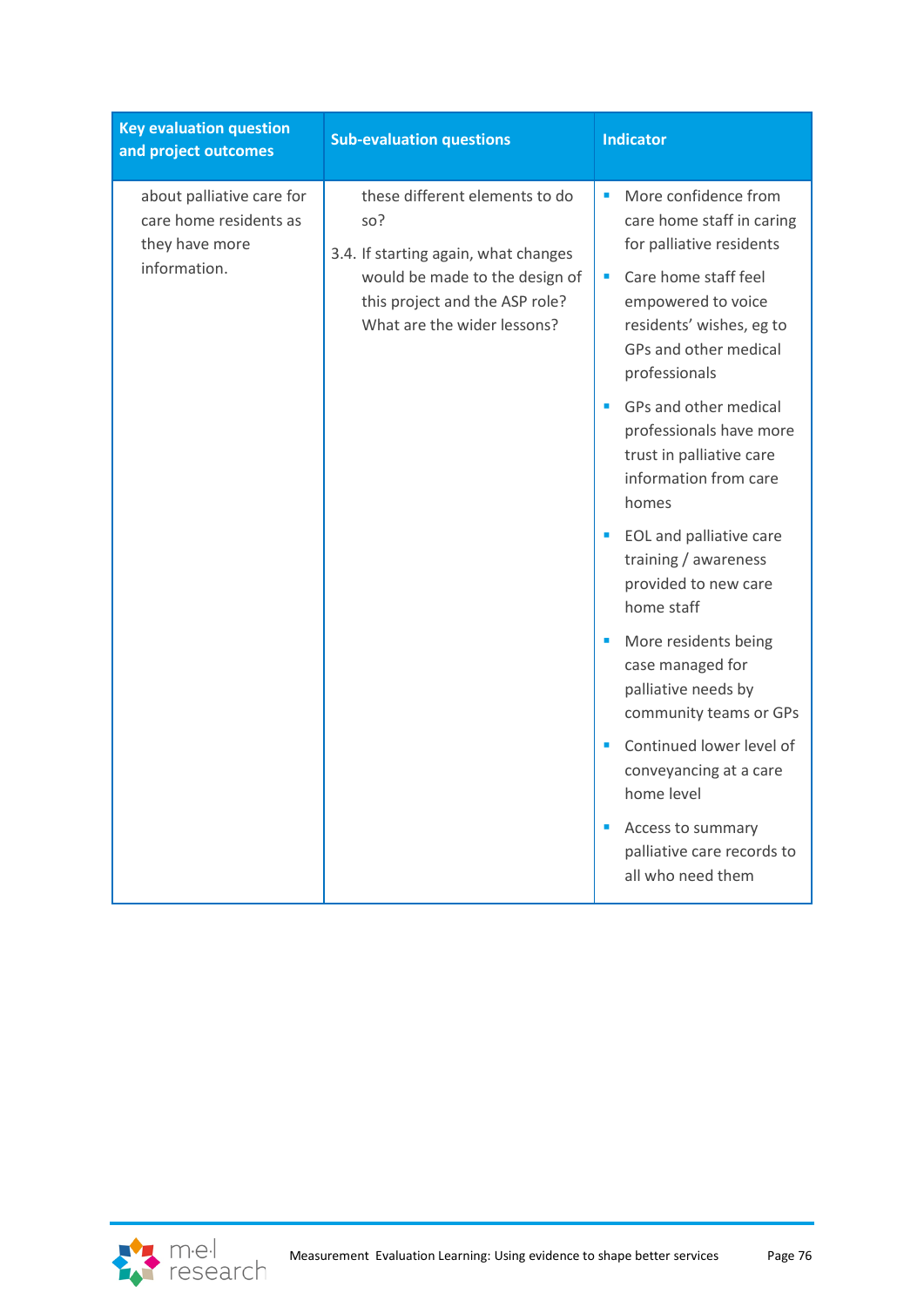| <b>Key evaluation question</b><br>and project outcomes                                | <b>Sub-evaluation questions</b>                                                                                                                                                  | <b>Indicator</b>                                                                                                                                                                                                              |  |
|---------------------------------------------------------------------------------------|----------------------------------------------------------------------------------------------------------------------------------------------------------------------------------|-------------------------------------------------------------------------------------------------------------------------------------------------------------------------------------------------------------------------------|--|
| about palliative care for<br>care home residents as<br>they have more<br>information. | these different elements to do<br>so?<br>3.4. If starting again, what changes<br>would be made to the design of<br>this project and the ASP role?<br>What are the wider lessons? | More confidence from<br>care home staff in caring<br>for palliative residents<br>Care home staff feel<br>$\overline{\phantom{a}}$<br>empowered to voice<br>residents' wishes, eg to<br>GPs and other medical<br>professionals |  |
|                                                                                       |                                                                                                                                                                                  | GPs and other medical<br>professionals have more<br>trust in palliative care<br>information from care<br>homes                                                                                                                |  |
|                                                                                       |                                                                                                                                                                                  | EOL and palliative care<br>W.<br>training / awareness<br>provided to new care<br>home staff                                                                                                                                   |  |
|                                                                                       |                                                                                                                                                                                  | More residents being<br>case managed for<br>palliative needs by<br>community teams or GPs                                                                                                                                     |  |
|                                                                                       |                                                                                                                                                                                  | Continued lower level of<br>conveyancing at a care<br>home level                                                                                                                                                              |  |
|                                                                                       |                                                                                                                                                                                  | Access to summary<br>palliative care records to<br>all who need them                                                                                                                                                          |  |

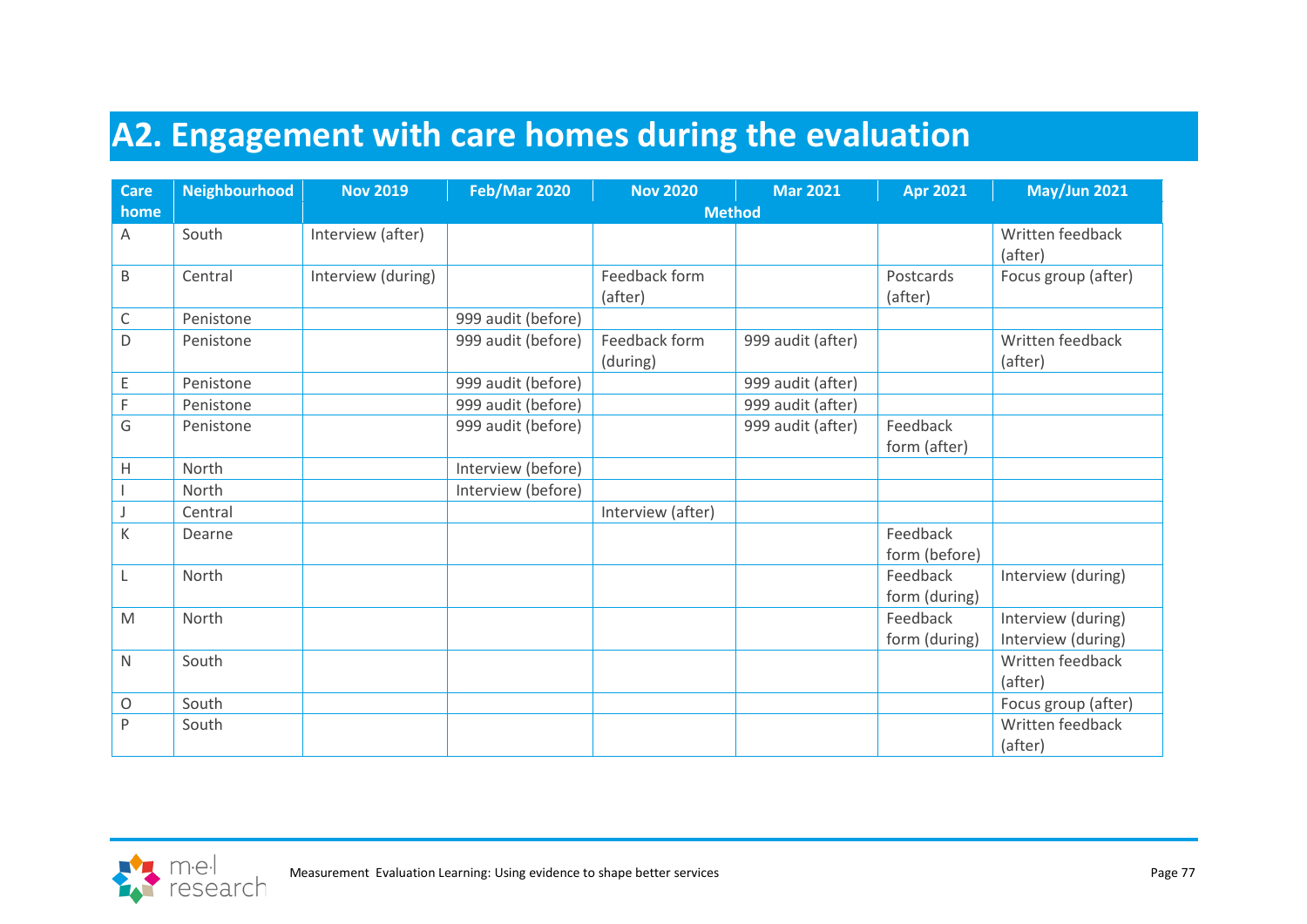## **A2. Engagement with care homes during the evaluation**

| <b>Care</b> | Neighbourhood | <b>Nov 2019</b>    | <b>Feb/Mar 2020</b> | <b>Nov 2020</b>           | <b>Mar 2021</b>   | <b>Apr 2021</b>           | <b>May/Jun 2021</b>                      |  |
|-------------|---------------|--------------------|---------------------|---------------------------|-------------------|---------------------------|------------------------------------------|--|
| home        |               | <b>Method</b>      |                     |                           |                   |                           |                                          |  |
| Α           | South         | Interview (after)  |                     |                           |                   |                           | Written feedback<br>(after)              |  |
| B           | Central       | Interview (during) |                     | Feedback form<br>(after)  |                   | Postcards<br>(after)      | Focus group (after)                      |  |
| $\mathsf C$ | Penistone     |                    | 999 audit (before)  |                           |                   |                           |                                          |  |
| D           | Penistone     |                    | 999 audit (before)  | Feedback form<br>(during) | 999 audit (after) |                           | Written feedback<br>(after)              |  |
| E           | Penistone     |                    | 999 audit (before)  |                           | 999 audit (after) |                           |                                          |  |
| F           | Penistone     |                    | 999 audit (before)  |                           | 999 audit (after) |                           |                                          |  |
| G           | Penistone     |                    | 999 audit (before)  |                           | 999 audit (after) | Feedback                  |                                          |  |
| Η           | North         |                    | Interview (before)  |                           |                   | form (after)              |                                          |  |
|             | North         |                    | Interview (before)  |                           |                   |                           |                                          |  |
|             | Central       |                    |                     | Interview (after)         |                   |                           |                                          |  |
| Κ           | Dearne        |                    |                     |                           |                   | Feedback<br>form (before) |                                          |  |
| L           | North         |                    |                     |                           |                   | Feedback<br>form (during) | Interview (during)                       |  |
| M           | North         |                    |                     |                           |                   | Feedback<br>form (during) | Interview (during)<br>Interview (during) |  |
| N           | South         |                    |                     |                           |                   |                           | Written feedback<br>(after)              |  |
| O           | South         |                    |                     |                           |                   |                           | Focus group (after)                      |  |
| P           | South         |                    |                     |                           |                   |                           | Written feedback<br>(after)              |  |

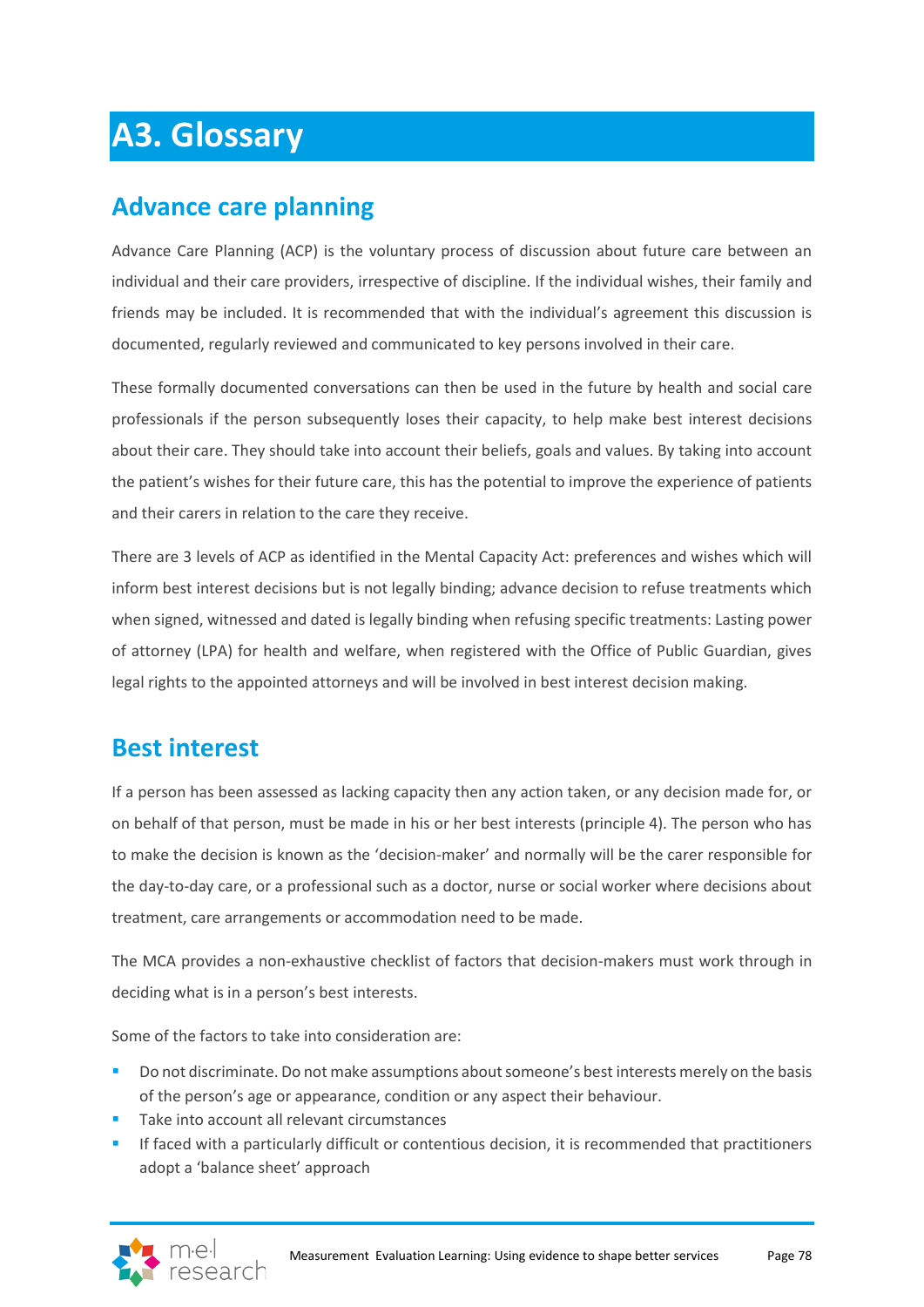## **A3. Glossary**

### **Advance care planning**

Advance Care Planning (ACP) is the voluntary process of discussion about future care between an individual and their care providers, irrespective of discipline. If the individual wishes, their family and friends may be included. It is recommended that with the individual's agreement this discussion is documented, regularly reviewed and communicated to key persons involved in their care.

These formally documented conversations can then be used in the future by health and social care professionals if the person subsequently loses their capacity, to help make best interest decisions about their care. They should take into account their beliefs, goals and values. By taking into account the patient's wishes for their future care, this has the potential to improve the experience of patients and their carers in relation to the care they receive.

There are 3 levels of ACP as identified in the Mental Capacity Act: preferences and wishes which will inform best interest decisions but is not legally binding; advance decision to refuse treatments which when signed, witnessed and dated is legally binding when refusing specific treatments: Lasting power of attorney (LPA) for health and welfare, when registered with the Office of Public Guardian, gives legal rights to the appointed attorneys and will be involved in best interest decision making.

#### **Best interest**

If a person has been assessed as lacking capacity then any action taken, or any decision made for, or on behalf of that person, must be made in his or her best interests (principle 4). The person who has to make the decision is known as the 'decision-maker' and normally will be the carer responsible for the day-to-day care, or a professional such as a doctor, nurse or social worker where decisions about treatment, care arrangements or accommodation need to be made.

The MCA provides a non-exhaustive checklist of factors that decision-makers must work through in deciding what is in a person's best interests.

Some of the factors to take into consideration are:

- Do not discriminate. Do not make assumptions about someone's best interests merely on the basis of the person's age or appearance, condition or any aspect their behaviour.
- Take into account all relevant circumstances
- If faced with a particularly difficult or contentious decision, it is recommended that practitioners adopt a 'balance sheet' approach

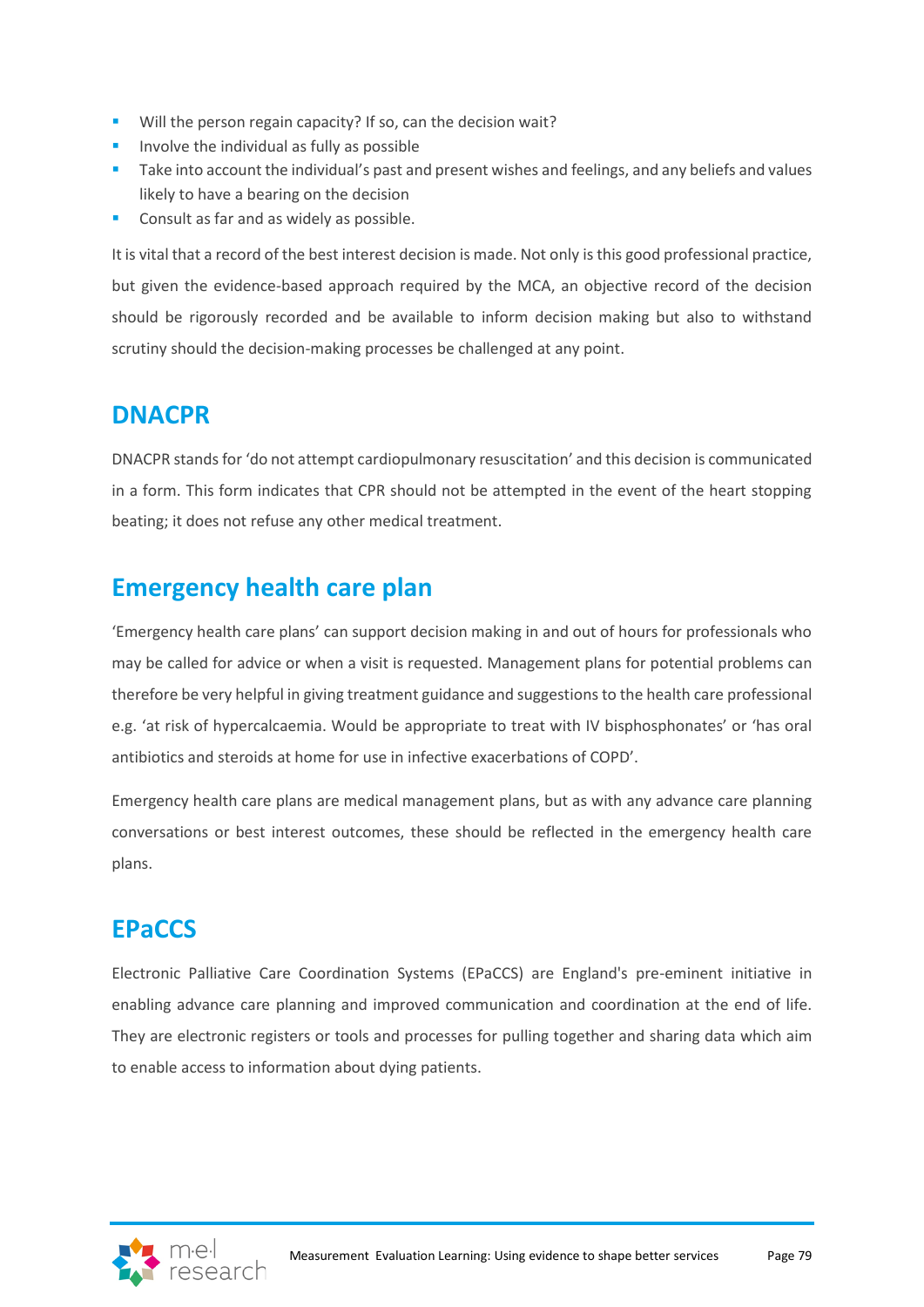- Will the person regain capacity? If so, can the decision wait?
- Involve the individual as fully as possible
- **•** Take into account the individual's past and present wishes and feelings, and any beliefs and values likely to have a bearing on the decision
- Consult as far and as widely as possible.

It is vital that a record of the best interest decision is made. Not only is this good professional practice, but given the evidence-based approach required by the MCA, an objective record of the decision should be rigorously recorded and be available to inform decision making but also to withstand scrutiny should the decision-making processes be challenged at any point.

#### **DNACPR**

DNACPR stands for 'do not attempt cardiopulmonary resuscitation' and this decision is communicated in a form. This form indicates that CPR should not be attempted in the event of the heart stopping beating; it does not refuse any other medical treatment.

### **Emergency health care plan**

'Emergency health care plans' can support decision making in and out of hours for professionals who may be called for advice or when a visit is requested. Management plans for potential problems can therefore be very helpful in giving treatment guidance and suggestions to the health care professional e.g. 'at risk of hypercalcaemia. Would be appropriate to treat with IV bisphosphonates' or 'has oral antibiotics and steroids at home for use in infective exacerbations of COPD'.

Emergency health care plans are medical management plans, but as with any advance care planning conversations or best interest outcomes, these should be reflected in the emergency health care plans.

#### **EPaCCS**

Electronic Palliative Care Coordination Systems (EPaCCS) are England's pre-eminent initiative in enabling advance care planning and improved communication and coordination at the end of life. They are electronic registers or tools and processes for pulling together and sharing data which aim to enable access to information about dying patients.

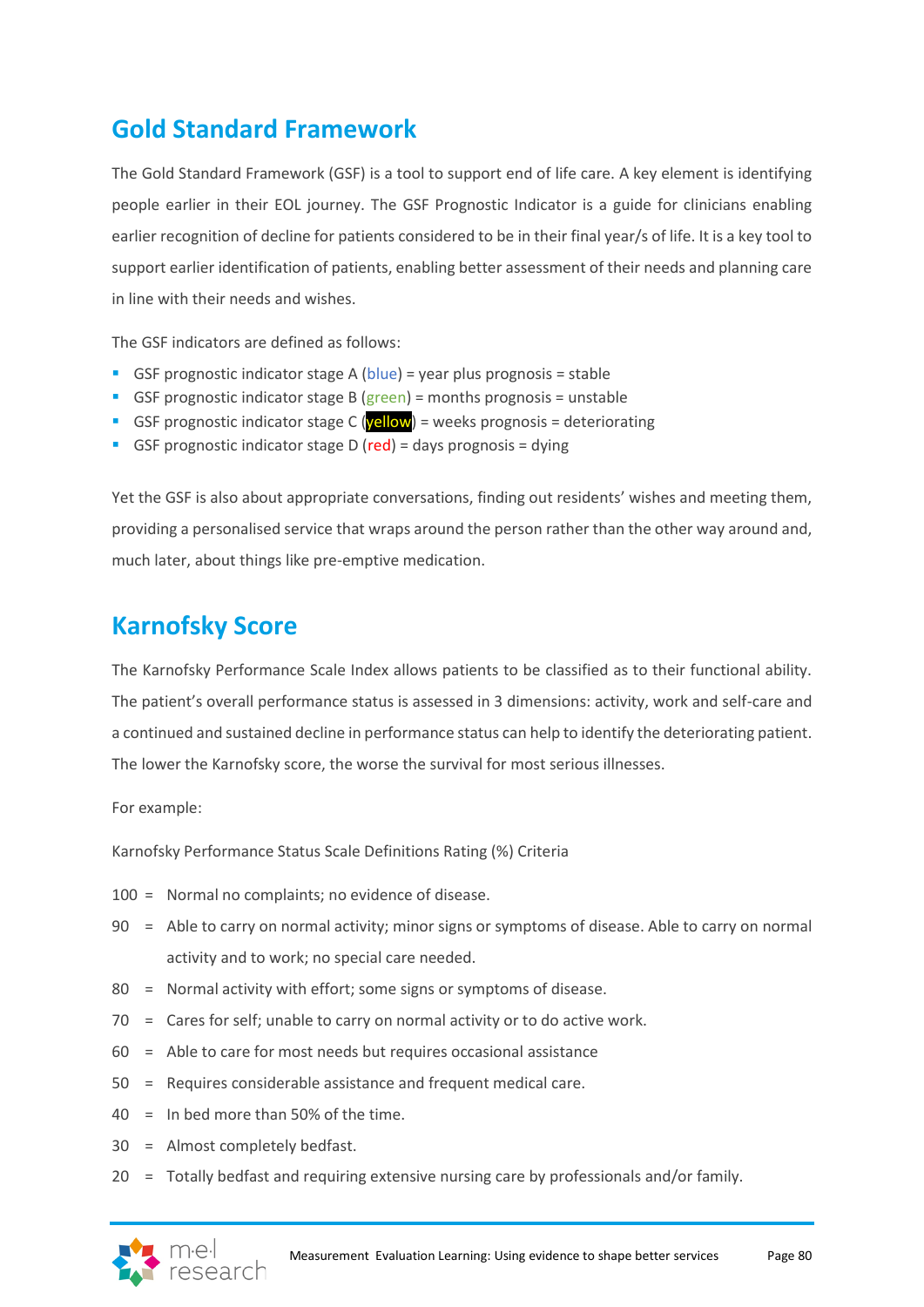### **Gold Standard Framework**

The Gold Standard Framework (GSF) is a tool to support end of life care. A key element is identifying people earlier in their EOL journey. The GSF Prognostic Indicator is a guide for clinicians enabling earlier recognition of decline for patients considered to be in their final year/s of life. It is a key tool to support earlier identification of patients, enabling better assessment of their needs and planning care in line with their needs and wishes.

The GSF indicators are defined as follows:

- **GSF prognostic indicator stage A (blue) = year plus prognosis = stable**
- GSF prognostic indicator stage B (green) = months prognosis = unstable
- **EXECTE FOR STATE STATE I** GSF prognostic indicator stage C (**yellow**) = weeks prognosis = deteriorating
- GSF prognostic indicator stage D (red) = days prognosis = dying

Yet the GSF is also about appropriate conversations, finding out residents' wishes and meeting them, providing a personalised service that wraps around the person rather than the other way around and, much later, about things like pre-emptive medication.

### **Karnofsky Score**

The Karnofsky Performance Scale Index allows patients to be classified as to their functional ability. The patient's overall performance status is assessed in 3 dimensions: activity, work and self-care and a continued and sustained decline in performance status can help to identify the deteriorating patient. The lower the Karnofsky score, the worse the survival for most serious illnesses.

For example:

Karnofsky Performance Status Scale Definitions Rating (%) Criteria

- 100 = Normal no complaints; no evidence of disease.
- 90 = Able to carry on normal activity; minor signs or symptoms of disease. Able to carry on normal activity and to work; no special care needed.
- 80 = Normal activity with effort; some signs or symptoms of disease.
- 70 = Cares for self; unable to carry on normal activity or to do active work.
- 60 = Able to care for most needs but requires occasional assistance
- 50 = Requires considerable assistance and frequent medical care.
- 40 = In bed more than 50% of the time.
- 30 = Almost completely bedfast.
- 20 = Totally bedfast and requiring extensive nursing care by professionals and/or family.

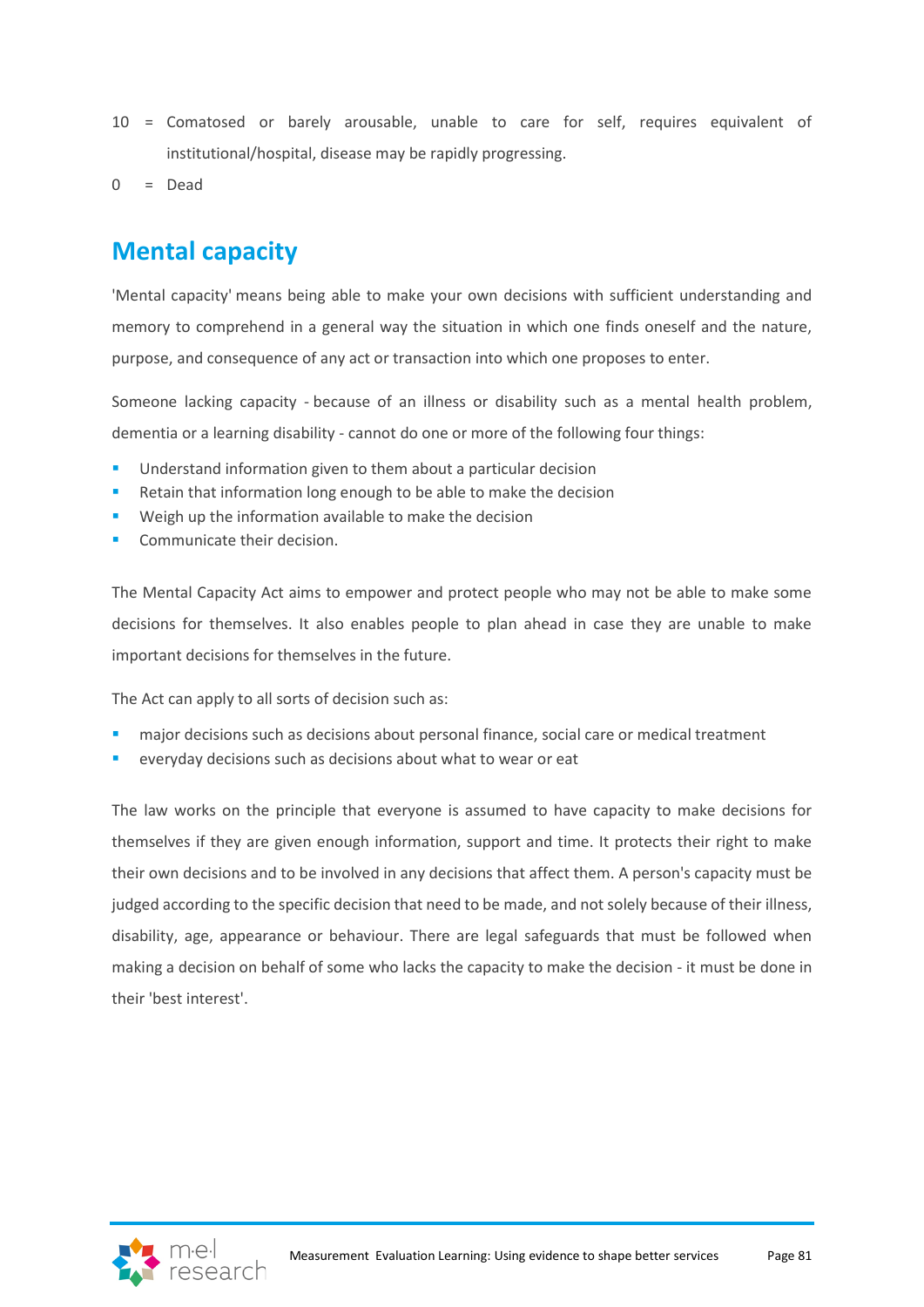- 10 = Comatosed or barely arousable, unable to care for self, requires equivalent of institutional/hospital, disease may be rapidly progressing.
- $0 = \text{Dead}$

#### **Mental capacity**

'Mental capacity' means being able to make your own decisions with sufficient understanding and memory to comprehend in a general way the situation in which one finds oneself and the nature, purpose, and consequence of any act or transaction into which one proposes to enter.

Someone lacking capacity - because of an illness or disability such as a mental health problem, dementia or a learning disability - cannot do one or more of the following four things:

- Understand information given to them about a particular decision
- Retain that information long enough to be able to make the decision
- Weigh up the information available to make the decision
- Communicate their decision.

The Mental Capacity Act aims to empower and protect people who may not be able to make some decisions for themselves. It also enables people to plan ahead in case they are unable to make important decisions for themselves in the future.

The Act can apply to all sorts of decision such as:

- major decisions such as decisions about personal finance, social care or medical treatment
- everyday decisions such as decisions about what to wear or eat

The law works on the principle that everyone is assumed to have capacity to make decisions for themselves if they are given enough information, support and time. It protects their right to make their own decisions and to be involved in any decisions that affect them. A person's capacity must be judged according to the specific decision that need to be made, and not solely because of their illness, disability, age, appearance or behaviour. There are legal safeguards that must be followed when making a decision on behalf of some who lacks the capacity to make the decision - it must be done in their 'best interest'.

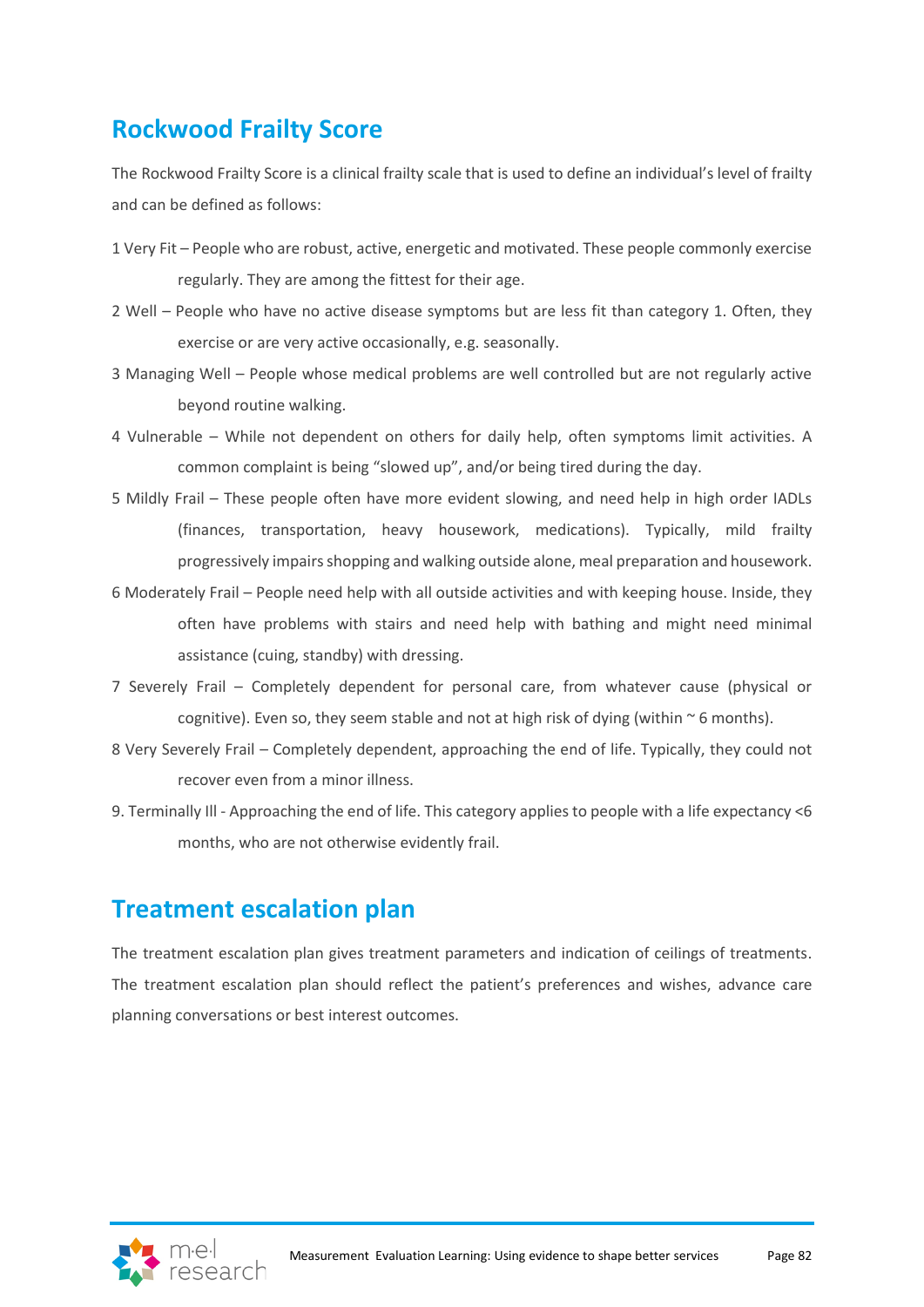### **Rockwood Frailty Score**

The Rockwood Frailty Score is a clinical frailty scale that is used to define an individual's level of frailty and can be defined as follows:

- 1 Very Fit People who are robust, active, energetic and motivated. These people commonly exercise regularly. They are among the fittest for their age.
- 2 Well People who have no active disease symptoms but are less fit than category 1. Often, they exercise or are very active occasionally, e.g. seasonally.
- 3 Managing Well People whose medical problems are well controlled but are not regularly active beyond routine walking.
- 4 Vulnerable While not dependent on others for daily help, often symptoms limit activities. A common complaint is being "slowed up", and/or being tired during the day.
- 5 Mildly Frail These people often have more evident slowing, and need help in high order IADLs (finances, transportation, heavy housework, medications). Typically, mild frailty progressively impairs shopping and walking outside alone, meal preparation and housework.
- 6 Moderately Frail People need help with all outside activities and with keeping house. Inside, they often have problems with stairs and need help with bathing and might need minimal assistance (cuing, standby) with dressing.
- 7 Severely Frail Completely dependent for personal care, from whatever cause (physical or cognitive). Even so, they seem stable and not at high risk of dying (within  $\sim$  6 months).
- 8 Very Severely Frail Completely dependent, approaching the end of life. Typically, they could not recover even from a minor illness.
- 9. Terminally Ill Approaching the end of life. This category applies to people with a life expectancy <6 months, who are not otherwise evidently frail.

#### **Treatment escalation plan**

The treatment escalation plan gives treatment parameters and indication of ceilings of treatments. The treatment escalation plan should reflect the patient's preferences and wishes, advance care planning conversations or best interest outcomes.